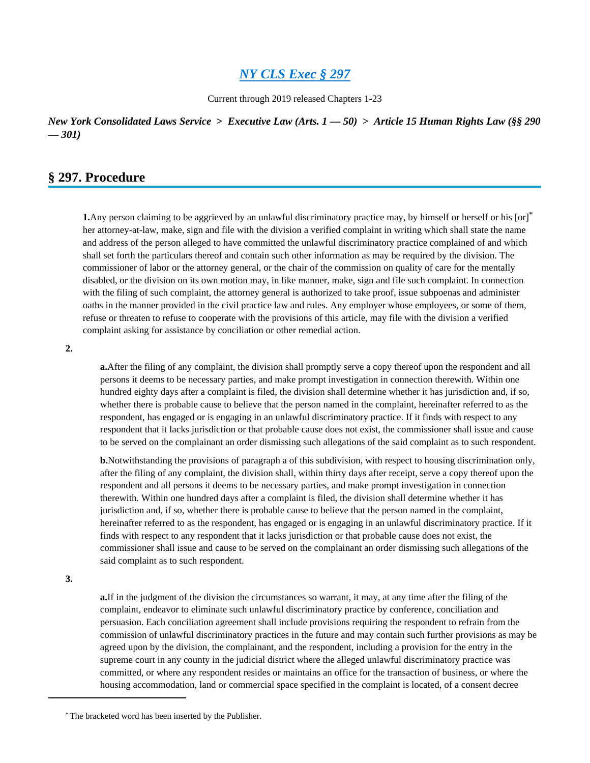Current through 2019 released Chapters 1-23

*New York Consolidated Laws Service* **>** *Executive Law (Arts. 1 — 50)* **>** *Article 15 Human Rights Law (§§ 290 — 301)*

# **§ 297. Procedure**

**1.**Any person claiming to be aggrieved by an unlawful discriminatory practice may, by himself or herself or his [or]\* her attorney-at-law, make, sign and file with the division a verified complaint in writing which shall state the name and address of the person alleged to have committed the unlawful discriminatory practice complained of and which shall set forth the particulars thereof and contain such other information as may be required by the division. The commissioner of labor or the attorney general, or the chair of the commission on quality of care for the mentally disabled, or the division on its own motion may, in like manner, make, sign and file such complaint. In connection with the filing of such complaint, the attorney general is authorized to take proof, issue subpoenas and administer oaths in the manner provided in the civil practice law and rules. Any employer whose employees, or some of them, refuse or threaten to refuse to cooperate with the provisions of this article, may file with the division a verified complaint asking for assistance by conciliation or other remedial action.

**2.**

**a.**After the filing of any complaint, the division shall promptly serve a copy thereof upon the respondent and all persons it deems to be necessary parties, and make prompt investigation in connection therewith. Within one hundred eighty days after a complaint is filed, the division shall determine whether it has jurisdiction and, if so, whether there is probable cause to believe that the person named in the complaint, hereinafter referred to as the respondent, has engaged or is engaging in an unlawful discriminatory practice. If it finds with respect to any respondent that it lacks jurisdiction or that probable cause does not exist, the commissioner shall issue and cause to be served on the complainant an order dismissing such allegations of the said complaint as to such respondent.

**b.**Notwithstanding the provisions of paragraph a of this subdivision, with respect to housing discrimination only, after the filing of any complaint, the division shall, within thirty days after receipt, serve a copy thereof upon the respondent and all persons it deems to be necessary parties, and make prompt investigation in connection therewith. Within one hundred days after a complaint is filed, the division shall determine whether it has jurisdiction and, if so, whether there is probable cause to believe that the person named in the complaint, hereinafter referred to as the respondent, has engaged or is engaging in an unlawful discriminatory practice. If it finds with respect to any respondent that it lacks jurisdiction or that probable cause does not exist, the commissioner shall issue and cause to be served on the complainant an order dismissing such allegations of the said complaint as to such respondent.

**3.**

**a.**If in the judgment of the division the circumstances so warrant, it may, at any time after the filing of the complaint, endeavor to eliminate such unlawful discriminatory practice by conference, conciliation and persuasion. Each conciliation agreement shall include provisions requiring the respondent to refrain from the commission of unlawful discriminatory practices in the future and may contain such further provisions as may be agreed upon by the division, the complainant, and the respondent, including a provision for the entry in the supreme court in any county in the judicial district where the alleged unlawful discriminatory practice was committed, or where any respondent resides or maintains an office for the transaction of business, or where the housing accommodation, land or commercial space specified in the complaint is located, of a consent decree

<sup>\*</sup> The bracketed word has been inserted by the Publisher.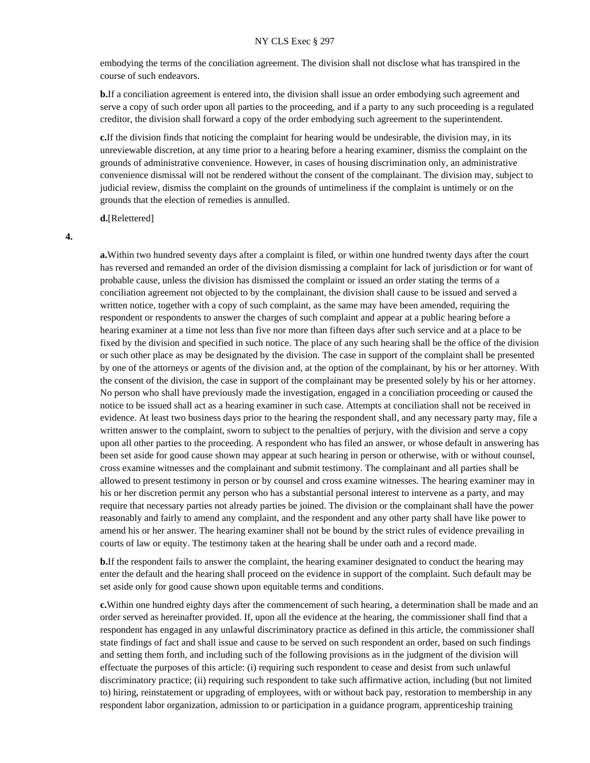embodying the terms of the conciliation agreement. The division shall not disclose what has transpired in the course of such endeavors.

**b.**If a conciliation agreement is entered into, the division shall issue an order embodying such agreement and serve a copy of such order upon all parties to the proceeding, and if a party to any such proceeding is a regulated creditor, the division shall forward a copy of the order embodying such agreement to the superintendent.

**c.**If the division finds that noticing the complaint for hearing would be undesirable, the division may, in its unreviewable discretion, at any time prior to a hearing before a hearing examiner, dismiss the complaint on the grounds of administrative convenience. However, in cases of housing discrimination only, an administrative convenience dismissal will not be rendered without the consent of the complainant. The division may, subject to judicial review, dismiss the complaint on the grounds of untimeliness if the complaint is untimely or on the grounds that the election of remedies is annulled.

**d.**[Relettered]

**4.**

**a.**Within two hundred seventy days after a complaint is filed, or within one hundred twenty days after the court has reversed and remanded an order of the division dismissing a complaint for lack of jurisdiction or for want of probable cause, unless the division has dismissed the complaint or issued an order stating the terms of a conciliation agreement not objected to by the complainant, the division shall cause to be issued and served a written notice, together with a copy of such complaint, as the same may have been amended, requiring the respondent or respondents to answer the charges of such complaint and appear at a public hearing before a hearing examiner at a time not less than five nor more than fifteen days after such service and at a place to be fixed by the division and specified in such notice. The place of any such hearing shall be the office of the division or such other place as may be designated by the division. The case in support of the complaint shall be presented by one of the attorneys or agents of the division and, at the option of the complainant, by his or her attorney. With the consent of the division, the case in support of the complainant may be presented solely by his or her attorney. No person who shall have previously made the investigation, engaged in a conciliation proceeding or caused the notice to be issued shall act as a hearing examiner in such case. Attempts at conciliation shall not be received in evidence. At least two business days prior to the hearing the respondent shall, and any necessary party may, file a written answer to the complaint, sworn to subject to the penalties of perjury, with the division and serve a copy upon all other parties to the proceeding. A respondent who has filed an answer, or whose default in answering has been set aside for good cause shown may appear at such hearing in person or otherwise, with or without counsel, cross examine witnesses and the complainant and submit testimony. The complainant and all parties shall be allowed to present testimony in person or by counsel and cross examine witnesses. The hearing examiner may in his or her discretion permit any person who has a substantial personal interest to intervene as a party, and may require that necessary parties not already parties be joined. The division or the complainant shall have the power reasonably and fairly to amend any complaint, and the respondent and any other party shall have like power to amend his or her answer. The hearing examiner shall not be bound by the strict rules of evidence prevailing in courts of law or equity. The testimony taken at the hearing shall be under oath and a record made.

**b.**If the respondent fails to answer the complaint, the hearing examiner designated to conduct the hearing may enter the default and the hearing shall proceed on the evidence in support of the complaint. Such default may be set aside only for good cause shown upon equitable terms and conditions.

**c.**Within one hundred eighty days after the commencement of such hearing, a determination shall be made and an order served as hereinafter provided. If, upon all the evidence at the hearing, the commissioner shall find that a respondent has engaged in any unlawful discriminatory practice as defined in this article, the commissioner shall state findings of fact and shall issue and cause to be served on such respondent an order, based on such findings and setting them forth, and including such of the following provisions as in the judgment of the division will effectuate the purposes of this article: (i) requiring such respondent to cease and desist from such unlawful discriminatory practice; (ii) requiring such respondent to take such affirmative action, including (but not limited to) hiring, reinstatement or upgrading of employees, with or without back pay, restoration to membership in any respondent labor organization, admission to or participation in a guidance program, apprenticeship training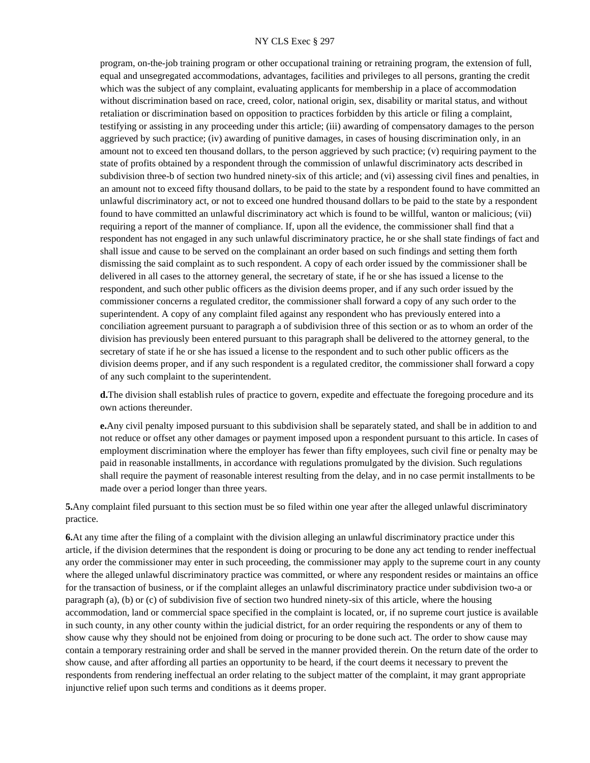program, on-the-job training program or other occupational training or retraining program, the extension of full, equal and unsegregated accommodations, advantages, facilities and privileges to all persons, granting the credit which was the subject of any complaint, evaluating applicants for membership in a place of accommodation without discrimination based on race, creed, color, national origin, sex, disability or marital status, and without retaliation or discrimination based on opposition to practices forbidden by this article or filing a complaint, testifying or assisting in any proceeding under this article; (iii) awarding of compensatory damages to the person aggrieved by such practice; (iv) awarding of punitive damages, in cases of housing discrimination only, in an amount not to exceed ten thousand dollars, to the person aggrieved by such practice; (v) requiring payment to the state of profits obtained by a respondent through the commission of unlawful discriminatory acts described in subdivision three-b of section two hundred ninety-six of this article; and (vi) assessing civil fines and penalties, in an amount not to exceed fifty thousand dollars, to be paid to the state by a respondent found to have committed an unlawful discriminatory act, or not to exceed one hundred thousand dollars to be paid to the state by a respondent found to have committed an unlawful discriminatory act which is found to be willful, wanton or malicious; (vii) requiring a report of the manner of compliance. If, upon all the evidence, the commissioner shall find that a respondent has not engaged in any such unlawful discriminatory practice, he or she shall state findings of fact and shall issue and cause to be served on the complainant an order based on such findings and setting them forth dismissing the said complaint as to such respondent. A copy of each order issued by the commissioner shall be delivered in all cases to the attorney general, the secretary of state, if he or she has issued a license to the respondent, and such other public officers as the division deems proper, and if any such order issued by the commissioner concerns a regulated creditor, the commissioner shall forward a copy of any such order to the superintendent. A copy of any complaint filed against any respondent who has previously entered into a conciliation agreement pursuant to paragraph a of subdivision three of this section or as to whom an order of the division has previously been entered pursuant to this paragraph shall be delivered to the attorney general, to the secretary of state if he or she has issued a license to the respondent and to such other public officers as the division deems proper, and if any such respondent is a regulated creditor, the commissioner shall forward a copy of any such complaint to the superintendent.

**d.**The division shall establish rules of practice to govern, expedite and effectuate the foregoing procedure and its own actions thereunder.

**e.**Any civil penalty imposed pursuant to this subdivision shall be separately stated, and shall be in addition to and not reduce or offset any other damages or payment imposed upon a respondent pursuant to this article. In cases of employment discrimination where the employer has fewer than fifty employees, such civil fine or penalty may be paid in reasonable installments, in accordance with regulations promulgated by the division. Such regulations shall require the payment of reasonable interest resulting from the delay, and in no case permit installments to be made over a period longer than three years.

**5.**Any complaint filed pursuant to this section must be so filed within one year after the alleged unlawful discriminatory practice.

**6.**At any time after the filing of a complaint with the division alleging an unlawful discriminatory practice under this article, if the division determines that the respondent is doing or procuring to be done any act tending to render ineffectual any order the commissioner may enter in such proceeding, the commissioner may apply to the supreme court in any county where the alleged unlawful discriminatory practice was committed, or where any respondent resides or maintains an office for the transaction of business, or if the complaint alleges an unlawful discriminatory practice under subdivision two-a or paragraph (a), (b) or (c) of subdivision five of section two hundred ninety-six of this article, where the housing accommodation, land or commercial space specified in the complaint is located, or, if no supreme court justice is available in such county, in any other county within the judicial district, for an order requiring the respondents or any of them to show cause why they should not be enjoined from doing or procuring to be done such act. The order to show cause may contain a temporary restraining order and shall be served in the manner provided therein. On the return date of the order to show cause, and after affording all parties an opportunity to be heard, if the court deems it necessary to prevent the respondents from rendering ineffectual an order relating to the subject matter of the complaint, it may grant appropriate injunctive relief upon such terms and conditions as it deems proper.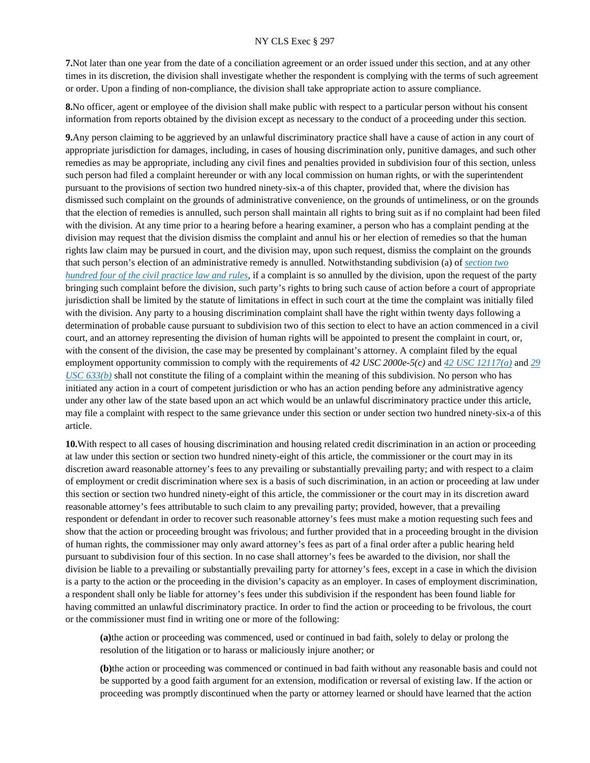**7.**Not later than one year from the date of a conciliation agreement or an order issued under this section, and at any other times in its discretion, the division shall investigate whether the respondent is complying with the terms of such agreement or order. Upon a finding of non-compliance, the division shall take appropriate action to assure compliance.

**8.**No officer, agent or employee of the division shall make public with respect to a particular person without his consent information from reports obtained by the division except as necessary to the conduct of a proceeding under this section.

**9.**Any person claiming to be aggrieved by an unlawful discriminatory practice shall have a cause of action in any court of appropriate jurisdiction for damages, including, in cases of housing discrimination only, punitive damages, and such other remedies as may be appropriate, including any civil fines and penalties provided in subdivision four of this section, unless such person had filed a complaint hereunder or with any local commission on human rights, or with the superintendent pursuant to the provisions of section two hundred ninety-six-a of this chapter, provided that, where the division has dismissed such complaint on the grounds of administrative convenience, on the grounds of untimeliness, or on the grounds that the election of remedies is annulled, such person shall maintain all rights to bring suit as if no complaint had been filed with the division. At any time prior to a hearing before a hearing examiner, a person who has a complaint pending at the division may request that the division dismiss the complaint and annul his or her election of remedies so that the human rights law claim may be pursued in court, and the division may, upon such request, dismiss the complaint on the grounds that such person's election of an administrative remedy is annulled. Notwithstanding subdivision (a) of *[section two](https://advance.lexis.com/api/document?collection=statutes-legislation&id=urn:contentItem:5CT3-08C1-6RDJ-845B-00000-00&context=)  [hundred four of the civil practice law and rules](https://advance.lexis.com/api/document?collection=statutes-legislation&id=urn:contentItem:5CT3-08C1-6RDJ-845B-00000-00&context=)*, if a complaint is so annulled by the division, upon the request of the party bringing such complaint before the division, such party's rights to bring such cause of action before a court of appropriate jurisdiction shall be limited by the statute of limitations in effect in such court at the time the complaint was initially filed with the division. Any party to a housing discrimination complaint shall have the right within twenty days following a determination of probable cause pursuant to subdivision two of this section to elect to have an action commenced in a civil court, and an attorney representing the division of human rights will be appointed to present the complaint in court, or, with the consent of the division, the case may be presented by complainant's attorney. A complaint filed by the equal employment opportunity commission to comply with the requirements of *42 USC 2000e-5(c)* and *[42 USC 12117\(a\)](https://advance.lexis.com/api/document?collection=statutes-legislation&id=urn:contentItem:4YF7-GRX1-NRF4-42BW-00000-00&context=)* and *[29](https://advance.lexis.com/api/document?collection=statutes-legislation&id=urn:contentItem:4YF7-GHC1-NRF4-40BB-00000-00&context=)  [USC 633\(b\)](https://advance.lexis.com/api/document?collection=statutes-legislation&id=urn:contentItem:4YF7-GHC1-NRF4-40BB-00000-00&context=)* shall not constitute the filing of a complaint within the meaning of this subdivision. No person who has initiated any action in a court of competent jurisdiction or who has an action pending before any administrative agency under any other law of the state based upon an act which would be an unlawful discriminatory practice under this article, may file a complaint with respect to the same grievance under this section or under section two hundred ninety-six-a of this article.

**10.**With respect to all cases of housing discrimination and housing related credit discrimination in an action or proceeding at law under this section or section two hundred ninety-eight of this article, the commissioner or the court may in its discretion award reasonable attorney's fees to any prevailing or substantially prevailing party; and with respect to a claim of employment or credit discrimination where sex is a basis of such discrimination, in an action or proceeding at law under this section or section two hundred ninety-eight of this article, the commissioner or the court may in its discretion award reasonable attorney's fees attributable to such claim to any prevailing party; provided, however, that a prevailing respondent or defendant in order to recover such reasonable attorney's fees must make a motion requesting such fees and show that the action or proceeding brought was frivolous; and further provided that in a proceeding brought in the division of human rights, the commissioner may only award attorney's fees as part of a final order after a public hearing held pursuant to subdivision four of this section. In no case shall attorney's fees be awarded to the division, nor shall the division be liable to a prevailing or substantially prevailing party for attorney's fees, except in a case in which the division is a party to the action or the proceeding in the division's capacity as an employer. In cases of employment discrimination, a respondent shall only be liable for attorney's fees under this subdivision if the respondent has been found liable for having committed an unlawful discriminatory practice. In order to find the action or proceeding to be frivolous, the court or the commissioner must find in writing one or more of the following:

**(a)**the action or proceeding was commenced, used or continued in bad faith, solely to delay or prolong the resolution of the litigation or to harass or maliciously injure another; or

**(b)**the action or proceeding was commenced or continued in bad faith without any reasonable basis and could not be supported by a good faith argument for an extension, modification or reversal of existing law. If the action or proceeding was promptly discontinued when the party or attorney learned or should have learned that the action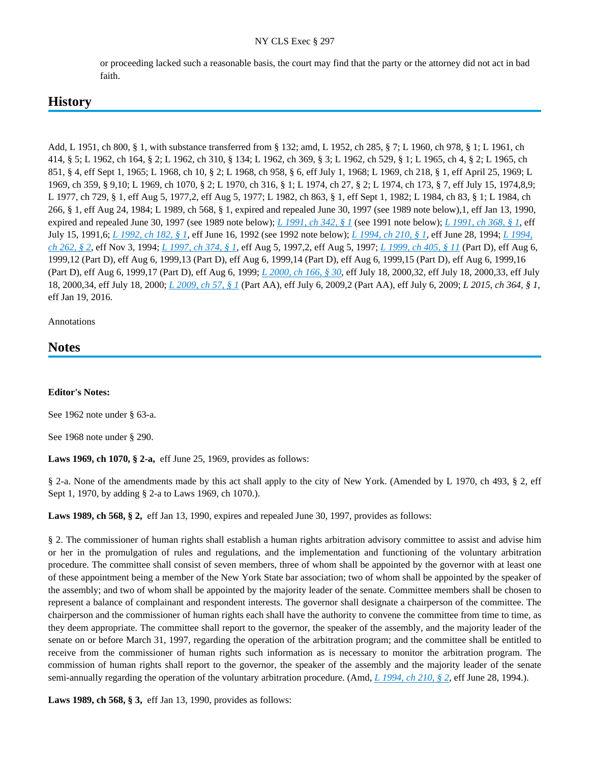or proceeding lacked such a reasonable basis, the court may find that the party or the attorney did not act in bad faith.

# **History**

Add, L 1951, ch 800, § 1, with substance transferred from § 132; amd, L 1952, ch 285, § 7; L 1960, ch 978, § 1; L 1961, ch 414, § 5; L 1962, ch 164, § 2; L 1962, ch 310, § 134; L 1962, ch 369, § 3; L 1962, ch 529, § 1; L 1965, ch 4, § 2; L 1965, ch 851, § 4, eff Sept 1, 1965; L 1968, ch 10, § 2; L 1968, ch 958, § 6, eff July 1, 1968; L 1969, ch 218, § 1, eff April 25, 1969; L 1969, ch 359, § 9,10; L 1969, ch 1070, § 2; L 1970, ch 316, § 1; L 1974, ch 27, § 2; L 1974, ch 173, § 7, eff July 15, 1974,8,9; L 1977, ch 729, § 1, eff Aug 5, 1977,2, eff Aug 5, 1977; L 1982, ch 863, § 1, eff Sept 1, 1982; L 1984, ch 83, § 1; L 1984, ch 266, § 1, eff Aug 24, 1984; L 1989, ch 568, § 1, expired and repealed June 30, 1997 (see 1989 note below),1, eff Jan 13, 1990, expired and repealed June 30, 1997 (see 1989 note below); *[L 1991, ch 342, § 1](https://advance.lexis.com/api/document?collection=statutes-legislation&id=urn:contentItem:3SYG-9D10-003Y-V0X0-00000-00&context=)* (see 1991 note below); *[L 1991, ch 368, § 1](https://advance.lexis.com/api/document?collection=statutes-legislation&id=urn:contentItem:3SYG-9D20-003Y-V0XX-00000-00&context=)*, eff July 15, 1991,6; *[L 1992, ch 182, § 1](https://advance.lexis.com/api/document?collection=statutes-legislation&id=urn:contentItem:3SYG-97M0-003Y-V4TV-00000-00&context=)*, eff June 16, 1992 (see 1992 note below); *[L 1994, ch 210, § 1](https://advance.lexis.com/api/document?collection=statutes-legislation&id=urn:contentItem:3SYG-8WX0-003Y-V309-00000-00&context=)*, eff June 28, 1994; *[L 1994,](https://advance.lexis.com/api/document?collection=statutes-legislation&id=urn:contentItem:3SYG-8X30-003Y-V325-00000-00&context=)  [ch 262, § 2](https://advance.lexis.com/api/document?collection=statutes-legislation&id=urn:contentItem:3SYG-8X30-003Y-V325-00000-00&context=)*, eff Nov 3, 1994; *[L 1997, ch 374, § 1](https://advance.lexis.com/api/document?collection=statutes-legislation&id=urn:contentItem:3SYG-8FR0-003Y-V0F9-00000-00&context=)*, eff Aug 5, 1997,2, eff Aug 5, 1997; *[L 1999, ch 405, § 11](https://advance.lexis.com/api/document?collection=statutes-legislation&id=urn:contentItem:3XP5-CNR0-003Y-V0KH-00000-00&context=)* (Part D), eff Aug 6, 1999,12 (Part D), eff Aug 6, 1999,13 (Part D), eff Aug 6, 1999,14 (Part D), eff Aug 6, 1999,15 (Part D), eff Aug 6, 1999,16 (Part D), eff Aug 6, 1999,17 (Part D), eff Aug 6, 1999; *[L 2000, ch 166, § 30](https://advance.lexis.com/api/document?collection=statutes-legislation&id=urn:contentItem:40SD-KT60-003Y-V11C-00000-00&context=)*, eff July 18, 2000,32, eff July 18, 2000,33, eff July 18, 2000,34, eff July 18, 2000; *[L 2009, ch 57, § 1](https://advance.lexis.com/api/document?collection=statutes-legislation&id=urn:contentItem:5CWT-BV51-DY1N-W4XV-00000-00&context=)* (Part AA), eff July 6, 2009,2 (Part AA), eff July 6, 2009; *L 2015, ch 364, § 1*, eff Jan 19, 2016.

Annotations

# **Notes**

# **Editor's Notes:**

See 1962 note under § 63-a.

See 1968 note under § 290.

**Laws 1969, ch 1070, § 2-a,** eff June 25, 1969, provides as follows:

§ 2-a. None of the amendments made by this act shall apply to the city of New York. (Amended by L 1970, ch 493, § 2, eff Sept 1, 1970, by adding § 2-a to Laws 1969, ch 1070.).

**Laws 1989, ch 568, § 2,** eff Jan 13, 1990, expires and repealed June 30, 1997, provides as follows:

§ 2. The commissioner of human rights shall establish a human rights arbitration advisory committee to assist and advise him or her in the promulgation of rules and regulations, and the implementation and functioning of the voluntary arbitration procedure. The committee shall consist of seven members, three of whom shall be appointed by the governor with at least one of these appointment being a member of the New York State bar association; two of whom shall be appointed by the speaker of the assembly; and two of whom shall be appointed by the majority leader of the senate. Committee members shall be chosen to represent a balance of complainant and respondent interests. The governor shall designate a chairperson of the committee. The chairperson and the commissioner of human rights each shall have the authority to convene the committee from time to time, as they deem appropriate. The committee shall report to the governor, the speaker of the assembly, and the majority leader of the senate on or before March 31, 1997, regarding the operation of the arbitration program; and the committee shall be entitled to receive from the commissioner of human rights such information as is necessary to monitor the arbitration program. The commission of human rights shall report to the governor, the speaker of the assembly and the majority leader of the senate semi-annually regarding the operation of the voluntary arbitration procedure. (Amd, *[L 1994, ch 210, § 2](https://advance.lexis.com/api/document?collection=statutes-legislation&id=urn:contentItem:3SYG-8WX0-003Y-V309-00000-00&context=)*, eff June 28, 1994.).

**Laws 1989, ch 568, § 3,** eff Jan 13, 1990, provides as follows: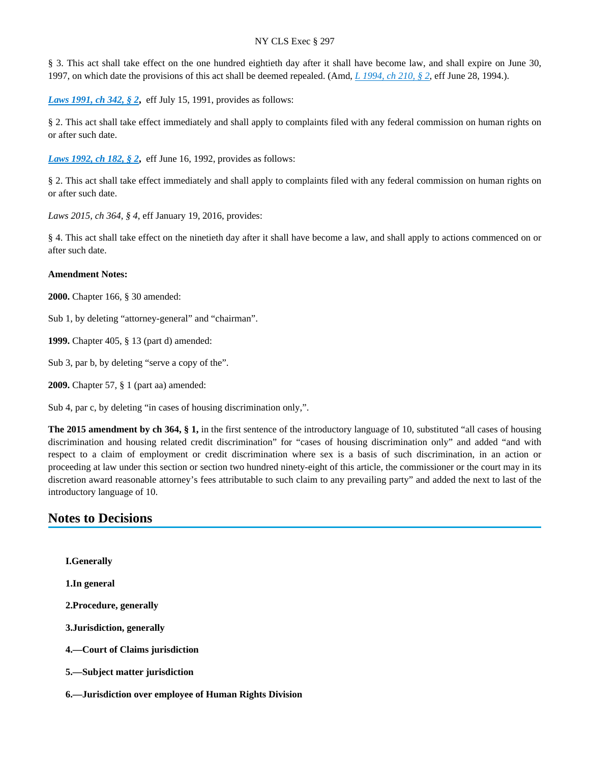§ 3. This act shall take effect on the one hundred eightieth day after it shall have become law, and shall expire on June 30, 1997, on which date the provisions of this act shall be deemed repealed. (Amd, *[L 1994, ch 210, § 2](https://advance.lexis.com/api/document?collection=statutes-legislation&id=urn:contentItem:3SYG-8WX0-003Y-V309-00000-00&context=)*, eff June 28, 1994.).

*[Laws 1991, ch 342, § 2](https://advance.lexis.com/api/document?collection=statutes-legislation&id=urn:contentItem:3SYG-9D10-003Y-V0X0-00000-00&context=), eff July 15, 1991, provides as follows:* 

§ 2. This act shall take effect immediately and shall apply to complaints filed with any federal commission on human rights on or after such date.

*[Laws 1992, ch 182, § 2](https://advance.lexis.com/api/document?collection=statutes-legislation&id=urn:contentItem:3SYG-97M0-003Y-V4TV-00000-00&context=), eff June 16, 1992, provides as follows:* 

§ 2. This act shall take effect immediately and shall apply to complaints filed with any federal commission on human rights on or after such date.

*Laws 2015, ch 364, § 4*, eff January 19, 2016, provides:

§ 4. This act shall take effect on the ninetieth day after it shall have become a law, and shall apply to actions commenced on or after such date.

#### **Amendment Notes:**

**2000.** Chapter 166, § 30 amended:

Sub 1, by deleting "attorney-general" and "chairman".

**1999.** Chapter 405, § 13 (part d) amended:

Sub 3, par b, by deleting "serve a copy of the".

**2009.** Chapter 57, § 1 (part aa) amended:

Sub 4, par c, by deleting "in cases of housing discrimination only,".

**The 2015 amendment by ch 364, § 1,** in the first sentence of the introductory language of 10, substituted "all cases of housing discrimination and housing related credit discrimination" for "cases of housing discrimination only" and added "and with respect to a claim of employment or credit discrimination where sex is a basis of such discrimination, in an action or proceeding at law under this section or section two hundred ninety-eight of this article, the commissioner or the court may in its discretion award reasonable attorney's fees attributable to such claim to any prevailing party" and added the next to last of the introductory language of 10.

# **Notes to Decisions**

**I.Generally**

**1.In general**

**2.Procedure, generally**

**3.Jurisdiction, generally**

**4.—Court of Claims jurisdiction**

**5.—Subject matter jurisdiction**

**6.—Jurisdiction over employee of Human Rights Division**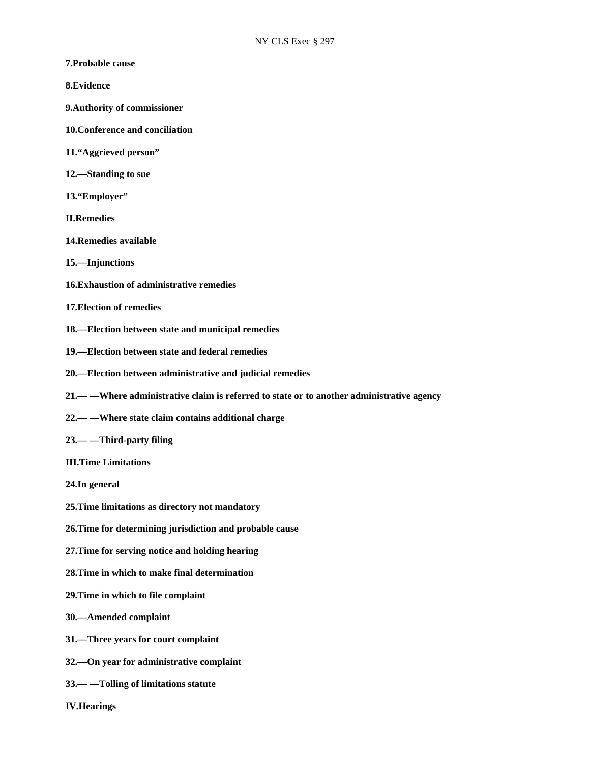- **7.Probable cause**
- **8.Evidence**
- **9.Authority of commissioner**
- **10.Conference and conciliation**
- **11."Aggrieved person"**
- **12.—Standing to sue**
- **13."Employer"**
- **II.Remedies**
- **14.Remedies available**
- **15.—Injunctions**
- **16.Exhaustion of administrative remedies**
- **17.Election of remedies**
- **18.—Election between state and municipal remedies**
- **19.—Election between state and federal remedies**
- **20.—Election between administrative and judicial remedies**
- **21.— —Where administrative claim is referred to state or to another administrative agency**
- **22.— —Where state claim contains additional charge**
- **23.— —Third-party filing**
- **III.Time Limitations**
- **24.In general**
- **25.Time limitations as directory not mandatory**
- **26.Time for determining jurisdiction and probable cause**
- **27.Time for serving notice and holding hearing**
- **28.Time in which to make final determination**
- **29.Time in which to file complaint**
- **30.—Amended complaint**
- **31.—Three years for court complaint**
- **32.—On year for administrative complaint**
- **33.— —Tolling of limitations statute**
- **IV.Hearings**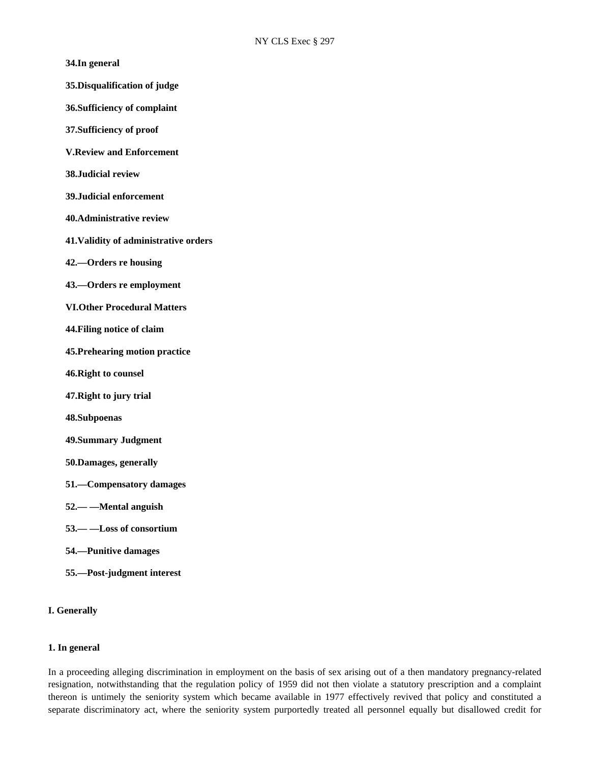- **34.In general**
- **35.Disqualification of judge**
- **36.Sufficiency of complaint**
- **37.Sufficiency of proof**
- **V.Review and Enforcement**
- **38.Judicial review**
- **39.Judicial enforcement**
- **40.Administrative review**
- **41.Validity of administrative orders**
- **42.—Orders re housing**
- **43.—Orders re employment**
- **VI.Other Procedural Matters**
- **44.Filing notice of claim**
- **45.Prehearing motion practice**
- **46.Right to counsel**
- **47.Right to jury trial**
- **48.Subpoenas**
- **49.Summary Judgment**
- **50.Damages, generally**
- **51.—Compensatory damages**
- **52.— —Mental anguish**
- **53.— —Loss of consortium**
- **54.—Punitive damages**
- **55.—Post-judgment interest**

#### **I. Generally**

## **1. In general**

In a proceeding alleging discrimination in employment on the basis of sex arising out of a then mandatory pregnancy-related resignation, notwithstanding that the regulation policy of 1959 did not then violate a statutory prescription and a complaint thereon is untimely the seniority system which became available in 1977 effectively revived that policy and constituted a separate discriminatory act, where the seniority system purportedly treated all personnel equally but disallowed credit for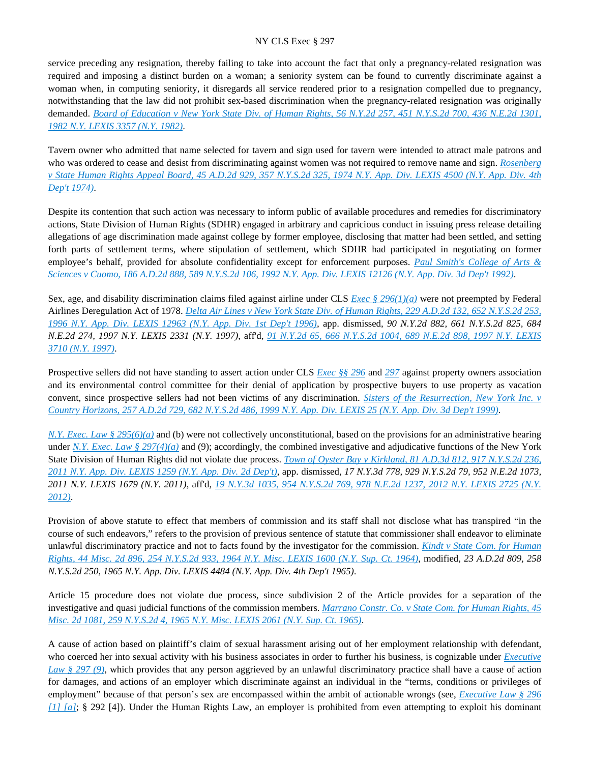service preceding any resignation, thereby failing to take into account the fact that only a pregnancy-related resignation was required and imposing a distinct burden on a woman; a seniority system can be found to currently discriminate against a woman when, in computing seniority, it disregards all service rendered prior to a resignation compelled due to pregnancy, notwithstanding that the law did not prohibit sex-based discrimination when the pregnancy-related resignation was originally demanded. *[Board of Education v New York State Div. of Human Rights, 56 N.Y.2d 257, 451 N.Y.S.2d 700, 436 N.E.2d 1301,](https://advance.lexis.com/api/document?collection=cases&id=urn:contentItem:3S3J-YHH0-003D-G1D6-00000-00&context=)  [1982 N.Y. LEXIS 3357 \(N.Y. 1982\)](https://advance.lexis.com/api/document?collection=cases&id=urn:contentItem:3S3J-YHH0-003D-G1D6-00000-00&context=)*.

Tavern owner who admitted that name selected for tavern and sign used for tavern were intended to attract male patrons and who was ordered to cease and desist from discriminating against women was not required to remove name and sign. *[Rosenberg](https://advance.lexis.com/api/document?collection=cases&id=urn:contentItem:3RRS-Y2C0-003C-C1HV-00000-00&context=)  [v State Human Rights Appeal Board, 45 A.D.2d 929, 357 N.Y.S.2d 325, 1974 N.Y. App. Div. LEXIS 4500 \(N.Y. App. Div. 4th](https://advance.lexis.com/api/document?collection=cases&id=urn:contentItem:3RRS-Y2C0-003C-C1HV-00000-00&context=)  [Dep't 1974\)](https://advance.lexis.com/api/document?collection=cases&id=urn:contentItem:3RRS-Y2C0-003C-C1HV-00000-00&context=)*.

Despite its contention that such action was necessary to inform public of available procedures and remedies for discriminatory actions, State Division of Human Rights (SDHR) engaged in arbitrary and capricious conduct in issuing press release detailing allegations of age discrimination made against college by former employee, disclosing that matter had been settled, and setting forth parts of settlement terms, where stipulation of settlement, which SDHR had participated in negotiating on former employee's behalf, provided for absolute confidentiality except for enforcement purposes. *[Paul Smith's College of Arts &](https://advance.lexis.com/api/document?collection=cases&id=urn:contentItem:3S2R-7SK0-003V-B42R-00000-00&context=)  [Sciences v Cuomo, 186 A.D.2d 888, 589 N.Y.S.2d 106, 1992 N.Y. App. Div. LEXIS 12126 \(N.Y. App. Div. 3d Dep't 1992\)](https://advance.lexis.com/api/document?collection=cases&id=urn:contentItem:3S2R-7SK0-003V-B42R-00000-00&context=)*.

Sex, age, and disability discrimination claims filed against airline under CLS *[Exec § 296\(1\)\(a\)](https://advance.lexis.com/api/document?collection=statutes-legislation&id=urn:contentItem:8TP5-PCS2-8T6X-74HS-00000-00&context=)* were not preempted by Federal Airlines Deregulation Act of 1978. *[Delta Air Lines v New York State Div. of Human Rights, 229 A.D.2d 132, 652 N.Y.S.2d 253,](https://advance.lexis.com/api/document?collection=cases&id=urn:contentItem:3RX4-5FD0-003V-B08T-00000-00&context=)  [1996 N.Y. App. Div. LEXIS 12963 \(N.Y. App. Div. 1st Dep't 1996\)](https://advance.lexis.com/api/document?collection=cases&id=urn:contentItem:3RX4-5FD0-003V-B08T-00000-00&context=)*, app. dismissed, *90 N.Y.2d 882, 661 N.Y.S.2d 825, 684 N.E.2d 274, 1997 N.Y. LEXIS 2331 (N.Y. 1997)*, aff'd, *[91 N.Y.2d 65, 666 N.Y.S.2d 1004, 689 N.E.2d 898, 1997 N.Y. LEXIS](https://advance.lexis.com/api/document?collection=cases&id=urn:contentItem:3S5N-DTH0-0039-44CN-00000-00&context=)  [3710 \(N.Y. 1997\)](https://advance.lexis.com/api/document?collection=cases&id=urn:contentItem:3S5N-DTH0-0039-44CN-00000-00&context=)*.

Prospective sellers did not have standing to assert action under CLS *[Exec §§ 296](https://advance.lexis.com/api/document?collection=statutes-legislation&id=urn:contentItem:8TP5-PCS2-8T6X-74HS-00000-00&context=)* and *[297](https://advance.lexis.com/api/document?collection=statutes-legislation&id=urn:contentItem:5H6N-1CT1-DXC8-036V-00000-00&context=)* against property owners association and its environmental control committee for their denial of application by prospective buyers to use property as vacation convent, since prospective sellers had not been victims of any discrimination. *Sisters of the Resurrection, New York Inc. v [Country Horizons, 257 A.D.2d 729, 682 N.Y.S.2d 486, 1999 N.Y. App. Div. LEXIS 25 \(N.Y. App. Div. 3d Dep't 1999\)](https://advance.lexis.com/api/document?collection=cases&id=urn:contentItem:3VHW-5XW0-0039-428S-00000-00&context=)*.

*[N.Y. Exec. Law § 295\(6\)\(a\)](https://advance.lexis.com/api/document?collection=statutes-legislation&id=urn:contentItem:8TP5-PD72-D6RV-H4PV-00000-00&context=)* and (b) were not collectively unconstitutional, based on the provisions for an administrative hearing under *[N.Y. Exec. Law § 297\(4\)\(a\)](https://advance.lexis.com/api/document?collection=statutes-legislation&id=urn:contentItem:5H6N-1CT1-DXC8-036V-00000-00&context=)* and (9); accordingly, the combined investigative and adjudicative functions of the New York State Division of Human Rights did not violate due process. *[Town of Oyster Bay v Kirkland, 81 A.D.3d 812, 917 N.Y.S.2d 236,](https://advance.lexis.com/api/document?collection=cases&id=urn:contentItem:526M-GH71-F04J-7060-00000-00&context=)  [2011 N.Y. App. Div. LEXIS 1259 \(N.Y. App. Div. 2d Dep't\)](https://advance.lexis.com/api/document?collection=cases&id=urn:contentItem:526M-GH71-F04J-7060-00000-00&context=)*, app. dismissed, *17 N.Y.3d 778, 929 N.Y.S.2d 79, 952 N.E.2d 1073, 2011 N.Y. LEXIS 1679 (N.Y. 2011)*, aff'd, *[19 N.Y.3d 1035, 954 N.Y.S.2d 769, 978 N.E.2d 1237, 2012 N.Y. LEXIS 2725 \(N.Y.](https://advance.lexis.com/api/document?collection=cases&id=urn:contentItem:56V8-3SC1-F04J-62NV-00000-00&context=)  [2012\)](https://advance.lexis.com/api/document?collection=cases&id=urn:contentItem:56V8-3SC1-F04J-62NV-00000-00&context=)*.

Provision of above statute to effect that members of commission and its staff shall not disclose what has transpired "in the course of such endeavors," refers to the provision of previous sentence of statute that commissioner shall endeavor to eliminate unlawful discriminatory practice and not to facts found by the investigator for the commission. *[Kindt v State Com. for Human](https://advance.lexis.com/api/document?collection=cases&id=urn:contentItem:3RRS-BXD0-003C-D3ST-00000-00&context=)  [Rights, 44 Misc. 2d 896, 254 N.Y.S.2d 933, 1964 N.Y. Misc. LEXIS 1600 \(N.Y. Sup. Ct. 1964\)](https://advance.lexis.com/api/document?collection=cases&id=urn:contentItem:3RRS-BXD0-003C-D3ST-00000-00&context=)*, modified, *23 A.D.2d 809, 258 N.Y.S.2d 250, 1965 N.Y. App. Div. LEXIS 4484 (N.Y. App. Div. 4th Dep't 1965)*.

Article 15 procedure does not violate due process, since subdivision 2 of the Article provides for a separation of the investigative and quasi judicial functions of the commission members. *[Marrano Constr. Co. v State Com. for Human Rights, 45](https://advance.lexis.com/api/document?collection=cases&id=urn:contentItem:3RRS-BTN0-003C-D2RG-00000-00&context=)  [Misc. 2d 1081, 259 N.Y.S.2d 4, 1965 N.Y. Misc. LEXIS 2061 \(N.Y. Sup. Ct. 1965\)](https://advance.lexis.com/api/document?collection=cases&id=urn:contentItem:3RRS-BTN0-003C-D2RG-00000-00&context=)*.

A cause of action based on plaintiff's claim of sexual harassment arising out of her employment relationship with defendant, who coerced her into sexual activity with his business associates in order to further his business, is cognizable under *[Executive](https://advance.lexis.com/api/document?collection=statutes-legislation&id=urn:contentItem:5H6N-1CT1-DXC8-036V-00000-00&context=)  [Law § 297 \(9\)](https://advance.lexis.com/api/document?collection=statutes-legislation&id=urn:contentItem:5H6N-1CT1-DXC8-036V-00000-00&context=)*, which provides that any person aggrieved by an unlawful discriminatory practice shall have a cause of action for damages, and actions of an employer which discriminate against an individual in the "terms, conditions or privileges of employment" because of that person's sex are encompassed within the ambit of actionable wrongs (see, *[Executive Law § 296](https://advance.lexis.com/api/document?collection=statutes-legislation&id=urn:contentItem:8TP5-PCS2-8T6X-74HS-00000-00&context=)  [\[1\] \[a\]](https://advance.lexis.com/api/document?collection=statutes-legislation&id=urn:contentItem:8TP5-PCS2-8T6X-74HS-00000-00&context=)*; § 292 [4]). Under the Human Rights Law, an employer is prohibited from even attempting to exploit his dominant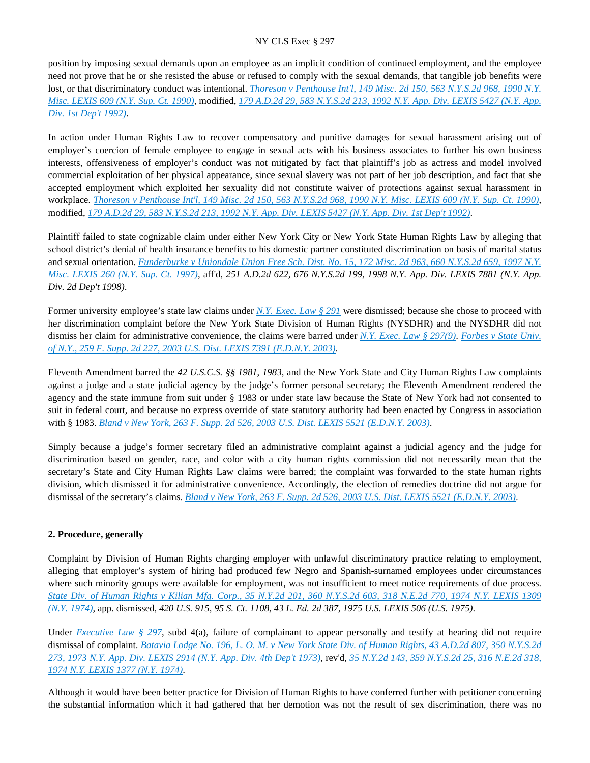position by imposing sexual demands upon an employee as an implicit condition of continued employment, and the employee need not prove that he or she resisted the abuse or refused to comply with the sexual demands, that tangible job benefits were lost, or that discriminatory conduct was intentional. *[Thoreson v Penthouse Int'l, 149 Misc. 2d 150, 563 N.Y.S.2d 968, 1990 N.Y.](https://advance.lexis.com/api/document?collection=cases&id=urn:contentItem:3S2R-9280-003V-B2S4-00000-00&context=)  [Misc. LEXIS 609 \(N.Y. Sup. Ct. 1990\)](https://advance.lexis.com/api/document?collection=cases&id=urn:contentItem:3S2R-9280-003V-B2S4-00000-00&context=)*, modified, *[179 A.D.2d 29, 583 N.Y.S.2d 213, 1992 N.Y. App. Div. LEXIS 5427 \(N.Y. App.](https://advance.lexis.com/api/document?collection=cases&id=urn:contentItem:3S2R-81S0-003V-B4TV-00000-00&context=)  [Div. 1st Dep't 1992\)](https://advance.lexis.com/api/document?collection=cases&id=urn:contentItem:3S2R-81S0-003V-B4TV-00000-00&context=)*.

In action under Human Rights Law to recover compensatory and punitive damages for sexual harassment arising out of employer's coercion of female employee to engage in sexual acts with his business associates to further his own business interests, offensiveness of employer's conduct was not mitigated by fact that plaintiff's job as actress and model involved commercial exploitation of her physical appearance, since sexual slavery was not part of her job description, and fact that she accepted employment which exploited her sexuality did not constitute waiver of protections against sexual harassment in workplace. *[Thoreson v Penthouse Int'l, 149 Misc. 2d 150, 563 N.Y.S.2d 968, 1990 N.Y. Misc. LEXIS 609 \(N.Y. Sup. Ct. 1990\)](https://advance.lexis.com/api/document?collection=cases&id=urn:contentItem:3S2R-9280-003V-B2S4-00000-00&context=)*, modified, *[179 A.D.2d 29, 583 N.Y.S.2d 213, 1992 N.Y. App. Div. LEXIS 5427 \(N.Y. App. Div. 1st Dep't 1992\)](https://advance.lexis.com/api/document?collection=cases&id=urn:contentItem:3S2R-81S0-003V-B4TV-00000-00&context=)*.

Plaintiff failed to state cognizable claim under either New York City or New York State Human Rights Law by alleging that school district's denial of health insurance benefits to his domestic partner constituted discrimination on basis of marital status and sexual orientation. *[Funderburke v Uniondale Union Free Sch. Dist. No. 15, 172 Misc. 2d 963, 660 N.Y.S.2d 659, 1997 N.Y.](https://advance.lexis.com/api/document?collection=cases&id=urn:contentItem:3RSN-PM30-003V-B22D-00000-00&context=)  [Misc. LEXIS 260 \(N.Y. Sup. Ct. 1997\)](https://advance.lexis.com/api/document?collection=cases&id=urn:contentItem:3RSN-PM30-003V-B22D-00000-00&context=)*, aff'd, *251 A.D.2d 622, 676 N.Y.S.2d 199, 1998 N.Y. App. Div. LEXIS 7881 (N.Y. App. Div. 2d Dep't 1998)*.

Former university employee's state law claims under *[N.Y. Exec. Law § 291](https://advance.lexis.com/api/document?collection=statutes-legislation&id=urn:contentItem:8TP5-PFH2-D6RV-H4PY-00000-00&context=)* were dismissed; because she chose to proceed with her discrimination complaint before the New York State Division of Human Rights (NYSDHR) and the NYSDHR did not dismiss her claim for administrative convenience, the claims were barred under *[N.Y. Exec. Law § 297\(9\)](https://advance.lexis.com/api/document?collection=statutes-legislation&id=urn:contentItem:5H6N-1CT1-DXC8-036V-00000-00&context=)*. *[Forbes v State Univ.](https://advance.lexis.com/api/document?collection=cases&id=urn:contentItem:48HS-5SY0-0038-Y3SG-00000-00&context=)  [of N.Y., 259 F. Supp. 2d 227, 2003 U.S. Dist. LEXIS 7391 \(E.D.N.Y. 2003\)](https://advance.lexis.com/api/document?collection=cases&id=urn:contentItem:48HS-5SY0-0038-Y3SG-00000-00&context=)*.

Eleventh Amendment barred the *42 U.S.C.S. §§ 1981*, *1983*, and the New York State and City Human Rights Law complaints against a judge and a state judicial agency by the judge's former personal secretary; the Eleventh Amendment rendered the agency and the state immune from suit under § 1983 or under state law because the State of New York had not consented to suit in federal court, and because no express override of state statutory authority had been enacted by Congress in association with § 1983. *[Bland v New York, 263 F. Supp. 2d 526, 2003 U.S. Dist. LEXIS 5521 \(E.D.N.Y. 2003\)](https://advance.lexis.com/api/document?collection=cases&id=urn:contentItem:489Y-R6K0-0038-Y14W-00000-00&context=)*.

Simply because a judge's former secretary filed an administrative complaint against a judicial agency and the judge for discrimination based on gender, race, and color with a city human rights commission did not necessarily mean that the secretary's State and City Human Rights Law claims were barred; the complaint was forwarded to the state human rights division, which dismissed it for administrative convenience. Accordingly, the election of remedies doctrine did not argue for dismissal of the secretary's claims. *[Bland v New York, 263 F. Supp. 2d 526, 2003 U.S. Dist. LEXIS 5521 \(E.D.N.Y. 2003\)](https://advance.lexis.com/api/document?collection=cases&id=urn:contentItem:489Y-R6K0-0038-Y14W-00000-00&context=)*.

# **2. Procedure, generally**

Complaint by Division of Human Rights charging employer with unlawful discriminatory practice relating to employment, alleging that employer's system of hiring had produced few Negro and Spanish-surnamed employees under circumstances where such minority groups were available for employment, was not insufficient to meet notice requirements of due process. *[State Div. of Human Rights v Kilian Mfg. Corp., 35 N.Y.2d 201, 360 N.Y.S.2d 603, 318 N.E.2d 770, 1974 N.Y. LEXIS 1309](https://advance.lexis.com/api/document?collection=cases&id=urn:contentItem:3RRS-VFS0-003C-C0D0-00000-00&context=)  [\(N.Y. 1974\)](https://advance.lexis.com/api/document?collection=cases&id=urn:contentItem:3RRS-VFS0-003C-C0D0-00000-00&context=)*, app. dismissed, *420 U.S. 915, 95 S. Ct. 1108, 43 L. Ed. 2d 387, 1975 U.S. LEXIS 506 (U.S. 1975)*.

Under *[Executive Law § 297](https://advance.lexis.com/api/document?collection=statutes-legislation&id=urn:contentItem:5H6N-1CT1-DXC8-036V-00000-00&context=)*, subd 4(a), failure of complainant to appear personally and testify at hearing did not require dismissal of complaint. *[Batavia Lodge No. 196, L. O. M. v New York State Div. of Human Rights, 43 A.D.2d 807, 350 N.Y.S.2d](https://advance.lexis.com/api/document?collection=cases&id=urn:contentItem:3RRS-Y6W0-003C-C3N7-00000-00&context=)  [273, 1973 N.Y. App. Div. LEXIS 2914 \(N.Y. App. Div. 4th Dep't 1973\)](https://advance.lexis.com/api/document?collection=cases&id=urn:contentItem:3RRS-Y6W0-003C-C3N7-00000-00&context=)*, rev'd, *[35 N.Y.2d 143, 359 N.Y.S.2d 25, 316 N.E.2d 318,](https://advance.lexis.com/api/document?collection=cases&id=urn:contentItem:3RRS-VG20-003C-C0GD-00000-00&context=)  [1974 N.Y. LEXIS 1377 \(N.Y. 1974\)](https://advance.lexis.com/api/document?collection=cases&id=urn:contentItem:3RRS-VG20-003C-C0GD-00000-00&context=)*.

Although it would have been better practice for Division of Human Rights to have conferred further with petitioner concerning the substantial information which it had gathered that her demotion was not the result of sex discrimination, there was no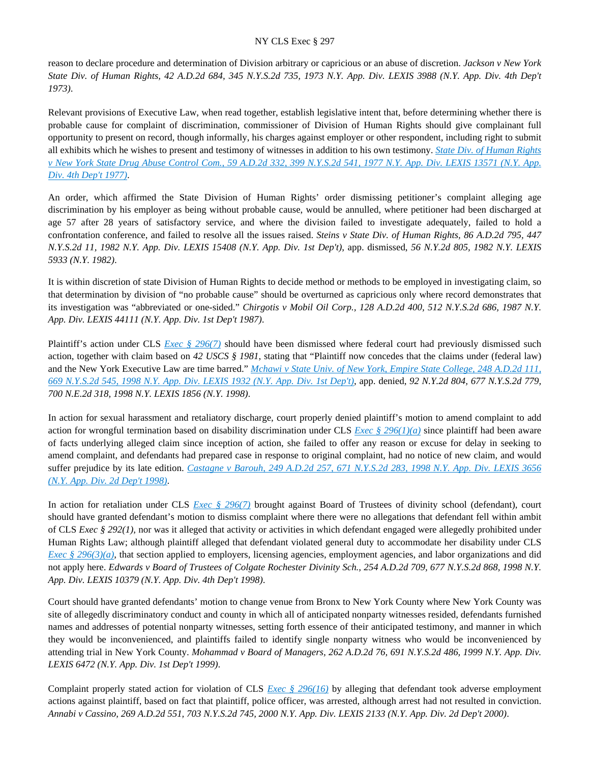reason to declare procedure and determination of Division arbitrary or capricious or an abuse of discretion. *Jackson v New York State Div. of Human Rights, 42 A.D.2d 684, 345 N.Y.S.2d 735, 1973 N.Y. App. Div. LEXIS 3988 (N.Y. App. Div. 4th Dep't 1973)*.

Relevant provisions of Executive Law, when read together, establish legislative intent that, before determining whether there is probable cause for complaint of discrimination, commissioner of Division of Human Rights should give complainant full opportunity to present on record, though informally, his charges against employer or other respondent, including right to submit all exhibits which he wishes to present and testimony of witnesses in addition to his own testimony. *[State Div. of Human Rights](https://advance.lexis.com/api/document?collection=cases&id=urn:contentItem:3RRS-DDK0-003C-F35W-00000-00&context=)  [v New York State Drug Abuse Control Com., 59 A.D.2d 332, 399 N.Y.S.2d 541, 1977 N.Y. App. Div. LEXIS 13571 \(N.Y. App.](https://advance.lexis.com/api/document?collection=cases&id=urn:contentItem:3RRS-DDK0-003C-F35W-00000-00&context=)  [Div. 4th Dep't 1977\)](https://advance.lexis.com/api/document?collection=cases&id=urn:contentItem:3RRS-DDK0-003C-F35W-00000-00&context=)*.

An order, which affirmed the State Division of Human Rights' order dismissing petitioner's complaint alleging age discrimination by his employer as being without probable cause, would be annulled, where petitioner had been discharged at age 57 after 28 years of satisfactory service, and where the division failed to investigate adequately, failed to hold a confrontation conference, and failed to resolve all the issues raised. *Steins v State Div. of Human Rights, 86 A.D.2d 795, 447 N.Y.S.2d 11, 1982 N.Y. App. Div. LEXIS 15408 (N.Y. App. Div. 1st Dep't)*, app. dismissed, *56 N.Y.2d 805, 1982 N.Y. LEXIS 5933 (N.Y. 1982)*.

It is within discretion of state Division of Human Rights to decide method or methods to be employed in investigating claim, so that determination by division of "no probable cause" should be overturned as capricious only where record demonstrates that its investigation was "abbreviated or one-sided." *Chirgotis v Mobil Oil Corp., 128 A.D.2d 400, 512 N.Y.S.2d 686, 1987 N.Y. App. Div. LEXIS 44111 (N.Y. App. Div. 1st Dep't 1987)*.

Plaintiff's action under CLS *[Exec § 296\(7\)](https://advance.lexis.com/api/document?collection=statutes-legislation&id=urn:contentItem:8TP5-PCS2-8T6X-74HS-00000-00&context=)* should have been dismissed where federal court had previously dismissed such action, together with claim based on *42 USCS § 1981*, stating that "Plaintiff now concedes that the claims under (federal law) and the New York Executive Law are time barred." *[Mchawi v State Univ. of New York, Empire State College, 248 A.D.2d 111,](https://advance.lexis.com/api/document?collection=cases&id=urn:contentItem:3S57-GGC0-0039-446X-00000-00&context=)  [669 N.Y.S.2d 545, 1998 N.Y. App. Div. LEXIS 1932 \(N.Y. App. Div. 1st Dep't\)](https://advance.lexis.com/api/document?collection=cases&id=urn:contentItem:3S57-GGC0-0039-446X-00000-00&context=)*, app. denied, *92 N.Y.2d 804, 677 N.Y.S.2d 779, 700 N.E.2d 318, 1998 N.Y. LEXIS 1856 (N.Y. 1998)*.

In action for sexual harassment and retaliatory discharge, court properly denied plaintiff's motion to amend complaint to add action for wrongful termination based on disability discrimination under CLS *[Exec § 296\(1\)\(a\)](https://advance.lexis.com/api/document?collection=statutes-legislation&id=urn:contentItem:8TP5-PCS2-8T6X-74HS-00000-00&context=)* since plaintiff had been aware of facts underlying alleged claim since inception of action, she failed to offer any reason or excuse for delay in seeking to amend complaint, and defendants had prepared case in response to original complaint, had no notice of new claim, and would suffer prejudice by its late edition. *[Castagne v Barouh, 249 A.D.2d 257, 671 N.Y.S.2d 283, 1998 N.Y. App. Div. LEXIS 3656](https://advance.lexis.com/api/document?collection=cases&id=urn:contentItem:3SDG-GR60-0039-447N-00000-00&context=)  [\(N.Y. App. Div. 2d Dep't 1998\)](https://advance.lexis.com/api/document?collection=cases&id=urn:contentItem:3SDG-GR60-0039-447N-00000-00&context=)*.

In action for retaliation under CLS *[Exec § 296\(7\)](https://advance.lexis.com/api/document?collection=statutes-legislation&id=urn:contentItem:8TP5-PCS2-8T6X-74HS-00000-00&context=)* brought against Board of Trustees of divinity school (defendant), court should have granted defendant's motion to dismiss complaint where there were no allegations that defendant fell within ambit of CLS *Exec § 292(1)*, nor was it alleged that activity or activities in which defendant engaged were allegedly prohibited under Human Rights Law; although plaintiff alleged that defendant violated general duty to accommodate her disability under CLS *[Exec § 296\(3\)\(a\)](https://advance.lexis.com/api/document?collection=statutes-legislation&id=urn:contentItem:8TP5-PCS2-8T6X-74HS-00000-00&context=)*, that section applied to employers, licensing agencies, employment agencies, and labor organizations and did not apply here. *Edwards v Board of Trustees of Colgate Rochester Divinity Sch., 254 A.D.2d 709, 677 N.Y.S.2d 868, 1998 N.Y. App. Div. LEXIS 10379 (N.Y. App. Div. 4th Dep't 1998)*.

Court should have granted defendants' motion to change venue from Bronx to New York County where New York County was site of allegedly discriminatory conduct and county in which all of anticipated nonparty witnesses resided, defendants furnished names and addresses of potential nonparty witnesses, setting forth essence of their anticipated testimony, and manner in which they would be inconvenienced, and plaintiffs failed to identify single nonparty witness who would be inconvenienced by attending trial in New York County. *Mohammad v Board of Managers, 262 A.D.2d 76, 691 N.Y.S.2d 486, 1999 N.Y. App. Div. LEXIS 6472 (N.Y. App. Div. 1st Dep't 1999)*.

Complaint properly stated action for violation of CLS *[Exec § 296\(16\)](https://advance.lexis.com/api/document?collection=statutes-legislation&id=urn:contentItem:8TP5-PCS2-8T6X-74HS-00000-00&context=)* by alleging that defendant took adverse employment actions against plaintiff, based on fact that plaintiff, police officer, was arrested, although arrest had not resulted in conviction. *Annabi v Cassino, 269 A.D.2d 551, 703 N.Y.S.2d 745, 2000 N.Y. App. Div. LEXIS 2133 (N.Y. App. Div. 2d Dep't 2000)*.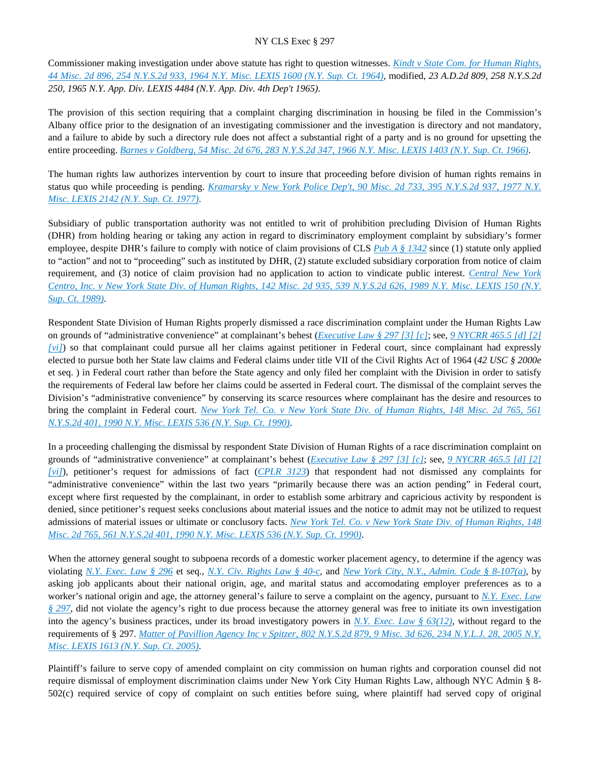Commissioner making investigation under above statute has right to question witnesses. *[Kindt v State Com. for Human Rights,](https://advance.lexis.com/api/document?collection=cases&id=urn:contentItem:3RRS-BXD0-003C-D3ST-00000-00&context=)  [44 Misc. 2d 896, 254 N.Y.S.2d 933, 1964 N.Y. Misc. LEXIS 1600 \(N.Y. Sup. Ct. 1964\)](https://advance.lexis.com/api/document?collection=cases&id=urn:contentItem:3RRS-BXD0-003C-D3ST-00000-00&context=)*, modified, *23 A.D.2d 809, 258 N.Y.S.2d 250, 1965 N.Y. App. Div. LEXIS 4484 (N.Y. App. Div. 4th Dep't 1965)*.

The provision of this section requiring that a complaint charging discrimination in housing be filed in the Commission's Albany office prior to the designation of an investigating commissioner and the investigation is directory and not mandatory, and a failure to abide by such a directory rule does not affect a substantial right of a party and is no ground for upsetting the entire proceeding. *[Barnes v Goldberg, 54 Misc. 2d 676, 283 N.Y.S.2d 347, 1966 N.Y. Misc. LEXIS 1403 \(N.Y. Sup. Ct. 1966\)](https://advance.lexis.com/api/document?collection=cases&id=urn:contentItem:3RRS-BKM0-003C-D0F6-00000-00&context=)*.

The human rights law authorizes intervention by court to insure that proceeding before division of human rights remains in status quo while proceeding is pending. *[Kramarsky v New York Police Dep't, 90 Misc. 2d 733, 395 N.Y.S.2d 937, 1977 N.Y.](https://advance.lexis.com/api/document?collection=cases&id=urn:contentItem:3RRS-GVH0-003C-F4RK-00000-00&context=)  [Misc. LEXIS 2142 \(N.Y. Sup. Ct. 1977\)](https://advance.lexis.com/api/document?collection=cases&id=urn:contentItem:3RRS-GVH0-003C-F4RK-00000-00&context=)*.

Subsidiary of public transportation authority was not entitled to writ of prohibition precluding Division of Human Rights (DHR) from holding hearing or taking any action in regard to discriminatory employment complaint by subsidiary's former employee, despite DHR's failure to comply with notice of claim provisions of CLS *[Pub A § 1342](https://advance.lexis.com/api/document?collection=statutes-legislation&id=urn:contentItem:5CT3-1CC1-6RDJ-846S-00000-00&context=)* since (1) statute only applied to "action" and not to "proceeding" such as instituted by DHR, (2) statute excluded subsidiary corporation from notice of claim requirement, and (3) notice of claim provision had no application to action to vindicate public interest. *[Central New York](https://advance.lexis.com/api/document?collection=cases&id=urn:contentItem:3S2R-BDS0-003V-B0D0-00000-00&context=)  [Centro, Inc. v New York State Div. of Human Rights, 142 Misc. 2d 935, 539 N.Y.S.2d 626, 1989 N.Y. Misc. LEXIS 150 \(N.Y.](https://advance.lexis.com/api/document?collection=cases&id=urn:contentItem:3S2R-BDS0-003V-B0D0-00000-00&context=)  [Sup. Ct. 1989\)](https://advance.lexis.com/api/document?collection=cases&id=urn:contentItem:3S2R-BDS0-003V-B0D0-00000-00&context=)*.

Respondent State Division of Human Rights properly dismissed a race discrimination complaint under the Human Rights Law on grounds of "administrative convenience" at complainant's behest (*[Executive Law § 297 \[3\] \[c\]](https://advance.lexis.com/api/document?collection=statutes-legislation&id=urn:contentItem:5H6N-1CT1-DXC8-036V-00000-00&context=)*; see, *[9 NYCRR 465.5 \[d\] \[2\]](https://advance.lexis.com/api/document?collection=administrative-codes&id=urn:contentItem:5VXH-YX20-00XK-W10T-00000-00&context=)  [\[vi\]](https://advance.lexis.com/api/document?collection=administrative-codes&id=urn:contentItem:5VXH-YX20-00XK-W10T-00000-00&context=)*) so that complainant could pursue all her claims against petitioner in Federal court, since complainant had expressly elected to pursue both her State law claims and Federal claims under title VII of the Civil Rights Act of 1964 (*42 USC § 2000e* et seq. ) in Federal court rather than before the State agency and only filed her complaint with the Division in order to satisfy the requirements of Federal law before her claims could be asserted in Federal court. The dismissal of the complaint serves the Division's "administrative convenience" by conserving its scarce resources where complainant has the desire and resources to bring the complaint in Federal court. *[New York Tel. Co. v New York State Div. of Human Rights, 148 Misc. 2d 765, 561](https://advance.lexis.com/api/document?collection=cases&id=urn:contentItem:3S2R-9260-003V-B2P9-00000-00&context=)  [N.Y.S.2d 401, 1990 N.Y. Misc. LEXIS 536 \(N.Y. Sup. Ct. 1990\)](https://advance.lexis.com/api/document?collection=cases&id=urn:contentItem:3S2R-9260-003V-B2P9-00000-00&context=)*.

In a proceeding challenging the dismissal by respondent State Division of Human Rights of a race discrimination complaint on grounds of "administrative convenience" at complainant's behest (*[Executive Law § 297 \[3\] \[c\]](https://advance.lexis.com/api/document?collection=statutes-legislation&id=urn:contentItem:5H6N-1CT1-DXC8-036V-00000-00&context=)*; see, *[9 NYCRR 465.5 \[d\] \[2\]](https://advance.lexis.com/api/document?collection=administrative-codes&id=urn:contentItem:5VXH-YX20-00XK-W10T-00000-00&context=)  [\[vi\]](https://advance.lexis.com/api/document?collection=administrative-codes&id=urn:contentItem:5VXH-YX20-00XK-W10T-00000-00&context=)*), petitioner's request for admissions of fact (*[CPLR 3123](https://advance.lexis.com/api/document?collection=statutes-legislation&id=urn:contentItem:5CT3-08C1-6RDJ-84KJ-00000-00&context=)*) that respondent had not dismissed any complaints for "administrative convenience" within the last two years "primarily because there was an action pending" in Federal court, except where first requested by the complainant, in order to establish some arbitrary and capricious activity by respondent is denied, since petitioner's request seeks conclusions about material issues and the notice to admit may not be utilized to request admissions of material issues or ultimate or conclusory facts. *[New York Tel. Co. v New York State Div. of Human Rights, 148](https://advance.lexis.com/api/document?collection=cases&id=urn:contentItem:3S2R-9260-003V-B2P9-00000-00&context=)  [Misc. 2d 765, 561 N.Y.S.2d 401, 1990 N.Y. Misc. LEXIS 536 \(N.Y. Sup. Ct. 1990\)](https://advance.lexis.com/api/document?collection=cases&id=urn:contentItem:3S2R-9260-003V-B2P9-00000-00&context=)*.

When the attorney general sought to subpoena records of a domestic worker placement agency, to determine if the agency was violating *[N.Y. Exec. Law § 296](https://advance.lexis.com/api/document?collection=statutes-legislation&id=urn:contentItem:8TP5-PCS2-8T6X-74HS-00000-00&context=)* et seq., *[N.Y. Civ. Rights Law § 40-c](https://advance.lexis.com/api/document?collection=statutes-legislation&id=urn:contentItem:8TP5-PF32-8T6X-74HX-00000-00&context=)*, and *[New York City, N.Y., Admin. Code § 8-107\(a\)](https://advance.lexis.com/api/document?collection=statutes-legislation&id=urn:contentItem:5VXB-F9N1-F17G-F0PX-00000-00&context=)*, by asking job applicants about their national origin, age, and marital status and accomodating employer preferences as to a worker's national origin and age, the attorney general's failure to serve a complaint on the agency, pursuant to *[N.Y. Exec. Law](https://advance.lexis.com/api/document?collection=statutes-legislation&id=urn:contentItem:5H6N-1CT1-DXC8-036V-00000-00&context=)  [§ 297](https://advance.lexis.com/api/document?collection=statutes-legislation&id=urn:contentItem:5H6N-1CT1-DXC8-036V-00000-00&context=)*, did not violate the agency's right to due process because the attorney general was free to initiate its own investigation into the agency's business practices, under its broad investigatory powers in *[N.Y. Exec. Law § 63\(12\)](https://advance.lexis.com/api/document?collection=statutes-legislation&id=urn:contentItem:5CT3-0SF1-6RDJ-8547-00000-00&context=)*, without regard to the requirements of § 297. *[Matter of Pavillion Agency Inc v Spitzer, 802 N.Y.S.2d 879, 9 Misc. 3d 626, 234 N.Y.L.J. 28, 2005 N.Y.](https://advance.lexis.com/api/document?collection=cases&id=urn:contentItem:4GT6-F690-0039-41N0-00000-00&context=)  [Misc. LEXIS 1613 \(N.Y. Sup. Ct. 2005\)](https://advance.lexis.com/api/document?collection=cases&id=urn:contentItem:4GT6-F690-0039-41N0-00000-00&context=)*.

Plaintiff's failure to serve copy of amended complaint on city commission on human rights and corporation counsel did not require dismissal of employment discrimination claims under New York City Human Rights Law, although NYC Admin § 8- 502(c) required service of copy of complaint on such entities before suing, where plaintiff had served copy of original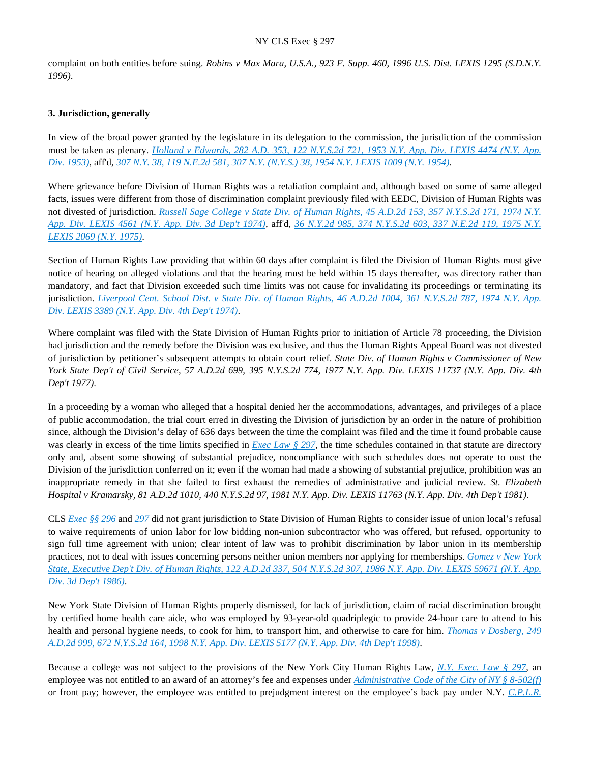complaint on both entities before suing. *Robins v Max Mara, U.S.A., 923 F. Supp. 460, 1996 U.S. Dist. LEXIS 1295 (S.D.N.Y. 1996)*.

#### **3. Jurisdiction, generally**

In view of the broad power granted by the legislature in its delegation to the commission, the jurisdiction of the commission must be taken as plenary. *[Holland v Edwards, 282 A.D. 353, 122 N.Y.S.2d 721, 1953 N.Y. App. Div. LEXIS 4474 \(N.Y. App.](https://advance.lexis.com/api/document?collection=cases&id=urn:contentItem:3RRM-STP0-003F-74CC-00000-00&context=)  [Div. 1953\)](https://advance.lexis.com/api/document?collection=cases&id=urn:contentItem:3RRM-STP0-003F-74CC-00000-00&context=)*, aff'd, *[307 N.Y. 38, 119 N.E.2d 581, 307 N.Y. \(N.Y.S.\) 38, 1954 N.Y. LEXIS 1009 \(N.Y. 1954\)](https://advance.lexis.com/api/document?collection=cases&id=urn:contentItem:3RRS-XJ80-003C-C29P-00000-00&context=)*.

Where grievance before Division of Human Rights was a retaliation complaint and, although based on some of same alleged facts, issues were different from those of discrimination complaint previously filed with EEDC, Division of Human Rights was not divested of jurisdiction. *[Russell Sage College v State Div. of Human Rights, 45 A.D.2d 153, 357 N.Y.S.2d 171, 1974 N.Y.](https://advance.lexis.com/api/document?collection=cases&id=urn:contentItem:3RRS-Y2J0-003C-C1M1-00000-00&context=)  [App. Div. LEXIS 4561 \(N.Y. App. Div. 3d Dep't 1974\)](https://advance.lexis.com/api/document?collection=cases&id=urn:contentItem:3RRS-Y2J0-003C-C1M1-00000-00&context=)*, aff'd, *[36 N.Y.2d 985, 374 N.Y.S.2d 603, 337 N.E.2d 119, 1975 N.Y.](https://advance.lexis.com/api/document?collection=cases&id=urn:contentItem:3RRS-BBP0-003C-F1DK-00000-00&context=)  [LEXIS 2069 \(N.Y. 1975\)](https://advance.lexis.com/api/document?collection=cases&id=urn:contentItem:3RRS-BBP0-003C-F1DK-00000-00&context=)*.

Section of Human Rights Law providing that within 60 days after complaint is filed the Division of Human Rights must give notice of hearing on alleged violations and that the hearing must be held within 15 days thereafter, was directory rather than mandatory, and fact that Division exceeded such time limits was not cause for invalidating its proceedings or terminating its jurisdiction. *[Liverpool Cent. School Dist. v State Div. of Human Rights, 46 A.D.2d 1004, 361 N.Y.S.2d 787, 1974 N.Y. App.](https://advance.lexis.com/api/document?collection=cases&id=urn:contentItem:3RRS-XYP0-003C-C045-00000-00&context=)  [Div. LEXIS 3389 \(N.Y. App. Div. 4th Dep't 1974\)](https://advance.lexis.com/api/document?collection=cases&id=urn:contentItem:3RRS-XYP0-003C-C045-00000-00&context=)*.

Where complaint was filed with the State Division of Human Rights prior to initiation of Article 78 proceeding, the Division had jurisdiction and the remedy before the Division was exclusive, and thus the Human Rights Appeal Board was not divested of jurisdiction by petitioner's subsequent attempts to obtain court relief. *State Div. of Human Rights v Commissioner of New York State Dep't of Civil Service, 57 A.D.2d 699, 395 N.Y.S.2d 774, 1977 N.Y. App. Div. LEXIS 11737 (N.Y. App. Div. 4th Dep't 1977)*.

In a proceeding by a woman who alleged that a hospital denied her the accommodations, advantages, and privileges of a place of public accommodation, the trial court erred in divesting the Division of jurisdiction by an order in the nature of prohibition since, although the Division's delay of 636 days between the time the complaint was filed and the time it found probable cause was clearly in excess of the time limits specified in *[Exec Law § 297](https://advance.lexis.com/api/document?collection=statutes-legislation&id=urn:contentItem:5H6N-1CT1-DXC8-036V-00000-00&context=)*, the time schedules contained in that statute are directory only and, absent some showing of substantial prejudice, noncompliance with such schedules does not operate to oust the Division of the jurisdiction conferred on it; even if the woman had made a showing of substantial prejudice, prohibition was an inappropriate remedy in that she failed to first exhaust the remedies of administrative and judicial review. *St. Elizabeth Hospital v Kramarsky, 81 A.D.2d 1010, 440 N.Y.S.2d 97, 1981 N.Y. App. Div. LEXIS 11763 (N.Y. App. Div. 4th Dep't 1981)*.

CLS *[Exec §§ 296](https://advance.lexis.com/api/document?collection=statutes-legislation&id=urn:contentItem:8TP5-PCS2-8T6X-74HS-00000-00&context=)* and *[297](https://advance.lexis.com/api/document?collection=statutes-legislation&id=urn:contentItem:5H6N-1CT1-DXC8-036V-00000-00&context=)* did not grant jurisdiction to State Division of Human Rights to consider issue of union local's refusal to waive requirements of union labor for low bidding non-union subcontractor who was offered, but refused, opportunity to sign full time agreement with union; clear intent of law was to prohibit discrimination by labor union in its membership practices, not to deal with issues concerning persons neither union members nor applying for memberships. *[Gomez v New York](https://advance.lexis.com/api/document?collection=cases&id=urn:contentItem:3S3K-0X50-003D-G2C8-00000-00&context=)  [State, Executive Dep't Div. of Human Rights, 122 A.D.2d 337, 504 N.Y.S.2d 307, 1986 N.Y. App. Div. LEXIS 59671 \(N.Y. App.](https://advance.lexis.com/api/document?collection=cases&id=urn:contentItem:3S3K-0X50-003D-G2C8-00000-00&context=)  [Div. 3d Dep't 1986\)](https://advance.lexis.com/api/document?collection=cases&id=urn:contentItem:3S3K-0X50-003D-G2C8-00000-00&context=)*.

New York State Division of Human Rights properly dismissed, for lack of jurisdiction, claim of racial discrimination brought by certified home health care aide, who was employed by 93-year-old quadriplegic to provide 24-hour care to attend to his health and personal hygiene needs, to cook for him, to transport him, and otherwise to care for him. *[Thomas v Dosberg, 249](https://advance.lexis.com/api/document?collection=cases&id=urn:contentItem:3SMF-PKG0-0039-40NY-00000-00&context=)  [A.D.2d 999, 672 N.Y.S.2d 164, 1998 N.Y. App. Div. LEXIS 5177 \(N.Y. App. Div. 4th Dep't 1998\)](https://advance.lexis.com/api/document?collection=cases&id=urn:contentItem:3SMF-PKG0-0039-40NY-00000-00&context=)*.

Because a college was not subject to the provisions of the New York City Human Rights Law, *[N.Y. Exec. Law § 297](https://advance.lexis.com/api/document?collection=statutes-legislation&id=urn:contentItem:5H6N-1CT1-DXC8-036V-00000-00&context=)*, an employee was not entitled to an award of an attorney's fee and expenses under *[Administrative Code of the City of NY § 8-502\(f\)](https://advance.lexis.com/api/document?collection=statutes-legislation&id=urn:contentItem:5VXB-F9N1-F17G-F0SB-00000-00&context=)* or front pay; however, the employee was entitled to prejudgment interest on the employee's back pay under N.Y. *[C.P.L.R.](https://advance.lexis.com/api/document?collection=statutes-legislation&id=urn:contentItem:5CT3-08C1-6RDJ-84SM-00000-00&context=)*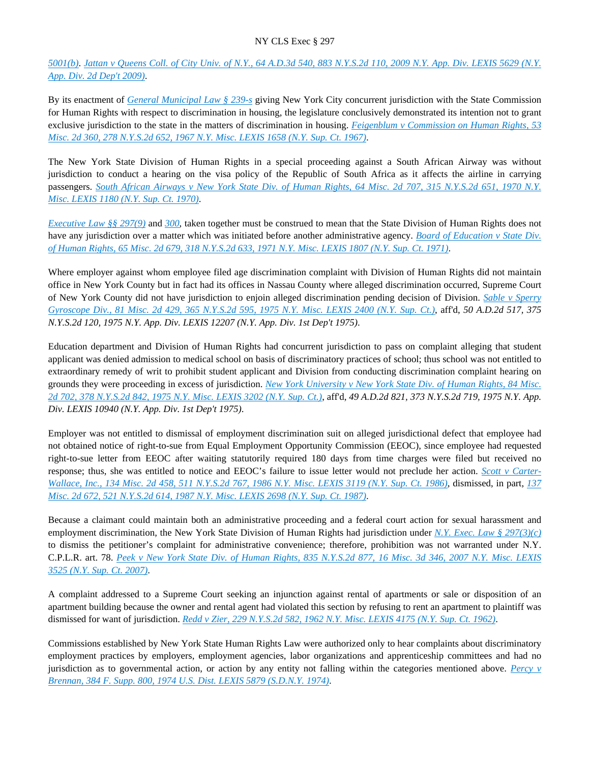*[5001\(b\)](https://advance.lexis.com/api/document?collection=statutes-legislation&id=urn:contentItem:5CT3-08C1-6RDJ-84SM-00000-00&context=)*. *[Jattan v Queens Coll. of City Univ. of N.Y., 64 A.D.3d 540, 883 N.Y.S.2d 110, 2009 N.Y. App. Div. LEXIS 5629 \(N.Y.](https://advance.lexis.com/api/document?collection=cases&id=urn:contentItem:7W4W-DCG0-Y9NK-S0CH-00000-00&context=)  [App. Div. 2d Dep't 2009\)](https://advance.lexis.com/api/document?collection=cases&id=urn:contentItem:7W4W-DCG0-Y9NK-S0CH-00000-00&context=)*.

By its enactment of *[General Municipal Law § 239-s](https://advance.lexis.com/api/document?collection=statutes-legislation&id=urn:contentItem:5D9R-JX31-6RDJ-84MD-00000-00&context=)* giving New York City concurrent jurisdiction with the State Commission for Human Rights with respect to discrimination in housing, the legislature conclusively demonstrated its intention not to grant exclusive jurisdiction to the state in the matters of discrimination in housing. *[Feigenblum v Commission on Human Rights, 53](https://advance.lexis.com/api/document?collection=cases&id=urn:contentItem:3RRS-BHY0-003C-D52Y-00000-00&context=)  [Misc. 2d 360, 278 N.Y.S.2d 652, 1967 N.Y. Misc. LEXIS 1658 \(N.Y. Sup. Ct. 1967\)](https://advance.lexis.com/api/document?collection=cases&id=urn:contentItem:3RRS-BHY0-003C-D52Y-00000-00&context=)*.

The New York State Division of Human Rights in a special proceeding against a South African Airway was without jurisdiction to conduct a hearing on the visa policy of the Republic of South Africa as it affects the airline in carrying passengers. *[South African Airways v New York State Div. of Human Rights, 64 Misc. 2d 707, 315 N.Y.S.2d 651, 1970 N.Y.](https://advance.lexis.com/api/document?collection=cases&id=urn:contentItem:3RRS-B450-003C-D0R9-00000-00&context=)  [Misc. LEXIS 1180 \(N.Y. Sup. Ct. 1970\)](https://advance.lexis.com/api/document?collection=cases&id=urn:contentItem:3RRS-B450-003C-D0R9-00000-00&context=)*.

*[Executive Law §§ 297\(9\)](https://advance.lexis.com/api/document?collection=statutes-legislation&id=urn:contentItem:5H6N-1CT1-DXC8-036V-00000-00&context=)* and *[300](https://advance.lexis.com/api/document?collection=statutes-legislation&id=urn:contentItem:5CT3-0SG1-6RDJ-848D-00000-00&context=)*, taken together must be construed to mean that the State Division of Human Rights does not have any jurisdiction over a matter which was initiated before another administrative agency. *[Board of Education v State Div.](https://advance.lexis.com/api/document?collection=cases&id=urn:contentItem:3RRS-B310-003C-D09P-00000-00&context=)  [of Human Rights, 65 Misc. 2d 679, 318 N.Y.S.2d 633, 1971 N.Y. Misc. LEXIS 1807 \(N.Y. Sup. Ct. 1971\)](https://advance.lexis.com/api/document?collection=cases&id=urn:contentItem:3RRS-B310-003C-D09P-00000-00&context=)*.

Where employer against whom employee filed age discrimination complaint with Division of Human Rights did not maintain office in New York County but in fact had its offices in Nassau County where alleged discrimination occurred, Supreme Court of New York County did not have jurisdiction to enjoin alleged discrimination pending decision of Division. *[Sable v Sperry](https://advance.lexis.com/api/document?collection=cases&id=urn:contentItem:3RRS-9HY0-003C-D05V-00000-00&context=)  [Gyroscope Div., 81 Misc. 2d 429, 365 N.Y.S.2d 595, 1975 N.Y. Misc. LEXIS 2400 \(N.Y. Sup. Ct.\)](https://advance.lexis.com/api/document?collection=cases&id=urn:contentItem:3RRS-9HY0-003C-D05V-00000-00&context=)*, aff'd, *50 A.D.2d 517, 375 N.Y.S.2d 120, 1975 N.Y. App. Div. LEXIS 12207 (N.Y. App. Div. 1st Dep't 1975)*.

Education department and Division of Human Rights had concurrent jurisdiction to pass on complaint alleging that student applicant was denied admission to medical school on basis of discriminatory practices of school; thus school was not entitled to extraordinary remedy of writ to prohibit student applicant and Division from conducting discrimination complaint hearing on grounds they were proceeding in excess of jurisdiction. *[New York University v New York State Div. of Human Rights, 84 Misc.](https://advance.lexis.com/api/document?collection=cases&id=urn:contentItem:3RRS-H6V0-003C-F28W-00000-00&context=)  [2d 702, 378 N.Y.S.2d 842, 1975 N.Y. Misc. LEXIS 3202 \(N.Y. Sup. Ct.\)](https://advance.lexis.com/api/document?collection=cases&id=urn:contentItem:3RRS-H6V0-003C-F28W-00000-00&context=)*, aff'd, *49 A.D.2d 821, 373 N.Y.S.2d 719, 1975 N.Y. App. Div. LEXIS 10940 (N.Y. App. Div. 1st Dep't 1975)*.

Employer was not entitled to dismissal of employment discrimination suit on alleged jurisdictional defect that employee had not obtained notice of right-to-sue from Equal Employment Opportunity Commission (EEOC), since employee had requested right-to-sue letter from EEOC after waiting statutorily required 180 days from time charges were filed but received no response; thus, she was entitled to notice and EEOC's failure to issue letter would not preclude her action. *[Scott v Carter-](https://advance.lexis.com/api/document?collection=cases&id=urn:contentItem:3S3K-2R80-003D-G42R-00000-00&context=)[Wallace, Inc., 134 Misc. 2d 458, 511 N.Y.S.2d 767, 1986 N.Y. Misc. LEXIS 3119 \(N.Y. Sup. Ct. 1986\)](https://advance.lexis.com/api/document?collection=cases&id=urn:contentItem:3S3K-2R80-003D-G42R-00000-00&context=)*, dismissed, in part, *[137](https://advance.lexis.com/api/document?collection=cases&id=urn:contentItem:3S3K-2NH0-003D-G36X-00000-00&context=)  [Misc. 2d 672, 521 N.Y.S.2d 614, 1987 N.Y. Misc. LEXIS 2698 \(N.Y. Sup. Ct. 1987\)](https://advance.lexis.com/api/document?collection=cases&id=urn:contentItem:3S3K-2NH0-003D-G36X-00000-00&context=)*.

Because a claimant could maintain both an administrative proceeding and a federal court action for sexual harassment and employment discrimination, the New York State Division of Human Rights had jurisdiction under *[N.Y. Exec. Law § 297\(3\)\(c\)](https://advance.lexis.com/api/document?collection=statutes-legislation&id=urn:contentItem:5H6N-1CT1-DXC8-036V-00000-00&context=)* to dismiss the petitioner's complaint for administrative convenience; therefore, prohibition was not warranted under N.Y. C.P.L.R. art. 78. *[Peek v New York State Div. of Human Rights, 835 N.Y.S.2d 877, 16 Misc. 3d 346, 2007 N.Y. Misc. LEXIS](https://advance.lexis.com/api/document?collection=cases&id=urn:contentItem:4NRN-1G50-TXFV-V2RF-00000-00&context=)  [3525 \(N.Y. Sup. Ct. 2007\)](https://advance.lexis.com/api/document?collection=cases&id=urn:contentItem:4NRN-1G50-TXFV-V2RF-00000-00&context=)*.

A complaint addressed to a Supreme Court seeking an injunction against rental of apartments or sale or disposition of an apartment building because the owner and rental agent had violated this section by refusing to rent an apartment to plaintiff was dismissed for want of jurisdiction. *[Redd v Zier, 229 N.Y.S.2d 582, 1962 N.Y. Misc. LEXIS 4175 \(N.Y. Sup. Ct. 1962\)](https://advance.lexis.com/api/document?collection=cases&id=urn:contentItem:5FKC-NSW1-F04G-J14N-00000-00&context=)*.

Commissions established by New York State Human Rights Law were authorized only to hear complaints about discriminatory employment practices by employers, employment agencies, labor organizations and apprenticeship committees and had no jurisdiction as to governmental action, or action by any entity not falling within the categories mentioned above. *[Percy v](https://advance.lexis.com/api/document?collection=cases&id=urn:contentItem:3S4V-PCV0-0054-6556-00000-00&context=)  [Brennan, 384 F. Supp. 800, 1974 U.S. Dist. LEXIS 5879 \(S.D.N.Y. 1974\)](https://advance.lexis.com/api/document?collection=cases&id=urn:contentItem:3S4V-PCV0-0054-6556-00000-00&context=)*.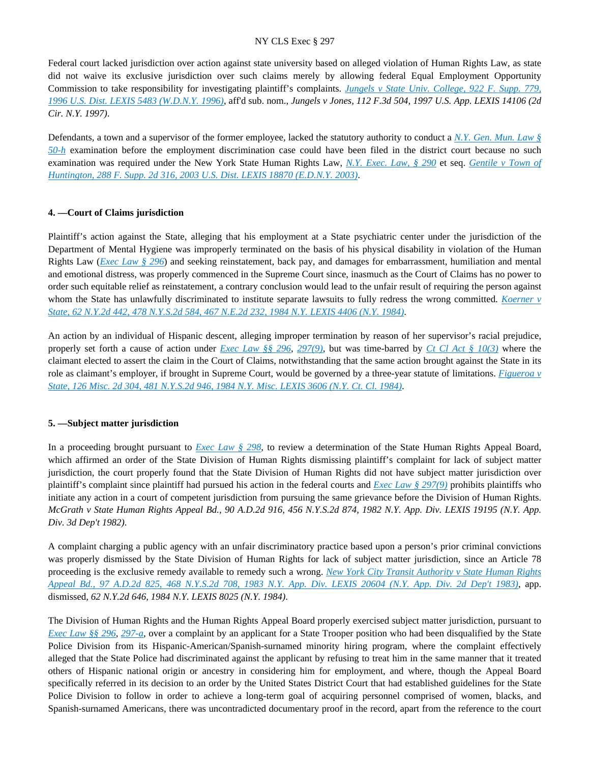Federal court lacked jurisdiction over action against state university based on alleged violation of Human Rights Law, as state did not waive its exclusive jurisdiction over such claims merely by allowing federal Equal Employment Opportunity Commission to take responsibility for investigating plaintiff's complaints. *[Jungels v State Univ. College, 922 F. Supp. 779,](https://advance.lexis.com/api/document?collection=cases&id=urn:contentItem:3S4N-R200-006F-P4KG-00000-00&context=)  [1996 U.S. Dist. LEXIS 5483 \(W.D.N.Y. 1996\)](https://advance.lexis.com/api/document?collection=cases&id=urn:contentItem:3S4N-R200-006F-P4KG-00000-00&context=)*, aff'd sub. nom., *Jungels v Jones, 112 F.3d 504, 1997 U.S. App. LEXIS 14106 (2d Cir. N.Y. 1997)*.

Defendants, a town and a supervisor of the former employee, lacked the statutory authority to conduct a *[N.Y. Gen. Mun. Law §](https://advance.lexis.com/api/document?collection=statutes-legislation&id=urn:contentItem:5D9R-JX31-6RDJ-83YT-00000-00&context=)  [50-h](https://advance.lexis.com/api/document?collection=statutes-legislation&id=urn:contentItem:5D9R-JX31-6RDJ-83YT-00000-00&context=)* examination before the employment discrimination case could have been filed in the district court because no such examination was required under the New York State Human Rights Law, *[N.Y. Exec. Law, § 290](https://advance.lexis.com/api/document?collection=statutes-legislation&id=urn:contentItem:5CT3-0SG1-6RDJ-847W-00000-00&context=)* et seq. *[Gentile v Town of](https://advance.lexis.com/api/document?collection=cases&id=urn:contentItem:49VF-58N0-0038-Y44G-00000-00&context=)  [Huntington, 288 F. Supp. 2d 316, 2003 U.S. Dist. LEXIS 18870 \(E.D.N.Y. 2003\)](https://advance.lexis.com/api/document?collection=cases&id=urn:contentItem:49VF-58N0-0038-Y44G-00000-00&context=)*.

#### **4. —Court of Claims jurisdiction**

Plaintiff's action against the State, alleging that his employment at a State psychiatric center under the jurisdiction of the Department of Mental Hygiene was improperly terminated on the basis of his physical disability in violation of the Human Rights Law (*[Exec Law § 296](https://advance.lexis.com/api/document?collection=statutes-legislation&id=urn:contentItem:8TP5-PCS2-8T6X-74HS-00000-00&context=)*) and seeking reinstatement, back pay, and damages for embarrassment, humiliation and mental and emotional distress, was properly commenced in the Supreme Court since, inasmuch as the Court of Claims has no power to order such equitable relief as reinstatement, a contrary conclusion would lead to the unfair result of requiring the person against whom the State has unlawfully discriminated to institute separate lawsuits to fully redress the wrong committed. *[Koerner v](https://advance.lexis.com/api/document?collection=cases&id=urn:contentItem:3S3J-YCB0-003D-G49Y-00000-00&context=)  [State, 62 N.Y.2d 442, 478 N.Y.S.2d 584, 467 N.E.2d 232, 1984 N.Y. LEXIS 4406 \(N.Y. 1984\)](https://advance.lexis.com/api/document?collection=cases&id=urn:contentItem:3S3J-YCB0-003D-G49Y-00000-00&context=)*.

An action by an individual of Hispanic descent, alleging improper termination by reason of her supervisor's racial prejudice, properly set forth a cause of action under *[Exec Law §§ 296](https://advance.lexis.com/api/document?collection=statutes-legislation&id=urn:contentItem:8TP5-PCS2-8T6X-74HS-00000-00&context=)*, *[297\(9\)](https://advance.lexis.com/api/document?collection=statutes-legislation&id=urn:contentItem:5H6N-1CT1-DXC8-036V-00000-00&context=)*, but was time-barred by *[Ct Cl Act § 10\(3\)](https://advance.lexis.com/api/document?collection=statutes-legislation&id=urn:contentItem:8TV7-8SH2-8T6X-74KY-00000-00&context=)* where the claimant elected to assert the claim in the Court of Claims, notwithstanding that the same action brought against the State in its role as claimant's employer, if brought in Supreme Court, would be governed by a three-year statute of limitations. *[Figueroa v](https://advance.lexis.com/api/document?collection=cases&id=urn:contentItem:3S3K-2WR0-003D-G11C-00000-00&context=)  [State, 126 Misc. 2d 304, 481 N.Y.S.2d 946, 1984 N.Y. Misc. LEXIS 3606 \(N.Y. Ct. Cl. 1984\)](https://advance.lexis.com/api/document?collection=cases&id=urn:contentItem:3S3K-2WR0-003D-G11C-00000-00&context=)*.

# **5. —Subject matter jurisdiction**

In a proceeding brought pursuant to *[Exec Law § 298](https://advance.lexis.com/api/document?collection=statutes-legislation&id=urn:contentItem:5CT3-0SG1-6RDJ-8489-00000-00&context=)*, to review a determination of the State Human Rights Appeal Board, which affirmed an order of the State Division of Human Rights dismissing plaintiff's complaint for lack of subject matter jurisdiction, the court properly found that the State Division of Human Rights did not have subject matter jurisdiction over plaintiff's complaint since plaintiff had pursued his action in the federal courts and *[Exec Law § 297\(9\)](https://advance.lexis.com/api/document?collection=statutes-legislation&id=urn:contentItem:5H6N-1CT1-DXC8-036V-00000-00&context=)* prohibits plaintiffs who initiate any action in a court of competent jurisdiction from pursuing the same grievance before the Division of Human Rights. *McGrath v State Human Rights Appeal Bd., 90 A.D.2d 916, 456 N.Y.S.2d 874, 1982 N.Y. App. Div. LEXIS 19195 (N.Y. App. Div. 3d Dep't 1982)*.

A complaint charging a public agency with an unfair discriminatory practice based upon a person's prior criminal convictions was properly dismissed by the State Division of Human Rights for lack of subject matter jurisdiction, since an Article 78 proceeding is the exclusive remedy available to remedy such a wrong. *[New York City Transit Authority v State Human Rights](https://advance.lexis.com/api/document?collection=cases&id=urn:contentItem:3S3K-1Y80-003D-G26T-00000-00&context=)  [Appeal Bd., 97 A.D.2d 825, 468 N.Y.S.2d 708, 1983 N.Y. App. Div. LEXIS 20604 \(N.Y. App. Div. 2d Dep't 1983\)](https://advance.lexis.com/api/document?collection=cases&id=urn:contentItem:3S3K-1Y80-003D-G26T-00000-00&context=)*, app. dismissed, *62 N.Y.2d 646, 1984 N.Y. LEXIS 8025 (N.Y. 1984)*.

The Division of Human Rights and the Human Rights Appeal Board properly exercised subject matter jurisdiction, pursuant to *[Exec Law §§ 296](https://advance.lexis.com/api/document?collection=statutes-legislation&id=urn:contentItem:8TP5-PCS2-8T6X-74HS-00000-00&context=)*, *[297-a](https://advance.lexis.com/api/document?collection=statutes-legislation&id=urn:contentItem:5CT3-0SG1-6RDJ-8488-00000-00&context=)*, over a complaint by an applicant for a State Trooper position who had been disqualified by the State Police Division from its Hispanic-American/Spanish-surnamed minority hiring program, where the complaint effectively alleged that the State Police had discriminated against the applicant by refusing to treat him in the same manner that it treated others of Hispanic national origin or ancestry in considering him for employment, and where, though the Appeal Board specifically referred in its decision to an order by the United States District Court that had established guidelines for the State Police Division to follow in order to achieve a long-term goal of acquiring personnel comprised of women, blacks, and Spanish-surnamed Americans, there was uncontradicted documentary proof in the record, apart from the reference to the court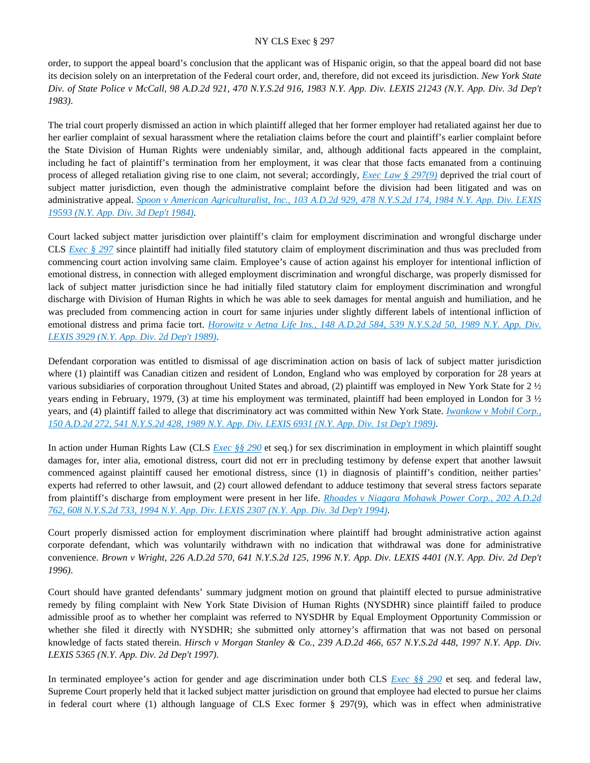order, to support the appeal board's conclusion that the applicant was of Hispanic origin, so that the appeal board did not base its decision solely on an interpretation of the Federal court order, and, therefore, did not exceed its jurisdiction. *New York State Div. of State Police v McCall, 98 A.D.2d 921, 470 N.Y.S.2d 916, 1983 N.Y. App. Div. LEXIS 21243 (N.Y. App. Div. 3d Dep't 1983)*.

The trial court properly dismissed an action in which plaintiff alleged that her former employer had retaliated against her due to her earlier complaint of sexual harassment where the retaliation claims before the court and plaintiff's earlier complaint before the State Division of Human Rights were undeniably similar, and, although additional facts appeared in the complaint, including he fact of plaintiff's termination from her employment, it was clear that those facts emanated from a continuing process of alleged retaliation giving rise to one claim, not several; accordingly, *[Exec Law § 297\(9\)](https://advance.lexis.com/api/document?collection=statutes-legislation&id=urn:contentItem:5H6N-1CT1-DXC8-036V-00000-00&context=)* deprived the trial court of subject matter jurisdiction, even though the administrative complaint before the division had been litigated and was on administrative appeal. *[Spoon v American Agriculturalist, Inc., 103 A.D.2d 929, 478 N.Y.S.2d 174, 1984 N.Y. App. Div. LEXIS](https://advance.lexis.com/api/document?collection=cases&id=urn:contentItem:3S3K-1S50-003D-G2WC-00000-00&context=)  [19593 \(N.Y. App. Div. 3d Dep't 1984\)](https://advance.lexis.com/api/document?collection=cases&id=urn:contentItem:3S3K-1S50-003D-G2WC-00000-00&context=)*.

Court lacked subject matter jurisdiction over plaintiff's claim for employment discrimination and wrongful discharge under CLS *[Exec § 297](https://advance.lexis.com/api/document?collection=statutes-legislation&id=urn:contentItem:5H6N-1CT1-DXC8-036V-00000-00&context=)* since plaintiff had initially filed statutory claim of employment discrimination and thus was precluded from commencing court action involving same claim. Employee's cause of action against his employer for intentional infliction of emotional distress, in connection with alleged employment discrimination and wrongful discharge, was properly dismissed for lack of subject matter jurisdiction since he had initially filed statutory claim for employment discrimination and wrongful discharge with Division of Human Rights in which he was able to seek damages for mental anguish and humiliation, and he was precluded from commencing action in court for same injuries under slightly different labels of intentional infliction of emotional distress and prima facie tort. *Horowitz v Aetna Life Ins., 148 A.D.2d 584, 539 N.Y.S.2d 50, 1989 N.Y. App. Div. [LEXIS 3929 \(N.Y. App. Div. 2d Dep't 1989\)](https://advance.lexis.com/api/document?collection=cases&id=urn:contentItem:3S2R-BCK0-003V-B461-00000-00&context=)*.

Defendant corporation was entitled to dismissal of age discrimination action on basis of lack of subject matter jurisdiction where (1) plaintiff was Canadian citizen and resident of London, England who was employed by corporation for 28 years at various subsidiaries of corporation throughout United States and abroad, (2) plaintiff was employed in New York State for 2 ½ years ending in February, 1979, (3) at time his employment was terminated, plaintiff had been employed in London for 3 ½ years, and (4) plaintiff failed to allege that discriminatory act was committed within New York State. *[Iwankow v Mobil Corp.,](https://advance.lexis.com/api/document?collection=cases&id=urn:contentItem:3S2R-B6H0-003V-B3R9-00000-00&context=)  [150 A.D.2d 272, 541 N.Y.S.2d 428, 1989 N.Y. App. Div. LEXIS 6931 \(N.Y. App. Div. 1st Dep't 1989\)](https://advance.lexis.com/api/document?collection=cases&id=urn:contentItem:3S2R-B6H0-003V-B3R9-00000-00&context=)*.

In action under Human Rights Law (CLS *[Exec §§ 290](https://advance.lexis.com/api/document?collection=statutes-legislation&id=urn:contentItem:5CT3-0SG1-6RDJ-847W-00000-00&context=)* et seq.) for sex discrimination in employment in which plaintiff sought damages for, inter alia, emotional distress, court did not err in precluding testimony by defense expert that another lawsuit commenced against plaintiff caused her emotional distress, since (1) in diagnosis of plaintiff's condition, neither parties' experts had referred to other lawsuit, and (2) court allowed defendant to adduce testimony that several stress factors separate from plaintiff's discharge from employment were present in her life. *[Rhoades v Niagara Mohawk Power Corp., 202 A.D.2d](https://advance.lexis.com/api/document?collection=cases&id=urn:contentItem:3S2R-71K0-003V-B483-00000-00&context=)  [762, 608 N.Y.S.2d 733, 1994 N.Y. App. Div. LEXIS 2307 \(N.Y. App. Div. 3d Dep't 1994\)](https://advance.lexis.com/api/document?collection=cases&id=urn:contentItem:3S2R-71K0-003V-B483-00000-00&context=)*.

Court properly dismissed action for employment discrimination where plaintiff had brought administrative action against corporate defendant, which was voluntarily withdrawn with no indication that withdrawal was done for administrative convenience. *Brown v Wright, 226 A.D.2d 570, 641 N.Y.S.2d 125, 1996 N.Y. App. Div. LEXIS 4401 (N.Y. App. Div. 2d Dep't 1996)*.

Court should have granted defendants' summary judgment motion on ground that plaintiff elected to pursue administrative remedy by filing complaint with New York State Division of Human Rights (NYSDHR) since plaintiff failed to produce admissible proof as to whether her complaint was referred to NYSDHR by Equal Employment Opportunity Commission or whether she filed it directly with NYSDHR; she submitted only attorney's affirmation that was not based on personal knowledge of facts stated therein. *Hirsch v Morgan Stanley & Co., 239 A.D.2d 466, 657 N.Y.S.2d 448, 1997 N.Y. App. Div. LEXIS 5365 (N.Y. App. Div. 2d Dep't 1997)*.

In terminated employee's action for gender and age discrimination under both CLS *[Exec §§ 290](https://advance.lexis.com/api/document?collection=statutes-legislation&id=urn:contentItem:5CT3-0SG1-6RDJ-847W-00000-00&context=)* et seq. and federal law, Supreme Court properly held that it lacked subject matter jurisdiction on ground that employee had elected to pursue her claims in federal court where (1) although language of CLS Exec former § 297(9), which was in effect when administrative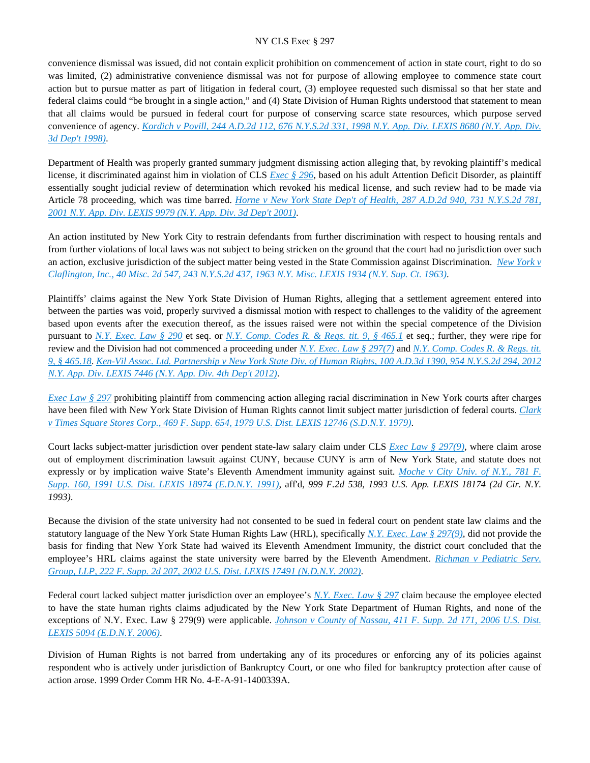convenience dismissal was issued, did not contain explicit prohibition on commencement of action in state court, right to do so was limited, (2) administrative convenience dismissal was not for purpose of allowing employee to commence state court action but to pursue matter as part of litigation in federal court, (3) employee requested such dismissal so that her state and federal claims could "be brought in a single action," and (4) State Division of Human Rights understood that statement to mean that all claims would be pursued in federal court for purpose of conserving scarce state resources, which purpose served convenience of agency. *[Kordich v Povill, 244 A.D.2d 112, 676 N.Y.S.2d 331, 1998 N.Y. App. Div. LEXIS 8680 \(N.Y. App. Div.](https://advance.lexis.com/api/document?collection=cases&id=urn:contentItem:3T91-4VN0-0039-43SX-00000-00&context=)  [3d Dep't 1998\)](https://advance.lexis.com/api/document?collection=cases&id=urn:contentItem:3T91-4VN0-0039-43SX-00000-00&context=)*.

Department of Health was properly granted summary judgment dismissing action alleging that, by revoking plaintiff's medical license, it discriminated against him in violation of CLS *[Exec § 296](https://advance.lexis.com/api/document?collection=statutes-legislation&id=urn:contentItem:8TP5-PCS2-8T6X-74HS-00000-00&context=)*, based on his adult Attention Deficit Disorder, as plaintiff essentially sought judicial review of determination which revoked his medical license, and such review had to be made via Article 78 proceeding, which was time barred. *[Horne v New York State Dep't of Health, 287 A.D.2d 940, 731 N.Y.S.2d 781,](https://advance.lexis.com/api/document?collection=cases&id=urn:contentItem:44B0-JP30-0039-406R-00000-00&context=)  [2001 N.Y. App. Div. LEXIS 9979 \(N.Y. App. Div. 3d Dep't 2001\)](https://advance.lexis.com/api/document?collection=cases&id=urn:contentItem:44B0-JP30-0039-406R-00000-00&context=)*.

An action instituted by New York City to restrain defendants from further discrimination with respect to housing rentals and from further violations of local laws was not subject to being stricken on the ground that the court had no jurisdiction over such an action, exclusive jurisdiction of the subject matter being vested in the State Commission against Discrimination. *[New York v](https://advance.lexis.com/api/document?collection=cases&id=urn:contentItem:3RRS-C2S0-003C-D09K-00000-00&context=)  [Claflington, Inc., 40 Misc. 2d 547, 243 N.Y.S.2d 437, 1963 N.Y. Misc. LEXIS 1934 \(N.Y. Sup. Ct. 1963\)](https://advance.lexis.com/api/document?collection=cases&id=urn:contentItem:3RRS-C2S0-003C-D09K-00000-00&context=)*.

Plaintiffs' claims against the New York State Division of Human Rights, alleging that a settlement agreement entered into between the parties was void, properly survived a dismissal motion with respect to challenges to the validity of the agreement based upon events after the execution thereof, as the issues raised were not within the special competence of the Division pursuant to *[N.Y. Exec. Law § 290](https://advance.lexis.com/api/document?collection=statutes-legislation&id=urn:contentItem:5CT3-0SG1-6RDJ-847W-00000-00&context=)* et seq. or *[N.Y. Comp. Codes R. & Regs. tit. 9, § 465.1](https://advance.lexis.com/api/document?collection=administrative-codes&id=urn:contentItem:5VXH-YX20-00XK-W10N-00000-00&context=)* et seq.; further, they were ripe for review and the Division had not commenced a proceeding under *[N.Y. Exec. Law § 297\(7\)](https://advance.lexis.com/api/document?collection=statutes-legislation&id=urn:contentItem:5H6N-1CT1-DXC8-036V-00000-00&context=)* and *[N.Y. Comp. Codes R. & Regs. tit.](https://advance.lexis.com/api/document?collection=administrative-codes&id=urn:contentItem:5VXH-YX20-00XK-W118-00000-00&context=)  [9, § 465.18](https://advance.lexis.com/api/document?collection=administrative-codes&id=urn:contentItem:5VXH-YX20-00XK-W118-00000-00&context=)*. *[Ken-Vil Assoc. Ltd. Partnership v New York State Div. of Human Rights, 100 A.D.3d 1390, 954 N.Y.S.2d 294, 2012](https://advance.lexis.com/api/document?collection=cases&id=urn:contentItem:5710-M2K1-F04J-7207-00000-00&context=)  [N.Y. App. Div. LEXIS 7446 \(N.Y. App. Div. 4th Dep't 2012\)](https://advance.lexis.com/api/document?collection=cases&id=urn:contentItem:5710-M2K1-F04J-7207-00000-00&context=)*.

*[Exec Law § 297](https://advance.lexis.com/api/document?collection=statutes-legislation&id=urn:contentItem:5H6N-1CT1-DXC8-036V-00000-00&context=)* prohibiting plaintiff from commencing action alleging racial discrimination in New York courts after charges have been filed with New York State Division of Human Rights cannot limit subject matter jurisdiction of federal courts. *[Clark](https://advance.lexis.com/api/document?collection=cases&id=urn:contentItem:3S4N-D090-0054-71C1-00000-00&context=)  [v Times Square Stores Corp., 469 F. Supp. 654, 1979 U.S. Dist. LEXIS 12746 \(S.D.N.Y. 1979\)](https://advance.lexis.com/api/document?collection=cases&id=urn:contentItem:3S4N-D090-0054-71C1-00000-00&context=)*.

Court lacks subject-matter jurisdiction over pendent state-law salary claim under CLS *[Exec Law § 297\(9\)](https://advance.lexis.com/api/document?collection=statutes-legislation&id=urn:contentItem:5H6N-1CT1-DXC8-036V-00000-00&context=)*, where claim arose out of employment discrimination lawsuit against CUNY, because CUNY is arm of New York State, and statute does not expressly or by implication waive State's Eleventh Amendment immunity against suit. *[Moche v City Univ. of N.Y., 781 F.](https://advance.lexis.com/api/document?collection=cases&id=urn:contentItem:3S4N-8N20-001T-70HF-00000-00&context=)  [Supp. 160, 1991 U.S. Dist. LEXIS 18974 \(E.D.N.Y. 1991\)](https://advance.lexis.com/api/document?collection=cases&id=urn:contentItem:3S4N-8N20-001T-70HF-00000-00&context=)*, aff'd, *999 F.2d 538, 1993 U.S. App. LEXIS 18174 (2d Cir. N.Y. 1993)*.

Because the division of the state university had not consented to be sued in federal court on pendent state law claims and the statutory language of the New York State Human Rights Law (HRL), specifically *[N.Y. Exec. Law § 297\(9\)](https://advance.lexis.com/api/document?collection=statutes-legislation&id=urn:contentItem:5H6N-1CT1-DXC8-036V-00000-00&context=)*, did not provide the basis for finding that New York State had waived its Eleventh Amendment Immunity, the district court concluded that the employee's HRL claims against the state university were barred by the Eleventh Amendment. *[Richman v Pediatric Serv.](https://advance.lexis.com/api/document?collection=cases&id=urn:contentItem:46T4-TWV0-0038-Y2WH-00000-00&context=)  [Group, LLP, 222 F. Supp. 2d 207, 2002 U.S. Dist. LEXIS 17491 \(N.D.N.Y. 2002\)](https://advance.lexis.com/api/document?collection=cases&id=urn:contentItem:46T4-TWV0-0038-Y2WH-00000-00&context=)*.

Federal court lacked subject matter jurisdiction over an employee's *[N.Y. Exec. Law § 297](https://advance.lexis.com/api/document?collection=statutes-legislation&id=urn:contentItem:5H6N-1CT1-DXC8-036V-00000-00&context=)* claim because the employee elected to have the state human rights claims adjudicated by the New York State Department of Human Rights, and none of the exceptions of N.Y. Exec. Law § 279(9) were applicable. *[Johnson v County of Nassau, 411 F. Supp. 2d 171, 2006 U.S. Dist.](https://advance.lexis.com/api/document?collection=cases&id=urn:contentItem:4J62-VKX0-TVW3-P1X7-00000-00&context=)  [LEXIS 5094 \(E.D.N.Y. 2006\)](https://advance.lexis.com/api/document?collection=cases&id=urn:contentItem:4J62-VKX0-TVW3-P1X7-00000-00&context=)*.

Division of Human Rights is not barred from undertaking any of its procedures or enforcing any of its policies against respondent who is actively under jurisdiction of Bankruptcy Court, or one who filed for bankruptcy protection after cause of action arose. 1999 Order Comm HR No. 4-E-A-91-1400339A.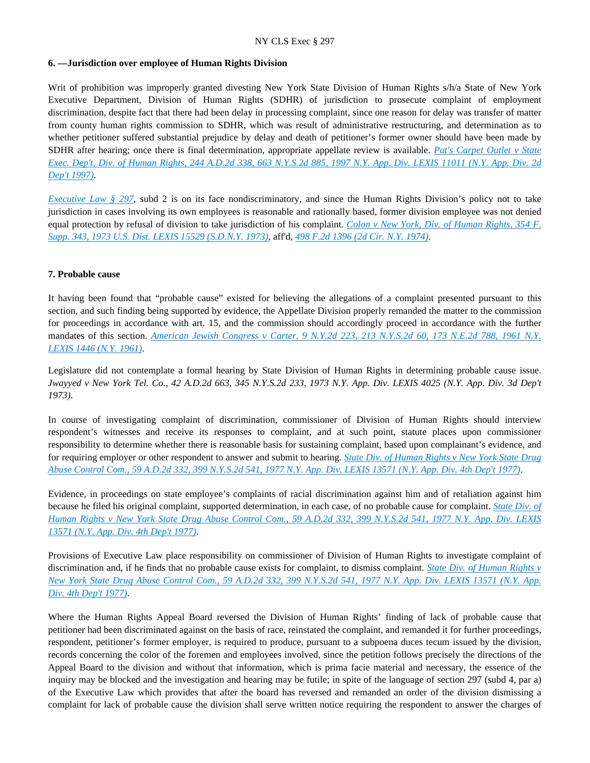## **6. —Jurisdiction over employee of Human Rights Division**

Writ of prohibition was improperly granted divesting New York State Division of Human Rights s/h/a State of New York Executive Department, Division of Human Rights (SDHR) of jurisdiction to prosecute complaint of employment discrimination, despite fact that there had been delay in processing complaint, since one reason for delay was transfer of matter from county human rights commission to SDHR, which was result of administrative restructuring, and determination as to whether petitioner suffered substantial prejudice by delay and death of petitioner's former owner should have been made by SDHR after hearing; once there is final determination, appropriate appellate review is available. *[Pat's Carpet Outlet v State](https://advance.lexis.com/api/document?collection=cases&id=urn:contentItem:3RHH-X7J0-0039-40K7-00000-00&context=)  [Exec. Dep't, Div. of Human Rights, 244 A.D.2d 338, 663 N.Y.S.2d 885, 1997 N.Y. App. Div. LEXIS 11011 \(N.Y. App. Div. 2d](https://advance.lexis.com/api/document?collection=cases&id=urn:contentItem:3RHH-X7J0-0039-40K7-00000-00&context=)  [Dep't 1997\)](https://advance.lexis.com/api/document?collection=cases&id=urn:contentItem:3RHH-X7J0-0039-40K7-00000-00&context=)*.

*[Executive Law § 297](https://advance.lexis.com/api/document?collection=statutes-legislation&id=urn:contentItem:5H6N-1CT1-DXC8-036V-00000-00&context=)*, subd 2 is on its face nondiscriminatory, and since the Human Rights Division's policy not to take jurisdiction in cases involving its own employees is reasonable and rationally based, former division employee was not denied equal protection by refusal of division to take jurisdiction of his complaint. *[Colon v New York, Div. of Human Rights, 354 F.](https://advance.lexis.com/api/document?collection=cases&id=urn:contentItem:3S4V-K5N0-003B-31BV-00000-00&context=)  [Supp. 343, 1973 U.S. Dist. LEXIS 15529 \(S.D.N.Y. 1973\)](https://advance.lexis.com/api/document?collection=cases&id=urn:contentItem:3S4V-K5N0-003B-31BV-00000-00&context=)*, aff'd, *[498 F.2d 1396 \(2d Cir. N.Y. 1974\)](https://advance.lexis.com/api/document?collection=cases&id=urn:contentItem:3S4W-WYP0-0039-X3X4-00000-00&context=)*.

#### **7. Probable cause**

It having been found that "probable cause" existed for believing the allegations of a complaint presented pursuant to this section, and such finding being supported by evidence, the Appellate Division properly remanded the matter to the commission for proceedings in accordance with art. 15, and the commission should accordingly proceed in accordance with the further mandates of this section. *[American Jewish Congress v Carter, 9 N.Y.2d 223, 213 N.Y.S.2d 60, 173 N.E.2d 788, 1961 N.Y.](https://advance.lexis.com/api/document?collection=cases&id=urn:contentItem:3RRS-WXJ0-003C-C2XR-00000-00&context=)  [LEXIS 1446 \(N.Y. 1961\)](https://advance.lexis.com/api/document?collection=cases&id=urn:contentItem:3RRS-WXJ0-003C-C2XR-00000-00&context=)*.

Legislature did not contemplate a formal hearing by State Division of Human Rights in determining probable cause issue. *Jwayyed v New York Tel. Co., 42 A.D.2d 663, 345 N.Y.S.2d 233, 1973 N.Y. App. Div. LEXIS 4025 (N.Y. App. Div. 3d Dep't 1973)*.

In course of investigating complaint of discrimination, commissioner of Division of Human Rights should interview respondent's witnesses and receive its responses to complaint, and at such point, statute places upon commissioner responsibility to determine whether there is reasonable basis for sustaining complaint, based upon complainant's evidence, and for requiring employer or other respondent to answer and submit to hearing. *[State Div. of Human Rights v New York State Drug](https://advance.lexis.com/api/document?collection=cases&id=urn:contentItem:3RRS-DDK0-003C-F35W-00000-00&context=)  [Abuse Control Com., 59 A.D.2d 332, 399 N.Y.S.2d 541, 1977 N.Y. App. Div. LEXIS 13571 \(N.Y. App. Div. 4th Dep't 1977\)](https://advance.lexis.com/api/document?collection=cases&id=urn:contentItem:3RRS-DDK0-003C-F35W-00000-00&context=)*.

Evidence, in proceedings on state employee's complaints of racial discrimination against him and of retaliation against him because he filed his original complaint, supported determination, in each case, of no probable cause for complaint. *[State Div. of](https://advance.lexis.com/api/document?collection=cases&id=urn:contentItem:3RRS-DDK0-003C-F35W-00000-00&context=)  [Human Rights v New York State Drug Abuse Control Com., 59 A.D.2d 332, 399 N.Y.S.2d 541, 1977 N.Y. App. Div. LEXIS](https://advance.lexis.com/api/document?collection=cases&id=urn:contentItem:3RRS-DDK0-003C-F35W-00000-00&context=)  [13571 \(N.Y. App. Div. 4th Dep't 1977\)](https://advance.lexis.com/api/document?collection=cases&id=urn:contentItem:3RRS-DDK0-003C-F35W-00000-00&context=)*.

Provisions of Executive Law place responsibility on commissioner of Division of Human Rights to investigate complaint of discrimination and, if he finds that no probable cause exists for complaint, to dismiss complaint. *[State Div. of Human Rights v](https://advance.lexis.com/api/document?collection=cases&id=urn:contentItem:3RRS-DDK0-003C-F35W-00000-00&context=)  [New York State Drug Abuse Control Com., 59 A.D.2d 332, 399 N.Y.S.2d 541, 1977 N.Y. App. Div. LEXIS 13571 \(N.Y. App.](https://advance.lexis.com/api/document?collection=cases&id=urn:contentItem:3RRS-DDK0-003C-F35W-00000-00&context=)  [Div. 4th Dep't 1977\)](https://advance.lexis.com/api/document?collection=cases&id=urn:contentItem:3RRS-DDK0-003C-F35W-00000-00&context=)*.

Where the Human Rights Appeal Board reversed the Division of Human Rights' finding of lack of probable cause that petitioner had been discriminated against on the basis of race, reinstated the complaint, and remanded it for further proceedings, respondent, petitioner's former employer, is required to produce, pursuant to a subpoena duces tecum issued by the division, records concerning the color of the foremen and employees involved, since the petition follows precisely the directions of the Appeal Board to the division and without that information, which is prima facie material and necessary, the essence of the inquiry may be blocked and the investigation and hearing may be futile; in spite of the language of section 297 (subd 4, par a) of the Executive Law which provides that after the board has reversed and remanded an order of the division dismissing a complaint for lack of probable cause the division shall serve written notice requiring the respondent to answer the charges of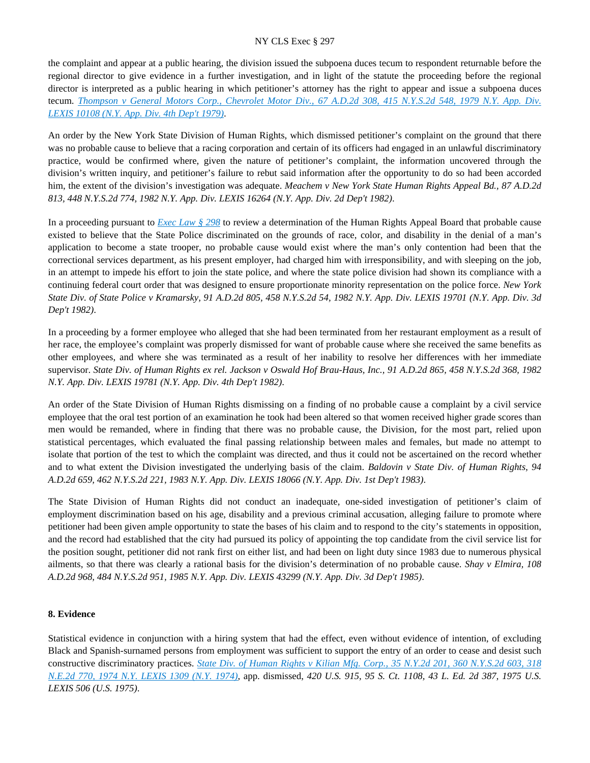the complaint and appear at a public hearing, the division issued the subpoena duces tecum to respondent returnable before the regional director to give evidence in a further investigation, and in light of the statute the proceeding before the regional director is interpreted as a public hearing in which petitioner's attorney has the right to appear and issue a subpoena duces tecum. *[Thompson v General Motors Corp., Chevrolet Motor Div., 67 A.D.2d 308, 415 N.Y.S.2d 548, 1979 N.Y. App. Div.](https://advance.lexis.com/api/document?collection=cases&id=urn:contentItem:3RRS-CN20-003C-F4V2-00000-00&context=)  [LEXIS 10108 \(N.Y. App. Div. 4th Dep't 1979\)](https://advance.lexis.com/api/document?collection=cases&id=urn:contentItem:3RRS-CN20-003C-F4V2-00000-00&context=)*.

An order by the New York State Division of Human Rights, which dismissed petitioner's complaint on the ground that there was no probable cause to believe that a racing corporation and certain of its officers had engaged in an unlawful discriminatory practice, would be confirmed where, given the nature of petitioner's complaint, the information uncovered through the division's written inquiry, and petitioner's failure to rebut said information after the opportunity to do so had been accorded him, the extent of the division's investigation was adequate. *Meachem v New York State Human Rights Appeal Bd., 87 A.D.2d 813, 448 N.Y.S.2d 774, 1982 N.Y. App. Div. LEXIS 16264 (N.Y. App. Div. 2d Dep't 1982)*.

In a proceeding pursuant to *[Exec Law § 298](https://advance.lexis.com/api/document?collection=statutes-legislation&id=urn:contentItem:5CT3-0SG1-6RDJ-8489-00000-00&context=)* to review a determination of the Human Rights Appeal Board that probable cause existed to believe that the State Police discriminated on the grounds of race, color, and disability in the denial of a man's application to become a state trooper, no probable cause would exist where the man's only contention had been that the correctional services department, as his present employer, had charged him with irresponsibility, and with sleeping on the job, in an attempt to impede his effort to join the state police, and where the state police division had shown its compliance with a continuing federal court order that was designed to ensure proportionate minority representation on the police force. *New York State Div. of State Police v Kramarsky, 91 A.D.2d 805, 458 N.Y.S.2d 54, 1982 N.Y. App. Div. LEXIS 19701 (N.Y. App. Div. 3d Dep't 1982)*.

In a proceeding by a former employee who alleged that she had been terminated from her restaurant employment as a result of her race, the employee's complaint was properly dismissed for want of probable cause where she received the same benefits as other employees, and where she was terminated as a result of her inability to resolve her differences with her immediate supervisor. *State Div. of Human Rights ex rel. Jackson v Oswald Hof Brau-Haus, Inc., 91 A.D.2d 865, 458 N.Y.S.2d 368, 1982 N.Y. App. Div. LEXIS 19781 (N.Y. App. Div. 4th Dep't 1982)*.

An order of the State Division of Human Rights dismissing on a finding of no probable cause a complaint by a civil service employee that the oral test portion of an examination he took had been altered so that women received higher grade scores than men would be remanded, where in finding that there was no probable cause, the Division, for the most part, relied upon statistical percentages, which evaluated the final passing relationship between males and females, but made no attempt to isolate that portion of the test to which the complaint was directed, and thus it could not be ascertained on the record whether and to what extent the Division investigated the underlying basis of the claim. *Baldovin v State Div. of Human Rights, 94 A.D.2d 659, 462 N.Y.S.2d 221, 1983 N.Y. App. Div. LEXIS 18066 (N.Y. App. Div. 1st Dep't 1983)*.

The State Division of Human Rights did not conduct an inadequate, one-sided investigation of petitioner's claim of employment discrimination based on his age, disability and a previous criminal accusation, alleging failure to promote where petitioner had been given ample opportunity to state the bases of his claim and to respond to the city's statements in opposition, and the record had established that the city had pursued its policy of appointing the top candidate from the civil service list for the position sought, petitioner did not rank first on either list, and had been on light duty since 1983 due to numerous physical ailments, so that there was clearly a rational basis for the division's determination of no probable cause. *Shay v Elmira, 108 A.D.2d 968, 484 N.Y.S.2d 951, 1985 N.Y. App. Div. LEXIS 43299 (N.Y. App. Div. 3d Dep't 1985)*.

# **8. Evidence**

Statistical evidence in conjunction with a hiring system that had the effect, even without evidence of intention, of excluding Black and Spanish-surnamed persons from employment was sufficient to support the entry of an order to cease and desist such constructive discriminatory practices. *[State Div. of Human Rights v Kilian Mfg. Corp., 35 N.Y.2d 201, 360 N.Y.S.2d 603, 318](https://advance.lexis.com/api/document?collection=cases&id=urn:contentItem:3RRS-VFS0-003C-C0D0-00000-00&context=)  [N.E.2d 770, 1974 N.Y. LEXIS 1309 \(N.Y. 1974\)](https://advance.lexis.com/api/document?collection=cases&id=urn:contentItem:3RRS-VFS0-003C-C0D0-00000-00&context=)*, app. dismissed, *420 U.S. 915, 95 S. Ct. 1108, 43 L. Ed. 2d 387, 1975 U.S. LEXIS 506 (U.S. 1975)*.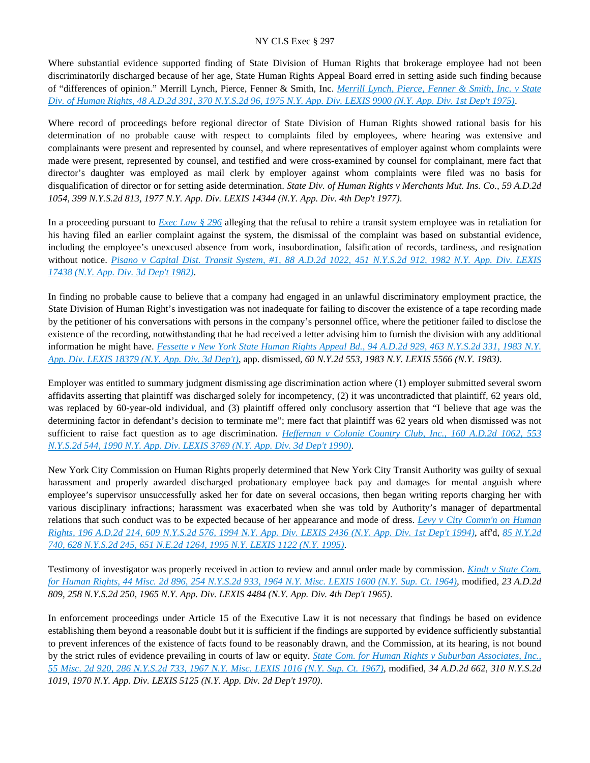Where substantial evidence supported finding of State Division of Human Rights that brokerage employee had not been discriminatorily discharged because of her age, State Human Rights Appeal Board erred in setting aside such finding because of "differences of opinion." Merrill Lynch, Pierce, Fenner & Smith, Inc. *[Merrill Lynch, Pierce, Fenner & Smith, Inc. v State](https://advance.lexis.com/api/document?collection=cases&id=urn:contentItem:3RRS-FXC0-003C-F2H1-00000-00&context=)  [Div. of Human Rights, 48 A.D.2d 391, 370 N.Y.S.2d 96, 1975 N.Y. App. Div. LEXIS 9900 \(N.Y. App. Div. 1st Dep't 1975\)](https://advance.lexis.com/api/document?collection=cases&id=urn:contentItem:3RRS-FXC0-003C-F2H1-00000-00&context=)*.

Where record of proceedings before regional director of State Division of Human Rights showed rational basis for his determination of no probable cause with respect to complaints filed by employees, where hearing was extensive and complainants were present and represented by counsel, and where representatives of employer against whom complaints were made were present, represented by counsel, and testified and were cross-examined by counsel for complainant, mere fact that director's daughter was employed as mail clerk by employer against whom complaints were filed was no basis for disqualification of director or for setting aside determination. *State Div. of Human Rights v Merchants Mut. Ins. Co., 59 A.D.2d 1054, 399 N.Y.S.2d 813, 1977 N.Y. App. Div. LEXIS 14344 (N.Y. App. Div. 4th Dep't 1977)*.

In a proceeding pursuant to *[Exec Law § 296](https://advance.lexis.com/api/document?collection=statutes-legislation&id=urn:contentItem:8TP5-PCS2-8T6X-74HS-00000-00&context=)* alleging that the refusal to rehire a transit system employee was in retaliation for his having filed an earlier complaint against the system, the dismissal of the complaint was based on substantial evidence, including the employee's unexcused absence from work, insubordination, falsification of records, tardiness, and resignation without notice. *[Pisano v Capital Dist. Transit System, #1, 88 A.D.2d 1022, 451 N.Y.S.2d 912, 1982 N.Y. App. Div. LEXIS](https://advance.lexis.com/api/document?collection=cases&id=urn:contentItem:3S3K-2B10-003D-G14T-00000-00&context=)  [17438 \(N.Y. App. Div. 3d Dep't 1982\)](https://advance.lexis.com/api/document?collection=cases&id=urn:contentItem:3S3K-2B10-003D-G14T-00000-00&context=)*.

In finding no probable cause to believe that a company had engaged in an unlawful discriminatory employment practice, the State Division of Human Right's investigation was not inadequate for failing to discover the existence of a tape recording made by the petitioner of his conversations with persons in the company's personnel office, where the petitioner failed to disclose the existence of the recording, notwithstanding that he had received a letter advising him to furnish the division with any additional information he might have. *[Fessette v New York State Human Rights Appeal Bd., 94 A.D.2d 929, 463 N.Y.S.2d 331, 1983 N.Y.](https://advance.lexis.com/api/document?collection=cases&id=urn:contentItem:3S3K-22T0-003D-G007-00000-00&context=)  [App. Div. LEXIS 18379 \(N.Y. App. Div. 3d Dep't\)](https://advance.lexis.com/api/document?collection=cases&id=urn:contentItem:3S3K-22T0-003D-G007-00000-00&context=)*, app. dismissed, *60 N.Y.2d 553, 1983 N.Y. LEXIS 5566 (N.Y. 1983)*.

Employer was entitled to summary judgment dismissing age discrimination action where (1) employer submitted several sworn affidavits asserting that plaintiff was discharged solely for incompetency, (2) it was uncontradicted that plaintiff, 62 years old, was replaced by 60-year-old individual, and (3) plaintiff offered only conclusory assertion that "I believe that age was the determining factor in defendant's decision to terminate me"; mere fact that plaintiff was 62 years old when dismissed was not sufficient to raise fact question as to age discrimination. *[Heffernan v Colonie Country Club, Inc., 160 A.D.2d 1062, 553](https://advance.lexis.com/api/document?collection=cases&id=urn:contentItem:3S2R-9H30-003V-B1NV-00000-00&context=)  [N.Y.S.2d 544, 1990 N.Y. App. Div. LEXIS 3769 \(N.Y. App. Div. 3d Dep't 1990\)](https://advance.lexis.com/api/document?collection=cases&id=urn:contentItem:3S2R-9H30-003V-B1NV-00000-00&context=)*.

New York City Commission on Human Rights properly determined that New York City Transit Authority was guilty of sexual harassment and properly awarded discharged probationary employee back pay and damages for mental anguish where employee's supervisor unsuccessfully asked her for date on several occasions, then began writing reports charging her with various disciplinary infractions; harassment was exacerbated when she was told by Authority's manager of departmental relations that such conduct was to be expected because of her appearance and mode of dress. *[Levy v City Comm'n on Human](https://advance.lexis.com/api/document?collection=cases&id=urn:contentItem:3S2R-7170-003V-B3NR-00000-00&context=)  [Rights, 196 A.D.2d 214, 609 N.Y.S.2d 576, 1994 N.Y. App. Div. LEXIS 2436 \(N.Y. App. Div. 1st Dep't 1994\)](https://advance.lexis.com/api/document?collection=cases&id=urn:contentItem:3S2R-7170-003V-B3NR-00000-00&context=)*, aff'd, *[85 N.Y.2d](https://advance.lexis.com/api/document?collection=cases&id=urn:contentItem:3S2R-67T0-003V-B10Y-00000-00&context=)  [740, 628 N.Y.S.2d 245, 651 N.E.2d 1264, 1995 N.Y. LEXIS 1122 \(N.Y. 1995\)](https://advance.lexis.com/api/document?collection=cases&id=urn:contentItem:3S2R-67T0-003V-B10Y-00000-00&context=)*.

Testimony of investigator was properly received in action to review and annul order made by commission. *[Kindt v State Com.](https://advance.lexis.com/api/document?collection=cases&id=urn:contentItem:3RRS-BXD0-003C-D3ST-00000-00&context=)  [for Human Rights, 44 Misc. 2d 896, 254 N.Y.S.2d 933, 1964 N.Y. Misc. LEXIS 1600 \(N.Y. Sup. Ct. 1964\)](https://advance.lexis.com/api/document?collection=cases&id=urn:contentItem:3RRS-BXD0-003C-D3ST-00000-00&context=)*, modified, *23 A.D.2d 809, 258 N.Y.S.2d 250, 1965 N.Y. App. Div. LEXIS 4484 (N.Y. App. Div. 4th Dep't 1965)*.

In enforcement proceedings under Article 15 of the Executive Law it is not necessary that findings be based on evidence establishing them beyond a reasonable doubt but it is sufficient if the findings are supported by evidence sufficiently substantial to prevent inferences of the existence of facts found to be reasonably drawn, and the Commission, at its hearing, is not bound by the strict rules of evidence prevailing in courts of law or equity. *[State Com. for Human Rights v Suburban Associates, Inc.,](https://advance.lexis.com/api/document?collection=cases&id=urn:contentItem:3RRS-BFP0-003C-D481-00000-00&context=)  [55 Misc. 2d 920, 286 N.Y.S.2d 733, 1967 N.Y. Misc. LEXIS 1016 \(N.Y. Sup. Ct. 1967\)](https://advance.lexis.com/api/document?collection=cases&id=urn:contentItem:3RRS-BFP0-003C-D481-00000-00&context=)*, modified, *34 A.D.2d 662, 310 N.Y.S.2d 1019, 1970 N.Y. App. Div. LEXIS 5125 (N.Y. App. Div. 2d Dep't 1970)*.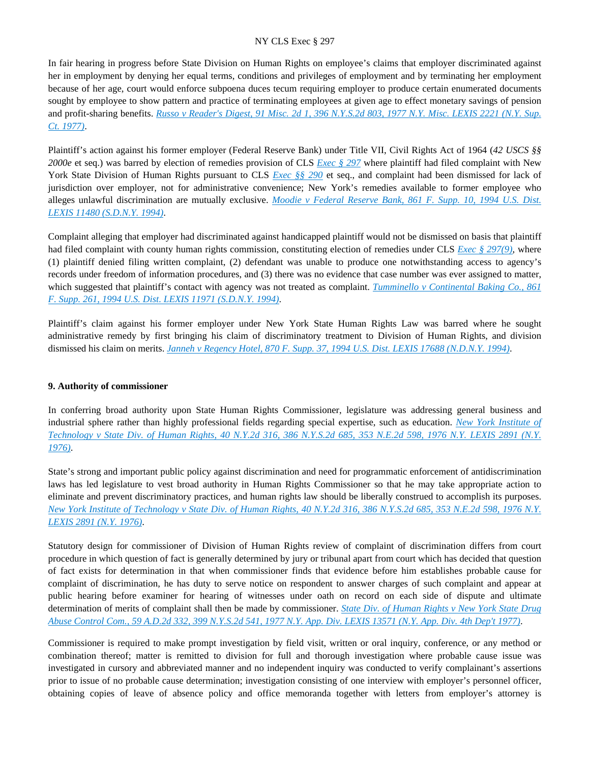In fair hearing in progress before State Division on Human Rights on employee's claims that employer discriminated against her in employment by denying her equal terms, conditions and privileges of employment and by terminating her employment because of her age, court would enforce subpoena duces tecum requiring employer to produce certain enumerated documents sought by employee to show pattern and practice of terminating employees at given age to effect monetary savings of pension and profit-sharing benefits. *[Russo v Reader's Digest, 91 Misc. 2d 1, 396 N.Y.S.2d 803, 1977 N.Y. Misc. LEXIS 2221 \(N.Y. Sup.](https://advance.lexis.com/api/document?collection=cases&id=urn:contentItem:3RRS-GV10-003C-F4KP-00000-00&context=)  [Ct. 1977\)](https://advance.lexis.com/api/document?collection=cases&id=urn:contentItem:3RRS-GV10-003C-F4KP-00000-00&context=)*.

Plaintiff's action against his former employer (Federal Reserve Bank) under Title VII, Civil Rights Act of 1964 (*42 USCS §§ 2000e* et seq.) was barred by election of remedies provision of CLS *[Exec § 297](https://advance.lexis.com/api/document?collection=statutes-legislation&id=urn:contentItem:5H6N-1CT1-DXC8-036V-00000-00&context=)* where plaintiff had filed complaint with New York State Division of Human Rights pursuant to CLS *[Exec §§ 290](https://advance.lexis.com/api/document?collection=statutes-legislation&id=urn:contentItem:5CT3-0SG1-6RDJ-847W-00000-00&context=)* et seq., and complaint had been dismissed for lack of jurisdiction over employer, not for administrative convenience; New York's remedies available to former employee who alleges unlawful discrimination are mutually exclusive. *[Moodie v Federal Reserve Bank, 861 F. Supp. 10, 1994 U.S. Dist.](https://advance.lexis.com/api/document?collection=cases&id=urn:contentItem:3S4N-D450-003B-V4RC-00000-00&context=)  [LEXIS 11480 \(S.D.N.Y. 1994\)](https://advance.lexis.com/api/document?collection=cases&id=urn:contentItem:3S4N-D450-003B-V4RC-00000-00&context=)*.

Complaint alleging that employer had discriminated against handicapped plaintiff would not be dismissed on basis that plaintiff had filed complaint with county human rights commission, constituting election of remedies under CLS *[Exec § 297\(9\)](https://advance.lexis.com/api/document?collection=statutes-legislation&id=urn:contentItem:5H6N-1CT1-DXC8-036V-00000-00&context=)*, where (1) plaintiff denied filing written complaint, (2) defendant was unable to produce one notwithstanding access to agency's records under freedom of information procedures, and (3) there was no evidence that case number was ever assigned to matter, which suggested that plaintiff's contact with agency was not treated as complaint. *[Tumminello v Continental Baking Co., 861](https://advance.lexis.com/api/document?collection=cases&id=urn:contentItem:3S4N-CXV0-003B-V4F9-00000-00&context=)  [F. Supp. 261, 1994 U.S. Dist. LEXIS 11971 \(S.D.N.Y. 1994\)](https://advance.lexis.com/api/document?collection=cases&id=urn:contentItem:3S4N-CXV0-003B-V4F9-00000-00&context=)*.

Plaintiff's claim against his former employer under New York State Human Rights Law was barred where he sought administrative remedy by first bringing his claim of discriminatory treatment to Division of Human Rights, and division dismissed his claim on merits. *[Janneh v Regency Hotel, 870 F. Supp. 37, 1994 U.S. Dist. LEXIS 17688 \(N.D.N.Y. 1994\)](https://advance.lexis.com/api/document?collection=cases&id=urn:contentItem:3S4N-6X70-003B-V31X-00000-00&context=)*.

# **9. Authority of commissioner**

In conferring broad authority upon State Human Rights Commissioner, legislature was addressing general business and industrial sphere rather than highly professional fields regarding special expertise, such as education. *[New York Institute of](https://advance.lexis.com/api/document?collection=cases&id=urn:contentItem:3RRS-B6V0-003C-F01X-00000-00&context=)  [Technology v State Div. of Human Rights, 40 N.Y.2d 316, 386 N.Y.S.2d 685, 353 N.E.2d 598, 1976 N.Y. LEXIS 2891 \(N.Y.](https://advance.lexis.com/api/document?collection=cases&id=urn:contentItem:3RRS-B6V0-003C-F01X-00000-00&context=)  [1976\)](https://advance.lexis.com/api/document?collection=cases&id=urn:contentItem:3RRS-B6V0-003C-F01X-00000-00&context=)*.

State's strong and important public policy against discrimination and need for programmatic enforcement of antidiscrimination laws has led legislature to vest broad authority in Human Rights Commissioner so that he may take appropriate action to eliminate and prevent discriminatory practices, and human rights law should be liberally construed to accomplish its purposes. *[New York Institute of Technology v State Div. of Human Rights, 40 N.Y.2d 316, 386 N.Y.S.2d 685, 353 N.E.2d 598, 1976 N.Y.](https://advance.lexis.com/api/document?collection=cases&id=urn:contentItem:3RRS-B6V0-003C-F01X-00000-00&context=)  [LEXIS 2891 \(N.Y. 1976\)](https://advance.lexis.com/api/document?collection=cases&id=urn:contentItem:3RRS-B6V0-003C-F01X-00000-00&context=)*.

Statutory design for commissioner of Division of Human Rights review of complaint of discrimination differs from court procedure in which question of fact is generally determined by jury or tribunal apart from court which has decided that question of fact exists for determination in that when commissioner finds that evidence before him establishes probable cause for complaint of discrimination, he has duty to serve notice on respondent to answer charges of such complaint and appear at public hearing before examiner for hearing of witnesses under oath on record on each side of dispute and ultimate determination of merits of complaint shall then be made by commissioner. *[State Div. of Human Rights v New York State Drug](https://advance.lexis.com/api/document?collection=cases&id=urn:contentItem:3RRS-DDK0-003C-F35W-00000-00&context=)  [Abuse Control Com., 59 A.D.2d 332, 399 N.Y.S.2d 541, 1977 N.Y. App. Div. LEXIS 13571 \(N.Y. App. Div. 4th Dep't 1977\)](https://advance.lexis.com/api/document?collection=cases&id=urn:contentItem:3RRS-DDK0-003C-F35W-00000-00&context=)*.

Commissioner is required to make prompt investigation by field visit, written or oral inquiry, conference, or any method or combination thereof; matter is remitted to division for full and thorough investigation where probable cause issue was investigated in cursory and abbreviated manner and no independent inquiry was conducted to verify complainant's assertions prior to issue of no probable cause determination; investigation consisting of one interview with employer's personnel officer, obtaining copies of leave of absence policy and office memoranda together with letters from employer's attorney is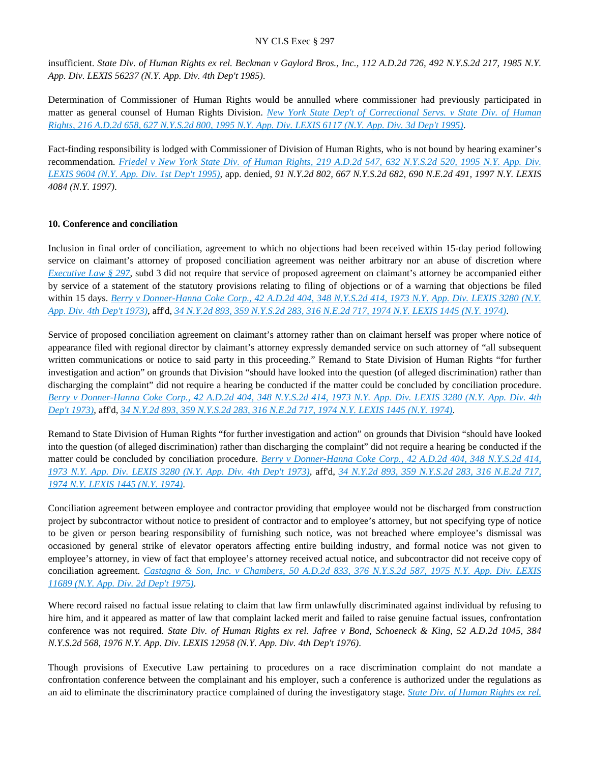insufficient. *State Div. of Human Rights ex rel. Beckman v Gaylord Bros., Inc., 112 A.D.2d 726, 492 N.Y.S.2d 217, 1985 N.Y. App. Div. LEXIS 56237 (N.Y. App. Div. 4th Dep't 1985)*.

Determination of Commissioner of Human Rights would be annulled where commissioner had previously participated in matter as general counsel of Human Rights Division. *[New York State Dep't of Correctional Servs. v State Div. of Human](https://advance.lexis.com/api/document?collection=cases&id=urn:contentItem:3S2R-67W0-003V-B12P-00000-00&context=)  [Rights, 216 A.D.2d 658, 627 N.Y.S.2d 800, 1995 N.Y. App. Div. LEXIS 6117 \(N.Y. App. Div. 3d Dep't 1995\)](https://advance.lexis.com/api/document?collection=cases&id=urn:contentItem:3S2R-67W0-003V-B12P-00000-00&context=)*.

Fact-finding responsibility is lodged with Commissioner of Division of Human Rights, who is not bound by hearing examiner's recommendation. *[Friedel v New York State Div. of Human Rights, 219 A.D.2d 547, 632 N.Y.S.2d 520, 1995 N.Y. App. Div.](https://advance.lexis.com/api/document?collection=cases&id=urn:contentItem:3S2R-63P0-003V-B01S-00000-00&context=)  [LEXIS 9604 \(N.Y. App. Div. 1st Dep't 1995\)](https://advance.lexis.com/api/document?collection=cases&id=urn:contentItem:3S2R-63P0-003V-B01S-00000-00&context=)*, app. denied, *91 N.Y.2d 802, 667 N.Y.S.2d 682, 690 N.E.2d 491, 1997 N.Y. LEXIS 4084 (N.Y. 1997)*.

# **10. Conference and conciliation**

Inclusion in final order of conciliation, agreement to which no objections had been received within 15-day period following service on claimant's attorney of proposed conciliation agreement was neither arbitrary nor an abuse of discretion where *[Executive Law § 297](https://advance.lexis.com/api/document?collection=statutes-legislation&id=urn:contentItem:5H6N-1CT1-DXC8-036V-00000-00&context=)*, subd 3 did not require that service of proposed agreement on claimant's attorney be accompanied either by service of a statement of the statutory provisions relating to filing of objections or of a warning that objections be filed within 15 days. *[Berry v Donner-Hanna Coke Corp., 42 A.D.2d 404, 348 N.Y.S.2d 414, 1973 N.Y. App. Div. LEXIS 3280 \(N.Y.](https://advance.lexis.com/api/document?collection=cases&id=urn:contentItem:3RRS-Y7T0-003C-C45C-00000-00&context=)  [App. Div. 4th Dep't 1973\)](https://advance.lexis.com/api/document?collection=cases&id=urn:contentItem:3RRS-Y7T0-003C-C45C-00000-00&context=)*, aff'd, *[34 N.Y.2d 893, 359 N.Y.S.2d 283, 316 N.E.2d 717, 1974 N.Y. LEXIS 1445 \(N.Y. 1974\)](https://advance.lexis.com/api/document?collection=cases&id=urn:contentItem:3RRS-VGB0-003C-C0JV-00000-00&context=)*.

Service of proposed conciliation agreement on claimant's attorney rather than on claimant herself was proper where notice of appearance filed with regional director by claimant's attorney expressly demanded service on such attorney of "all subsequent written communications or notice to said party in this proceeding." Remand to State Division of Human Rights "for further investigation and action" on grounds that Division "should have looked into the question (of alleged discrimination) rather than discharging the complaint" did not require a hearing be conducted if the matter could be concluded by conciliation procedure. *[Berry v Donner-Hanna Coke Corp., 42 A.D.2d 404, 348 N.Y.S.2d 414, 1973 N.Y. App. Div. LEXIS 3280 \(N.Y. App. Div. 4th](https://advance.lexis.com/api/document?collection=cases&id=urn:contentItem:3RRS-Y7T0-003C-C45C-00000-00&context=)  [Dep't 1973\)](https://advance.lexis.com/api/document?collection=cases&id=urn:contentItem:3RRS-Y7T0-003C-C45C-00000-00&context=)*, aff'd, *[34 N.Y.2d 893, 359 N.Y.S.2d 283, 316 N.E.2d 717, 1974 N.Y. LEXIS 1445 \(N.Y. 1974\)](https://advance.lexis.com/api/document?collection=cases&id=urn:contentItem:3RRS-VGB0-003C-C0JV-00000-00&context=)*.

Remand to State Division of Human Rights "for further investigation and action" on grounds that Division "should have looked into the question (of alleged discrimination) rather than discharging the complaint" did not require a hearing be conducted if the matter could be concluded by conciliation procedure. *[Berry v Donner-Hanna Coke Corp., 42 A.D.2d 404, 348 N.Y.S.2d 414,](https://advance.lexis.com/api/document?collection=cases&id=urn:contentItem:3RRS-Y7T0-003C-C45C-00000-00&context=)  [1973 N.Y. App. Div. LEXIS 3280 \(N.Y. App. Div. 4th Dep't 1973\)](https://advance.lexis.com/api/document?collection=cases&id=urn:contentItem:3RRS-Y7T0-003C-C45C-00000-00&context=)*, aff'd, *[34 N.Y.2d 893, 359 N.Y.S.2d 283, 316 N.E.2d 717,](https://advance.lexis.com/api/document?collection=cases&id=urn:contentItem:3RRS-VGB0-003C-C0JV-00000-00&context=)  [1974 N.Y. LEXIS 1445 \(N.Y. 1974\)](https://advance.lexis.com/api/document?collection=cases&id=urn:contentItem:3RRS-VGB0-003C-C0JV-00000-00&context=)*.

Conciliation agreement between employee and contractor providing that employee would not be discharged from construction project by subcontractor without notice to president of contractor and to employee's attorney, but not specifying type of notice to be given or person bearing responsibility of furnishing such notice, was not breached where employee's dismissal was occasioned by general strike of elevator operators affecting entire building industry, and formal notice was not given to employee's attorney, in view of fact that employee's attorney received actual notice, and subcontractor did not receive copy of conciliation agreement. *[Castagna & Son, Inc. v Chambers, 50 A.D.2d 833, 376 N.Y.S.2d 587, 1975 N.Y. App. Div. LEXIS](https://advance.lexis.com/api/document?collection=cases&id=urn:contentItem:3RRS-FN60-003C-F05F-00000-00&context=)  [11689 \(N.Y. App. Div. 2d Dep't 1975\)](https://advance.lexis.com/api/document?collection=cases&id=urn:contentItem:3RRS-FN60-003C-F05F-00000-00&context=)*.

Where record raised no factual issue relating to claim that law firm unlawfully discriminated against individual by refusing to hire him, and it appeared as matter of law that complaint lacked merit and failed to raise genuine factual issues, confrontation conference was not required. *State Div. of Human Rights ex rel. Jafree v Bond, Schoeneck & King, 52 A.D.2d 1045, 384 N.Y.S.2d 568, 1976 N.Y. App. Div. LEXIS 12958 (N.Y. App. Div. 4th Dep't 1976)*.

Though provisions of Executive Law pertaining to procedures on a race discrimination complaint do not mandate a confrontation conference between the complainant and his employer, such a conference is authorized under the regulations as an aid to eliminate the discriminatory practice complained of during the investigatory stage. *[State Div. of Human Rights ex rel.](https://advance.lexis.com/api/document?collection=cases&id=urn:contentItem:3RRS-F6K0-003C-F0ST-00000-00&context=)*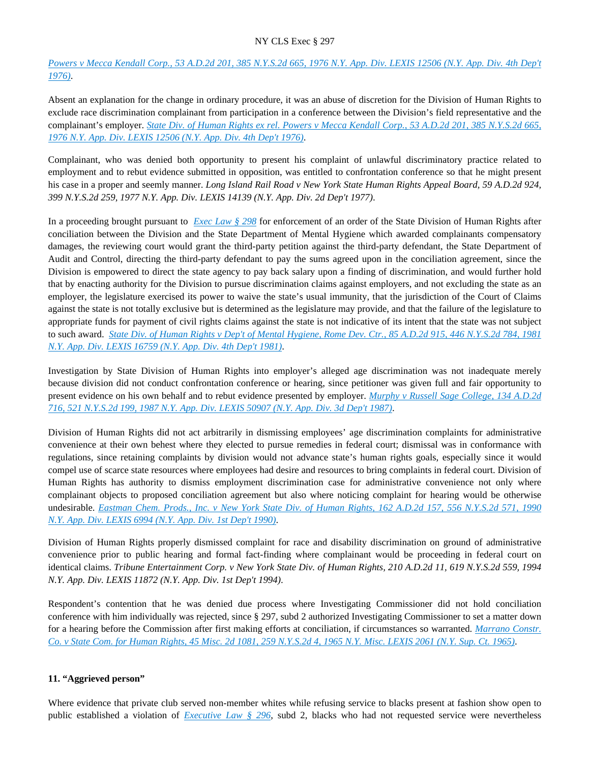*[Powers v Mecca Kendall Corp., 53 A.D.2d 201, 385 N.Y.S.2d 665, 1976 N.Y. App. Div. LEXIS 12506 \(N.Y. App. Div. 4th Dep't](https://advance.lexis.com/api/document?collection=cases&id=urn:contentItem:3RRS-F6K0-003C-F0ST-00000-00&context=)  [1976\)](https://advance.lexis.com/api/document?collection=cases&id=urn:contentItem:3RRS-F6K0-003C-F0ST-00000-00&context=)*.

Absent an explanation for the change in ordinary procedure, it was an abuse of discretion for the Division of Human Rights to exclude race discrimination complainant from participation in a conference between the Division's field representative and the complainant's employer. *[State Div. of Human Rights ex rel. Powers v Mecca Kendall Corp., 53 A.D.2d 201, 385 N.Y.S.2d 665,](https://advance.lexis.com/api/document?collection=cases&id=urn:contentItem:3RRS-F6K0-003C-F0ST-00000-00&context=)  [1976 N.Y. App. Div. LEXIS 12506 \(N.Y. App. Div. 4th Dep't 1976\)](https://advance.lexis.com/api/document?collection=cases&id=urn:contentItem:3RRS-F6K0-003C-F0ST-00000-00&context=)*.

Complainant, who was denied both opportunity to present his complaint of unlawful discriminatory practice related to employment and to rebut evidence submitted in opposition, was entitled to confrontation conference so that he might present his case in a proper and seemly manner. *Long Island Rail Road v New York State Human Rights Appeal Board, 59 A.D.2d 924, 399 N.Y.S.2d 259, 1977 N.Y. App. Div. LEXIS 14139 (N.Y. App. Div. 2d Dep't 1977)*.

In a proceeding brought pursuant to *[Exec Law § 298](https://advance.lexis.com/api/document?collection=statutes-legislation&id=urn:contentItem:5CT3-0SG1-6RDJ-8489-00000-00&context=)* for enforcement of an order of the State Division of Human Rights after conciliation between the Division and the State Department of Mental Hygiene which awarded complainants compensatory damages, the reviewing court would grant the third-party petition against the third-party defendant, the State Department of Audit and Control, directing the third-party defendant to pay the sums agreed upon in the conciliation agreement, since the Division is empowered to direct the state agency to pay back salary upon a finding of discrimination, and would further hold that by enacting authority for the Division to pursue discrimination claims against employers, and not excluding the state as an employer, the legislature exercised its power to waive the state's usual immunity, that the jurisdiction of the Court of Claims against the state is not totally exclusive but is determined as the legislature may provide, and that the failure of the legislature to appropriate funds for payment of civil rights claims against the state is not indicative of its intent that the state was not subject to such award. *[State Div. of Human Rights v Dep't of Mental Hygiene, Rome Dev. Ctr., 85 A.D.2d 915, 446 N.Y.S.2d 784, 1981](https://advance.lexis.com/api/document?collection=cases&id=urn:contentItem:3S3K-2FK0-003D-G43B-00000-00&context=)  [N.Y. App. Div. LEXIS 16759 \(N.Y. App. Div. 4th Dep't 1981\)](https://advance.lexis.com/api/document?collection=cases&id=urn:contentItem:3S3K-2FK0-003D-G43B-00000-00&context=)*.

Investigation by State Division of Human Rights into employer's alleged age discrimination was not inadequate merely because division did not conduct confrontation conference or hearing, since petitioner was given full and fair opportunity to present evidence on his own behalf and to rebut evidence presented by employer. *[Murphy v Russell Sage College, 134 A.D.2d](https://advance.lexis.com/api/document?collection=cases&id=urn:contentItem:3S3K-0720-003D-G36H-00000-00&context=)  [716, 521 N.Y.S.2d 199, 1987 N.Y. App. Div. LEXIS 50907 \(N.Y. App. Div. 3d Dep't 1987\)](https://advance.lexis.com/api/document?collection=cases&id=urn:contentItem:3S3K-0720-003D-G36H-00000-00&context=)*.

Division of Human Rights did not act arbitrarily in dismissing employees' age discrimination complaints for administrative convenience at their own behest where they elected to pursue remedies in federal court; dismissal was in conformance with regulations, since retaining complaints by division would not advance state's human rights goals, especially since it would compel use of scarce state resources where employees had desire and resources to bring complaints in federal court. Division of Human Rights has authority to dismiss employment discrimination case for administrative convenience not only where complainant objects to proposed conciliation agreement but also where noticing complaint for hearing would be otherwise undesirable. *[Eastman Chem. Prods., Inc. v New York State Div. of Human Rights, 162 A.D.2d 157, 556 N.Y.S.2d 571, 1990](https://advance.lexis.com/api/document?collection=cases&id=urn:contentItem:3S2R-9B30-003V-B1DX-00000-00&context=)  [N.Y. App. Div. LEXIS 6994 \(N.Y. App. Div. 1st Dep't 1990\)](https://advance.lexis.com/api/document?collection=cases&id=urn:contentItem:3S2R-9B30-003V-B1DX-00000-00&context=)*.

Division of Human Rights properly dismissed complaint for race and disability discrimination on ground of administrative convenience prior to public hearing and formal fact-finding where complainant would be proceeding in federal court on identical claims. *Tribune Entertainment Corp. v New York State Div. of Human Rights, 210 A.D.2d 11, 619 N.Y.S.2d 559, 1994 N.Y. App. Div. LEXIS 11872 (N.Y. App. Div. 1st Dep't 1994)*.

Respondent's contention that he was denied due process where Investigating Commissioner did not hold conciliation conference with him individually was rejected, since § 297, subd 2 authorized Investigating Commissioner to set a matter down for a hearing before the Commission after first making efforts at conciliation, if circumstances so warranted. *[Marrano Constr.](https://advance.lexis.com/api/document?collection=cases&id=urn:contentItem:3RRS-BTN0-003C-D2RG-00000-00&context=)  [Co. v State Com. for Human Rights, 45 Misc. 2d 1081, 259 N.Y.S.2d 4, 1965 N.Y. Misc. LEXIS 2061 \(N.Y. Sup. Ct. 1965\)](https://advance.lexis.com/api/document?collection=cases&id=urn:contentItem:3RRS-BTN0-003C-D2RG-00000-00&context=)*.

# **11. "Aggrieved person"**

Where evidence that private club served non-member whites while refusing service to blacks present at fashion show open to public established a violation of *[Executive Law § 296](https://advance.lexis.com/api/document?collection=statutes-legislation&id=urn:contentItem:8TP5-PCS2-8T6X-74HS-00000-00&context=)*, subd 2, blacks who had not requested service were nevertheless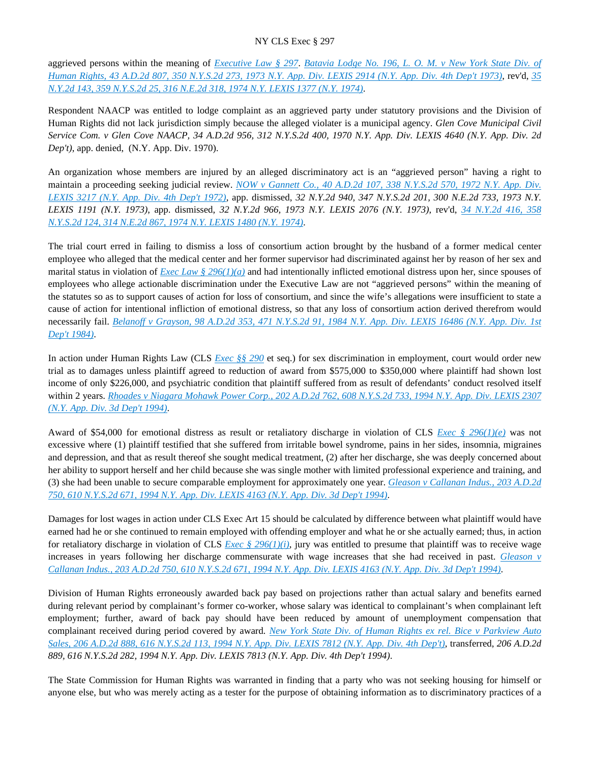aggrieved persons within the meaning of *[Executive Law § 297](https://advance.lexis.com/api/document?collection=statutes-legislation&id=urn:contentItem:5H6N-1CT1-DXC8-036V-00000-00&context=)*. *[Batavia Lodge No. 196, L. O. M. v New York State Div. of](https://advance.lexis.com/api/document?collection=cases&id=urn:contentItem:3RRS-Y6W0-003C-C3N7-00000-00&context=)  [Human Rights, 43 A.D.2d 807, 350 N.Y.S.2d 273, 1973 N.Y. App. Div. LEXIS 2914 \(N.Y. App. Div. 4th Dep't 1973\)](https://advance.lexis.com/api/document?collection=cases&id=urn:contentItem:3RRS-Y6W0-003C-C3N7-00000-00&context=)*, rev'd, *[35](https://advance.lexis.com/api/document?collection=cases&id=urn:contentItem:3RRS-VG20-003C-C0GD-00000-00&context=)  [N.Y.2d 143, 359 N.Y.S.2d 25, 316 N.E.2d 318, 1974 N.Y. LEXIS 1377 \(N.Y. 1974\)](https://advance.lexis.com/api/document?collection=cases&id=urn:contentItem:3RRS-VG20-003C-C0GD-00000-00&context=)*.

Respondent NAACP was entitled to lodge complaint as an aggrieved party under statutory provisions and the Division of Human Rights did not lack jurisdiction simply because the alleged violater is a municipal agency. *Glen Cove Municipal Civil Service Com. v Glen Cove NAACP, 34 A.D.2d 956, 312 N.Y.S.2d 400, 1970 N.Y. App. Div. LEXIS 4640 (N.Y. App. Div. 2d Dep't)*, app. denied, (N.Y. App. Div. 1970).

An organization whose members are injured by an alleged discriminatory act is an "aggrieved person" having a right to maintain a proceeding seeking judicial review. *[NOW v Gannett Co., 40 A.D.2d 107, 338 N.Y.S.2d 570, 1972 N.Y. App. Div.](https://advance.lexis.com/api/document?collection=cases&id=urn:contentItem:3RRS-YFM0-003C-C1XR-00000-00&context=)  [LEXIS 3217 \(N.Y. App. Div. 4th Dep't 1972\)](https://advance.lexis.com/api/document?collection=cases&id=urn:contentItem:3RRS-YFM0-003C-C1XR-00000-00&context=)*, app. dismissed, *32 N.Y.2d 940, 347 N.Y.S.2d 201, 300 N.E.2d 733, 1973 N.Y. LEXIS 1191 (N.Y. 1973)*, app. dismissed, *32 N.Y.2d 966, 1973 N.Y. LEXIS 2076 (N.Y. 1973)*, rev'd, *[34 N.Y.2d 416, 358](https://advance.lexis.com/api/document?collection=cases&id=urn:contentItem:3RRS-VGF0-003C-C0M3-00000-00&context=)  [N.Y.S.2d 124, 314 N.E.2d 867, 1974 N.Y. LEXIS 1480 \(N.Y. 1974\)](https://advance.lexis.com/api/document?collection=cases&id=urn:contentItem:3RRS-VGF0-003C-C0M3-00000-00&context=)*.

The trial court erred in failing to dismiss a loss of consortium action brought by the husband of a former medical center employee who alleged that the medical center and her former supervisor had discriminated against her by reason of her sex and marital status in violation of *[Exec Law § 296\(1\)\(a\)](https://advance.lexis.com/api/document?collection=statutes-legislation&id=urn:contentItem:8TP5-PCS2-8T6X-74HS-00000-00&context=)* and had intentionally inflicted emotional distress upon her, since spouses of employees who allege actionable discrimination under the Executive Law are not "aggrieved persons" within the meaning of the statutes so as to support causes of action for loss of consortium, and since the wife's allegations were insufficient to state a cause of action for intentional infliction of emotional distress, so that any loss of consortium action derived therefrom would necessarily fail. *[Belanoff v Grayson, 98 A.D.2d 353, 471 N.Y.S.2d 91, 1984 N.Y. App. Div. LEXIS 16486 \(N.Y. App. Div. 1st](https://advance.lexis.com/api/document?collection=cases&id=urn:contentItem:3S3K-1X30-003D-G159-00000-00&context=)  [Dep't 1984\)](https://advance.lexis.com/api/document?collection=cases&id=urn:contentItem:3S3K-1X30-003D-G159-00000-00&context=)*.

In action under Human Rights Law (CLS *[Exec §§ 290](https://advance.lexis.com/api/document?collection=statutes-legislation&id=urn:contentItem:5CT3-0SG1-6RDJ-847W-00000-00&context=)* et seq.) for sex discrimination in employment, court would order new trial as to damages unless plaintiff agreed to reduction of award from \$575,000 to \$350,000 where plaintiff had shown lost income of only \$226,000, and psychiatric condition that plaintiff suffered from as result of defendants' conduct resolved itself within 2 years. *[Rhoades v Niagara Mohawk Power Corp., 202 A.D.2d 762, 608 N.Y.S.2d 733, 1994 N.Y. App. Div. LEXIS 2307](https://advance.lexis.com/api/document?collection=cases&id=urn:contentItem:3S2R-71K0-003V-B483-00000-00&context=)  [\(N.Y. App. Div. 3d Dep't 1994\)](https://advance.lexis.com/api/document?collection=cases&id=urn:contentItem:3S2R-71K0-003V-B483-00000-00&context=)*.

Award of \$54,000 for emotional distress as result or retaliatory discharge in violation of CLS *[Exec § 296\(1\)\(e\)](https://advance.lexis.com/api/document?collection=statutes-legislation&id=urn:contentItem:8TP5-PCS2-8T6X-74HS-00000-00&context=)* was not excessive where (1) plaintiff testified that she suffered from irritable bowel syndrome, pains in her sides, insomnia, migraines and depression, and that as result thereof she sought medical treatment, (2) after her discharge, she was deeply concerned about her ability to support herself and her child because she was single mother with limited professional experience and training, and (3) she had been unable to secure comparable employment for approximately one year. *[Gleason v Callanan Indus., 203 A.D.2d](https://advance.lexis.com/api/document?collection=cases&id=urn:contentItem:3S25-R9H0-003V-B2FH-00000-00&context=)  [750, 610 N.Y.S.2d 671, 1994 N.Y. App. Div. LEXIS 4163 \(N.Y. App. Div. 3d Dep't 1994\)](https://advance.lexis.com/api/document?collection=cases&id=urn:contentItem:3S25-R9H0-003V-B2FH-00000-00&context=)*.

Damages for lost wages in action under CLS Exec Art 15 should be calculated by difference between what plaintiff would have earned had he or she continued to remain employed with offending employer and what he or she actually earned; thus, in action for retaliatory discharge in violation of CLS *[Exec § 296\(1\)\(i\)](https://advance.lexis.com/api/document?collection=statutes-legislation&id=urn:contentItem:8TP5-PCS2-8T6X-74HS-00000-00&context=)*, jury was entitled to presume that plaintiff was to receive wage increases in years following her discharge commensurate with wage increases that she had received in past. *Gleason v [Callanan Indus., 203 A.D.2d 750, 610 N.Y.S.2d 671, 1994 N.Y. App. Div. LEXIS 4163 \(N.Y. App. Div. 3d Dep't 1994\)](https://advance.lexis.com/api/document?collection=cases&id=urn:contentItem:3S25-R9H0-003V-B2FH-00000-00&context=)*.

Division of Human Rights erroneously awarded back pay based on projections rather than actual salary and benefits earned during relevant period by complainant's former co-worker, whose salary was identical to complainant's when complainant left employment; further, award of back pay should have been reduced by amount of unemployment compensation that complainant received during period covered by award. *[New York State Div. of Human Rights ex rel. Bice v Parkview Auto](https://advance.lexis.com/api/document?collection=cases&id=urn:contentItem:3S2R-6S20-003V-B1SW-00000-00&context=)  [Sales, 206 A.D.2d 888, 616 N.Y.S.2d 113, 1994 N.Y. App. Div. LEXIS 7812 \(N.Y. App. Div. 4th Dep't\)](https://advance.lexis.com/api/document?collection=cases&id=urn:contentItem:3S2R-6S20-003V-B1SW-00000-00&context=)*, transferred, *206 A.D.2d 889, 616 N.Y.S.2d 282, 1994 N.Y. App. Div. LEXIS 7813 (N.Y. App. Div. 4th Dep't 1994)*.

The State Commission for Human Rights was warranted in finding that a party who was not seeking housing for himself or anyone else, but who was merely acting as a tester for the purpose of obtaining information as to discriminatory practices of a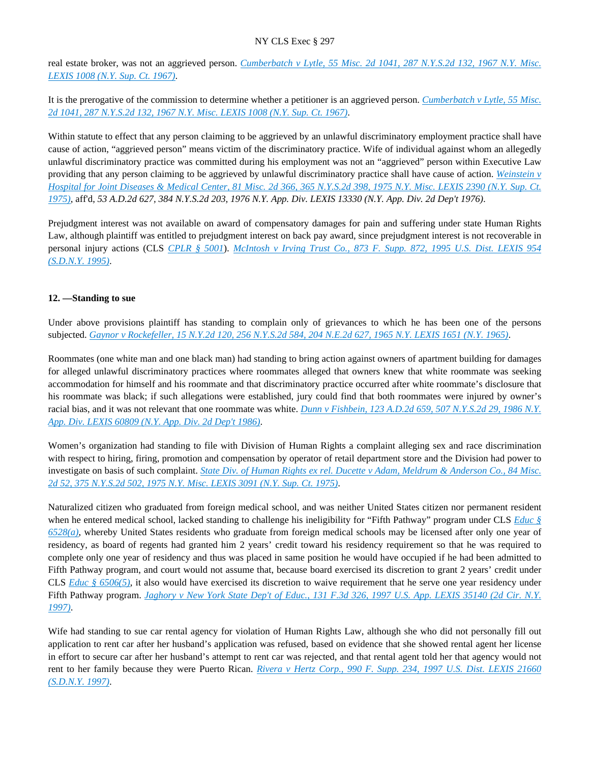real estate broker, was not an aggrieved person. *[Cumberbatch v Lytle, 55 Misc. 2d 1041, 287 N.Y.S.2d 132, 1967 N.Y. Misc.](https://advance.lexis.com/api/document?collection=cases&id=urn:contentItem:3RRS-BFN0-003C-D47R-00000-00&context=)  [LEXIS 1008 \(N.Y. Sup. Ct. 1967\)](https://advance.lexis.com/api/document?collection=cases&id=urn:contentItem:3RRS-BFN0-003C-D47R-00000-00&context=)*.

It is the prerogative of the commission to determine whether a petitioner is an aggrieved person. *[Cumberbatch v Lytle, 55 Misc.](https://advance.lexis.com/api/document?collection=cases&id=urn:contentItem:3RRS-BFN0-003C-D47R-00000-00&context=)  [2d 1041, 287 N.Y.S.2d 132, 1967 N.Y. Misc. LEXIS 1008 \(N.Y. Sup. Ct. 1967\)](https://advance.lexis.com/api/document?collection=cases&id=urn:contentItem:3RRS-BFN0-003C-D47R-00000-00&context=)*.

Within statute to effect that any person claiming to be aggrieved by an unlawful discriminatory employment practice shall have cause of action, "aggrieved person" means victim of the discriminatory practice. Wife of individual against whom an allegedly unlawful discriminatory practice was committed during his employment was not an "aggrieved" person within Executive Law providing that any person claiming to be aggrieved by unlawful discriminatory practice shall have cause of action. *[Weinstein v](https://advance.lexis.com/api/document?collection=cases&id=urn:contentItem:3RRS-9HW0-003C-D04T-00000-00&context=)  [Hospital for Joint Diseases & Medical Center, 81 Misc. 2d 366, 365 N.Y.S.2d 398, 1975 N.Y. Misc. LEXIS 2390 \(N.Y. Sup. Ct.](https://advance.lexis.com/api/document?collection=cases&id=urn:contentItem:3RRS-9HW0-003C-D04T-00000-00&context=)  [1975\)](https://advance.lexis.com/api/document?collection=cases&id=urn:contentItem:3RRS-9HW0-003C-D04T-00000-00&context=)*, aff'd, *53 A.D.2d 627, 384 N.Y.S.2d 203, 1976 N.Y. App. Div. LEXIS 13330 (N.Y. App. Div. 2d Dep't 1976)*.

Prejudgment interest was not available on award of compensatory damages for pain and suffering under state Human Rights Law, although plaintiff was entitled to prejudgment interest on back pay award, since prejudgment interest is not recoverable in personal injury actions (CLS *[CPLR § 5001](https://advance.lexis.com/api/document?collection=statutes-legislation&id=urn:contentItem:5CT3-08C1-6RDJ-84SM-00000-00&context=)*). *[McIntosh v Irving Trust Co., 873 F. Supp. 872, 1995 U.S. Dist. LEXIS 954](https://advance.lexis.com/api/document?collection=cases&id=urn:contentItem:3S4N-V3M0-001T-54HT-00000-00&context=)  [\(S.D.N.Y. 1995\)](https://advance.lexis.com/api/document?collection=cases&id=urn:contentItem:3S4N-V3M0-001T-54HT-00000-00&context=)*.

# **12. —Standing to sue**

Under above provisions plaintiff has standing to complain only of grievances to which he has been one of the persons subjected. *[Gaynor v Rockefeller, 15 N.Y.2d 120, 256 N.Y.S.2d 584, 204 N.E.2d 627, 1965 N.Y. LEXIS 1651 \(N.Y. 1965\)](https://advance.lexis.com/api/document?collection=cases&id=urn:contentItem:3RRS-WJY0-003C-C4M2-00000-00&context=)*.

Roommates (one white man and one black man) had standing to bring action against owners of apartment building for damages for alleged unlawful discriminatory practices where roommates alleged that owners knew that white roommate was seeking accommodation for himself and his roommate and that discriminatory practice occurred after white roommate's disclosure that his roommate was black; if such allegations were established, jury could find that both roommates were injured by owner's racial bias, and it was not relevant that one roommate was white. *[Dunn v Fishbein, 123 A.D.2d 659, 507 N.Y.S.2d 29, 1986 N.Y.](https://advance.lexis.com/api/document?collection=cases&id=urn:contentItem:3S3K-0SR0-003D-G2YK-00000-00&context=)  [App. Div. LEXIS 60809 \(N.Y. App. Div. 2d Dep't 1986\)](https://advance.lexis.com/api/document?collection=cases&id=urn:contentItem:3S3K-0SR0-003D-G2YK-00000-00&context=)*.

Women's organization had standing to file with Division of Human Rights a complaint alleging sex and race discrimination with respect to hiring, firing, promotion and compensation by operator of retail department store and the Division had power to investigate on basis of such complaint. *[State Div. of Human Rights ex rel. Ducette v Adam, Meldrum & Anderson Co., 84 Misc.](https://advance.lexis.com/api/document?collection=cases&id=urn:contentItem:3RRS-H4C0-003C-F1MG-00000-00&context=)  [2d 52, 375 N.Y.S.2d 502, 1975 N.Y. Misc. LEXIS 3091 \(N.Y. Sup. Ct. 1975\)](https://advance.lexis.com/api/document?collection=cases&id=urn:contentItem:3RRS-H4C0-003C-F1MG-00000-00&context=)*.

Naturalized citizen who graduated from foreign medical school, and was neither United States citizen nor permanent resident when he entered medical school, lacked standing to challenge his ineligibility for "Fifth Pathway" program under CLS *[Educ §](https://advance.lexis.com/api/document?collection=statutes-legislation&id=urn:contentItem:5CT3-0JC1-6RDJ-843H-00000-00&context=)  [6528\(a\)](https://advance.lexis.com/api/document?collection=statutes-legislation&id=urn:contentItem:5CT3-0JC1-6RDJ-843H-00000-00&context=)*, whereby United States residents who graduate from foreign medical schools may be licensed after only one year of residency, as board of regents had granted him 2 years' credit toward his residency requirement so that he was required to complete only one year of residency and thus was placed in same position he would have occupied if he had been admitted to Fifth Pathway program, and court would not assume that, because board exercised its discretion to grant 2 years' credit under CLS *[Educ § 6506\(5\)](https://advance.lexis.com/api/document?collection=statutes-legislation&id=urn:contentItem:5CT3-0JC1-6RDJ-8429-00000-00&context=)*, it also would have exercised its discretion to waive requirement that he serve one year residency under Fifth Pathway program. *[Jaghory v New York State Dep't of Educ., 131 F.3d 326, 1997 U.S. App. LEXIS 35140 \(2d Cir. N.Y.](https://advance.lexis.com/api/document?collection=cases&id=urn:contentItem:3RJX-J6G0-0038-X08B-00000-00&context=)  [1997\)](https://advance.lexis.com/api/document?collection=cases&id=urn:contentItem:3RJX-J6G0-0038-X08B-00000-00&context=)*.

Wife had standing to sue car rental agency for violation of Human Rights Law, although she who did not personally fill out application to rent car after her husband's application was refused, based on evidence that she showed rental agent her license in effort to secure car after her husband's attempt to rent car was rejected, and that rental agent told her that agency would not rent to her family because they were Puerto Rican. *[Rivera v Hertz Corp., 990 F. Supp. 234, 1997 U.S. Dist. LEXIS 21660](https://advance.lexis.com/api/document?collection=cases&id=urn:contentItem:3S0S-86C0-0038-Y32V-00000-00&context=)  [\(S.D.N.Y. 1997\)](https://advance.lexis.com/api/document?collection=cases&id=urn:contentItem:3S0S-86C0-0038-Y32V-00000-00&context=)*.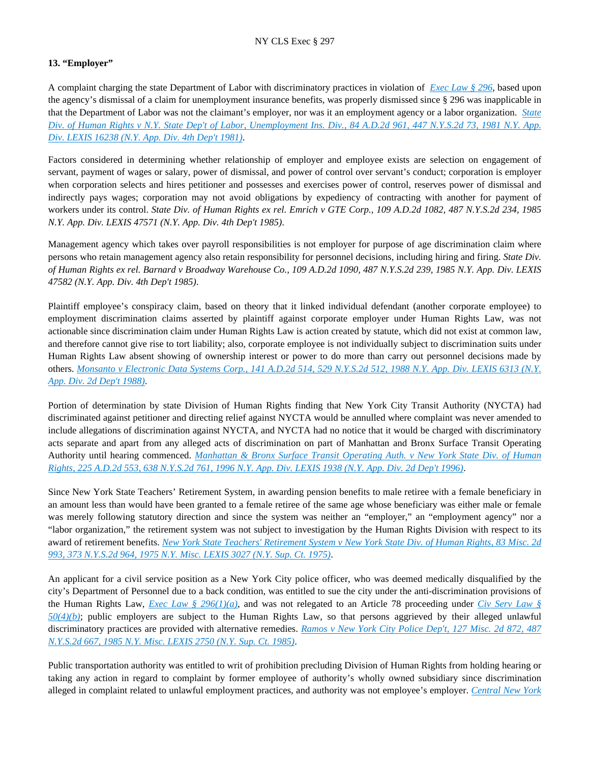# **13. "Employer"**

A complaint charging the state Department of Labor with discriminatory practices in violation of *[Exec Law § 296](https://advance.lexis.com/api/document?collection=statutes-legislation&id=urn:contentItem:8TP5-PCS2-8T6X-74HS-00000-00&context=)*, based upon the agency's dismissal of a claim for unemployment insurance benefits, was properly dismissed since § 296 was inapplicable in that the Department of Labor was not the claimant's employer, nor was it an employment agency or a labor organization. *[State](https://advance.lexis.com/api/document?collection=cases&id=urn:contentItem:3S3K-2GK0-003D-G51K-00000-00&context=)  [Div. of Human Rights v N.Y. State Dep't of Labor, Unemployment Ins. Div., 84 A.D.2d 961, 447 N.Y.S.2d 73, 1981 N.Y. App.](https://advance.lexis.com/api/document?collection=cases&id=urn:contentItem:3S3K-2GK0-003D-G51K-00000-00&context=)  [Div. LEXIS 16238 \(N.Y. App. Div. 4th Dep't 1981\)](https://advance.lexis.com/api/document?collection=cases&id=urn:contentItem:3S3K-2GK0-003D-G51K-00000-00&context=)*.

Factors considered in determining whether relationship of employer and employee exists are selection on engagement of servant, payment of wages or salary, power of dismissal, and power of control over servant's conduct; corporation is employer when corporation selects and hires petitioner and possesses and exercises power of control, reserves power of dismissal and indirectly pays wages; corporation may not avoid obligations by expediency of contracting with another for payment of workers under its control. *State Div. of Human Rights ex rel. Emrich v GTE Corp., 109 A.D.2d 1082, 487 N.Y.S.2d 234, 1985 N.Y. App. Div. LEXIS 47571 (N.Y. App. Div. 4th Dep't 1985)*.

Management agency which takes over payroll responsibilities is not employer for purpose of age discrimination claim where persons who retain management agency also retain responsibility for personnel decisions, including hiring and firing. *State Div. of Human Rights ex rel. Barnard v Broadway Warehouse Co., 109 A.D.2d 1090, 487 N.Y.S.2d 239, 1985 N.Y. App. Div. LEXIS 47582 (N.Y. App. Div. 4th Dep't 1985)*.

Plaintiff employee's conspiracy claim, based on theory that it linked individual defendant (another corporate employee) to employment discrimination claims asserted by plaintiff against corporate employer under Human Rights Law, was not actionable since discrimination claim under Human Rights Law is action created by statute, which did not exist at common law, and therefore cannot give rise to tort liability; also, corporate employee is not individually subject to discrimination suits under Human Rights Law absent showing of ownership interest or power to do more than carry out personnel decisions made by others. *[Monsanto v Electronic Data Systems Corp., 141 A.D.2d 514, 529 N.Y.S.2d 512, 1988 N.Y. App. Div. LEXIS 6313 \(N.Y.](https://advance.lexis.com/api/document?collection=cases&id=urn:contentItem:3S3J-YWW0-003D-G2HN-00000-00&context=)  [App. Div. 2d Dep't 1988\)](https://advance.lexis.com/api/document?collection=cases&id=urn:contentItem:3S3J-YWW0-003D-G2HN-00000-00&context=)*.

Portion of determination by state Division of Human Rights finding that New York City Transit Authority (NYCTA) had discriminated against petitioner and directing relief against NYCTA would be annulled where complaint was never amended to include allegations of discrimination against NYCTA, and NYCTA had no notice that it would be charged with discriminatory acts separate and apart from any alleged acts of discrimination on part of Manhattan and Bronx Surface Transit Operating Authority until hearing commenced. *[Manhattan & Bronx Surface Transit Operating Auth. v New York State Div. of Human](https://advance.lexis.com/api/document?collection=cases&id=urn:contentItem:3S2R-5V00-003V-B0SW-00000-00&context=)  [Rights, 225 A.D.2d 553, 638 N.Y.S.2d 761, 1996 N.Y. App. Div. LEXIS 1938 \(N.Y. App. Div. 2d Dep't 1996\)](https://advance.lexis.com/api/document?collection=cases&id=urn:contentItem:3S2R-5V00-003V-B0SW-00000-00&context=)*.

Since New York State Teachers' Retirement System, in awarding pension benefits to male retiree with a female beneficiary in an amount less than would have been granted to a female retiree of the same age whose beneficiary was either male or female was merely following statutory direction and since the system was neither an "employer," an "employment agency" nor a "labor organization," the retirement system was not subject to investigation by the Human Rights Division with respect to its award of retirement benefits. *[New York State Teachers' Retirement System v New York State Div. of Human Rights, 83 Misc. 2d](https://advance.lexis.com/api/document?collection=cases&id=urn:contentItem:3RRS-H440-003C-F1JY-00000-00&context=)  [993, 373 N.Y.S.2d 964, 1975 N.Y. Misc. LEXIS 3027 \(N.Y. Sup. Ct. 1975\)](https://advance.lexis.com/api/document?collection=cases&id=urn:contentItem:3RRS-H440-003C-F1JY-00000-00&context=)*.

An applicant for a civil service position as a New York City police officer, who was deemed medically disqualified by the city's Department of Personnel due to a back condition, was entitled to sue the city under the anti-discrimination provisions of the Human Rights Law, *[Exec Law § 296\(1\)\(a\)](https://advance.lexis.com/api/document?collection=statutes-legislation&id=urn:contentItem:8TP5-PCS2-8T6X-74HS-00000-00&context=)*, and was not relegated to an Article 78 proceeding under *[Civ Serv Law §](https://advance.lexis.com/api/document?collection=statutes-legislation&id=urn:contentItem:8RHY-PY32-D6RV-H3D7-00000-00&context=)  [50\(4\)\(b\)](https://advance.lexis.com/api/document?collection=statutes-legislation&id=urn:contentItem:8RHY-PY32-D6RV-H3D7-00000-00&context=)*; public employers are subject to the Human Rights Law, so that persons aggrieved by their alleged unlawful discriminatory practices are provided with alternative remedies. *Ramos v New York City Police Dep't, 127 Misc. 2d 872, 487 [N.Y.S.2d 667, 1985 N.Y. Misc. LEXIS 2750 \(N.Y. Sup. Ct. 1985\)](https://advance.lexis.com/api/document?collection=cases&id=urn:contentItem:3S3K-2VY0-003D-G0MJ-00000-00&context=)*.

Public transportation authority was entitled to writ of prohibition precluding Division of Human Rights from holding hearing or taking any action in regard to complaint by former employee of authority's wholly owned subsidiary since discrimination alleged in complaint related to unlawful employment practices, and authority was not employee's employer. *[Central New York](https://advance.lexis.com/api/document?collection=cases&id=urn:contentItem:3S2R-BDS0-003V-B0D0-00000-00&context=)*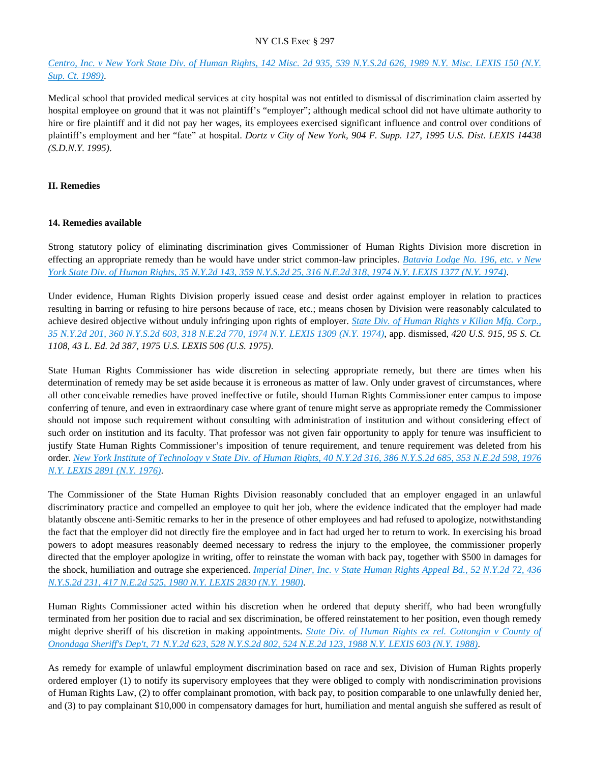# *[Centro, Inc. v New York State Div. of Human Rights, 142 Misc. 2d 935, 539 N.Y.S.2d 626, 1989 N.Y. Misc. LEXIS 150 \(N.Y.](https://advance.lexis.com/api/document?collection=cases&id=urn:contentItem:3S2R-BDS0-003V-B0D0-00000-00&context=)  [Sup. Ct. 1989\)](https://advance.lexis.com/api/document?collection=cases&id=urn:contentItem:3S2R-BDS0-003V-B0D0-00000-00&context=)*.

Medical school that provided medical services at city hospital was not entitled to dismissal of discrimination claim asserted by hospital employee on ground that it was not plaintiff's "employer"; although medical school did not have ultimate authority to hire or fire plaintiff and it did not pay her wages, its employees exercised significant influence and control over conditions of plaintiff's employment and her "fate" at hospital. *Dortz v City of New York, 904 F. Supp. 127, 1995 U.S. Dist. LEXIS 14438 (S.D.N.Y. 1995)*.

# **II. Remedies**

# **14. Remedies available**

Strong statutory policy of eliminating discrimination gives Commissioner of Human Rights Division more discretion in effecting an appropriate remedy than he would have under strict common-law principles. *[Batavia Lodge No. 196, etc. v New](https://advance.lexis.com/api/document?collection=cases&id=urn:contentItem:3RRS-VG20-003C-C0GD-00000-00&context=)  [York State Div. of Human Rights, 35 N.Y.2d 143, 359 N.Y.S.2d 25, 316 N.E.2d 318, 1974 N.Y. LEXIS 1377 \(N.Y. 1974\)](https://advance.lexis.com/api/document?collection=cases&id=urn:contentItem:3RRS-VG20-003C-C0GD-00000-00&context=)*.

Under evidence, Human Rights Division properly issued cease and desist order against employer in relation to practices resulting in barring or refusing to hire persons because of race, etc.; means chosen by Division were reasonably calculated to achieve desired objective without unduly infringing upon rights of employer. *[State Div. of Human Rights v Kilian Mfg. Corp.,](https://advance.lexis.com/api/document?collection=cases&id=urn:contentItem:3RRS-VFS0-003C-C0D0-00000-00&context=)  [35 N.Y.2d 201, 360 N.Y.S.2d 603, 318 N.E.2d 770, 1974 N.Y. LEXIS 1309 \(N.Y. 1974\)](https://advance.lexis.com/api/document?collection=cases&id=urn:contentItem:3RRS-VFS0-003C-C0D0-00000-00&context=)*, app. dismissed, *420 U.S. 915, 95 S. Ct. 1108, 43 L. Ed. 2d 387, 1975 U.S. LEXIS 506 (U.S. 1975)*.

State Human Rights Commissioner has wide discretion in selecting appropriate remedy, but there are times when his determination of remedy may be set aside because it is erroneous as matter of law. Only under gravest of circumstances, where all other conceivable remedies have proved ineffective or futile, should Human Rights Commissioner enter campus to impose conferring of tenure, and even in extraordinary case where grant of tenure might serve as appropriate remedy the Commissioner should not impose such requirement without consulting with administration of institution and without considering effect of such order on institution and its faculty. That professor was not given fair opportunity to apply for tenure was insufficient to justify State Human Rights Commissioner's imposition of tenure requirement, and tenure requirement was deleted from his order. *[New York Institute of Technology v State Div. of Human Rights, 40 N.Y.2d 316, 386 N.Y.S.2d 685, 353 N.E.2d 598, 1976](https://advance.lexis.com/api/document?collection=cases&id=urn:contentItem:3RRS-B6V0-003C-F01X-00000-00&context=)  [N.Y. LEXIS 2891 \(N.Y. 1976\)](https://advance.lexis.com/api/document?collection=cases&id=urn:contentItem:3RRS-B6V0-003C-F01X-00000-00&context=)*.

The Commissioner of the State Human Rights Division reasonably concluded that an employer engaged in an unlawful discriminatory practice and compelled an employee to quit her job, where the evidence indicated that the employer had made blatantly obscene anti-Semitic remarks to her in the presence of other employees and had refused to apologize, notwithstanding the fact that the employer did not directly fire the employee and in fact had urged her to return to work. In exercising his broad powers to adopt measures reasonably deemed necessary to redress the injury to the employee, the commissioner properly directed that the employer apologize in writing, offer to reinstate the woman with back pay, together with \$500 in damages for the shock, humiliation and outrage she experienced. *[Imperial Diner, Inc. v State Human Rights Appeal Bd., 52 N.Y.2d 72, 436](https://advance.lexis.com/api/document?collection=cases&id=urn:contentItem:3RRS-9RK0-003C-F0SK-00000-00&context=)  [N.Y.S.2d 231, 417 N.E.2d 525, 1980 N.Y. LEXIS 2830 \(N.Y. 1980\)](https://advance.lexis.com/api/document?collection=cases&id=urn:contentItem:3RRS-9RK0-003C-F0SK-00000-00&context=)*.

Human Rights Commissioner acted within his discretion when he ordered that deputy sheriff, who had been wrongfully terminated from her position due to racial and sex discrimination, be offered reinstatement to her position, even though remedy might deprive sheriff of his discretion in making appointments. *[State Div. of Human Rights ex rel. Cottongim v County of](https://advance.lexis.com/api/document?collection=cases&id=urn:contentItem:3S3J-XM20-003D-G2YH-00000-00&context=)  [Onondaga Sheriff's Dep't, 71 N.Y.2d 623, 528 N.Y.S.2d 802, 524 N.E.2d 123, 1988 N.Y. LEXIS 603 \(N.Y. 1988\)](https://advance.lexis.com/api/document?collection=cases&id=urn:contentItem:3S3J-XM20-003D-G2YH-00000-00&context=)*.

As remedy for example of unlawful employment discrimination based on race and sex, Division of Human Rights properly ordered employer (1) to notify its supervisory employees that they were obliged to comply with nondiscrimination provisions of Human Rights Law, (2) to offer complainant promotion, with back pay, to position comparable to one unlawfully denied her, and (3) to pay complainant \$10,000 in compensatory damages for hurt, humiliation and mental anguish she suffered as result of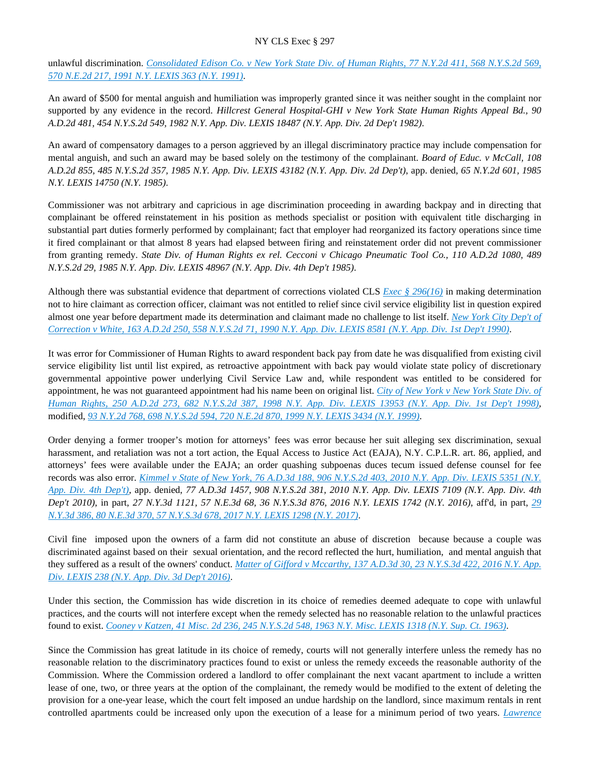unlawful discrimination. *[Consolidated Edison Co. v New York State Div. of Human Rights, 77 N.Y.2d 411, 568 N.Y.S.2d 569,](https://advance.lexis.com/api/document?collection=cases&id=urn:contentItem:3S2R-8PG0-003V-B117-00000-00&context=)  [570 N.E.2d 217, 1991 N.Y. LEXIS 363 \(N.Y. 1991\)](https://advance.lexis.com/api/document?collection=cases&id=urn:contentItem:3S2R-8PG0-003V-B117-00000-00&context=)*.

An award of \$500 for mental anguish and humiliation was improperly granted since it was neither sought in the complaint nor supported by any evidence in the record. *Hillcrest General Hospital-GHI v New York State Human Rights Appeal Bd., 90 A.D.2d 481, 454 N.Y.S.2d 549, 1982 N.Y. App. Div. LEXIS 18487 (N.Y. App. Div. 2d Dep't 1982)*.

An award of compensatory damages to a person aggrieved by an illegal discriminatory practice may include compensation for mental anguish, and such an award may be based solely on the testimony of the complainant. *Board of Educ. v McCall, 108 A.D.2d 855, 485 N.Y.S.2d 357, 1985 N.Y. App. Div. LEXIS 43182 (N.Y. App. Div. 2d Dep't)*, app. denied, *65 N.Y.2d 601, 1985 N.Y. LEXIS 14750 (N.Y. 1985)*.

Commissioner was not arbitrary and capricious in age discrimination proceeding in awarding backpay and in directing that complainant be offered reinstatement in his position as methods specialist or position with equivalent title discharging in substantial part duties formerly performed by complainant; fact that employer had reorganized its factory operations since time it fired complainant or that almost 8 years had elapsed between firing and reinstatement order did not prevent commissioner from granting remedy. *State Div. of Human Rights ex rel. Cecconi v Chicago Pneumatic Tool Co., 110 A.D.2d 1080, 489 N.Y.S.2d 29, 1985 N.Y. App. Div. LEXIS 48967 (N.Y. App. Div. 4th Dep't 1985)*.

Although there was substantial evidence that department of corrections violated CLS *[Exec § 296\(16\)](https://advance.lexis.com/api/document?collection=statutes-legislation&id=urn:contentItem:8TP5-PCS2-8T6X-74HS-00000-00&context=)* in making determination not to hire claimant as correction officer, claimant was not entitled to relief since civil service eligibility list in question expired almost one year before department made its determination and claimant made no challenge to list itself. *[New York City Dep't of](https://advance.lexis.com/api/document?collection=cases&id=urn:contentItem:3S2R-96C0-003V-B2MX-00000-00&context=)  [Correction v White, 163 A.D.2d 250, 558 N.Y.S.2d 71, 1990 N.Y. App. Div. LEXIS 8581 \(N.Y. App. Div. 1st Dep't 1990\)](https://advance.lexis.com/api/document?collection=cases&id=urn:contentItem:3S2R-96C0-003V-B2MX-00000-00&context=)*.

It was error for Commissioner of Human Rights to award respondent back pay from date he was disqualified from existing civil service eligibility list until list expired, as retroactive appointment with back pay would violate state policy of discretionary governmental appointive power underlying Civil Service Law and, while respondent was entitled to be considered for appointment, he was not guaranteed appointment had his name been on original list. *[City of New York v New York State Div. of](https://advance.lexis.com/api/document?collection=cases&id=urn:contentItem:3VF9-HY70-0039-40K1-00000-00&context=)  [Human Rights, 250 A.D.2d 273, 682 N.Y.S.2d 387, 1998 N.Y. App. Div. LEXIS 13953 \(N.Y. App. Div. 1st Dep't 1998\)](https://advance.lexis.com/api/document?collection=cases&id=urn:contentItem:3VF9-HY70-0039-40K1-00000-00&context=)*, modified, *[93 N.Y.2d 768, 698 N.Y.S.2d 594, 720 N.E.2d 870, 1999 N.Y. LEXIS 3434 \(N.Y. 1999\)](https://advance.lexis.com/api/document?collection=cases&id=urn:contentItem:3XP0-5F50-0039-43W0-00000-00&context=)*.

Order denying a former trooper's motion for attorneys' fees was error because her suit alleging sex discrimination, sexual harassment, and retaliation was not a tort action, the Equal Access to Justice Act (EAJA), N.Y. C.P.L.R. art. 86, applied, and attorneys' fees were available under the EAJA; an order quashing subpoenas duces tecum issued defense counsel for fee records was also error. *[Kimmel v State of New York, 76 A.D.3d 188, 906 N.Y.S.2d 403, 2010 N.Y. App. Div. LEXIS 5351 \(N.Y.](https://advance.lexis.com/api/document?collection=cases&id=urn:contentItem:7YRD-KH40-YB0T-30FY-00000-00&context=)  [App. Div. 4th Dep't\)](https://advance.lexis.com/api/document?collection=cases&id=urn:contentItem:7YRD-KH40-YB0T-30FY-00000-00&context=)*, app. denied, *77 A.D.3d 1457, 908 N.Y.S.2d 381, 2010 N.Y. App. Div. LEXIS 7109 (N.Y. App. Div. 4th Dep't 2010)*, in part, *27 N.Y.3d 1121, 57 N.E.3d 68, 36 N.Y.S.3d 876, 2016 N.Y. LEXIS 1742 (N.Y. 2016)*, aff'd, in part, *[29](https://advance.lexis.com/api/document?collection=cases&id=urn:contentItem:5NH3-K2G1-F04J-60K9-00000-00&context=)  [N.Y.3d 386, 80 N.E.3d 370, 57 N.Y.S.3d 678, 2017 N.Y. LEXIS 1298 \(N.Y. 2017\)](https://advance.lexis.com/api/document?collection=cases&id=urn:contentItem:5NH3-K2G1-F04J-60K9-00000-00&context=)*.

Civil fine imposed upon the owners of a farm did not constitute an abuse of discretion because because a couple was discriminated against based on their sexual orientation, and the record reflected the hurt, humiliation, and mental anguish that they suffered as a result of the owners' conduct. *[Matter of Gifford v Mccarthy, 137 A.D.3d 30, 23 N.Y.S.3d 422, 2016 N.Y. App.](https://advance.lexis.com/api/document?collection=cases&id=urn:contentItem:5HVJ-4741-F04J-71XX-00000-00&context=)  [Div. LEXIS 238 \(N.Y. App. Div. 3d Dep't 2016\)](https://advance.lexis.com/api/document?collection=cases&id=urn:contentItem:5HVJ-4741-F04J-71XX-00000-00&context=)*.

Under this section, the Commission has wide discretion in its choice of remedies deemed adequate to cope with unlawful practices, and the courts will not interfere except when the remedy selected has no reasonable relation to the unlawful practices found to exist. *[Cooney v Katzen, 41 Misc. 2d 236, 245 N.Y.S.2d 548, 1963 N.Y. Misc. LEXIS 1318 \(N.Y. Sup. Ct. 1963\)](https://advance.lexis.com/api/document?collection=cases&id=urn:contentItem:3RRS-C0T0-003C-D4RT-00000-00&context=)*.

Since the Commission has great latitude in its choice of remedy, courts will not generally interfere unless the remedy has no reasonable relation to the discriminatory practices found to exist or unless the remedy exceeds the reasonable authority of the Commission. Where the Commission ordered a landlord to offer complainant the next vacant apartment to include a written lease of one, two, or three years at the option of the complainant, the remedy would be modified to the extent of deleting the provision for a one-year lease, which the court felt imposed an undue hardship on the landlord, since maximum rentals in rent controlled apartments could be increased only upon the execution of a lease for a minimum period of two years. *[Lawrence](https://advance.lexis.com/api/document?collection=cases&id=urn:contentItem:3RRS-BK10-003C-D079-00000-00&context=)*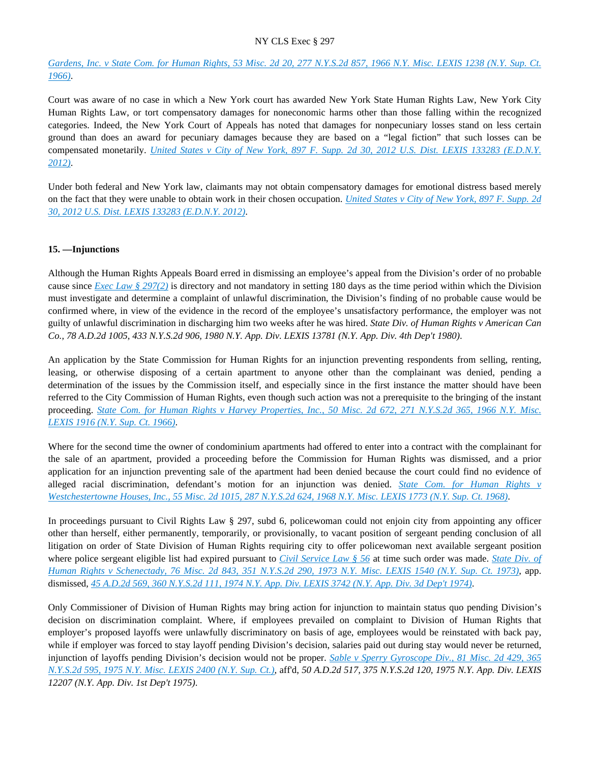*[Gardens, Inc. v State Com. for Human Rights, 53 Misc. 2d 20, 277 N.Y.S.2d 857, 1966 N.Y. Misc. LEXIS 1238 \(N.Y. Sup. Ct.](https://advance.lexis.com/api/document?collection=cases&id=urn:contentItem:3RRS-BK10-003C-D079-00000-00&context=)  [1966\)](https://advance.lexis.com/api/document?collection=cases&id=urn:contentItem:3RRS-BK10-003C-D079-00000-00&context=)*.

Court was aware of no case in which a New York court has awarded New York State Human Rights Law, New York City Human Rights Law, or tort compensatory damages for noneconomic harms other than those falling within the recognized categories. Indeed, the New York Court of Appeals has noted that damages for nonpecuniary losses stand on less certain ground than does an award for pecuniary damages because they are based on a "legal fiction" that such losses can be compensated monetarily. *[United States v City of New York, 897 F. Supp. 2d 30, 2012 U.S. Dist. LEXIS 133283 \(E.D.N.Y.](https://advance.lexis.com/api/document?collection=cases&id=urn:contentItem:56M0-X2P1-F04F-01W0-00000-00&context=)  [2012\)](https://advance.lexis.com/api/document?collection=cases&id=urn:contentItem:56M0-X2P1-F04F-01W0-00000-00&context=)*.

Under both federal and New York law, claimants may not obtain compensatory damages for emotional distress based merely on the fact that they were unable to obtain work in their chosen occupation. *[United States v City of New York, 897 F. Supp. 2d](https://advance.lexis.com/api/document?collection=cases&id=urn:contentItem:56M0-X2P1-F04F-01W0-00000-00&context=)  [30, 2012 U.S. Dist. LEXIS 133283 \(E.D.N.Y. 2012\)](https://advance.lexis.com/api/document?collection=cases&id=urn:contentItem:56M0-X2P1-F04F-01W0-00000-00&context=)*.

#### **15. —Injunctions**

Although the Human Rights Appeals Board erred in dismissing an employee's appeal from the Division's order of no probable cause since *[Exec Law § 297\(2\)](https://advance.lexis.com/api/document?collection=statutes-legislation&id=urn:contentItem:5H6N-1CT1-DXC8-036V-00000-00&context=)* is directory and not mandatory in setting 180 days as the time period within which the Division must investigate and determine a complaint of unlawful discrimination, the Division's finding of no probable cause would be confirmed where, in view of the evidence in the record of the employee's unsatisfactory performance, the employer was not guilty of unlawful discrimination in discharging him two weeks after he was hired. *State Div. of Human Rights v American Can Co., 78 A.D.2d 1005, 433 N.Y.S.2d 906, 1980 N.Y. App. Div. LEXIS 13781 (N.Y. App. Div. 4th Dep't 1980)*.

An application by the State Commission for Human Rights for an injunction preventing respondents from selling, renting, leasing, or otherwise disposing of a certain apartment to anyone other than the complainant was denied, pending a determination of the issues by the Commission itself, and especially since in the first instance the matter should have been referred to the City Commission of Human Rights, even though such action was not a prerequisite to the bringing of the instant proceeding. *[State Com. for Human Rights v Harvey Properties, Inc., 50 Misc. 2d 672, 271 N.Y.S.2d 365, 1966 N.Y. Misc.](https://advance.lexis.com/api/document?collection=cases&id=urn:contentItem:3RRS-BNF0-003C-D13H-00000-00&context=)  [LEXIS 1916 \(N.Y. Sup. Ct. 1966\)](https://advance.lexis.com/api/document?collection=cases&id=urn:contentItem:3RRS-BNF0-003C-D13H-00000-00&context=)*.

Where for the second time the owner of condominium apartments had offered to enter into a contract with the complainant for the sale of an apartment, provided a proceeding before the Commission for Human Rights was dismissed, and a prior application for an injunction preventing sale of the apartment had been denied because the court could find no evidence of alleged racial discrimination, defendant's motion for an injunction was denied. *[State Com. for Human Rights v](https://advance.lexis.com/api/document?collection=cases&id=urn:contentItem:3RRS-BF40-003C-D42B-00000-00&context=)  [Westchestertowne Houses, Inc., 55 Misc. 2d 1015, 287 N.Y.S.2d 624, 1968 N.Y. Misc. LEXIS 1773 \(N.Y. Sup. Ct. 1968\)](https://advance.lexis.com/api/document?collection=cases&id=urn:contentItem:3RRS-BF40-003C-D42B-00000-00&context=)*.

In proceedings pursuant to Civil Rights Law § 297, subd 6, policewoman could not enjoin city from appointing any officer other than herself, either permanently, temporarily, or provisionally, to vacant position of sergeant pending conclusion of all litigation on order of State Division of Human Rights requiring city to offer policewoman next available sergeant position where police sergeant eligible list had expired pursuant to *[Civil Service Law § 56](https://advance.lexis.com/api/document?collection=statutes-legislation&id=urn:contentItem:5CT3-0D01-6RDJ-84GC-00000-00&context=)* at time such order was made. *[State Div. of](https://advance.lexis.com/api/document?collection=cases&id=urn:contentItem:3RRS-9N40-003C-D1KV-00000-00&context=)  [Human Rights v Schenectady, 76 Misc. 2d 843, 351 N.Y.S.2d 290, 1973 N.Y. Misc. LEXIS 1540 \(N.Y. Sup. Ct. 1973\)](https://advance.lexis.com/api/document?collection=cases&id=urn:contentItem:3RRS-9N40-003C-D1KV-00000-00&context=)*, app. dismissed, *[45 A.D.2d 569, 360 N.Y.S.2d 111, 1974 N.Y. App. Div. LEXIS 3742 \(N.Y. App. Div. 3d Dep't 1974\)](https://advance.lexis.com/api/document?collection=cases&id=urn:contentItem:3RRS-Y0H0-003C-C0JS-00000-00&context=)*.

Only Commissioner of Division of Human Rights may bring action for injunction to maintain status quo pending Division's decision on discrimination complaint. Where, if employees prevailed on complaint to Division of Human Rights that employer's proposed layoffs were unlawfully discriminatory on basis of age, employees would be reinstated with back pay, while if employer was forced to stay layoff pending Division's decision, salaries paid out during stay would never be returned, injunction of layoffs pending Division's decision would not be proper. *[Sable v Sperry Gyroscope Div., 81 Misc. 2d 429, 365](https://advance.lexis.com/api/document?collection=cases&id=urn:contentItem:3RRS-9HY0-003C-D05V-00000-00&context=)  [N.Y.S.2d 595, 1975 N.Y. Misc. LEXIS 2400 \(N.Y. Sup. Ct.\)](https://advance.lexis.com/api/document?collection=cases&id=urn:contentItem:3RRS-9HY0-003C-D05V-00000-00&context=)*, aff'd, *50 A.D.2d 517, 375 N.Y.S.2d 120, 1975 N.Y. App. Div. LEXIS 12207 (N.Y. App. Div. 1st Dep't 1975)*.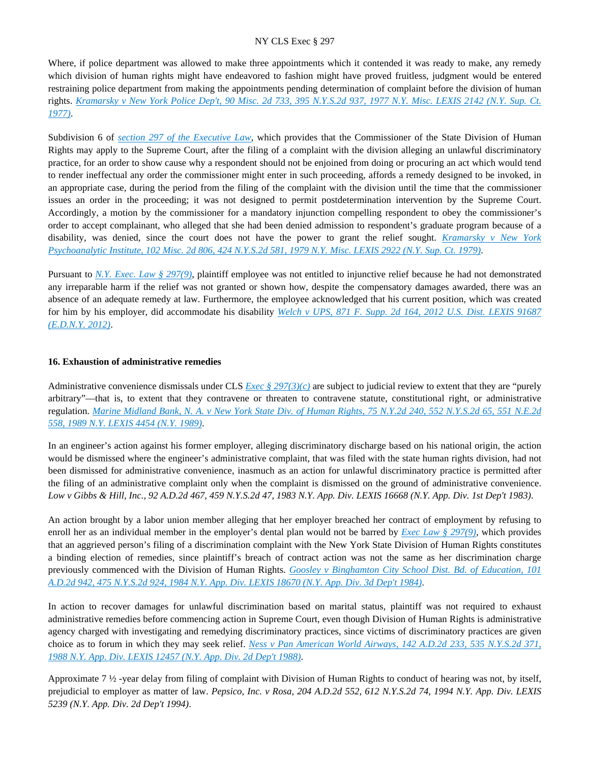Where, if police department was allowed to make three appointments which it contended it was ready to make, any remedy which division of human rights might have endeavored to fashion might have proved fruitless, judgment would be entered restraining police department from making the appointments pending determination of complaint before the division of human rights. *[Kramarsky v New York Police Dep't, 90 Misc. 2d 733, 395 N.Y.S.2d 937, 1977 N.Y. Misc. LEXIS 2142 \(N.Y. Sup. Ct.](https://advance.lexis.com/api/document?collection=cases&id=urn:contentItem:3RRS-GVH0-003C-F4RK-00000-00&context=)  [1977\)](https://advance.lexis.com/api/document?collection=cases&id=urn:contentItem:3RRS-GVH0-003C-F4RK-00000-00&context=)*.

Subdivision 6 of *[section 297 of the Executive Law](https://advance.lexis.com/api/document?collection=statutes-legislation&id=urn:contentItem:5H6N-1CT1-DXC8-036V-00000-00&context=)*, which provides that the Commissioner of the State Division of Human Rights may apply to the Supreme Court, after the filing of a complaint with the division alleging an unlawful discriminatory practice, for an order to show cause why a respondent should not be enjoined from doing or procuring an act which would tend to render ineffectual any order the commissioner might enter in such proceeding, affords a remedy designed to be invoked, in an appropriate case, during the period from the filing of the complaint with the division until the time that the commissioner issues an order in the proceeding; it was not designed to permit postdetermination intervention by the Supreme Court. Accordingly, a motion by the commissioner for a mandatory injunction compelling respondent to obey the commissioner's order to accept complainant, who alleged that she had been denied admission to respondent's graduate program because of a disability, was denied, since the court does not have the power to grant the relief sought. *[Kramarsky v New York](https://advance.lexis.com/api/document?collection=cases&id=urn:contentItem:3RRS-GF80-003C-F1X6-00000-00&context=)  [Psychoanalytic Institute, 102 Misc. 2d 806, 424 N.Y.S.2d 581, 1979 N.Y. Misc. LEXIS 2922 \(N.Y. Sup. Ct. 1979\)](https://advance.lexis.com/api/document?collection=cases&id=urn:contentItem:3RRS-GF80-003C-F1X6-00000-00&context=)*.

Pursuant to *[N.Y. Exec. Law § 297\(9\)](https://advance.lexis.com/api/document?collection=statutes-legislation&id=urn:contentItem:5H6N-1CT1-DXC8-036V-00000-00&context=)*, plaintiff employee was not entitled to injunctive relief because he had not demonstrated any irreparable harm if the relief was not granted or shown how, despite the compensatory damages awarded, there was an absence of an adequate remedy at law. Furthermore, the employee acknowledged that his current position, which was created for him by his employer, did accommodate his disability *[Welch v UPS, 871 F. Supp. 2d 164, 2012 U.S. Dist. LEXIS 91687](https://advance.lexis.com/api/document?collection=cases&id=urn:contentItem:561D-1WB1-F04F-00N9-00000-00&context=)  [\(E.D.N.Y. 2012\)](https://advance.lexis.com/api/document?collection=cases&id=urn:contentItem:561D-1WB1-F04F-00N9-00000-00&context=)*.

#### **16. Exhaustion of administrative remedies**

Administrative convenience dismissals under CLS *[Exec § 297\(3\)\(c\)](https://advance.lexis.com/api/document?collection=statutes-legislation&id=urn:contentItem:5H6N-1CT1-DXC8-036V-00000-00&context=)* are subject to judicial review to extent that they are "purely arbitrary"—that is, to extent that they contravene or threaten to contravene statute, constitutional right, or administrative regulation. *[Marine Midland Bank, N. A. v New York State Div. of Human Rights, 75 N.Y.2d 240, 552 N.Y.S.2d 65, 551 N.E.2d](https://advance.lexis.com/api/document?collection=cases&id=urn:contentItem:3S2R-9RY0-003V-B3XX-00000-00&context=)  [558, 1989 N.Y. LEXIS 4454 \(N.Y. 1989\)](https://advance.lexis.com/api/document?collection=cases&id=urn:contentItem:3S2R-9RY0-003V-B3XX-00000-00&context=)*.

In an engineer's action against his former employer, alleging discriminatory discharge based on his national origin, the action would be dismissed where the engineer's administrative complaint, that was filed with the state human rights division, had not been dismissed for administrative convenience, inasmuch as an action for unlawful discriminatory practice is permitted after the filing of an administrative complaint only when the complaint is dismissed on the ground of administrative convenience. *Low v Gibbs & Hill, Inc., 92 A.D.2d 467, 459 N.Y.S.2d 47, 1983 N.Y. App. Div. LEXIS 16668 (N.Y. App. Div. 1st Dep't 1983)*.

An action brought by a labor union member alleging that her employer breached her contract of employment by refusing to enroll her as an individual member in the employer's dental plan would not be barred by *[Exec Law § 297\(9\)](https://advance.lexis.com/api/document?collection=statutes-legislation&id=urn:contentItem:5H6N-1CT1-DXC8-036V-00000-00&context=)*, which provides that an aggrieved person's filing of a discrimination complaint with the New York State Division of Human Rights constitutes a binding election of remedies, since plaintiff's breach of contract action was not the same as her discrimination charge previously commenced with the Division of Human Rights. *[Goosley v Binghamton City School Dist. Bd. of Education, 101](https://advance.lexis.com/api/document?collection=cases&id=urn:contentItem:3S3K-1TF0-003D-G41N-00000-00&context=)  [A.D.2d 942, 475 N.Y.S.2d 924, 1984 N.Y. App. Div. LEXIS 18670 \(N.Y. App. Div. 3d Dep't 1984\)](https://advance.lexis.com/api/document?collection=cases&id=urn:contentItem:3S3K-1TF0-003D-G41N-00000-00&context=)*.

In action to recover damages for unlawful discrimination based on marital status, plaintiff was not required to exhaust administrative remedies before commencing action in Supreme Court, even though Division of Human Rights is administrative agency charged with investigating and remedying discriminatory practices, since victims of discriminatory practices are given choice as to forum in which they may seek relief. *[Ness v Pan American World Airways, 142 A.D.2d 233, 535 N.Y.S.2d 371,](https://advance.lexis.com/api/document?collection=cases&id=urn:contentItem:3S3J-YMT0-003D-G4NM-00000-00&context=)  [1988 N.Y. App. Div. LEXIS 12457 \(N.Y. App. Div. 2d Dep't 1988\)](https://advance.lexis.com/api/document?collection=cases&id=urn:contentItem:3S3J-YMT0-003D-G4NM-00000-00&context=)*.

Approximate 7 ½ -year delay from filing of complaint with Division of Human Rights to conduct of hearing was not, by itself, prejudicial to employer as matter of law. *Pepsico, Inc. v Rosa, 204 A.D.2d 552, 612 N.Y.S.2d 74, 1994 N.Y. App. Div. LEXIS 5239 (N.Y. App. Div. 2d Dep't 1994)*.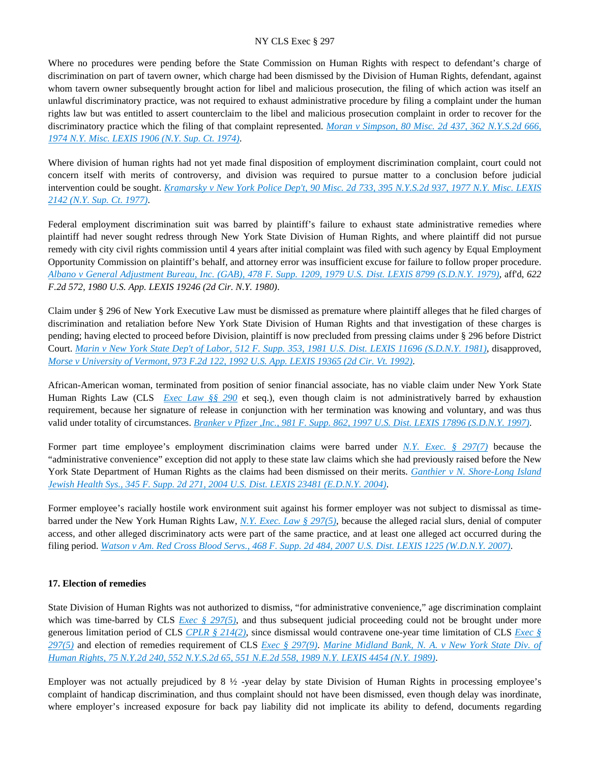Where no procedures were pending before the State Commission on Human Rights with respect to defendant's charge of discrimination on part of tavern owner, which charge had been dismissed by the Division of Human Rights, defendant, against whom tavern owner subsequently brought action for libel and malicious prosecution, the filing of which action was itself an unlawful discriminatory practice, was not required to exhaust administrative procedure by filing a complaint under the human rights law but was entitled to assert counterclaim to the libel and malicious prosecution complaint in order to recover for the discriminatory practice which the filing of that complaint represented. *[Moran v Simpson, 80 Misc. 2d 437, 362 N.Y.S.2d 666,](https://advance.lexis.com/api/document?collection=cases&id=urn:contentItem:3RRS-9MS0-003C-D1FW-00000-00&context=)  [1974 N.Y. Misc. LEXIS 1906 \(N.Y. Sup. Ct. 1974\)](https://advance.lexis.com/api/document?collection=cases&id=urn:contentItem:3RRS-9MS0-003C-D1FW-00000-00&context=)*.

Where division of human rights had not yet made final disposition of employment discrimination complaint, court could not concern itself with merits of controversy, and division was required to pursue matter to a conclusion before judicial intervention could be sought. *[Kramarsky v New York Police Dep't, 90 Misc. 2d 733, 395 N.Y.S.2d 937, 1977 N.Y. Misc. LEXIS](https://advance.lexis.com/api/document?collection=cases&id=urn:contentItem:3RRS-GVH0-003C-F4RK-00000-00&context=)  [2142 \(N.Y. Sup. Ct. 1977\)](https://advance.lexis.com/api/document?collection=cases&id=urn:contentItem:3RRS-GVH0-003C-F4RK-00000-00&context=)*.

Federal employment discrimination suit was barred by plaintiff's failure to exhaust state administrative remedies where plaintiff had never sought redress through New York State Division of Human Rights, and where plaintiff did not pursue remedy with city civil rights commission until 4 years after initial complaint was filed with such agency by Equal Employment Opportunity Commission on plaintiff's behalf, and attorney error was insufficient excuse for failure to follow proper procedure. *[Albano v General Adjustment Bureau, Inc. \(GAB\), 478 F. Supp. 1209, 1979 U.S. Dist. LEXIS 8799 \(S.D.N.Y. 1979\)](https://advance.lexis.com/api/document?collection=cases&id=urn:contentItem:3S4N-8HW0-0054-71KP-00000-00&context=)*, aff'd, *622 F.2d 572, 1980 U.S. App. LEXIS 19246 (2d Cir. N.Y. 1980)*.

Claim under § 296 of New York Executive Law must be dismissed as premature where plaintiff alleges that he filed charges of discrimination and retaliation before New York State Division of Human Rights and that investigation of these charges is pending; having elected to proceed before Division, plaintiff is now precluded from pressing claims under § 296 before District Court. *[Marin v New York State Dep't of Labor, 512 F. Supp. 353, 1981 U.S. Dist. LEXIS 11696 \(S.D.N.Y. 1981\)](https://advance.lexis.com/api/document?collection=cases&id=urn:contentItem:3S4N-ST90-0039-S416-00000-00&context=)*, disapproved, *[Morse v University of Vermont, 973 F.2d 122, 1992 U.S. App. LEXIS 19365 \(2d Cir. Vt. 1992\)](https://advance.lexis.com/api/document?collection=cases&id=urn:contentItem:3S4X-1N10-008H-V088-00000-00&context=)*.

African-American woman, terminated from position of senior financial associate, has no viable claim under New York State Human Rights Law (CLS *[Exec Law §§ 290](https://advance.lexis.com/api/document?collection=statutes-legislation&id=urn:contentItem:5CT3-0SG1-6RDJ-847W-00000-00&context=)* et seq.), even though claim is not administratively barred by exhaustion requirement, because her signature of release in conjunction with her termination was knowing and voluntary, and was thus valid under totality of circumstances. *[Branker v Pfizer ,Inc., 981 F. Supp. 862, 1997 U.S. Dist. LEXIS 17896 \(S.D.N.Y. 1997\)](https://advance.lexis.com/api/document?collection=cases&id=urn:contentItem:3S1P-PXK0-00B1-F3JN-00000-00&context=)*.

Former part time employee's employment discrimination claims were barred under *[N.Y. Exec. § 297\(7\)](https://advance.lexis.com/api/document?collection=statutes-legislation&id=urn:contentItem:5H6N-1CT1-DXC8-036V-00000-00&context=)* because the "administrative convenience" exception did not apply to these state law claims which she had previously raised before the New York State Department of Human Rights as the claims had been dismissed on their merits. *[Ganthier v N. Shore-Long Island](https://advance.lexis.com/api/document?collection=cases&id=urn:contentItem:4DVM-D8G0-TVW3-P34H-00000-00&context=)  [Jewish Health Sys., 345 F. Supp. 2d 271, 2004 U.S. Dist. LEXIS 23481 \(E.D.N.Y. 2004\)](https://advance.lexis.com/api/document?collection=cases&id=urn:contentItem:4DVM-D8G0-TVW3-P34H-00000-00&context=)*.

Former employee's racially hostile work environment suit against his former employer was not subject to dismissal as timebarred under the New York Human Rights Law, *[N.Y. Exec. Law § 297\(5\)](https://advance.lexis.com/api/document?collection=statutes-legislation&id=urn:contentItem:5H6N-1CT1-DXC8-036V-00000-00&context=)*, because the alleged racial slurs, denial of computer access, and other alleged discriminatory acts were part of the same practice, and at least one alleged act occurred during the filing period. *[Watson v Am. Red Cross Blood Servs., 468 F. Supp. 2d 484, 2007 U.S. Dist. LEXIS 1225 \(W.D.N.Y. 2007\)](https://advance.lexis.com/api/document?collection=cases&id=urn:contentItem:4MSB-YMM0-TVW3-P35Y-00000-00&context=)*.

# **17. Election of remedies**

State Division of Human Rights was not authorized to dismiss, "for administrative convenience," age discrimination complaint which was time-barred by CLS *[Exec § 297\(5\)](https://advance.lexis.com/api/document?collection=statutes-legislation&id=urn:contentItem:5H6N-1CT1-DXC8-036V-00000-00&context=)*, and thus subsequent judicial proceeding could not be brought under more generous limitation period of CLS *[CPLR § 214\(2\)](https://advance.lexis.com/api/document?collection=statutes-legislation&id=urn:contentItem:5CT3-08C1-6RDJ-845T-00000-00&context=)*, since dismissal would contravene one-year time limitation of CLS *[Exec §](https://advance.lexis.com/api/document?collection=statutes-legislation&id=urn:contentItem:5H6N-1CT1-DXC8-036V-00000-00&context=)  [297\(5\)](https://advance.lexis.com/api/document?collection=statutes-legislation&id=urn:contentItem:5H6N-1CT1-DXC8-036V-00000-00&context=)* and election of remedies requirement of CLS *[Exec § 297\(9\)](https://advance.lexis.com/api/document?collection=statutes-legislation&id=urn:contentItem:5H6N-1CT1-DXC8-036V-00000-00&context=)*. *[Marine Midland Bank, N. A. v New York State Div. of](https://advance.lexis.com/api/document?collection=cases&id=urn:contentItem:3S2R-9RY0-003V-B3XX-00000-00&context=)  [Human Rights, 75 N.Y.2d 240, 552 N.Y.S.2d 65, 551 N.E.2d 558, 1989 N.Y. LEXIS 4454 \(N.Y. 1989\)](https://advance.lexis.com/api/document?collection=cases&id=urn:contentItem:3S2R-9RY0-003V-B3XX-00000-00&context=)*.

Employer was not actually prejudiced by 8  $\frac{1}{2}$  -year delay by state Division of Human Rights in processing employee's complaint of handicap discrimination, and thus complaint should not have been dismissed, even though delay was inordinate, where employer's increased exposure for back pay liability did not implicate its ability to defend, documents regarding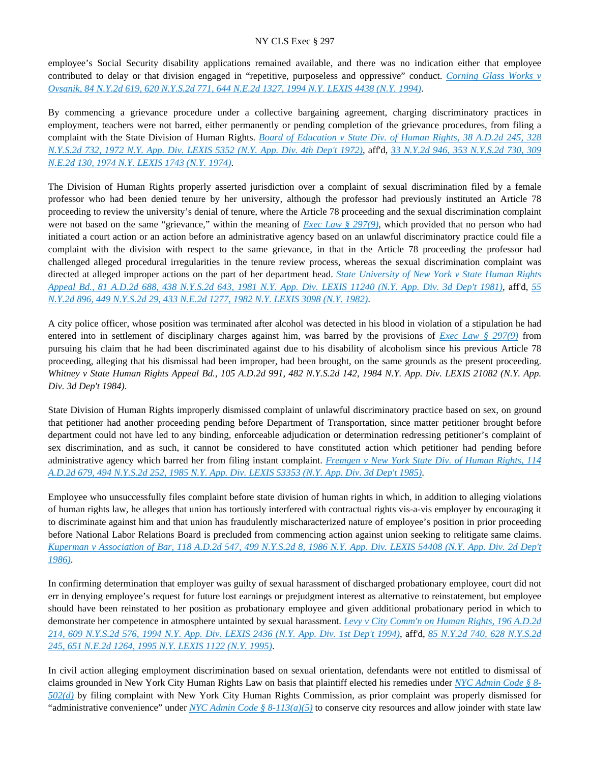employee's Social Security disability applications remained available, and there was no indication either that employee contributed to delay or that division engaged in "repetitive, purposeless and oppressive" conduct. *[Corning Glass Works v](https://advance.lexis.com/api/document?collection=cases&id=urn:contentItem:3S2R-6HR0-003V-B32P-00000-00&context=)  [Ovsanik, 84 N.Y.2d 619, 620 N.Y.S.2d 771, 644 N.E.2d 1327, 1994 N.Y. LEXIS 4438 \(N.Y. 1994\)](https://advance.lexis.com/api/document?collection=cases&id=urn:contentItem:3S2R-6HR0-003V-B32P-00000-00&context=)*.

By commencing a grievance procedure under a collective bargaining agreement, charging discriminatory practices in employment, teachers were not barred, either permanently or pending completion of the grievance procedures, from filing a complaint with the State Division of Human Rights. *[Board of Education v State Div. of Human Rights, 38 A.D.2d 245, 328](https://advance.lexis.com/api/document?collection=cases&id=urn:contentItem:3RRS-YMG0-003C-C4N5-00000-00&context=)  [N.Y.S.2d 732, 1972 N.Y. App. Div. LEXIS 5352 \(N.Y. App. Div. 4th Dep't 1972\)](https://advance.lexis.com/api/document?collection=cases&id=urn:contentItem:3RRS-YMG0-003C-C4N5-00000-00&context=)*, aff'd, *[33 N.Y.2d 946, 353 N.Y.S.2d 730, 309](https://advance.lexis.com/api/document?collection=cases&id=urn:contentItem:3RRS-VHJ0-003C-C0YG-00000-00&context=)  [N.E.2d 130, 1974 N.Y. LEXIS 1743 \(N.Y. 1974\)](https://advance.lexis.com/api/document?collection=cases&id=urn:contentItem:3RRS-VHJ0-003C-C0YG-00000-00&context=)*.

The Division of Human Rights properly asserted jurisdiction over a complaint of sexual discrimination filed by a female professor who had been denied tenure by her university, although the professor had previously instituted an Article 78 proceeding to review the university's denial of tenure, where the Article 78 proceeding and the sexual discrimination complaint were not based on the same "grievance," within the meaning of *[Exec Law § 297\(9\)](https://advance.lexis.com/api/document?collection=statutes-legislation&id=urn:contentItem:5H6N-1CT1-DXC8-036V-00000-00&context=)*, which provided that no person who had initiated a court action or an action before an administrative agency based on an unlawful discriminatory practice could file a complaint with the division with respect to the same grievance, in that in the Article 78 proceeding the professor had challenged alleged procedural irregularities in the tenure review process, whereas the sexual discrimination complaint was directed at alleged improper actions on the part of her department head. *[State University of New York v State Human Rights](https://advance.lexis.com/api/document?collection=cases&id=urn:contentItem:3RRS-BHC0-003C-F375-00000-00&context=)  [Appeal Bd., 81 A.D.2d 688, 438 N.Y.S.2d 643, 1981 N.Y. App. Div. LEXIS 11240 \(N.Y. App. Div. 3d Dep't 1981\)](https://advance.lexis.com/api/document?collection=cases&id=urn:contentItem:3RRS-BHC0-003C-F375-00000-00&context=)*, aff'd, *[55](https://advance.lexis.com/api/document?collection=cases&id=urn:contentItem:3S3J-YJC0-003D-G1X6-00000-00&context=)  [N.Y.2d 896, 449 N.Y.S.2d 29, 433 N.E.2d 1277, 1982 N.Y. LEXIS 3098 \(N.Y. 1982\)](https://advance.lexis.com/api/document?collection=cases&id=urn:contentItem:3S3J-YJC0-003D-G1X6-00000-00&context=)*.

A city police officer, whose position was terminated after alcohol was detected in his blood in violation of a stipulation he had entered into in settlement of disciplinary charges against him, was barred by the provisions of *[Exec Law § 297\(9\)](https://advance.lexis.com/api/document?collection=statutes-legislation&id=urn:contentItem:5H6N-1CT1-DXC8-036V-00000-00&context=)* from pursuing his claim that he had been discriminated against due to his disability of alcoholism since his previous Article 78 proceeding, alleging that his dismissal had been improper, had been brought, on the same grounds as the present proceeding. *Whitney v State Human Rights Appeal Bd., 105 A.D.2d 991, 482 N.Y.S.2d 142, 1984 N.Y. App. Div. LEXIS 21082 (N.Y. App. Div. 3d Dep't 1984)*.

State Division of Human Rights improperly dismissed complaint of unlawful discriminatory practice based on sex, on ground that petitioner had another proceeding pending before Department of Transportation, since matter petitioner brought before department could not have led to any binding, enforceable adjudication or determination redressing petitioner's complaint of sex discrimination, and as such, it cannot be considered to have constituted action which petitioner had pending before administrative agency which barred her from filing instant complaint. *[Fremgen v New York State Div. of Human Rights, 114](https://advance.lexis.com/api/document?collection=cases&id=urn:contentItem:3S3K-18D0-003D-G1R5-00000-00&context=)  [A.D.2d 679, 494 N.Y.S.2d 252, 1985 N.Y. App. Div. LEXIS 53353 \(N.Y. App. Div. 3d Dep't 1985\)](https://advance.lexis.com/api/document?collection=cases&id=urn:contentItem:3S3K-18D0-003D-G1R5-00000-00&context=)*.

Employee who unsuccessfully files complaint before state division of human rights in which, in addition to alleging violations of human rights law, he alleges that union has tortiously interfered with contractual rights vis-a-vis employer by encouraging it to discriminate against him and that union has fraudulently mischaracterized nature of employee's position in prior proceeding before National Labor Relations Board is precluded from commencing action against union seeking to relitigate same claims. *[Kuperman v Association of Bar, 118 A.D.2d 547, 499 N.Y.S.2d 8, 1986 N.Y. App. Div. LEXIS 54408 \(N.Y. App. Div. 2d Dep't](https://advance.lexis.com/api/document?collection=cases&id=urn:contentItem:3S3K-1300-003D-G3V7-00000-00&context=)  [1986\)](https://advance.lexis.com/api/document?collection=cases&id=urn:contentItem:3S3K-1300-003D-G3V7-00000-00&context=)*.

In confirming determination that employer was guilty of sexual harassment of discharged probationary employee, court did not err in denying employee's request for future lost earnings or prejudgment interest as alternative to reinstatement, but employee should have been reinstated to her position as probationary employee and given additional probationary period in which to demonstrate her competence in atmosphere untainted by sexual harassment. *[Levy v City Comm'n on Human Rights, 196 A.D.2d](https://advance.lexis.com/api/document?collection=cases&id=urn:contentItem:3S2R-7170-003V-B3NR-00000-00&context=)  [214, 609 N.Y.S.2d 576, 1994 N.Y. App. Div. LEXIS 2436 \(N.Y. App. Div. 1st Dep't 1994\)](https://advance.lexis.com/api/document?collection=cases&id=urn:contentItem:3S2R-7170-003V-B3NR-00000-00&context=)*, aff'd, *[85 N.Y.2d 740, 628 N.Y.S.2d](https://advance.lexis.com/api/document?collection=cases&id=urn:contentItem:3S2R-67T0-003V-B10Y-00000-00&context=)  [245, 651 N.E.2d 1264, 1995 N.Y. LEXIS 1122 \(N.Y. 1995\)](https://advance.lexis.com/api/document?collection=cases&id=urn:contentItem:3S2R-67T0-003V-B10Y-00000-00&context=)*.

In civil action alleging employment discrimination based on sexual orientation, defendants were not entitled to dismissal of claims grounded in New York City Human Rights Law on basis that plaintiff elected his remedies under *[NYC Admin Code § 8-](https://advance.lexis.com/api/document?collection=statutes-legislation&id=urn:contentItem:5VXB-F9N1-F17G-F0SB-00000-00&context=) [502\(d\)](https://advance.lexis.com/api/document?collection=statutes-legislation&id=urn:contentItem:5VXB-F9N1-F17G-F0SB-00000-00&context=)* by filing complaint with New York City Human Rights Commission, as prior complaint was properly dismissed for "administrative convenience" under *[NYC Admin Code § 8-113\(a\)\(5\)](https://advance.lexis.com/api/document?collection=statutes-legislation&id=urn:contentItem:5VXB-F9N1-F17G-F0R3-00000-00&context=)* to conserve city resources and allow joinder with state law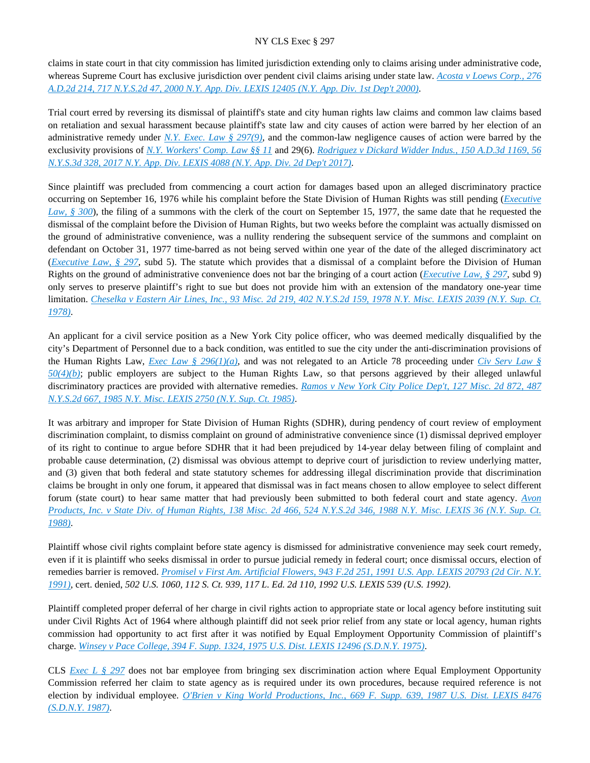claims in state court in that city commission has limited jurisdiction extending only to claims arising under administrative code, whereas Supreme Court has exclusive jurisdiction over pendent civil claims arising under state law. *[Acosta v Loews Corp., 276](https://advance.lexis.com/api/document?collection=cases&id=urn:contentItem:41T0-85C0-0039-41X8-00000-00&context=)  [A.D.2d 214, 717 N.Y.S.2d 47, 2000 N.Y. App. Div. LEXIS 12405 \(N.Y. App. Div. 1st Dep't 2000\)](https://advance.lexis.com/api/document?collection=cases&id=urn:contentItem:41T0-85C0-0039-41X8-00000-00&context=)*.

Trial court erred by reversing its dismissal of plaintiff's state and city human rights law claims and common law claims based on retaliation and sexual harassment because plaintiff's state law and city causes of action were barred by her election of an administrative remedy under *[N.Y. Exec. Law § 297\(9\)](https://advance.lexis.com/api/document?collection=statutes-legislation&id=urn:contentItem:5H6N-1CT1-DXC8-036V-00000-00&context=)*, and the common-law negligence causes of action were barred by the exclusivity provisions of *[N.Y. Workers' Comp. Law §§ 11](https://advance.lexis.com/api/document?collection=statutes-legislation&id=urn:contentItem:8MYC-PM62-8T6X-7383-00000-00&context=)* and 29(6). *[Rodriguez v Dickard Widder Indus., 150 A.D.3d 1169, 56](https://advance.lexis.com/api/document?collection=cases&id=urn:contentItem:5NMB-05P1-F04J-71GH-00000-00&context=)  [N.Y.S.3d 328, 2017 N.Y. App. Div. LEXIS 4088 \(N.Y. App. Div. 2d Dep't 2017\)](https://advance.lexis.com/api/document?collection=cases&id=urn:contentItem:5NMB-05P1-F04J-71GH-00000-00&context=)*.

Since plaintiff was precluded from commencing a court action for damages based upon an alleged discriminatory practice occurring on September 16, 1976 while his complaint before the State Division of Human Rights was still pending (*[Executive](https://advance.lexis.com/api/document?collection=statutes-legislation&id=urn:contentItem:5CT3-0SG1-6RDJ-848D-00000-00&context=)  [Law, § 300](https://advance.lexis.com/api/document?collection=statutes-legislation&id=urn:contentItem:5CT3-0SG1-6RDJ-848D-00000-00&context=)*), the filing of a summons with the clerk of the court on September 15, 1977, the same date that he requested the dismissal of the complaint before the Division of Human Rights, but two weeks before the complaint was actually dismissed on the ground of administrative convenience, was a nullity rendering the subsequent service of the summons and complaint on defendant on October 31, 1977 time-barred as not being served within one year of the date of the alleged discriminatory act (*[Executive Law, § 297](https://advance.lexis.com/api/document?collection=statutes-legislation&id=urn:contentItem:5H6N-1CT1-DXC8-036V-00000-00&context=)*, subd 5). The statute which provides that a dismissal of a complaint before the Division of Human Rights on the ground of administrative convenience does not bar the bringing of a court action (*[Executive Law, § 297](https://advance.lexis.com/api/document?collection=statutes-legislation&id=urn:contentItem:5H6N-1CT1-DXC8-036V-00000-00&context=)*, subd 9) only serves to preserve plaintiff's right to sue but does not provide him with an extension of the mandatory one-year time limitation. *[Cheselka v Eastern Air Lines, Inc., 93 Misc. 2d 219, 402 N.Y.S.2d 159, 1978 N.Y. Misc. LEXIS 2039 \(N.Y. Sup. Ct.](https://advance.lexis.com/api/document?collection=cases&id=urn:contentItem:3RRS-GRG0-003C-F400-00000-00&context=)  [1978\)](https://advance.lexis.com/api/document?collection=cases&id=urn:contentItem:3RRS-GRG0-003C-F400-00000-00&context=)*.

An applicant for a civil service position as a New York City police officer, who was deemed medically disqualified by the city's Department of Personnel due to a back condition, was entitled to sue the city under the anti-discrimination provisions of the Human Rights Law, *[Exec Law § 296\(1\)\(a\)](https://advance.lexis.com/api/document?collection=statutes-legislation&id=urn:contentItem:8TP5-PCS2-8T6X-74HS-00000-00&context=)*, and was not relegated to an Article 78 proceeding under *[Civ Serv Law §](https://advance.lexis.com/api/document?collection=statutes-legislation&id=urn:contentItem:8RHY-PY32-D6RV-H3D7-00000-00&context=)  [50\(4\)\(b\)](https://advance.lexis.com/api/document?collection=statutes-legislation&id=urn:contentItem:8RHY-PY32-D6RV-H3D7-00000-00&context=)*; public employers are subject to the Human Rights Law, so that persons aggrieved by their alleged unlawful discriminatory practices are provided with alternative remedies. *[Ramos v New York City Police Dep't, 127 Misc. 2d 872, 487](https://advance.lexis.com/api/document?collection=cases&id=urn:contentItem:3S3K-2VY0-003D-G0MJ-00000-00&context=)  [N.Y.S.2d 667, 1985 N.Y. Misc. LEXIS 2750 \(N.Y. Sup. Ct. 1985\)](https://advance.lexis.com/api/document?collection=cases&id=urn:contentItem:3S3K-2VY0-003D-G0MJ-00000-00&context=)*.

It was arbitrary and improper for State Division of Human Rights (SDHR), during pendency of court review of employment discrimination complaint, to dismiss complaint on ground of administrative convenience since (1) dismissal deprived employer of its right to continue to argue before SDHR that it had been prejudiced by 14-year delay between filing of complaint and probable cause determination, (2) dismissal was obvious attempt to deprive court of jurisdiction to review underlying matter, and (3) given that both federal and state statutory schemes for addressing illegal discrimination provide that discrimination claims be brought in only one forum, it appeared that dismissal was in fact means chosen to allow employee to select different forum (state court) to hear same matter that had previously been submitted to both federal court and state agency. *[Avon](https://advance.lexis.com/api/document?collection=cases&id=urn:contentItem:3S3K-2MY0-003D-G2Y0-00000-00&context=)  [Products, Inc. v State Div. of Human Rights, 138 Misc. 2d 466, 524 N.Y.S.2d 346, 1988 N.Y. Misc. LEXIS 36 \(N.Y. Sup. Ct.](https://advance.lexis.com/api/document?collection=cases&id=urn:contentItem:3S3K-2MY0-003D-G2Y0-00000-00&context=)  [1988\)](https://advance.lexis.com/api/document?collection=cases&id=urn:contentItem:3S3K-2MY0-003D-G2Y0-00000-00&context=)*.

Plaintiff whose civil rights complaint before state agency is dismissed for administrative convenience may seek court remedy, even if it is plaintiff who seeks dismissal in order to pursue judicial remedy in federal court; once dismissal occurs, election of remedies barrier is removed. *[Promisel v First Am. Artificial Flowers, 943 F.2d 251, 1991 U.S. App. LEXIS 20793 \(2d Cir. N.Y.](https://advance.lexis.com/api/document?collection=cases&id=urn:contentItem:3S4X-8TS0-008H-V1SC-00000-00&context=)  [1991\)](https://advance.lexis.com/api/document?collection=cases&id=urn:contentItem:3S4X-8TS0-008H-V1SC-00000-00&context=)*, cert. denied, *502 U.S. 1060, 112 S. Ct. 939, 117 L. Ed. 2d 110, 1992 U.S. LEXIS 539 (U.S. 1992)*.

Plaintiff completed proper deferral of her charge in civil rights action to appropriate state or local agency before instituting suit under Civil Rights Act of 1964 where although plaintiff did not seek prior relief from any state or local agency, human rights commission had opportunity to act first after it was notified by Equal Employment Opportunity Commission of plaintiff's charge. *[Winsey v Pace College, 394 F. Supp. 1324, 1975 U.S. Dist. LEXIS 12496 \(S.D.N.Y. 1975\)](https://advance.lexis.com/api/document?collection=cases&id=urn:contentItem:3S4V-N5J0-0054-61G8-00000-00&context=)*.

CLS *[Exec L § 297](https://advance.lexis.com/api/document?collection=statutes-legislation&id=urn:contentItem:5H6N-1CT1-DXC8-036V-00000-00&context=)* does not bar employee from bringing sex discrimination action where Equal Employment Opportunity Commission referred her claim to state agency as is required under its own procedures, because required reference is not election by individual employee. *[O'Brien v King World Productions, Inc., 669 F. Supp. 639, 1987 U.S. Dist. LEXIS 8476](https://advance.lexis.com/api/document?collection=cases&id=urn:contentItem:3S4N-BS40-003B-62TS-00000-00&context=)  [\(S.D.N.Y. 1987\)](https://advance.lexis.com/api/document?collection=cases&id=urn:contentItem:3S4N-BS40-003B-62TS-00000-00&context=)*.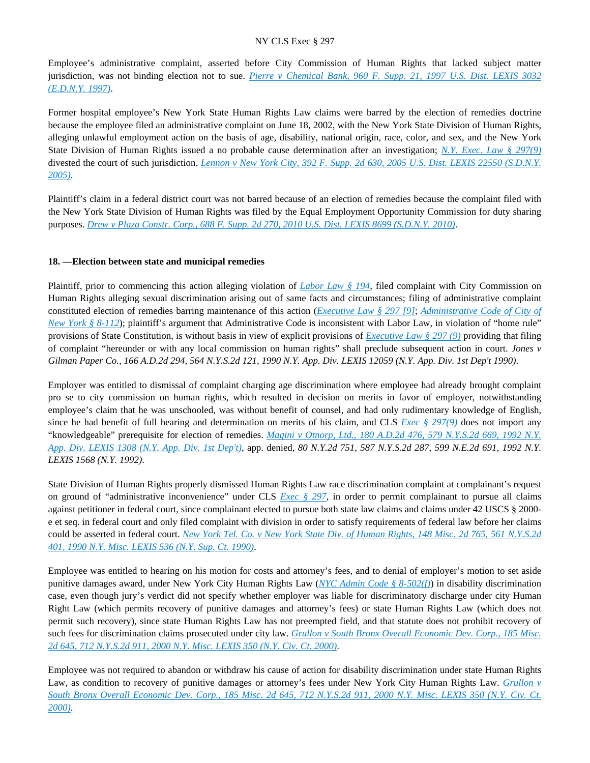Employee's administrative complaint, asserted before City Commission of Human Rights that lacked subject matter jurisdiction, was not binding election not to sue. *[Pierre v Chemical Bank, 960 F. Supp. 21, 1997 U.S. Dist. LEXIS 3032](https://advance.lexis.com/api/document?collection=cases&id=urn:contentItem:3S4N-FDT0-00B1-F4H7-00000-00&context=)  [\(E.D.N.Y. 1997\)](https://advance.lexis.com/api/document?collection=cases&id=urn:contentItem:3S4N-FDT0-00B1-F4H7-00000-00&context=)*.

Former hospital employee's New York State Human Rights Law claims were barred by the election of remedies doctrine because the employee filed an administrative complaint on June 18, 2002, with the New York State Division of Human Rights, alleging unlawful employment action on the basis of age, disability, national origin, race, color, and sex, and the New York State Division of Human Rights issued a no probable cause determination after an investigation; *[N.Y. Exec. Law § 297\(9\)](https://advance.lexis.com/api/document?collection=statutes-legislation&id=urn:contentItem:5H6N-1CT1-DXC8-036V-00000-00&context=)* divested the court of such jurisdiction. *[Lennon v New York City, 392 F. Supp. 2d 630, 2005 U.S. Dist. LEXIS 22550 \(S.D.N.Y.](https://advance.lexis.com/api/document?collection=cases&id=urn:contentItem:4H8G-FJY0-0038-Y425-00000-00&context=)  [2005\)](https://advance.lexis.com/api/document?collection=cases&id=urn:contentItem:4H8G-FJY0-0038-Y425-00000-00&context=)*.

Plaintiff's claim in a federal district court was not barred because of an election of remedies because the complaint filed with the New York State Division of Human Rights was filed by the Equal Employment Opportunity Commission for duty sharing purposes. *[Drew v Plaza Constr. Corp., 688 F. Supp. 2d 270, 2010 U.S. Dist. LEXIS 8699 \(S.D.N.Y. 2010\)](https://advance.lexis.com/api/document?collection=cases&id=urn:contentItem:7XPS-9C81-2R6J-20V4-00000-00&context=)*.

# **18. —Election between state and municipal remedies**

Plaintiff, prior to commencing this action alleging violation of *[Labor Law § 194](https://advance.lexis.com/api/document?collection=statutes-legislation&id=urn:contentItem:5H6N-18H1-DXC8-0361-00000-00&context=)*, filed complaint with City Commission on Human Rights alleging sexual discrimination arising out of same facts and circumstances; filing of administrative complaint constituted election of remedies barring maintenance of this action (*[Executive Law § 297 \[9\]](https://advance.lexis.com/api/document?collection=statutes-legislation&id=urn:contentItem:5H6N-1CT1-DXC8-036V-00000-00&context=)*; *[Administrative Code of City of](https://advance.lexis.com/api/document?collection=statutes-legislation&id=urn:contentItem:5VXB-F9N1-F17G-F0R2-00000-00&context=)  [New York § 8-112](https://advance.lexis.com/api/document?collection=statutes-legislation&id=urn:contentItem:5VXB-F9N1-F17G-F0R2-00000-00&context=)*); plaintiff's argument that Administrative Code is inconsistent with Labor Law, in violation of "home rule" provisions of State Constitution, is without basis in view of explicit provisions of *[Executive Law § 297 \(9\)](https://advance.lexis.com/api/document?collection=statutes-legislation&id=urn:contentItem:5H6N-1CT1-DXC8-036V-00000-00&context=)* providing that filing of complaint "hereunder or with any local commission on human rights" shall preclude subsequent action in court. *Jones v Gilman Paper Co., 166 A.D.2d 294, 564 N.Y.S.2d 121, 1990 N.Y. App. Div. LEXIS 12059 (N.Y. App. Div. 1st Dep't 1990)*.

Employer was entitled to dismissal of complaint charging age discrimination where employee had already brought complaint pro se to city commission on human rights, which resulted in decision on merits in favor of employer, notwithstanding employee's claim that he was unschooled, was without benefit of counsel, and had only rudimentary knowledge of English, since he had benefit of full hearing and determination on merits of his claim, and CLS *[Exec § 297\(9\)](https://advance.lexis.com/api/document?collection=statutes-legislation&id=urn:contentItem:5H6N-1CT1-DXC8-036V-00000-00&context=)* does not import any "knowledgeable" prerequisite for election of remedies. *[Magini v Otnorp, Ltd., 180 A.D.2d 476, 579 N.Y.S.2d 669, 1992 N.Y.](https://advance.lexis.com/api/document?collection=cases&id=urn:contentItem:3S2R-8490-003V-B3SV-00000-00&context=)  [App. Div. LEXIS 1308 \(N.Y. App. Div. 1st Dep't\)](https://advance.lexis.com/api/document?collection=cases&id=urn:contentItem:3S2R-8490-003V-B3SV-00000-00&context=)*, app. denied, *80 N.Y.2d 751, 587 N.Y.S.2d 287, 599 N.E.2d 691, 1992 N.Y. LEXIS 1568 (N.Y. 1992)*.

State Division of Human Rights properly dismissed Human Rights Law race discrimination complaint at complainant's request on ground of "administrative inconvenience" under CLS *[Exec § 297](https://advance.lexis.com/api/document?collection=statutes-legislation&id=urn:contentItem:5H6N-1CT1-DXC8-036V-00000-00&context=)*, in order to permit complainant to pursue all claims against petitioner in federal court, since complainant elected to pursue both state law claims and claims under 42 USCS § 2000 e et seq. in federal court and only filed complaint with division in order to satisfy requirements of federal law before her claims could be asserted in federal court. *[New York Tel. Co. v New York State Div. of Human Rights, 148 Misc. 2d 765, 561 N.Y.S.2d](https://advance.lexis.com/api/document?collection=cases&id=urn:contentItem:3S2R-9260-003V-B2P9-00000-00&context=)  [401, 1990 N.Y. Misc. LEXIS 536 \(N.Y. Sup. Ct. 1990\)](https://advance.lexis.com/api/document?collection=cases&id=urn:contentItem:3S2R-9260-003V-B2P9-00000-00&context=)*.

Employee was entitled to hearing on his motion for costs and attorney's fees, and to denial of employer's motion to set aside punitive damages award, under New York City Human Rights Law (*[NYC Admin Code § 8-502\(f\)](https://advance.lexis.com/api/document?collection=statutes-legislation&id=urn:contentItem:5VXB-F9N1-F17G-F0SB-00000-00&context=)*) in disability discrimination case, even though jury's verdict did not specify whether employer was liable for discriminatory discharge under city Human Right Law (which permits recovery of punitive damages and attorney's fees) or state Human Rights Law (which does not permit such recovery), since state Human Rights Law has not preempted field, and that statute does not prohibit recovery of such fees for discrimination claims prosecuted under city law. *[Grullon v South Bronx Overall Economic Dev. Corp., 185 Misc.](https://advance.lexis.com/api/document?collection=cases&id=urn:contentItem:417G-61M0-0039-42DK-00000-00&context=)  [2d 645, 712 N.Y.S.2d 911, 2000 N.Y. Misc. LEXIS 350 \(N.Y. Civ. Ct. 2000\)](https://advance.lexis.com/api/document?collection=cases&id=urn:contentItem:417G-61M0-0039-42DK-00000-00&context=)*.

Employee was not required to abandon or withdraw his cause of action for disability discrimination under state Human Rights Law, as condition to recovery of punitive damages or attorney's fees under New York City Human Rights Law. *[Grullon v](https://advance.lexis.com/api/document?collection=cases&id=urn:contentItem:417G-61M0-0039-42DK-00000-00&context=)  [South Bronx Overall Economic Dev. Corp., 185 Misc. 2d 645, 712 N.Y.S.2d 911, 2000 N.Y. Misc. LEXIS 350 \(N.Y. Civ. Ct.](https://advance.lexis.com/api/document?collection=cases&id=urn:contentItem:417G-61M0-0039-42DK-00000-00&context=)  [2000\)](https://advance.lexis.com/api/document?collection=cases&id=urn:contentItem:417G-61M0-0039-42DK-00000-00&context=)*.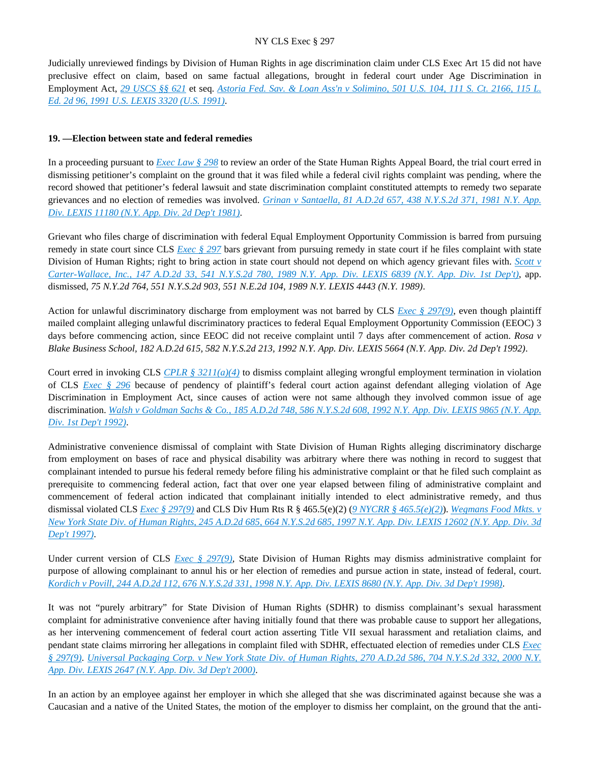Judicially unreviewed findings by Division of Human Rights in age discrimination claim under CLS Exec Art 15 did not have preclusive effect on claim, based on same factual allegations, brought in federal court under Age Discrimination in Employment Act, *[29 USCS §§ 621](https://advance.lexis.com/api/document?collection=statutes-legislation&id=urn:contentItem:4YF7-GJ11-NRF4-4109-00000-00&context=)* et seq. *[Astoria Fed. Sav. & Loan Ass'n v Solimino, 501 U.S. 104, 111 S. Ct. 2166, 115 L.](https://advance.lexis.com/api/document?collection=cases&id=urn:contentItem:3S65-KS80-003B-R0W6-00000-00&context=)  [Ed. 2d 96, 1991 U.S. LEXIS 3320 \(U.S. 1991\)](https://advance.lexis.com/api/document?collection=cases&id=urn:contentItem:3S65-KS80-003B-R0W6-00000-00&context=)*.

# **19. —Election between state and federal remedies**

In a proceeding pursuant to *[Exec Law § 298](https://advance.lexis.com/api/document?collection=statutes-legislation&id=urn:contentItem:5CT3-0SG1-6RDJ-8489-00000-00&context=)* to review an order of the State Human Rights Appeal Board, the trial court erred in dismissing petitioner's complaint on the ground that it was filed while a federal civil rights complaint was pending, where the record showed that petitioner's federal lawsuit and state discrimination complaint constituted attempts to remedy two separate grievances and no election of remedies was involved. *[Grinan v Santaella, 81 A.D.2d 657, 438 N.Y.S.2d 371, 1981 N.Y. App.](https://advance.lexis.com/api/document?collection=cases&id=urn:contentItem:3RRS-BGR0-003C-F2Y4-00000-00&context=)  [Div. LEXIS 11180 \(N.Y. App. Div. 2d Dep't 1981\)](https://advance.lexis.com/api/document?collection=cases&id=urn:contentItem:3RRS-BGR0-003C-F2Y4-00000-00&context=)*.

Grievant who files charge of discrimination with federal Equal Employment Opportunity Commission is barred from pursuing remedy in state court since CLS *[Exec § 297](https://advance.lexis.com/api/document?collection=statutes-legislation&id=urn:contentItem:5H6N-1CT1-DXC8-036V-00000-00&context=)* bars grievant from pursuing remedy in state court if he files complaint with state Division of Human Rights; right to bring action in state court should not depend on which agency grievant files with. *[Scott v](https://advance.lexis.com/api/document?collection=cases&id=urn:contentItem:3S2R-B6P0-003V-B3Y9-00000-00&context=)  [Carter-Wallace, Inc., 147 A.D.2d 33, 541 N.Y.S.2d 780, 1989 N.Y. App. Div. LEXIS 6839 \(N.Y. App. Div. 1st Dep't\)](https://advance.lexis.com/api/document?collection=cases&id=urn:contentItem:3S2R-B6P0-003V-B3Y9-00000-00&context=)*, app. dismissed, *75 N.Y.2d 764, 551 N.Y.S.2d 903, 551 N.E.2d 104, 1989 N.Y. LEXIS 4443 (N.Y. 1989)*.

Action for unlawful discriminatory discharge from employment was not barred by CLS *[Exec § 297\(9\)](https://advance.lexis.com/api/document?collection=statutes-legislation&id=urn:contentItem:5H6N-1CT1-DXC8-036V-00000-00&context=)*, even though plaintiff mailed complaint alleging unlawful discriminatory practices to federal Equal Employment Opportunity Commission (EEOC) 3 days before commencing action, since EEOC did not receive complaint until 7 days after commencement of action. *Rosa v Blake Business School, 182 A.D.2d 615, 582 N.Y.S.2d 213, 1992 N.Y. App. Div. LEXIS 5664 (N.Y. App. Div. 2d Dep't 1992)*.

Court erred in invoking CLS *[CPLR § 3211\(a\)\(4\)](https://advance.lexis.com/api/document?collection=statutes-legislation&id=urn:contentItem:5CT3-08C1-6RDJ-84M0-00000-00&context=)* to dismiss complaint alleging wrongful employment termination in violation of CLS *[Exec § 296](https://advance.lexis.com/api/document?collection=statutes-legislation&id=urn:contentItem:8TP5-PCS2-8T6X-74HS-00000-00&context=)* because of pendency of plaintiff's federal court action against defendant alleging violation of Age Discrimination in Employment Act, since causes of action were not same although they involved common issue of age discrimination. *[Walsh v Goldman Sachs & Co., 185 A.D.2d 748, 586 N.Y.S.2d 608, 1992 N.Y. App. Div. LEXIS 9865 \(N.Y. App.](https://advance.lexis.com/api/document?collection=cases&id=urn:contentItem:3S2R-7VW0-003V-B2RM-00000-00&context=)  [Div. 1st Dep't 1992\)](https://advance.lexis.com/api/document?collection=cases&id=urn:contentItem:3S2R-7VW0-003V-B2RM-00000-00&context=)*.

Administrative convenience dismissal of complaint with State Division of Human Rights alleging discriminatory discharge from employment on bases of race and physical disability was arbitrary where there was nothing in record to suggest that complainant intended to pursue his federal remedy before filing his administrative complaint or that he filed such complaint as prerequisite to commencing federal action, fact that over one year elapsed between filing of administrative complaint and commencement of federal action indicated that complainant initially intended to elect administrative remedy, and thus dismissal violated CLS *[Exec § 297\(9\)](https://advance.lexis.com/api/document?collection=statutes-legislation&id=urn:contentItem:5H6N-1CT1-DXC8-036V-00000-00&context=)* and CLS Div Hum Rts R § 465.5(e)(2) (*[9 NYCRR § 465.5\(e\)\(2\)](https://advance.lexis.com/api/document?collection=administrative-codes&id=urn:contentItem:5VXH-YX20-00XK-W10T-00000-00&context=)*). *[Wegmans Food Mkts. v](https://advance.lexis.com/api/document?collection=cases&id=urn:contentItem:3RJF-TR50-0039-40TF-00000-00&context=)  [New York State Div. of Human Rights, 245 A.D.2d 685, 664 N.Y.S.2d 685, 1997 N.Y. App. Div. LEXIS 12602 \(N.Y. App. Div. 3d](https://advance.lexis.com/api/document?collection=cases&id=urn:contentItem:3RJF-TR50-0039-40TF-00000-00&context=)  [Dep't 1997\)](https://advance.lexis.com/api/document?collection=cases&id=urn:contentItem:3RJF-TR50-0039-40TF-00000-00&context=)*.

Under current version of CLS *[Exec § 297\(9\)](https://advance.lexis.com/api/document?collection=statutes-legislation&id=urn:contentItem:5H6N-1CT1-DXC8-036V-00000-00&context=)*, State Division of Human Rights may dismiss administrative complaint for purpose of allowing complainant to annul his or her election of remedies and pursue action in state, instead of federal, court. *[Kordich v Povill, 244 A.D.2d 112, 676 N.Y.S.2d 331, 1998 N.Y. App. Div. LEXIS 8680 \(N.Y. App. Div. 3d Dep't 1998\)](https://advance.lexis.com/api/document?collection=cases&id=urn:contentItem:3T91-4VN0-0039-43SX-00000-00&context=)*.

It was not "purely arbitrary" for State Division of Human Rights (SDHR) to dismiss complainant's sexual harassment complaint for administrative convenience after having initially found that there was probable cause to support her allegations, as her intervening commencement of federal court action asserting Title VII sexual harassment and retaliation claims, and pendant state claims mirroring her allegations in complaint filed with SDHR, effectuated election of remedies under CLS *[Exec](https://advance.lexis.com/api/document?collection=statutes-legislation&id=urn:contentItem:5H6N-1CT1-DXC8-036V-00000-00&context=)  [§ 297\(9\)](https://advance.lexis.com/api/document?collection=statutes-legislation&id=urn:contentItem:5H6N-1CT1-DXC8-036V-00000-00&context=)*. *[Universal Packaging Corp. v New York State Div. of Human Rights, 270 A.D.2d 586, 704 N.Y.S.2d 332, 2000 N.Y.](https://advance.lexis.com/api/document?collection=cases&id=urn:contentItem:3YT3-XK40-0039-40SD-00000-00&context=)  [App. Div. LEXIS 2647 \(N.Y. App. Div. 3d Dep't 2000\)](https://advance.lexis.com/api/document?collection=cases&id=urn:contentItem:3YT3-XK40-0039-40SD-00000-00&context=)*.

In an action by an employee against her employer in which she alleged that she was discriminated against because she was a Caucasian and a native of the United States, the motion of the employer to dismiss her complaint, on the ground that the anti-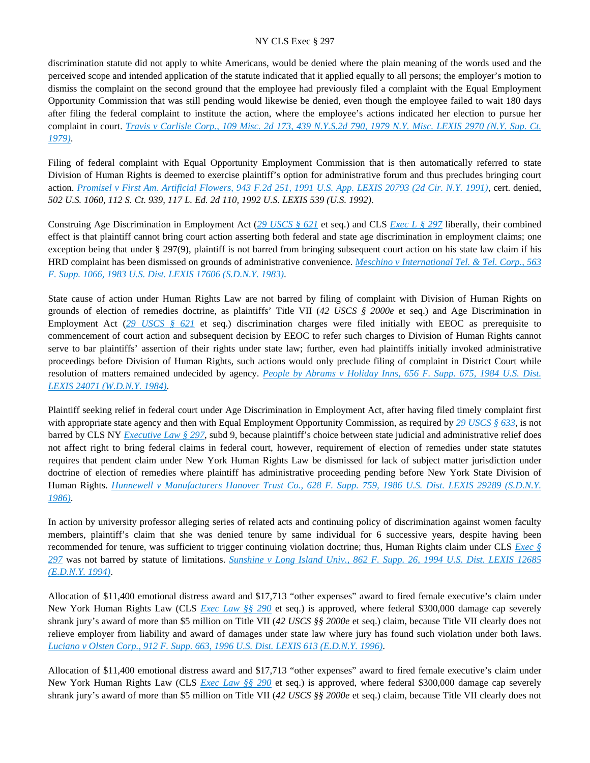discrimination statute did not apply to white Americans, would be denied where the plain meaning of the words used and the perceived scope and intended application of the statute indicated that it applied equally to all persons; the employer's motion to dismiss the complaint on the second ground that the employee had previously filed a complaint with the Equal Employment Opportunity Commission that was still pending would likewise be denied, even though the employee failed to wait 180 days after filing the federal complaint to institute the action, where the employee's actions indicated her election to pursue her complaint in court. *[Travis v Carlisle Corp., 109 Misc. 2d 173, 439 N.Y.S.2d 790, 1979 N.Y. Misc. LEXIS 2970 \(N.Y. Sup. Ct.](https://advance.lexis.com/api/document?collection=cases&id=urn:contentItem:3RRS-GJX0-003C-F2TG-00000-00&context=)  [1979\)](https://advance.lexis.com/api/document?collection=cases&id=urn:contentItem:3RRS-GJX0-003C-F2TG-00000-00&context=)*.

Filing of federal complaint with Equal Opportunity Employment Commission that is then automatically referred to state Division of Human Rights is deemed to exercise plaintiff's option for administrative forum and thus precludes bringing court action. *[Promisel v First Am. Artificial Flowers, 943 F.2d 251, 1991 U.S. App. LEXIS 20793 \(2d Cir. N.Y. 1991\)](https://advance.lexis.com/api/document?collection=cases&id=urn:contentItem:3S4X-8TS0-008H-V1SC-00000-00&context=)*, cert. denied, *502 U.S. 1060, 112 S. Ct. 939, 117 L. Ed. 2d 110, 1992 U.S. LEXIS 539 (U.S. 1992)*.

Construing Age Discrimination in Employment Act (*[29 USCS § 621](https://advance.lexis.com/api/document?collection=statutes-legislation&id=urn:contentItem:4YF7-GJ11-NRF4-4109-00000-00&context=)* et seq.) and CLS *[Exec L § 297](https://advance.lexis.com/api/document?collection=statutes-legislation&id=urn:contentItem:5H6N-1CT1-DXC8-036V-00000-00&context=)* liberally, their combined effect is that plaintiff cannot bring court action asserting both federal and state age discrimination in employment claims; one exception being that under § 297(9), plaintiff is not barred from bringing subsequent court action on his state law claim if his HRD complaint has been dismissed on grounds of administrative convenience. *[Meschino v International Tel. & Tel. Corp., 563](https://advance.lexis.com/api/document?collection=cases&id=urn:contentItem:3S4N-T9Y0-0054-51H4-00000-00&context=)  [F. Supp. 1066, 1983 U.S. Dist. LEXIS 17606 \(S.D.N.Y. 1983\)](https://advance.lexis.com/api/document?collection=cases&id=urn:contentItem:3S4N-T9Y0-0054-51H4-00000-00&context=)*.

State cause of action under Human Rights Law are not barred by filing of complaint with Division of Human Rights on grounds of election of remedies doctrine, as plaintiffs' Title VII (*42 USCS § 2000e* et seq.) and Age Discrimination in Employment Act ([29 USCS § 621](https://advance.lexis.com/api/document?collection=statutes-legislation&id=urn:contentItem:4YF7-GJ11-NRF4-4109-00000-00&context=) et seq.) discrimination charges were filed initially with EEOC as prerequisite to commencement of court action and subsequent decision by EEOC to refer such charges to Division of Human Rights cannot serve to bar plaintiffs' assertion of their rights under state law; further, even had plaintiffs initially invoked administrative proceedings before Division of Human Rights, such actions would only preclude filing of complaint in District Court while resolution of matters remained undecided by agency. *[People by Abrams v Holiday Inns, 656 F. Supp. 675, 1984 U.S. Dist.](https://advance.lexis.com/api/document?collection=cases&id=urn:contentItem:3S4N-B9M0-0054-54CG-00000-00&context=)  [LEXIS 24071 \(W.D.N.Y. 1984\)](https://advance.lexis.com/api/document?collection=cases&id=urn:contentItem:3S4N-B9M0-0054-54CG-00000-00&context=)*.

Plaintiff seeking relief in federal court under Age Discrimination in Employment Act, after having filed timely complaint first with appropriate state agency and then with Equal Employment Opportunity Commission, as required by *[29 USCS § 633](https://advance.lexis.com/api/document?collection=statutes-legislation&id=urn:contentItem:4YF7-GHC1-NRF4-40BB-00000-00&context=)*, is not barred by CLS NY *[Executive Law § 297](https://advance.lexis.com/api/document?collection=statutes-legislation&id=urn:contentItem:5H6N-1CT1-DXC8-036V-00000-00&context=)*, subd 9, because plaintiff's choice between state judicial and administrative relief does not affect right to bring federal claims in federal court, however, requirement of election of remedies under state statutes requires that pendent claim under New York Human Rights Law be dismissed for lack of subject matter jurisdiction under doctrine of election of remedies where plaintiff has administrative proceeding pending before New York State Division of Human Rights. *[Hunnewell v Manufacturers Hanover Trust Co., 628 F. Supp. 759, 1986 U.S. Dist. LEXIS 29289 \(S.D.N.Y.](https://advance.lexis.com/api/document?collection=cases&id=urn:contentItem:3S4N-BSY0-0039-R1V5-00000-00&context=)  [1986\)](https://advance.lexis.com/api/document?collection=cases&id=urn:contentItem:3S4N-BSY0-0039-R1V5-00000-00&context=)*.

In action by university professor alleging series of related acts and continuing policy of discrimination against women faculty members, plaintiff's claim that she was denied tenure by same individual for 6 successive years, despite having been recommended for tenure, was sufficient to trigger continuing violation doctrine; thus, Human Rights claim under CLS *[Exec §](https://advance.lexis.com/api/document?collection=statutes-legislation&id=urn:contentItem:5H6N-1CT1-DXC8-036V-00000-00&context=)  [297](https://advance.lexis.com/api/document?collection=statutes-legislation&id=urn:contentItem:5H6N-1CT1-DXC8-036V-00000-00&context=)* was not barred by statute of limitations. *[Sunshine v Long Island Univ., 862 F. Supp. 26, 1994 U.S. Dist. LEXIS 12685](https://advance.lexis.com/api/document?collection=cases&id=urn:contentItem:3S4N-C830-003B-V3H8-00000-00&context=)  [\(E.D.N.Y. 1994\)](https://advance.lexis.com/api/document?collection=cases&id=urn:contentItem:3S4N-C830-003B-V3H8-00000-00&context=)*.

Allocation of \$11,400 emotional distress award and \$17,713 "other expenses" award to fired female executive's claim under New York Human Rights Law (CLS *[Exec Law §§ 290](https://advance.lexis.com/api/document?collection=statutes-legislation&id=urn:contentItem:5CT3-0SG1-6RDJ-847W-00000-00&context=)* et seq.) is approved, where federal \$300,000 damage cap severely shrank jury's award of more than \$5 million on Title VII (*42 USCS §§ 2000e* et seq.) claim, because Title VII clearly does not relieve employer from liability and award of damages under state law where jury has found such violation under both laws. *[Luciano v Olsten Corp., 912 F. Supp. 663, 1996 U.S. Dist. LEXIS 613 \(E.D.N.Y. 1996\)](https://advance.lexis.com/api/document?collection=cases&id=urn:contentItem:3S4N-V9R0-006F-P52X-00000-00&context=)*.

Allocation of \$11,400 emotional distress award and \$17,713 "other expenses" award to fired female executive's claim under New York Human Rights Law (CLS *[Exec Law §§ 290](https://advance.lexis.com/api/document?collection=statutes-legislation&id=urn:contentItem:5CT3-0SG1-6RDJ-847W-00000-00&context=)* et seq.) is approved, where federal \$300,000 damage cap severely shrank jury's award of more than \$5 million on Title VII (*42 USCS §§ 2000e* et seq.) claim, because Title VII clearly does not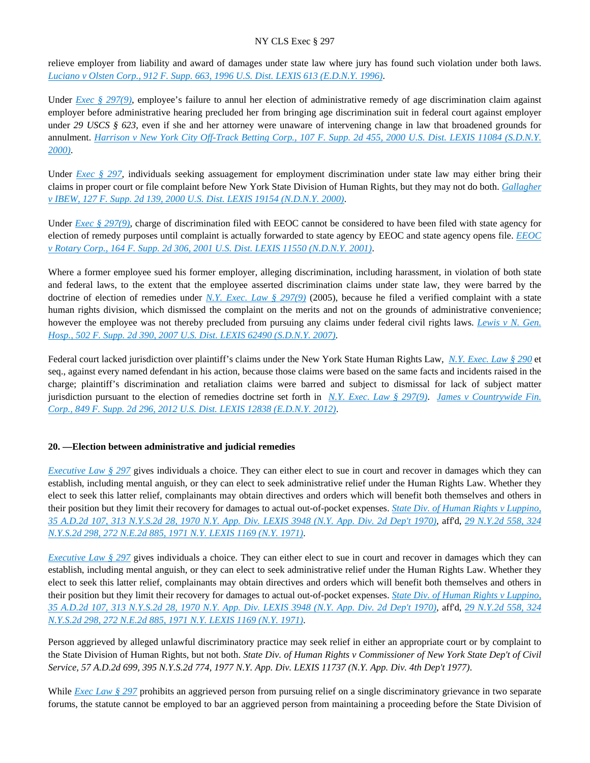relieve employer from liability and award of damages under state law where jury has found such violation under both laws. *[Luciano v Olsten Corp., 912 F. Supp. 663, 1996 U.S. Dist. LEXIS 613 \(E.D.N.Y. 1996\)](https://advance.lexis.com/api/document?collection=cases&id=urn:contentItem:3S4N-V9R0-006F-P52X-00000-00&context=)*.

Under *[Exec § 297\(9\)](https://advance.lexis.com/api/document?collection=statutes-legislation&id=urn:contentItem:5H6N-1CT1-DXC8-036V-00000-00&context=)*, employee's failure to annul her election of administrative remedy of age discrimination claim against employer before administrative hearing precluded her from bringing age discrimination suit in federal court against employer under *29 USCS § 623*, even if she and her attorney were unaware of intervening change in law that broadened grounds for annulment. *[Harrison v New York City Off-Track Betting Corp., 107 F. Supp. 2d 455, 2000 U.S. Dist. LEXIS 11084 \(S.D.N.Y.](https://advance.lexis.com/api/document?collection=cases&id=urn:contentItem:40XW-JJR0-0038-Y0T9-00000-00&context=)  [2000\)](https://advance.lexis.com/api/document?collection=cases&id=urn:contentItem:40XW-JJR0-0038-Y0T9-00000-00&context=)*.

Under *[Exec § 297](https://advance.lexis.com/api/document?collection=statutes-legislation&id=urn:contentItem:5H6N-1CT1-DXC8-036V-00000-00&context=)*, individuals seeking assuagement for employment discrimination under state law may either bring their claims in proper court or file complaint before New York State Division of Human Rights, but they may not do both. *[Gallagher](https://advance.lexis.com/api/document?collection=cases&id=urn:contentItem:4250-XHM0-0038-Y1JX-00000-00&context=)  [v IBEW, 127 F. Supp. 2d 139, 2000 U.S. Dist. LEXIS 19154 \(N.D.N.Y. 2000\)](https://advance.lexis.com/api/document?collection=cases&id=urn:contentItem:4250-XHM0-0038-Y1JX-00000-00&context=)*.

Under *Exec* § 297(9), charge of discrimination filed with EEOC cannot be considered to have been filed with state agency for election of remedy purposes until complaint is actually forwarded to state agency by EEOC and state agency opens file. *[EEOC](https://advance.lexis.com/api/document?collection=cases&id=urn:contentItem:43RJ-TXS0-0038-Y2VX-00000-00&context=)  [v Rotary Corp., 164 F. Supp. 2d 306, 2001 U.S. Dist. LEXIS 11550 \(N.D.N.Y. 2001\)](https://advance.lexis.com/api/document?collection=cases&id=urn:contentItem:43RJ-TXS0-0038-Y2VX-00000-00&context=)*.

Where a former employee sued his former employer, alleging discrimination, including harassment, in violation of both state and federal laws, to the extent that the employee asserted discrimination claims under state law, they were barred by the doctrine of election of remedies under *[N.Y. Exec. Law § 297\(9\)](https://advance.lexis.com/api/document?collection=statutes-legislation&id=urn:contentItem:5H6N-1CT1-DXC8-036V-00000-00&context=)* (2005), because he filed a verified complaint with a state human rights division, which dismissed the complaint on the merits and not on the grounds of administrative convenience; however the employee was not thereby precluded from pursuing any claims under federal civil rights laws. *[Lewis v N. Gen.](https://advance.lexis.com/api/document?collection=cases&id=urn:contentItem:4PHK-7110-TXFR-J2S9-00000-00&context=)  [Hosp., 502 F. Supp. 2d 390, 2007 U.S. Dist. LEXIS 62490 \(S.D.N.Y. 2007\)](https://advance.lexis.com/api/document?collection=cases&id=urn:contentItem:4PHK-7110-TXFR-J2S9-00000-00&context=)*.

Federal court lacked jurisdiction over plaintiff's claims under the New York State Human Rights Law, *[N.Y. Exec. Law § 290](https://advance.lexis.com/api/document?collection=statutes-legislation&id=urn:contentItem:5CT3-0SG1-6RDJ-847W-00000-00&context=)* et seq., against every named defendant in his action, because those claims were based on the same facts and incidents raised in the charge; plaintiff's discrimination and retaliation claims were barred and subject to dismissal for lack of subject matter jurisdiction pursuant to the election of remedies doctrine set forth in *[N.Y. Exec. Law § 297\(9\)](https://advance.lexis.com/api/document?collection=statutes-legislation&id=urn:contentItem:5H6N-1CT1-DXC8-036V-00000-00&context=)*. *[James v Countrywide Fin.](https://advance.lexis.com/api/document?collection=cases&id=urn:contentItem:54W6-6RR1-F04F-01PY-00000-00&context=)  [Corp., 849 F. Supp. 2d 296, 2012 U.S. Dist. LEXIS 12838 \(E.D.N.Y. 2012\)](https://advance.lexis.com/api/document?collection=cases&id=urn:contentItem:54W6-6RR1-F04F-01PY-00000-00&context=)*.

# **20. —Election between administrative and judicial remedies**

*[Executive Law § 297](https://advance.lexis.com/api/document?collection=statutes-legislation&id=urn:contentItem:5H6N-1CT1-DXC8-036V-00000-00&context=)* gives individuals a choice. They can either elect to sue in court and recover in damages which they can establish, including mental anguish, or they can elect to seek administrative relief under the Human Rights Law. Whether they elect to seek this latter relief, complainants may obtain directives and orders which will benefit both themselves and others in their position but they limit their recovery for damages to actual out-of-pocket expenses. *[State Div. of Human Rights v Luppino,](https://advance.lexis.com/api/document?collection=cases&id=urn:contentItem:3RRS-YY10-003C-C44T-00000-00&context=)  [35 A.D.2d 107, 313 N.Y.S.2d 28, 1970 N.Y. App. Div. LEXIS 3948 \(N.Y. App. Div. 2d Dep't 1970\)](https://advance.lexis.com/api/document?collection=cases&id=urn:contentItem:3RRS-YY10-003C-C44T-00000-00&context=)*, aff'd, *[29 N.Y.2d 558, 324](https://advance.lexis.com/api/document?collection=cases&id=urn:contentItem:3RRS-VS50-003C-C35R-00000-00&context=)  [N.Y.S.2d 298, 272 N.E.2d 885, 1971 N.Y. LEXIS 1169 \(N.Y. 1971\)](https://advance.lexis.com/api/document?collection=cases&id=urn:contentItem:3RRS-VS50-003C-C35R-00000-00&context=)*.

*[Executive Law § 297](https://advance.lexis.com/api/document?collection=statutes-legislation&id=urn:contentItem:5H6N-1CT1-DXC8-036V-00000-00&context=)* gives individuals a choice. They can either elect to sue in court and recover in damages which they can establish, including mental anguish, or they can elect to seek administrative relief under the Human Rights Law. Whether they elect to seek this latter relief, complainants may obtain directives and orders which will benefit both themselves and others in their position but they limit their recovery for damages to actual out-of-pocket expenses. *[State Div. of Human Rights v Luppino,](https://advance.lexis.com/api/document?collection=cases&id=urn:contentItem:3RRS-YY10-003C-C44T-00000-00&context=)  [35 A.D.2d 107, 313 N.Y.S.2d 28, 1970 N.Y. App. Div. LEXIS 3948 \(N.Y. App. Div. 2d Dep't 1970\)](https://advance.lexis.com/api/document?collection=cases&id=urn:contentItem:3RRS-YY10-003C-C44T-00000-00&context=)*, aff'd, *[29 N.Y.2d 558, 324](https://advance.lexis.com/api/document?collection=cases&id=urn:contentItem:3RRS-VS50-003C-C35R-00000-00&context=)  [N.Y.S.2d 298, 272 N.E.2d 885, 1971 N.Y. LEXIS 1169 \(N.Y. 1971\)](https://advance.lexis.com/api/document?collection=cases&id=urn:contentItem:3RRS-VS50-003C-C35R-00000-00&context=)*.

Person aggrieved by alleged unlawful discriminatory practice may seek relief in either an appropriate court or by complaint to the State Division of Human Rights, but not both. *State Div. of Human Rights v Commissioner of New York State Dep't of Civil Service, 57 A.D.2d 699, 395 N.Y.S.2d 774, 1977 N.Y. App. Div. LEXIS 11737 (N.Y. App. Div. 4th Dep't 1977)*.

While *Exec Law §* 297 prohibits an aggrieved person from pursuing relief on a single discriminatory grievance in two separate forums, the statute cannot be employed to bar an aggrieved person from maintaining a proceeding before the State Division of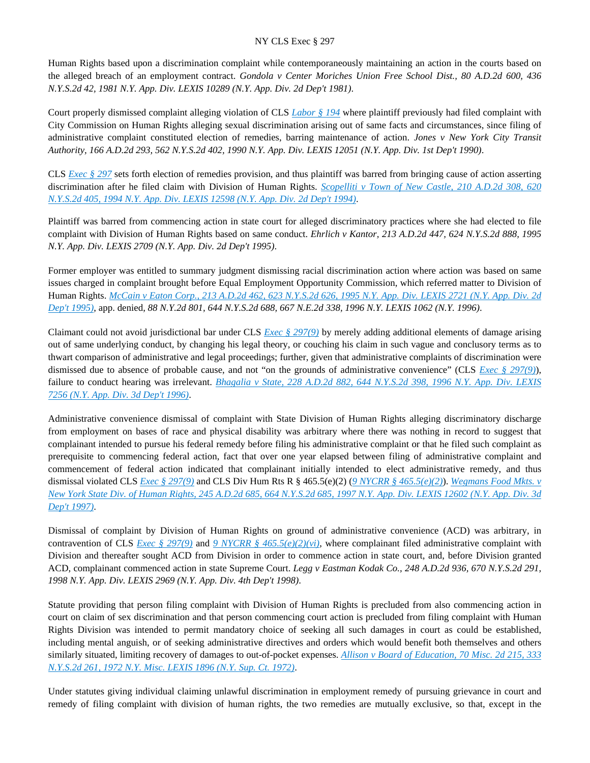Human Rights based upon a discrimination complaint while contemporaneously maintaining an action in the courts based on the alleged breach of an employment contract. *Gondola v Center Moriches Union Free School Dist., 80 A.D.2d 600, 436 N.Y.S.2d 42, 1981 N.Y. App. Div. LEXIS 10289 (N.Y. App. Div. 2d Dep't 1981)*.

Court properly dismissed complaint alleging violation of CLS *[Labor § 194](https://advance.lexis.com/api/document?collection=statutes-legislation&id=urn:contentItem:5H6N-18H1-DXC8-0361-00000-00&context=)* where plaintiff previously had filed complaint with City Commission on Human Rights alleging sexual discrimination arising out of same facts and circumstances, since filing of administrative complaint constituted election of remedies, barring maintenance of action. *Jones v New York City Transit Authority, 166 A.D.2d 293, 562 N.Y.S.2d 402, 1990 N.Y. App. Div. LEXIS 12051 (N.Y. App. Div. 1st Dep't 1990)*.

CLS *[Exec § 297](https://advance.lexis.com/api/document?collection=statutes-legislation&id=urn:contentItem:5H6N-1CT1-DXC8-036V-00000-00&context=)* sets forth election of remedies provision, and thus plaintiff was barred from bringing cause of action asserting discrimination after he filed claim with Division of Human Rights. *[Scopelliti v Town of New Castle, 210 A.D.2d 308, 620](https://advance.lexis.com/api/document?collection=cases&id=urn:contentItem:3S2R-6HW0-003V-B390-00000-00&context=)  [N.Y.S.2d 405, 1994 N.Y. App. Div. LEXIS 12598 \(N.Y. App. Div. 2d Dep't 1994\)](https://advance.lexis.com/api/document?collection=cases&id=urn:contentItem:3S2R-6HW0-003V-B390-00000-00&context=)*.

Plaintiff was barred from commencing action in state court for alleged discriminatory practices where she had elected to file complaint with Division of Human Rights based on same conduct. *Ehrlich v Kantor, 213 A.D.2d 447, 624 N.Y.S.2d 888, 1995 N.Y. App. Div. LEXIS 2709 (N.Y. App. Div. 2d Dep't 1995)*.

Former employer was entitled to summary judgment dismissing racial discrimination action where action was based on same issues charged in complaint brought before Equal Employment Opportunity Commission, which referred matter to Division of Human Rights. *[McCain v Eaton Corp., 213 A.D.2d 462, 623 N.Y.S.2d 626, 1995 N.Y. App. Div. LEXIS 2721 \(N.Y. App. Div. 2d](https://advance.lexis.com/api/document?collection=cases&id=urn:contentItem:3S2R-6D00-003V-B2B6-00000-00&context=)  [Dep't 1995\)](https://advance.lexis.com/api/document?collection=cases&id=urn:contentItem:3S2R-6D00-003V-B2B6-00000-00&context=)*, app. denied, *88 N.Y.2d 801, 644 N.Y.S.2d 688, 667 N.E.2d 338, 1996 N.Y. LEXIS 1062 (N.Y. 1996)*.

Claimant could not avoid jurisdictional bar under CLS *[Exec § 297\(9\)](https://advance.lexis.com/api/document?collection=statutes-legislation&id=urn:contentItem:5H6N-1CT1-DXC8-036V-00000-00&context=)* by merely adding additional elements of damage arising out of same underlying conduct, by changing his legal theory, or couching his claim in such vague and conclusory terms as to thwart comparison of administrative and legal proceedings; further, given that administrative complaints of discrimination were dismissed due to absence of probable cause, and not "on the grounds of administrative convenience" (CLS *[Exec § 297\(9\)](https://advance.lexis.com/api/document?collection=statutes-legislation&id=urn:contentItem:5H6N-1CT1-DXC8-036V-00000-00&context=)*), failure to conduct hearing was irrelevant. *[Bhagalia v State, 228 A.D.2d 882, 644 N.Y.S.2d 398, 1996 N.Y. App. Div. LEXIS](https://advance.lexis.com/api/document?collection=cases&id=urn:contentItem:3RGS-BGF0-003V-B064-00000-00&context=)  [7256 \(N.Y. App. Div. 3d Dep't 1996\)](https://advance.lexis.com/api/document?collection=cases&id=urn:contentItem:3RGS-BGF0-003V-B064-00000-00&context=)*.

Administrative convenience dismissal of complaint with State Division of Human Rights alleging discriminatory discharge from employment on bases of race and physical disability was arbitrary where there was nothing in record to suggest that complainant intended to pursue his federal remedy before filing his administrative complaint or that he filed such complaint as prerequisite to commencing federal action, fact that over one year elapsed between filing of administrative complaint and commencement of federal action indicated that complainant initially intended to elect administrative remedy, and thus dismissal violated CLS *[Exec § 297\(9\)](https://advance.lexis.com/api/document?collection=statutes-legislation&id=urn:contentItem:5H6N-1CT1-DXC8-036V-00000-00&context=)* and CLS Div Hum Rts R § 465.5(e)(2) (*[9 NYCRR § 465.5\(e\)\(2\)](https://advance.lexis.com/api/document?collection=administrative-codes&id=urn:contentItem:5VXH-YX20-00XK-W10T-00000-00&context=)*). *[Wegmans Food Mkts. v](https://advance.lexis.com/api/document?collection=cases&id=urn:contentItem:3RJF-TR50-0039-40TF-00000-00&context=)  [New York State Div. of Human Rights, 245 A.D.2d 685, 664 N.Y.S.2d 685, 1997 N.Y. App. Div. LEXIS 12602 \(N.Y. App. Div. 3d](https://advance.lexis.com/api/document?collection=cases&id=urn:contentItem:3RJF-TR50-0039-40TF-00000-00&context=)  [Dep't 1997\)](https://advance.lexis.com/api/document?collection=cases&id=urn:contentItem:3RJF-TR50-0039-40TF-00000-00&context=)*.

Dismissal of complaint by Division of Human Rights on ground of administrative convenience (ACD) was arbitrary, in contravention of CLS *[Exec § 297\(9\)](https://advance.lexis.com/api/document?collection=statutes-legislation&id=urn:contentItem:5H6N-1CT1-DXC8-036V-00000-00&context=)* and *[9 NYCRR § 465.5\(e\)\(2\)\(vi\)](https://advance.lexis.com/api/document?collection=administrative-codes&id=urn:contentItem:5VXH-YX20-00XK-W10T-00000-00&context=)*, where complainant filed administrative complaint with Division and thereafter sought ACD from Division in order to commence action in state court, and, before Division granted ACD, complainant commenced action in state Supreme Court. *Legg v Eastman Kodak Co., 248 A.D.2d 936, 670 N.Y.S.2d 291, 1998 N.Y. App. Div. LEXIS 2969 (N.Y. App. Div. 4th Dep't 1998)*.

Statute providing that person filing complaint with Division of Human Rights is precluded from also commencing action in court on claim of sex discrimination and that person commencing court action is precluded from filing complaint with Human Rights Division was intended to permit mandatory choice of seeking all such damages in court as could be established, including mental anguish, or of seeking administrative directives and orders which would benefit both themselves and others similarly situated, limiting recovery of damages to out-of-pocket expenses. *[Allison v Board of Education, 70 Misc. 2d 215, 333](https://advance.lexis.com/api/document?collection=cases&id=urn:contentItem:3RRS-9X90-003C-D3XM-00000-00&context=)  [N.Y.S.2d 261, 1972 N.Y. Misc. LEXIS 1896 \(N.Y. Sup. Ct. 1972\)](https://advance.lexis.com/api/document?collection=cases&id=urn:contentItem:3RRS-9X90-003C-D3XM-00000-00&context=)*.

Under statutes giving individual claiming unlawful discrimination in employment remedy of pursuing grievance in court and remedy of filing complaint with division of human rights, the two remedies are mutually exclusive, so that, except in the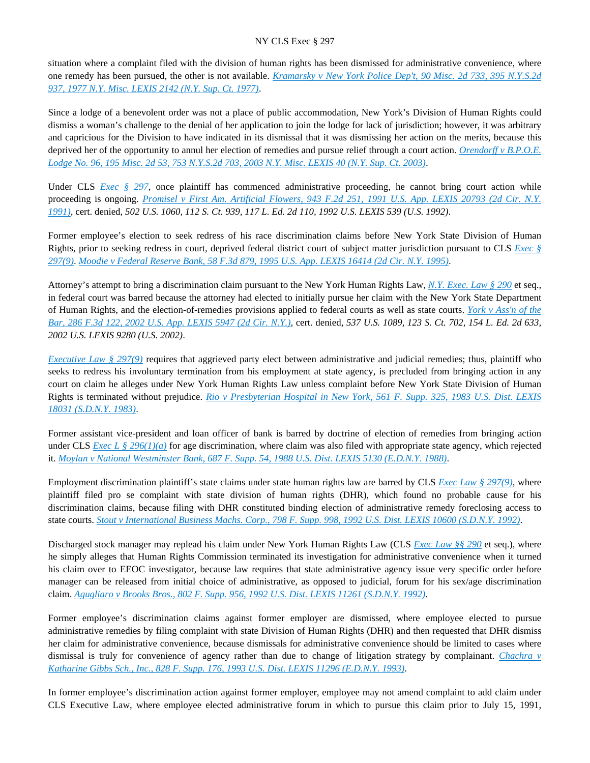situation where a complaint filed with the division of human rights has been dismissed for administrative convenience, where one remedy has been pursued, the other is not available. *[Kramarsky v New York Police Dep't, 90 Misc. 2d 733, 395 N.Y.S.2d](https://advance.lexis.com/api/document?collection=cases&id=urn:contentItem:3RRS-GVH0-003C-F4RK-00000-00&context=)  [937, 1977 N.Y. Misc. LEXIS 2142 \(N.Y. Sup. Ct. 1977\)](https://advance.lexis.com/api/document?collection=cases&id=urn:contentItem:3RRS-GVH0-003C-F4RK-00000-00&context=)*.

Since a lodge of a benevolent order was not a place of public accommodation, New York's Division of Human Rights could dismiss a woman's challenge to the denial of her application to join the lodge for lack of jurisdiction; however, it was arbitrary and capricious for the Division to have indicated in its dismissal that it was dismissing her action on the merits, because this deprived her of the opportunity to annul her election of remedies and pursue relief through a court action. *[Orendorff v B.P.O.E.](https://advance.lexis.com/api/document?collection=cases&id=urn:contentItem:47T8-2PY0-0039-410H-00000-00&context=)  [Lodge No. 96, 195 Misc. 2d 53, 753 N.Y.S.2d 703, 2003 N.Y. Misc. LEXIS 40 \(N.Y. Sup. Ct. 2003\)](https://advance.lexis.com/api/document?collection=cases&id=urn:contentItem:47T8-2PY0-0039-410H-00000-00&context=)*.

Under CLS *[Exec § 297](https://advance.lexis.com/api/document?collection=statutes-legislation&id=urn:contentItem:5H6N-1CT1-DXC8-036V-00000-00&context=)*, once plaintiff has commenced administrative proceeding, he cannot bring court action while proceeding is ongoing. *[Promisel v First Am. Artificial Flowers, 943 F.2d 251, 1991 U.S. App. LEXIS 20793 \(2d Cir. N.Y.](https://advance.lexis.com/api/document?collection=cases&id=urn:contentItem:3S4X-8TS0-008H-V1SC-00000-00&context=)  [1991\)](https://advance.lexis.com/api/document?collection=cases&id=urn:contentItem:3S4X-8TS0-008H-V1SC-00000-00&context=)*, cert. denied, *502 U.S. 1060, 112 S. Ct. 939, 117 L. Ed. 2d 110, 1992 U.S. LEXIS 539 (U.S. 1992)*.

Former employee's election to seek redress of his race discrimination claims before New York State Division of Human Rights, prior to seeking redress in court, deprived federal district court of subject matter jurisdiction pursuant to CLS *[Exec §](https://advance.lexis.com/api/document?collection=statutes-legislation&id=urn:contentItem:5H6N-1CT1-DXC8-036V-00000-00&context=)  [297\(9\)](https://advance.lexis.com/api/document?collection=statutes-legislation&id=urn:contentItem:5H6N-1CT1-DXC8-036V-00000-00&context=)*. *[Moodie v Federal Reserve Bank, 58 F.3d 879, 1995 U.S. App. LEXIS 16414 \(2d Cir. N.Y. 1995\)](https://advance.lexis.com/api/document?collection=cases&id=urn:contentItem:3S4X-DB30-001T-D2KJ-00000-00&context=)*.

Attorney's attempt to bring a discrimination claim pursuant to the New York Human Rights Law, *[N.Y. Exec. Law § 290](https://advance.lexis.com/api/document?collection=statutes-legislation&id=urn:contentItem:5CT3-0SG1-6RDJ-847W-00000-00&context=)* et seq., in federal court was barred because the attorney had elected to initially pursue her claim with the New York State Department of Human Rights, and the election-of-remedies provisions applied to federal courts as well as state courts. *[York v Ass'n of the](https://advance.lexis.com/api/document?collection=cases&id=urn:contentItem:45H3-TNK0-0038-X3TB-00000-00&context=)  [Bar, 286 F.3d 122, 2002 U.S. App. LEXIS 5947 \(2d Cir. N.Y.\)](https://advance.lexis.com/api/document?collection=cases&id=urn:contentItem:45H3-TNK0-0038-X3TB-00000-00&context=)*, cert. denied, *537 U.S. 1089, 123 S. Ct. 702, 154 L. Ed. 2d 633, 2002 U.S. LEXIS 9280 (U.S. 2002)*.

*[Executive Law § 297\(9\)](https://advance.lexis.com/api/document?collection=statutes-legislation&id=urn:contentItem:5H6N-1CT1-DXC8-036V-00000-00&context=)* requires that aggrieved party elect between administrative and judicial remedies; thus, plaintiff who seeks to redress his involuntary termination from his employment at state agency, is precluded from bringing action in any court on claim he alleges under New York Human Rights Law unless complaint before New York State Division of Human Rights is terminated without prejudice. *[Rio v Presbyterian Hospital in New York, 561 F. Supp. 325, 1983 U.S. Dist. LEXIS](https://advance.lexis.com/api/document?collection=cases&id=urn:contentItem:3S4N-TJ50-0054-5227-00000-00&context=)  [18031 \(S.D.N.Y. 1983\)](https://advance.lexis.com/api/document?collection=cases&id=urn:contentItem:3S4N-TJ50-0054-5227-00000-00&context=)*.

Former assistant vice-president and loan officer of bank is barred by doctrine of election of remedies from bringing action under CLS *Exec L* § 296(1)(*a*) for age discrimination, where claim was also filed with appropriate state agency, which rejected it. *[Moylan v National Westminster Bank, 687 F. Supp. 54, 1988 U.S. Dist. LEXIS 5130 \(E.D.N.Y. 1988\)](https://advance.lexis.com/api/document?collection=cases&id=urn:contentItem:3S4N-9220-003B-6095-00000-00&context=)*.

Employment discrimination plaintiff's state claims under state human rights law are barred by CLS *[Exec Law § 297\(9\)](https://advance.lexis.com/api/document?collection=statutes-legislation&id=urn:contentItem:5H6N-1CT1-DXC8-036V-00000-00&context=)*, where plaintiff filed pro se complaint with state division of human rights (DHR), which found no probable cause for his discrimination claims, because filing with DHR constituted binding election of administrative remedy foreclosing access to state courts. *[Stout v International Business Machs. Corp., 798 F. Supp. 998, 1992 U.S. Dist. LEXIS 10600 \(S.D.N.Y. 1992\)](https://advance.lexis.com/api/document?collection=cases&id=urn:contentItem:3RVD-2P00-008H-F0GS-00000-00&context=)*.

Discharged stock manager may replead his claim under New York Human Rights Law (CLS *[Exec Law §§ 290](https://advance.lexis.com/api/document?collection=statutes-legislation&id=urn:contentItem:5CT3-0SG1-6RDJ-847W-00000-00&context=)* et seq.), where he simply alleges that Human Rights Commission terminated its investigation for administrative convenience when it turned his claim over to EEOC investigator, because law requires that state administrative agency issue very specific order before manager can be released from initial choice of administrative, as opposed to judicial, forum for his sex/age discrimination claim. *[Agugliaro v Brooks Bros., 802 F. Supp. 956, 1992 U.S. Dist. LEXIS 11261 \(S.D.N.Y. 1992\)](https://advance.lexis.com/api/document?collection=cases&id=urn:contentItem:3S4N-HS60-008H-F181-00000-00&context=)*.

Former employee's discrimination claims against former employer are dismissed, where employee elected to pursue administrative remedies by filing complaint with state Division of Human Rights (DHR) and then requested that DHR dismiss her claim for administrative convenience, because dismissals for administrative convenience should be limited to cases where dismissal is truly for convenience of agency rather than due to change of litigation strategy by complainant. *[Chachra v](https://advance.lexis.com/api/document?collection=cases&id=urn:contentItem:3S4N-H440-001T-64GW-00000-00&context=)  [Katharine Gibbs Sch., Inc., 828 F. Supp. 176, 1993 U.S. Dist. LEXIS 11296 \(E.D.N.Y. 1993\)](https://advance.lexis.com/api/document?collection=cases&id=urn:contentItem:3S4N-H440-001T-64GW-00000-00&context=)*.

In former employee's discrimination action against former employer, employee may not amend complaint to add claim under CLS Executive Law, where employee elected administrative forum in which to pursue this claim prior to July 15, 1991,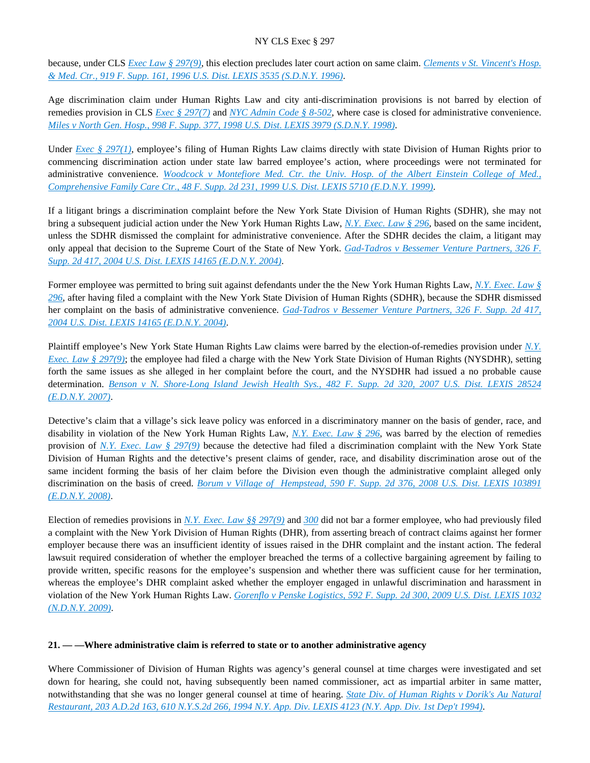because, under CLS *[Exec Law § 297\(9\)](https://advance.lexis.com/api/document?collection=statutes-legislation&id=urn:contentItem:5H6N-1CT1-DXC8-036V-00000-00&context=)*, this election precludes later court action on same claim. *[Clements v St. Vincent's Hosp.](https://advance.lexis.com/api/document?collection=cases&id=urn:contentItem:3S4N-S190-006F-P04C-00000-00&context=)  [& Med. Ctr., 919 F. Supp. 161, 1996 U.S. Dist. LEXIS 3535 \(S.D.N.Y. 1996\)](https://advance.lexis.com/api/document?collection=cases&id=urn:contentItem:3S4N-S190-006F-P04C-00000-00&context=)*.

Age discrimination claim under Human Rights Law and city anti-discrimination provisions is not barred by election of remedies provision in CLS *[Exec § 297\(7\)](https://advance.lexis.com/api/document?collection=statutes-legislation&id=urn:contentItem:5H6N-1CT1-DXC8-036V-00000-00&context=)* and *[NYC Admin Code § 8-502](https://advance.lexis.com/api/document?collection=statutes-legislation&id=urn:contentItem:5VXB-F9N1-F17G-F0SB-00000-00&context=)*, where case is closed for administrative convenience. *[Miles v North Gen. Hosp., 998 F. Supp. 377, 1998 U.S. Dist. LEXIS 3979 \(S.D.N.Y. 1998\)](https://advance.lexis.com/api/document?collection=cases&id=urn:contentItem:3SCD-V9M0-0038-Y084-00000-00&context=)*.

Under *Exec* § 297(1), employee's filing of Human Rights Law claims directly with state Division of Human Rights prior to commencing discrimination action under state law barred employee's action, where proceedings were not terminated for administrative convenience. *[Woodcock v Montefiore Med. Ctr. the Univ. Hosp. of the Albert Einstein College of Med.,](https://advance.lexis.com/api/document?collection=cases&id=urn:contentItem:3WB7-F7P0-0038-Y2BF-00000-00&context=)  [Comprehensive Family Care Ctr., 48 F. Supp. 2d 231, 1999 U.S. Dist. LEXIS 5710 \(E.D.N.Y. 1999\)](https://advance.lexis.com/api/document?collection=cases&id=urn:contentItem:3WB7-F7P0-0038-Y2BF-00000-00&context=)*.

If a litigant brings a discrimination complaint before the New York State Division of Human Rights (SDHR), she may not bring a subsequent judicial action under the New York Human Rights Law, *[N.Y. Exec. Law § 296](https://advance.lexis.com/api/document?collection=statutes-legislation&id=urn:contentItem:8TP5-PCS2-8T6X-74HS-00000-00&context=)*, based on the same incident, unless the SDHR dismissed the complaint for administrative convenience. After the SDHR decides the claim, a litigant may only appeal that decision to the Supreme Court of the State of New York. *[Gad-Tadros v Bessemer Venture Partners, 326 F.](https://advance.lexis.com/api/document?collection=cases&id=urn:contentItem:4CYH-4VF0-0038-Y1SK-00000-00&context=)  [Supp. 2d 417, 2004 U.S. Dist. LEXIS 14165 \(E.D.N.Y. 2004\)](https://advance.lexis.com/api/document?collection=cases&id=urn:contentItem:4CYH-4VF0-0038-Y1SK-00000-00&context=)*.

Former employee was permitted to bring suit against defendants under the the New York Human Rights Law, *[N.Y. Exec. Law §](https://advance.lexis.com/api/document?collection=statutes-legislation&id=urn:contentItem:8TP5-PCS2-8T6X-74HS-00000-00&context=)  [296](https://advance.lexis.com/api/document?collection=statutes-legislation&id=urn:contentItem:8TP5-PCS2-8T6X-74HS-00000-00&context=)*, after having filed a complaint with the New York State Division of Human Rights (SDHR), because the SDHR dismissed her complaint on the basis of administrative convenience. *[Gad-Tadros v Bessemer Venture Partners, 326 F. Supp. 2d 417,](https://advance.lexis.com/api/document?collection=cases&id=urn:contentItem:4CYH-4VF0-0038-Y1SK-00000-00&context=)  [2004 U.S. Dist. LEXIS 14165 \(E.D.N.Y. 2004\)](https://advance.lexis.com/api/document?collection=cases&id=urn:contentItem:4CYH-4VF0-0038-Y1SK-00000-00&context=)*.

Plaintiff employee's New York State Human Rights Law claims were barred by the election-of-remedies provision under *[N.Y.](https://advance.lexis.com/api/document?collection=statutes-legislation&id=urn:contentItem:5H6N-1CT1-DXC8-036V-00000-00&context=)  [Exec. Law § 297\(9\)](https://advance.lexis.com/api/document?collection=statutes-legislation&id=urn:contentItem:5H6N-1CT1-DXC8-036V-00000-00&context=)*; the employee had filed a charge with the New York State Division of Human Rights (NYSDHR), setting forth the same issues as she alleged in her complaint before the court, and the NYSDHR had issued a no probable cause determination. *[Benson v N. Shore-Long Island Jewish Health Sys., 482 F. Supp. 2d 320, 2007 U.S. Dist. LEXIS 28524](https://advance.lexis.com/api/document?collection=cases&id=urn:contentItem:4NHV-H1M0-TVW3-P2GY-00000-00&context=)  [\(E.D.N.Y. 2007\)](https://advance.lexis.com/api/document?collection=cases&id=urn:contentItem:4NHV-H1M0-TVW3-P2GY-00000-00&context=)*.

Detective's claim that a village's sick leave policy was enforced in a discriminatory manner on the basis of gender, race, and disability in violation of the New York Human Rights Law, *[N.Y. Exec. Law § 296](https://advance.lexis.com/api/document?collection=statutes-legislation&id=urn:contentItem:8TP5-PCS2-8T6X-74HS-00000-00&context=)*, was barred by the election of remedies provision of *[N.Y. Exec. Law § 297\(9\)](https://advance.lexis.com/api/document?collection=statutes-legislation&id=urn:contentItem:5H6N-1CT1-DXC8-036V-00000-00&context=)* because the detective had filed a discrimination complaint with the New York State Division of Human Rights and the detective's present claims of gender, race, and disability discrimination arose out of the same incident forming the basis of her claim before the Division even though the administrative complaint alleged only discrimination on the basis of creed. *[Borum v Village of Hempstead, 590 F. Supp. 2d 376, 2008 U.S. Dist. LEXIS 103891](https://advance.lexis.com/api/document?collection=cases&id=urn:contentItem:4V75-BT90-TXFR-J28M-00000-00&context=)  [\(E.D.N.Y. 2008\)](https://advance.lexis.com/api/document?collection=cases&id=urn:contentItem:4V75-BT90-TXFR-J28M-00000-00&context=)*.

Election of remedies provisions in *[N.Y. Exec. Law §§ 297\(9\)](https://advance.lexis.com/api/document?collection=statutes-legislation&id=urn:contentItem:5H6N-1CT1-DXC8-036V-00000-00&context=)* and *[300](https://advance.lexis.com/api/document?collection=statutes-legislation&id=urn:contentItem:5CT3-0SG1-6RDJ-848D-00000-00&context=)* did not bar a former employee, who had previously filed a complaint with the New York Division of Human Rights (DHR), from asserting breach of contract claims against her former employer because there was an insufficient identity of issues raised in the DHR complaint and the instant action. The federal lawsuit required consideration of whether the employer breached the terms of a collective bargaining agreement by failing to provide written, specific reasons for the employee's suspension and whether there was sufficient cause for her termination, whereas the employee's DHR complaint asked whether the employer engaged in unlawful discrimination and harassment in violation of the New York Human Rights Law. *[Gorenflo v Penske Logistics, 592 F. Supp. 2d 300, 2009 U.S. Dist. LEXIS 1032](https://advance.lexis.com/api/document?collection=cases&id=urn:contentItem:4VBF-6CT0-TXFR-J20M-00000-00&context=)  [\(N.D.N.Y. 2009\)](https://advance.lexis.com/api/document?collection=cases&id=urn:contentItem:4VBF-6CT0-TXFR-J20M-00000-00&context=)*.

### **21. — —Where administrative claim is referred to state or to another administrative agency**

Where Commissioner of Division of Human Rights was agency's general counsel at time charges were investigated and set down for hearing, she could not, having subsequently been named commissioner, act as impartial arbiter in same matter, notwithstanding that she was no longer general counsel at time of hearing. *[State Div. of Human Rights v Dorik's Au Natural](https://advance.lexis.com/api/document?collection=cases&id=urn:contentItem:3S25-R980-003V-B27F-00000-00&context=)  [Restaurant, 203 A.D.2d 163, 610 N.Y.S.2d 266, 1994 N.Y. App. Div. LEXIS 4123 \(N.Y. App. Div. 1st Dep't 1994\)](https://advance.lexis.com/api/document?collection=cases&id=urn:contentItem:3S25-R980-003V-B27F-00000-00&context=)*.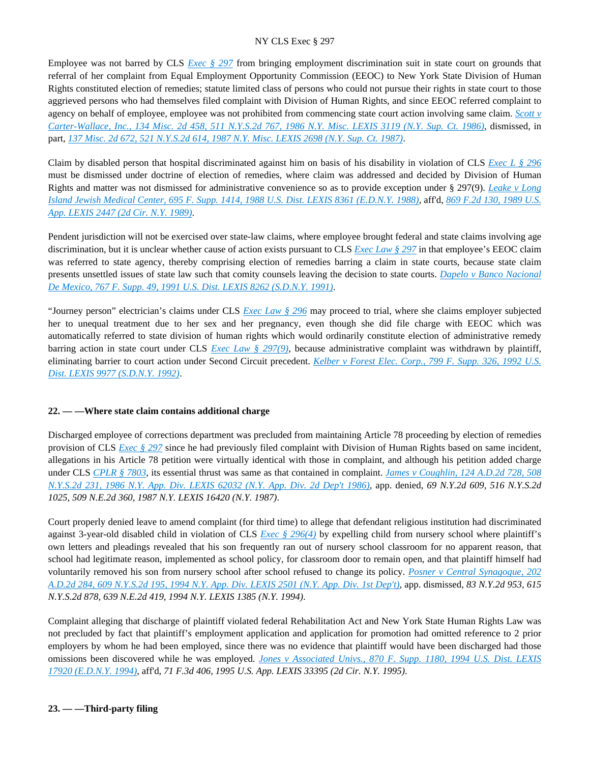Employee was not barred by CLS *[Exec § 297](https://advance.lexis.com/api/document?collection=statutes-legislation&id=urn:contentItem:5H6N-1CT1-DXC8-036V-00000-00&context=)* from bringing employment discrimination suit in state court on grounds that referral of her complaint from Equal Employment Opportunity Commission (EEOC) to New York State Division of Human Rights constituted election of remedies; statute limited class of persons who could not pursue their rights in state court to those aggrieved persons who had themselves filed complaint with Division of Human Rights, and since EEOC referred complaint to agency on behalf of employee, employee was not prohibited from commencing state court action involving same claim. *[Scott v](https://advance.lexis.com/api/document?collection=cases&id=urn:contentItem:3S3K-2R80-003D-G42R-00000-00&context=)  [Carter-Wallace, Inc., 134 Misc. 2d 458, 511 N.Y.S.2d 767, 1986 N.Y. Misc. LEXIS 3119 \(N.Y. Sup. Ct. 1986\)](https://advance.lexis.com/api/document?collection=cases&id=urn:contentItem:3S3K-2R80-003D-G42R-00000-00&context=)*, dismissed, in part, *[137 Misc. 2d 672, 521 N.Y.S.2d 614, 1987 N.Y. Misc. LEXIS 2698 \(N.Y. Sup. Ct. 1987\)](https://advance.lexis.com/api/document?collection=cases&id=urn:contentItem:3S3K-2NH0-003D-G36X-00000-00&context=)*.

Claim by disabled person that hospital discriminated against him on basis of his disability in violation of CLS *[Exec L § 296](https://advance.lexis.com/api/document?collection=statutes-legislation&id=urn:contentItem:8TP5-PCS2-8T6X-74HS-00000-00&context=)* must be dismissed under doctrine of election of remedies, where claim was addressed and decided by Division of Human Rights and matter was not dismissed for administrative convenience so as to provide exception under § 297(9). *[Leake v Long](https://advance.lexis.com/api/document?collection=cases&id=urn:contentItem:3S4N-8J60-003B-61GM-00000-00&context=)  [Island Jewish Medical Center, 695 F. Supp. 1414, 1988 U.S. Dist. LEXIS 8361 \(E.D.N.Y. 1988\)](https://advance.lexis.com/api/document?collection=cases&id=urn:contentItem:3S4N-8J60-003B-61GM-00000-00&context=)*, aff'd, *[869 F.2d 130, 1989 U.S.](https://advance.lexis.com/api/document?collection=cases&id=urn:contentItem:3S4X-DCH0-003B-51C8-00000-00&context=)  [App. LEXIS 2447 \(2d Cir. N.Y. 1989\)](https://advance.lexis.com/api/document?collection=cases&id=urn:contentItem:3S4X-DCH0-003B-51C8-00000-00&context=)*.

Pendent jurisdiction will not be exercised over state-law claims, where employee brought federal and state claims involving age discrimination, but it is unclear whether cause of action exists pursuant to CLS *[Exec Law § 297](https://advance.lexis.com/api/document?collection=statutes-legislation&id=urn:contentItem:5H6N-1CT1-DXC8-036V-00000-00&context=)* in that employee's EEOC claim was referred to state agency, thereby comprising election of remedies barring a claim in state courts, because state claim presents unsettled issues of state law such that comity counsels leaving the decision to state courts. *[Dapelo v Banco Nacional](https://advance.lexis.com/api/document?collection=cases&id=urn:contentItem:3S4N-CJ40-001T-73F0-00000-00&context=)  [De Mexico, 767 F. Supp. 49, 1991 U.S. Dist. LEXIS 8262 \(S.D.N.Y. 1991\)](https://advance.lexis.com/api/document?collection=cases&id=urn:contentItem:3S4N-CJ40-001T-73F0-00000-00&context=)*.

"Journey person" electrician's claims under CLS *[Exec Law § 296](https://advance.lexis.com/api/document?collection=statutes-legislation&id=urn:contentItem:8TP5-PCS2-8T6X-74HS-00000-00&context=)* may proceed to trial, where she claims employer subjected her to unequal treatment due to her sex and her pregnancy, even though she did file charge with EEOC which was automatically referred to state division of human rights which would ordinarily constitute election of administrative remedy barring action in state court under CLS *[Exec Law § 297\(9\)](https://advance.lexis.com/api/document?collection=statutes-legislation&id=urn:contentItem:5H6N-1CT1-DXC8-036V-00000-00&context=)*, because administrative complaint was withdrawn by plaintiff, eliminating barrier to court action under Second Circuit precedent. *[Kelber v Forest Elec. Corp., 799 F. Supp. 326, 1992 U.S.](https://advance.lexis.com/api/document?collection=cases&id=urn:contentItem:3S4N-JG20-008H-F2WR-00000-00&context=)  [Dist. LEXIS 9977 \(S.D.N.Y. 1992\)](https://advance.lexis.com/api/document?collection=cases&id=urn:contentItem:3S4N-JG20-008H-F2WR-00000-00&context=)*.

# **22. — —Where state claim contains additional charge**

Discharged employee of corrections department was precluded from maintaining Article 78 proceeding by election of remedies provision of CLS *[Exec § 297](https://advance.lexis.com/api/document?collection=statutes-legislation&id=urn:contentItem:5H6N-1CT1-DXC8-036V-00000-00&context=)* since he had previously filed complaint with Division of Human Rights based on same incident, allegations in his Article 78 petition were virtually identical with those in complaint, and although his petition added charge under CLS *[CPLR § 7803](https://advance.lexis.com/api/document?collection=statutes-legislation&id=urn:contentItem:5CT3-08C1-6RDJ-854J-00000-00&context=)*, its essential thrust was same as that contained in complaint. *[James v Coughlin, 124 A.D.2d 728, 508](https://advance.lexis.com/api/document?collection=cases&id=urn:contentItem:3S3K-0PW0-003D-G0Y3-00000-00&context=)  [N.Y.S.2d 231, 1986 N.Y. App. Div. LEXIS 62032 \(N.Y. App. Div. 2d Dep't 1986\)](https://advance.lexis.com/api/document?collection=cases&id=urn:contentItem:3S3K-0PW0-003D-G0Y3-00000-00&context=)*, app. denied, *69 N.Y.2d 609, 516 N.Y.S.2d 1025, 509 N.E.2d 360, 1987 N.Y. LEXIS 16420 (N.Y. 1987)*.

Court properly denied leave to amend complaint (for third time) to allege that defendant religious institution had discriminated against 3-year-old disabled child in violation of CLS *[Exec § 296\(4\)](https://advance.lexis.com/api/document?collection=statutes-legislation&id=urn:contentItem:8TP5-PCS2-8T6X-74HS-00000-00&context=)* by expelling child from nursery school where plaintiff's own letters and pleadings revealed that his son frequently ran out of nursery school classroom for no apparent reason, that school had legitimate reason, implemented as school policy, for classroom door to remain open, and that plaintiff himself had voluntarily removed his son from nursery school after school refused to change its policy. *[Posner v Central Synagogue, 202](https://advance.lexis.com/api/document?collection=cases&id=urn:contentItem:3S2R-7130-003V-B3DH-00000-00&context=)  [A.D.2d 284, 609 N.Y.S.2d 195, 1994 N.Y. App. Div. LEXIS 2501 \(N.Y. App. Div. 1st Dep't\)](https://advance.lexis.com/api/document?collection=cases&id=urn:contentItem:3S2R-7130-003V-B3DH-00000-00&context=)*, app. dismissed, *83 N.Y.2d 953, 615 N.Y.S.2d 878, 639 N.E.2d 419, 1994 N.Y. LEXIS 1385 (N.Y. 1994)*.

Complaint alleging that discharge of plaintiff violated federal Rehabilitation Act and New York State Human Rights Law was not precluded by fact that plaintiff's employment application and application for promotion had omitted reference to 2 prior employers by whom he had been employed, since there was no evidence that plaintiff would have been discharged had those omissions been discovered while he was employed. *[Jones v Associated Univs., 870 F. Supp. 1180, 1994 U.S. Dist. LEXIS](https://advance.lexis.com/api/document?collection=cases&id=urn:contentItem:3S4N-6GV0-003B-V205-00000-00&context=)  [17920 \(E.D.N.Y. 1994\)](https://advance.lexis.com/api/document?collection=cases&id=urn:contentItem:3S4N-6GV0-003B-V205-00000-00&context=)*, aff'd, *71 F.3d 406, 1995 U.S. App. LEXIS 33395 (2d Cir. N.Y. 1995)*.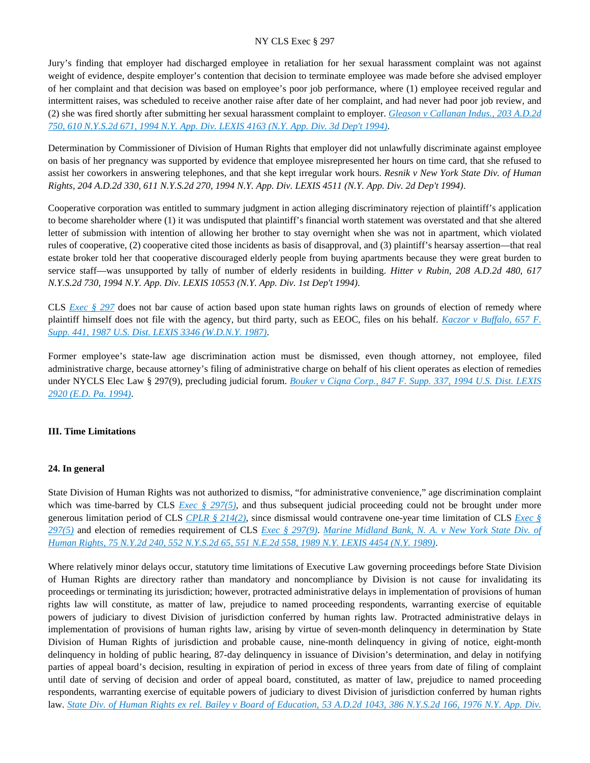Jury's finding that employer had discharged employee in retaliation for her sexual harassment complaint was not against weight of evidence, despite employer's contention that decision to terminate employee was made before she advised employer of her complaint and that decision was based on employee's poor job performance, where (1) employee received regular and intermittent raises, was scheduled to receive another raise after date of her complaint, and had never had poor job review, and (2) she was fired shortly after submitting her sexual harassment complaint to employer. *[Gleason v Callanan Indus., 203 A.D.2d](https://advance.lexis.com/api/document?collection=cases&id=urn:contentItem:3S25-R9H0-003V-B2FH-00000-00&context=)  [750, 610 N.Y.S.2d 671, 1994 N.Y. App. Div. LEXIS 4163 \(N.Y. App. Div. 3d Dep't 1994\)](https://advance.lexis.com/api/document?collection=cases&id=urn:contentItem:3S25-R9H0-003V-B2FH-00000-00&context=)*.

Determination by Commissioner of Division of Human Rights that employer did not unlawfully discriminate against employee on basis of her pregnancy was supported by evidence that employee misrepresented her hours on time card, that she refused to assist her coworkers in answering telephones, and that she kept irregular work hours. *Resnik v New York State Div. of Human Rights, 204 A.D.2d 330, 611 N.Y.S.2d 270, 1994 N.Y. App. Div. LEXIS 4511 (N.Y. App. Div. 2d Dep't 1994)*.

Cooperative corporation was entitled to summary judgment in action alleging discriminatory rejection of plaintiff's application to become shareholder where (1) it was undisputed that plaintiff's financial worth statement was overstated and that she altered letter of submission with intention of allowing her brother to stay overnight when she was not in apartment, which violated rules of cooperative, (2) cooperative cited those incidents as basis of disapproval, and (3) plaintiff's hearsay assertion—that real estate broker told her that cooperative discouraged elderly people from buying apartments because they were great burden to service staff—was unsupported by tally of number of elderly residents in building. *Hitter v Rubin, 208 A.D.2d 480, 617 N.Y.S.2d 730, 1994 N.Y. App. Div. LEXIS 10553 (N.Y. App. Div. 1st Dep't 1994)*.

CLS *[Exec § 297](https://advance.lexis.com/api/document?collection=statutes-legislation&id=urn:contentItem:5H6N-1CT1-DXC8-036V-00000-00&context=)* does not bar cause of action based upon state human rights laws on grounds of election of remedy where plaintiff himself does not file with the agency, but third party, such as EEOC, files on his behalf. *[Kaczor v Buffalo, 657 F.](https://advance.lexis.com/api/document?collection=cases&id=urn:contentItem:3S4N-D570-003B-61CK-00000-00&context=)  [Supp. 441, 1987 U.S. Dist. LEXIS 3346 \(W.D.N.Y. 1987\)](https://advance.lexis.com/api/document?collection=cases&id=urn:contentItem:3S4N-D570-003B-61CK-00000-00&context=)*.

Former employee's state-law age discrimination action must be dismissed, even though attorney, not employee, filed administrative charge, because attorney's filing of administrative charge on behalf of his client operates as election of remedies under NYCLS Elec Law § 297(9), precluding judicial forum. *[Bouker v Cigna Corp., 847 F. Supp. 337, 1994 U.S. Dist. LEXIS](https://advance.lexis.com/api/document?collection=cases&id=urn:contentItem:3S4N-PJ60-003B-V08T-00000-00&context=)  [2920 \(E.D. Pa. 1994\)](https://advance.lexis.com/api/document?collection=cases&id=urn:contentItem:3S4N-PJ60-003B-V08T-00000-00&context=)*.

### **III. Time Limitations**

#### **24. In general**

State Division of Human Rights was not authorized to dismiss, "for administrative convenience," age discrimination complaint which was time-barred by CLS *[Exec § 297\(5\)](https://advance.lexis.com/api/document?collection=statutes-legislation&id=urn:contentItem:5H6N-1CT1-DXC8-036V-00000-00&context=)*, and thus subsequent judicial proceeding could not be brought under more generous limitation period of CLS *[CPLR § 214\(2\)](https://advance.lexis.com/api/document?collection=statutes-legislation&id=urn:contentItem:5CT3-08C1-6RDJ-845T-00000-00&context=)*, since dismissal would contravene one-year time limitation of CLS *[Exec §](https://advance.lexis.com/api/document?collection=statutes-legislation&id=urn:contentItem:5H6N-1CT1-DXC8-036V-00000-00&context=)  [297\(5\)](https://advance.lexis.com/api/document?collection=statutes-legislation&id=urn:contentItem:5H6N-1CT1-DXC8-036V-00000-00&context=)* and election of remedies requirement of CLS *[Exec § 297\(9\)](https://advance.lexis.com/api/document?collection=statutes-legislation&id=urn:contentItem:5H6N-1CT1-DXC8-036V-00000-00&context=)*. *[Marine Midland Bank, N. A. v New York State Div. of](https://advance.lexis.com/api/document?collection=cases&id=urn:contentItem:3S2R-9RY0-003V-B3XX-00000-00&context=)  [Human Rights, 75 N.Y.2d 240, 552 N.Y.S.2d 65, 551 N.E.2d 558, 1989 N.Y. LEXIS 4454 \(N.Y. 1989\)](https://advance.lexis.com/api/document?collection=cases&id=urn:contentItem:3S2R-9RY0-003V-B3XX-00000-00&context=)*.

Where relatively minor delays occur, statutory time limitations of Executive Law governing proceedings before State Division of Human Rights are directory rather than mandatory and noncompliance by Division is not cause for invalidating its proceedings or terminating its jurisdiction; however, protracted administrative delays in implementation of provisions of human rights law will constitute, as matter of law, prejudice to named proceeding respondents, warranting exercise of equitable powers of judiciary to divest Division of jurisdiction conferred by human rights law. Protracted administrative delays in implementation of provisions of human rights law, arising by virtue of seven-month delinquency in determination by State Division of Human Rights of jurisdiction and probable cause, nine-month delinquency in giving of notice, eight-month delinquency in holding of public hearing, 87-day delinquency in issuance of Division's determination, and delay in notifying parties of appeal board's decision, resulting in expiration of period in excess of three years from date of filing of complaint until date of serving of decision and order of appeal board, constituted, as matter of law, prejudice to named proceeding respondents, warranting exercise of equitable powers of judiciary to divest Division of jurisdiction conferred by human rights law. *[State Div. of Human Rights ex rel. Bailey v Board of Education, 53 A.D.2d 1043, 386 N.Y.S.2d 166, 1976 N.Y. App. Div.](https://advance.lexis.com/api/document?collection=cases&id=urn:contentItem:3RRS-F700-003C-F0W8-00000-00&context=)*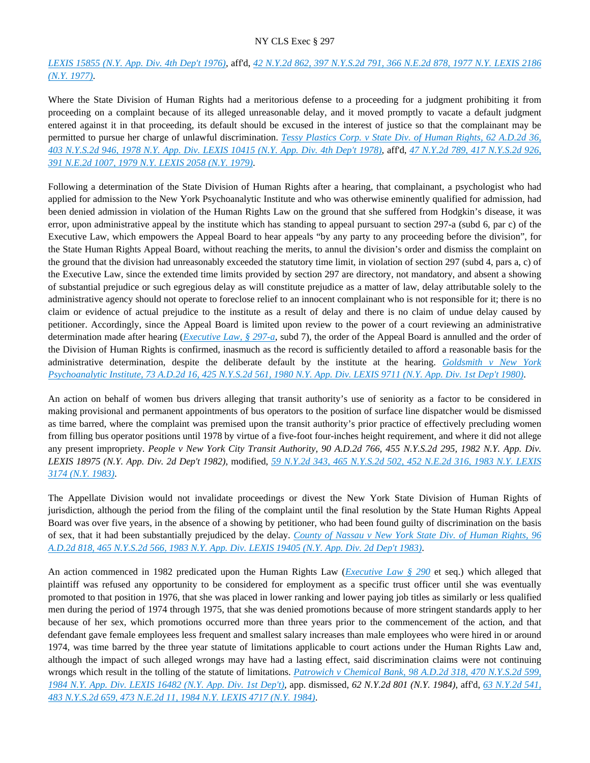# *[LEXIS 15855 \(N.Y. App. Div. 4th Dep't 1976\)](https://advance.lexis.com/api/document?collection=cases&id=urn:contentItem:3RRS-F700-003C-F0W8-00000-00&context=)*, aff'd, *[42 N.Y.2d 862, 397 N.Y.S.2d 791, 366 N.E.2d 878, 1977 N.Y. LEXIS 2186](https://advance.lexis.com/api/document?collection=cases&id=urn:contentItem:3RRS-B4N0-003C-F4D1-00000-00&context=)  [\(N.Y. 1977\)](https://advance.lexis.com/api/document?collection=cases&id=urn:contentItem:3RRS-B4N0-003C-F4D1-00000-00&context=)*.

Where the State Division of Human Rights had a meritorious defense to a proceeding for a judgment prohibiting it from proceeding on a complaint because of its alleged unreasonable delay, and it moved promptly to vacate a default judgment entered against it in that proceeding, its default should be excused in the interest of justice so that the complainant may be permitted to pursue her charge of unlawful discrimination. *[Tessy Plastics Corp. v State Div. of Human Rights, 62 A.D.2d 36,](https://advance.lexis.com/api/document?collection=cases&id=urn:contentItem:3RRS-D660-003C-F0JN-00000-00&context=)  [403 N.Y.S.2d 946, 1978 N.Y. App. Div. LEXIS 10415 \(N.Y. App. Div. 4th Dep't 1978\)](https://advance.lexis.com/api/document?collection=cases&id=urn:contentItem:3RRS-D660-003C-F0JN-00000-00&context=)*, aff'd, *[47 N.Y.2d 789, 417 N.Y.S.2d 926,](https://advance.lexis.com/api/document?collection=cases&id=urn:contentItem:3RRS-9YC0-003C-F2HW-00000-00&context=)  [391 N.E.2d 1007, 1979 N.Y. LEXIS 2058 \(N.Y. 1979\)](https://advance.lexis.com/api/document?collection=cases&id=urn:contentItem:3RRS-9YC0-003C-F2HW-00000-00&context=)*.

Following a determination of the State Division of Human Rights after a hearing, that complainant, a psychologist who had applied for admission to the New York Psychoanalytic Institute and who was otherwise eminently qualified for admission, had been denied admission in violation of the Human Rights Law on the ground that she suffered from Hodgkin's disease, it was error, upon administrative appeal by the institute which has standing to appeal pursuant to section 297-a (subd 6, par c) of the Executive Law, which empowers the Appeal Board to hear appeals "by any party to any proceeding before the division", for the State Human Rights Appeal Board, without reaching the merits, to annul the division's order and dismiss the complaint on the ground that the division had unreasonably exceeded the statutory time limit, in violation of section 297 (subd 4, pars a, c) of the Executive Law, since the extended time limits provided by section 297 are directory, not mandatory, and absent a showing of substantial prejudice or such egregious delay as will constitute prejudice as a matter of law, delay attributable solely to the administrative agency should not operate to foreclose relief to an innocent complainant who is not responsible for it; there is no claim or evidence of actual prejudice to the institute as a result of delay and there is no claim of undue delay caused by petitioner. Accordingly, since the Appeal Board is limited upon review to the power of a court reviewing an administrative determination made after hearing (*[Executive Law, § 297-a](https://advance.lexis.com/api/document?collection=statutes-legislation&id=urn:contentItem:5CT3-0SG1-6RDJ-8488-00000-00&context=)*, subd 7), the order of the Appeal Board is annulled and the order of the Division of Human Rights is confirmed, inasmuch as the record is sufficiently detailed to afford a reasonable basis for the administrative determination, despite the deliberate default by the institute at the hearing. *[Goldsmith v New York](https://advance.lexis.com/api/document?collection=cases&id=urn:contentItem:3RRS-C3M0-003C-F4V3-00000-00&context=)  [Psychoanalytic Institute, 73 A.D.2d 16, 425 N.Y.S.2d 561, 1980 N.Y. App. Div. LEXIS 9711 \(N.Y. App. Div. 1st Dep't 1980\)](https://advance.lexis.com/api/document?collection=cases&id=urn:contentItem:3RRS-C3M0-003C-F4V3-00000-00&context=)*.

An action on behalf of women bus drivers alleging that transit authority's use of seniority as a factor to be considered in making provisional and permanent appointments of bus operators to the position of surface line dispatcher would be dismissed as time barred, where the complaint was premised upon the transit authority's prior practice of effectively precluding women from filling bus operator positions until 1978 by virtue of a five-foot four-inches height requirement, and where it did not allege any present impropriety. *People v New York City Transit Authority, 90 A.D.2d 766, 455 N.Y.S.2d 295, 1982 N.Y. App. Div. LEXIS 18975 (N.Y. App. Div. 2d Dep't 1982)*, modified, *[59 N.Y.2d 343, 465 N.Y.S.2d 502, 452 N.E.2d 316, 1983 N.Y. LEXIS](https://advance.lexis.com/api/document?collection=cases&id=urn:contentItem:3S3J-YF40-003D-G04Y-00000-00&context=)  [3174 \(N.Y. 1983\)](https://advance.lexis.com/api/document?collection=cases&id=urn:contentItem:3S3J-YF40-003D-G04Y-00000-00&context=)*.

The Appellate Division would not invalidate proceedings or divest the New York State Division of Human Rights of jurisdiction, although the period from the filing of the complaint until the final resolution by the State Human Rights Appeal Board was over five years, in the absence of a showing by petitioner, who had been found guilty of discrimination on the basis of sex, that it had been substantially prejudiced by the delay. *[County of Nassau v New York State Div. of Human Rights, 96](https://advance.lexis.com/api/document?collection=cases&id=urn:contentItem:3S3K-2160-003D-G3W9-00000-00&context=)  [A.D.2d 818, 465 N.Y.S.2d 566, 1983 N.Y. App. Div. LEXIS 19405 \(N.Y. App. Div. 2d Dep't 1983\)](https://advance.lexis.com/api/document?collection=cases&id=urn:contentItem:3S3K-2160-003D-G3W9-00000-00&context=)*.

An action commenced in 1982 predicated upon the Human Rights Law (*[Executive Law § 290](https://advance.lexis.com/api/document?collection=statutes-legislation&id=urn:contentItem:5CT3-0SG1-6RDJ-847W-00000-00&context=)* et seq.) which alleged that plaintiff was refused any opportunity to be considered for employment as a specific trust officer until she was eventually promoted to that position in 1976, that she was placed in lower ranking and lower paying job titles as similarly or less qualified men during the period of 1974 through 1975, that she was denied promotions because of more stringent standards apply to her because of her sex, which promotions occurred more than three years prior to the commencement of the action, and that defendant gave female employees less frequent and smallest salary increases than male employees who were hired in or around 1974, was time barred by the three year statute of limitations applicable to court actions under the Human Rights Law and, although the impact of such alleged wrongs may have had a lasting effect, said discrimination claims were not continuing wrongs which result in the tolling of the statute of limitations. *[Patrowich v Chemical Bank, 98 A.D.2d 318, 470 N.Y.S.2d 599,](https://advance.lexis.com/api/document?collection=cases&id=urn:contentItem:3S3K-1X30-003D-G157-00000-00&context=)  [1984 N.Y. App. Div. LEXIS 16482 \(N.Y. App. Div. 1st Dep't\)](https://advance.lexis.com/api/document?collection=cases&id=urn:contentItem:3S3K-1X30-003D-G157-00000-00&context=)*, app. dismissed, *62 N.Y.2d 801 (N.Y. 1984)*, aff'd, *[63 N.Y.2d 541,](https://advance.lexis.com/api/document?collection=cases&id=urn:contentItem:3S3J-YBD0-003D-G3M7-00000-00&context=)  [483 N.Y.S.2d 659, 473 N.E.2d 11, 1984 N.Y. LEXIS 4717 \(N.Y. 1984\)](https://advance.lexis.com/api/document?collection=cases&id=urn:contentItem:3S3J-YBD0-003D-G3M7-00000-00&context=)*.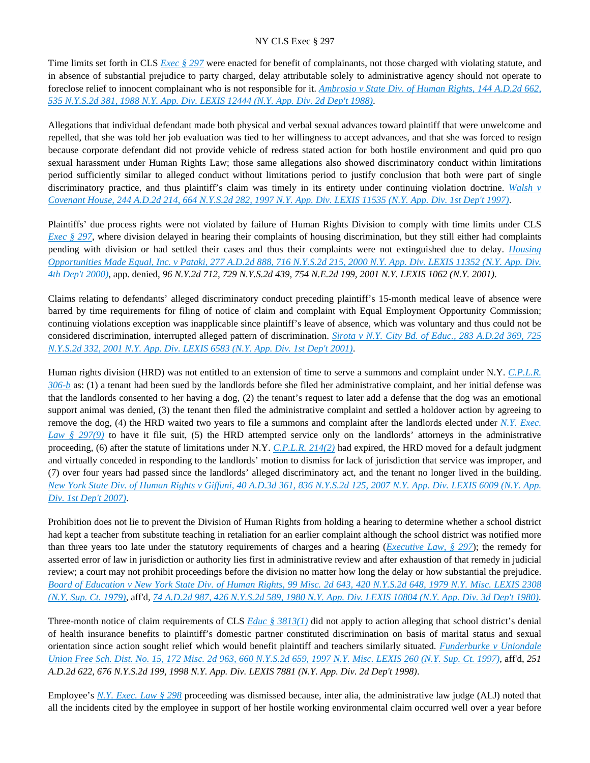Time limits set forth in CLS *[Exec § 297](https://advance.lexis.com/api/document?collection=statutes-legislation&id=urn:contentItem:5H6N-1CT1-DXC8-036V-00000-00&context=)* were enacted for benefit of complainants, not those charged with violating statute, and in absence of substantial prejudice to party charged, delay attributable solely to administrative agency should not operate to foreclose relief to innocent complainant who is not responsible for it. *[Ambrosio v State Div. of Human Rights, 144 A.D.2d 662,](https://advance.lexis.com/api/document?collection=cases&id=urn:contentItem:3S3J-YMW0-003D-G4R1-00000-00&context=)  [535 N.Y.S.2d 381, 1988 N.Y. App. Div. LEXIS 12444 \(N.Y. App. Div. 2d Dep't 1988\)](https://advance.lexis.com/api/document?collection=cases&id=urn:contentItem:3S3J-YMW0-003D-G4R1-00000-00&context=)*.

Allegations that individual defendant made both physical and verbal sexual advances toward plaintiff that were unwelcome and repelled, that she was told her job evaluation was tied to her willingness to accept advances, and that she was forced to resign because corporate defendant did not provide vehicle of redress stated action for both hostile environment and quid pro quo sexual harassment under Human Rights Law; those same allegations also showed discriminatory conduct within limitations period sufficiently similar to alleged conduct without limitations period to justify conclusion that both were part of single discriminatory practice, and thus plaintiff's claim was timely in its entirety under continuing violation doctrine. *[Walsh v](https://advance.lexis.com/api/document?collection=cases&id=urn:contentItem:3RNF-BVD0-0039-44TN-00000-00&context=)  [Covenant House, 244 A.D.2d 214, 664 N.Y.S.2d 282, 1997 N.Y. App. Div. LEXIS 11535 \(N.Y. App. Div. 1st Dep't 1997\)](https://advance.lexis.com/api/document?collection=cases&id=urn:contentItem:3RNF-BVD0-0039-44TN-00000-00&context=)*.

Plaintiffs' due process rights were not violated by failure of Human Rights Division to comply with time limits under CLS *[Exec § 297](https://advance.lexis.com/api/document?collection=statutes-legislation&id=urn:contentItem:5H6N-1CT1-DXC8-036V-00000-00&context=)*, where division delayed in hearing their complaints of housing discrimination, but they still either had complaints pending with division or had settled their cases and thus their complaints were not extinguished due to delay. *[Housing](https://advance.lexis.com/api/document?collection=cases&id=urn:contentItem:41N6-KDP0-0039-44FT-00000-00&context=)  [Opportunities Made Equal, Inc. v Pataki, 277 A.D.2d 888, 716 N.Y.S.2d 215, 2000 N.Y. App. Div. LEXIS 11352 \(N.Y. App. Div.](https://advance.lexis.com/api/document?collection=cases&id=urn:contentItem:41N6-KDP0-0039-44FT-00000-00&context=)  [4th Dep't 2000\)](https://advance.lexis.com/api/document?collection=cases&id=urn:contentItem:41N6-KDP0-0039-44FT-00000-00&context=)*, app. denied, *96 N.Y.2d 712, 729 N.Y.S.2d 439, 754 N.E.2d 199, 2001 N.Y. LEXIS 1062 (N.Y. 2001)*.

Claims relating to defendants' alleged discriminatory conduct preceding plaintiff's 15-month medical leave of absence were barred by time requirements for filing of notice of claim and complaint with Equal Employment Opportunity Commission; continuing violations exception was inapplicable since plaintiff's leave of absence, which was voluntary and thus could not be considered discrimination, interrupted alleged pattern of discrimination. *[Sirota v N.Y. City Bd. of Educ., 283 A.D.2d 369, 725](https://advance.lexis.com/api/document?collection=cases&id=urn:contentItem:43B9-6K40-0039-43XK-00000-00&context=)  [N.Y.S.2d 332, 2001 N.Y. App. Div. LEXIS 6583 \(N.Y. App. Div. 1st Dep't 2001\)](https://advance.lexis.com/api/document?collection=cases&id=urn:contentItem:43B9-6K40-0039-43XK-00000-00&context=)*.

Human rights division (HRD) was not entitled to an extension of time to serve a summons and complaint under N.Y. *[C.P.L.R.](https://advance.lexis.com/api/document?collection=statutes-legislation&id=urn:contentItem:5CT3-08C1-6RDJ-846G-00000-00&context=)  [306-b](https://advance.lexis.com/api/document?collection=statutes-legislation&id=urn:contentItem:5CT3-08C1-6RDJ-846G-00000-00&context=)* as: (1) a tenant had been sued by the landlords before she filed her administrative complaint, and her initial defense was that the landlords consented to her having a dog, (2) the tenant's request to later add a defense that the dog was an emotional support animal was denied, (3) the tenant then filed the administrative complaint and settled a holdover action by agreeing to remove the dog, (4) the HRD waited two years to file a summons and complaint after the landlords elected under *[N.Y. Exec.](https://advance.lexis.com/api/document?collection=statutes-legislation&id=urn:contentItem:5H6N-1CT1-DXC8-036V-00000-00&context=)  [Law § 297\(9\)](https://advance.lexis.com/api/document?collection=statutes-legislation&id=urn:contentItem:5H6N-1CT1-DXC8-036V-00000-00&context=)* to have it file suit, (5) the HRD attempted service only on the landlords' attorneys in the administrative proceeding, (6) after the statute of limitations under N.Y. *[C.P.L.R. 214\(2\)](https://advance.lexis.com/api/document?collection=statutes-legislation&id=urn:contentItem:5CT3-08C1-6RDJ-845T-00000-00&context=)* had expired, the HRD moved for a default judgment and virtually conceded in responding to the landlords' motion to dismiss for lack of jurisdiction that service was improper, and (7) over four years had passed since the landlords' alleged discriminatory act, and the tenant no longer lived in the building. *[New York State Div. of Human Rights v Giffuni, 40 A.D.3d 361, 836 N.Y.S.2d 125, 2007 N.Y. App. Div. LEXIS 6009 \(N.Y. App.](https://advance.lexis.com/api/document?collection=cases&id=urn:contentItem:4NRH-MKT0-TXFV-T2MX-00000-00&context=)  [Div. 1st Dep't 2007\)](https://advance.lexis.com/api/document?collection=cases&id=urn:contentItem:4NRH-MKT0-TXFV-T2MX-00000-00&context=)*.

Prohibition does not lie to prevent the Division of Human Rights from holding a hearing to determine whether a school district had kept a teacher from substitute teaching in retaliation for an earlier complaint although the school district was notified more than three years too late under the statutory requirements of charges and a hearing (*[Executive Law, § 297](https://advance.lexis.com/api/document?collection=statutes-legislation&id=urn:contentItem:5H6N-1CT1-DXC8-036V-00000-00&context=)*); the remedy for asserted error of law in jurisdiction or authority lies first in administrative review and after exhaustion of that remedy in judicial review; a court may not prohibit proceedings before the division no matter how long the delay or how substantial the prejudice. *[Board of Education v New York State Div. of Human Rights, 99 Misc. 2d 643, 420 N.Y.S.2d 648, 1979 N.Y. Misc. LEXIS 2308](https://advance.lexis.com/api/document?collection=cases&id=urn:contentItem:3RRS-GFG0-003C-F1YM-00000-00&context=)  [\(N.Y. Sup. Ct. 1979\)](https://advance.lexis.com/api/document?collection=cases&id=urn:contentItem:3RRS-GFG0-003C-F1YM-00000-00&context=)*, aff'd, *[74 A.D.2d 987, 426 N.Y.S.2d 589, 1980 N.Y. App. Div. LEXIS 10804 \(N.Y. App. Div. 3d Dep't 1980\)](https://advance.lexis.com/api/document?collection=cases&id=urn:contentItem:3RRS-C2B0-003C-F49R-00000-00&context=)*.

Three-month notice of claim requirements of CLS *[Educ § 3813\(1\)](https://advance.lexis.com/api/document?collection=statutes-legislation&id=urn:contentItem:8TV7-8M62-D6RV-H560-00000-00&context=)* did not apply to action alleging that school district's denial of health insurance benefits to plaintiff's domestic partner constituted discrimination on basis of marital status and sexual orientation since action sought relief which would benefit plaintiff and teachers similarly situated. *[Funderburke v Uniondale](https://advance.lexis.com/api/document?collection=cases&id=urn:contentItem:3RSN-PM30-003V-B22D-00000-00&context=)  [Union Free Sch. Dist. No. 15, 172 Misc. 2d 963, 660 N.Y.S.2d 659, 1997 N.Y. Misc. LEXIS 260 \(N.Y. Sup. Ct. 1997\)](https://advance.lexis.com/api/document?collection=cases&id=urn:contentItem:3RSN-PM30-003V-B22D-00000-00&context=)*, aff'd, *251 A.D.2d 622, 676 N.Y.S.2d 199, 1998 N.Y. App. Div. LEXIS 7881 (N.Y. App. Div. 2d Dep't 1998)*.

Employee's *[N.Y. Exec. Law § 298](https://advance.lexis.com/api/document?collection=statutes-legislation&id=urn:contentItem:5CT3-0SG1-6RDJ-8489-00000-00&context=)* proceeding was dismissed because, inter alia, the administrative law judge (ALJ) noted that all the incidents cited by the employee in support of her hostile working environmental claim occurred well over a year before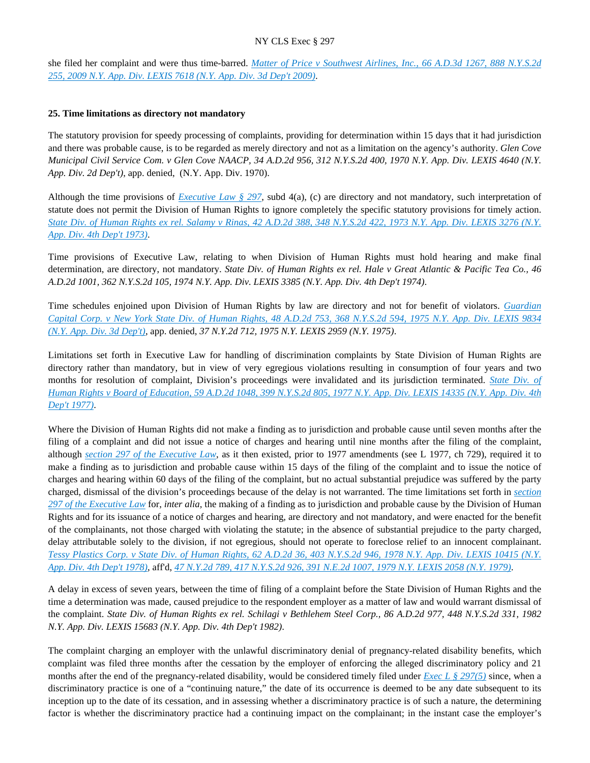she filed her complaint and were thus time-barred. *[Matter of Price v Southwest Airlines, Inc., 66 A.D.3d 1267, 888 N.Y.S.2d](https://advance.lexis.com/api/document?collection=cases&id=urn:contentItem:4XJX-K150-TXFV-T1RJ-00000-00&context=)  [255, 2009 N.Y. App. Div. LEXIS 7618 \(N.Y. App. Div. 3d Dep't 2009\)](https://advance.lexis.com/api/document?collection=cases&id=urn:contentItem:4XJX-K150-TXFV-T1RJ-00000-00&context=)*.

### **25. Time limitations as directory not mandatory**

The statutory provision for speedy processing of complaints, providing for determination within 15 days that it had jurisdiction and there was probable cause, is to be regarded as merely directory and not as a limitation on the agency's authority. *Glen Cove Municipal Civil Service Com. v Glen Cove NAACP, 34 A.D.2d 956, 312 N.Y.S.2d 400, 1970 N.Y. App. Div. LEXIS 4640 (N.Y. App. Div. 2d Dep't)*, app. denied, (N.Y. App. Div. 1970).

Although the time provisions of *[Executive Law § 297](https://advance.lexis.com/api/document?collection=statutes-legislation&id=urn:contentItem:5H6N-1CT1-DXC8-036V-00000-00&context=)*, subd 4(a), (c) are directory and not mandatory, such interpretation of statute does not permit the Division of Human Rights to ignore completely the specific statutory provisions for timely action. *[State Div. of Human Rights ex rel. Salamy v Rinas, 42 A.D.2d 388, 348 N.Y.S.2d 422, 1973 N.Y. App. Div. LEXIS 3276 \(N.Y.](https://advance.lexis.com/api/document?collection=cases&id=urn:contentItem:3RRS-Y7T0-003C-C457-00000-00&context=)  [App. Div. 4th Dep't 1973\)](https://advance.lexis.com/api/document?collection=cases&id=urn:contentItem:3RRS-Y7T0-003C-C457-00000-00&context=)*.

Time provisions of Executive Law, relating to when Division of Human Rights must hold hearing and make final determination, are directory, not mandatory. *State Div. of Human Rights ex rel. Hale v Great Atlantic & Pacific Tea Co., 46 A.D.2d 1001, 362 N.Y.S.2d 105, 1974 N.Y. App. Div. LEXIS 3385 (N.Y. App. Div. 4th Dep't 1974)*.

Time schedules enjoined upon Division of Human Rights by law are directory and not for benefit of violators. *[Guardian](https://advance.lexis.com/api/document?collection=cases&id=urn:contentItem:3RRS-FYN0-003C-F359-00000-00&context=)  [Capital Corp. v New York State Div. of Human Rights, 48 A.D.2d 753, 368 N.Y.S.2d 594, 1975 N.Y. App. Div. LEXIS 9834](https://advance.lexis.com/api/document?collection=cases&id=urn:contentItem:3RRS-FYN0-003C-F359-00000-00&context=)  [\(N.Y. App. Div. 3d Dep't\)](https://advance.lexis.com/api/document?collection=cases&id=urn:contentItem:3RRS-FYN0-003C-F359-00000-00&context=)*, app. denied, *37 N.Y.2d 712, 1975 N.Y. LEXIS 2959 (N.Y. 1975)*.

Limitations set forth in Executive Law for handling of discrimination complaints by State Division of Human Rights are directory rather than mandatory, but in view of very egregious violations resulting in consumption of four years and two months for resolution of complaint, Division's proceedings were invalidated and its jurisdiction terminated. *[State Div. of](https://advance.lexis.com/api/document?collection=cases&id=urn:contentItem:3RRS-DDP0-003C-F37B-00000-00&context=)  [Human Rights v Board of Education, 59 A.D.2d 1048, 399 N.Y.S.2d 805, 1977 N.Y. App. Div. LEXIS 14335 \(N.Y. App. Div. 4th](https://advance.lexis.com/api/document?collection=cases&id=urn:contentItem:3RRS-DDP0-003C-F37B-00000-00&context=)  [Dep't 1977\)](https://advance.lexis.com/api/document?collection=cases&id=urn:contentItem:3RRS-DDP0-003C-F37B-00000-00&context=)*.

Where the Division of Human Rights did not make a finding as to jurisdiction and probable cause until seven months after the filing of a complaint and did not issue a notice of charges and hearing until nine months after the filing of the complaint, although *[section 297 of the Executive Law](https://advance.lexis.com/api/document?collection=statutes-legislation&id=urn:contentItem:5H6N-1CT1-DXC8-036V-00000-00&context=)*, as it then existed, prior to 1977 amendments (see L 1977, ch 729), required it to make a finding as to jurisdiction and probable cause within 15 days of the filing of the complaint and to issue the notice of charges and hearing within 60 days of the filing of the complaint, but no actual substantial prejudice was suffered by the party charged, dismissal of the division's proceedings because of the delay is not warranted. The time limitations set forth in *[section](https://advance.lexis.com/api/document?collection=statutes-legislation&id=urn:contentItem:5H6N-1CT1-DXC8-036V-00000-00&context=)  [297 of the Executive Law](https://advance.lexis.com/api/document?collection=statutes-legislation&id=urn:contentItem:5H6N-1CT1-DXC8-036V-00000-00&context=)* for, *inter alia,* the making of a finding as to jurisdiction and probable cause by the Division of Human Rights and for its issuance of a notice of charges and hearing, are directory and not mandatory, and were enacted for the benefit of the complainants, not those charged with violating the statute; in the absence of substantial prejudice to the party charged, delay attributable solely to the division, if not egregious, should not operate to foreclose relief to an innocent complainant. *[Tessy Plastics Corp. v State Div. of Human Rights, 62 A.D.2d 36, 403 N.Y.S.2d 946, 1978 N.Y. App. Div. LEXIS 10415 \(N.Y.](https://advance.lexis.com/api/document?collection=cases&id=urn:contentItem:3RRS-D660-003C-F0JN-00000-00&context=)  [App. Div. 4th Dep't 1978\)](https://advance.lexis.com/api/document?collection=cases&id=urn:contentItem:3RRS-D660-003C-F0JN-00000-00&context=)*, aff'd, *[47 N.Y.2d 789, 417 N.Y.S.2d 926, 391 N.E.2d 1007, 1979 N.Y. LEXIS 2058 \(N.Y. 1979\)](https://advance.lexis.com/api/document?collection=cases&id=urn:contentItem:3RRS-9YC0-003C-F2HW-00000-00&context=)*.

A delay in excess of seven years, between the time of filing of a complaint before the State Division of Human Rights and the time a determination was made, caused prejudice to the respondent employer as a matter of law and would warrant dismissal of the complaint. *State Div. of Human Rights ex rel. Schilagi v Bethlehem Steel Corp., 86 A.D.2d 977, 448 N.Y.S.2d 331, 1982 N.Y. App. Div. LEXIS 15683 (N.Y. App. Div. 4th Dep't 1982)*.

The complaint charging an employer with the unlawful discriminatory denial of pregnancy-related disability benefits, which complaint was filed three months after the cessation by the employer of enforcing the alleged discriminatory policy and 21 months after the end of the pregnancy-related disability, would be considered timely filed under *[Exec L § 297\(5\)](https://advance.lexis.com/api/document?collection=statutes-legislation&id=urn:contentItem:5H6N-1CT1-DXC8-036V-00000-00&context=)* since, when a discriminatory practice is one of a "continuing nature," the date of its occurrence is deemed to be any date subsequent to its inception up to the date of its cessation, and in assessing whether a discriminatory practice is of such a nature, the determining factor is whether the discriminatory practice had a continuing impact on the complainant; in the instant case the employer's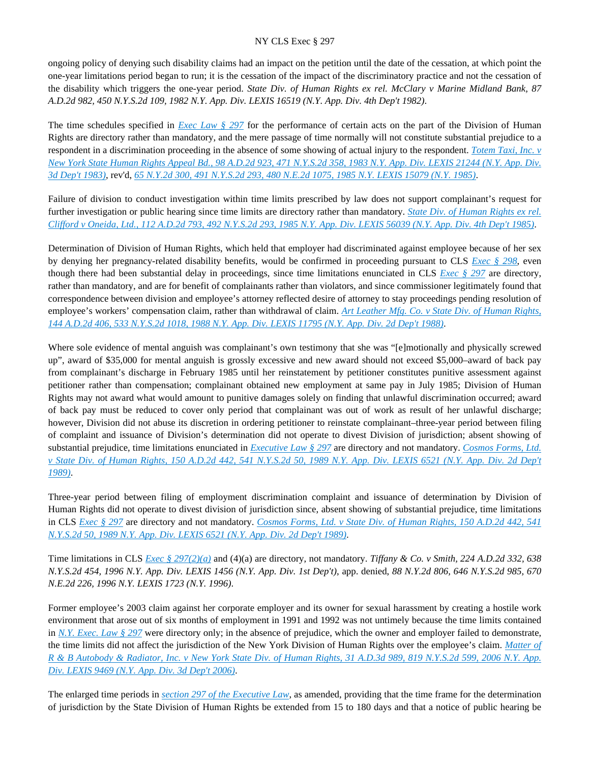ongoing policy of denying such disability claims had an impact on the petition until the date of the cessation, at which point the one-year limitations period began to run; it is the cessation of the impact of the discriminatory practice and not the cessation of the disability which triggers the one-year period. *State Div. of Human Rights ex rel. McClary v Marine Midland Bank, 87 A.D.2d 982, 450 N.Y.S.2d 109, 1982 N.Y. App. Div. LEXIS 16519 (N.Y. App. Div. 4th Dep't 1982)*.

The time schedules specified in *[Exec Law § 297](https://advance.lexis.com/api/document?collection=statutes-legislation&id=urn:contentItem:5H6N-1CT1-DXC8-036V-00000-00&context=)* for the performance of certain acts on the part of the Division of Human Rights are directory rather than mandatory, and the mere passage of time normally will not constitute substantial prejudice to a respondent in a discrimination proceeding in the absence of some showing of actual injury to the respondent. *[Totem Taxi, Inc. v](https://advance.lexis.com/api/document?collection=cases&id=urn:contentItem:3S3K-1XC0-003D-G1D5-00000-00&context=)  [New York State Human Rights Appeal Bd., 98 A.D.2d 923, 471 N.Y.S.2d 358, 1983 N.Y. App. Div. LEXIS 21244 \(N.Y. App. Div.](https://advance.lexis.com/api/document?collection=cases&id=urn:contentItem:3S3K-1XC0-003D-G1D5-00000-00&context=)  [3d Dep't 1983\)](https://advance.lexis.com/api/document?collection=cases&id=urn:contentItem:3S3K-1XC0-003D-G1D5-00000-00&context=)*, rev'd, *[65 N.Y.2d 300, 491 N.Y.S.2d 293, 480 N.E.2d 1075, 1985 N.Y. LEXIS 15079 \(N.Y. 1985\)](https://advance.lexis.com/api/document?collection=cases&id=urn:contentItem:3S3J-Y830-003D-G0VW-00000-00&context=)*.

Failure of division to conduct investigation within time limits prescribed by law does not support complainant's request for further investigation or public hearing since time limits are directory rather than mandatory. *[State Div. of Human Rights ex rel.](https://advance.lexis.com/api/document?collection=cases&id=urn:contentItem:3S3K-1C20-003D-G15J-00000-00&context=)  [Clifford v Oneida, Ltd., 112 A.D.2d 793, 492 N.Y.S.2d 293, 1985 N.Y. App. Div. LEXIS 56039 \(N.Y. App. Div. 4th Dep't 1985\)](https://advance.lexis.com/api/document?collection=cases&id=urn:contentItem:3S3K-1C20-003D-G15J-00000-00&context=)*.

Determination of Division of Human Rights, which held that employer had discriminated against employee because of her sex by denying her pregnancy-related disability benefits, would be confirmed in proceeding pursuant to CLS *[Exec § 298](https://advance.lexis.com/api/document?collection=statutes-legislation&id=urn:contentItem:5CT3-0SG1-6RDJ-8489-00000-00&context=)*, even though there had been substantial delay in proceedings, since time limitations enunciated in CLS *[Exec § 297](https://advance.lexis.com/api/document?collection=statutes-legislation&id=urn:contentItem:5H6N-1CT1-DXC8-036V-00000-00&context=)* are directory, rather than mandatory, and are for benefit of complainants rather than violators, and since commissioner legitimately found that correspondence between division and employee's attorney reflected desire of attorney to stay proceedings pending resolution of employee's workers' compensation claim, rather than withdrawal of claim. *[Art Leather Mfg. Co. v State Div. of Human Rights,](https://advance.lexis.com/api/document?collection=cases&id=urn:contentItem:3S3J-YNW0-003D-G0P5-00000-00&context=)  [144 A.D.2d 406, 533 N.Y.S.2d 1018, 1988 N.Y. App. Div. LEXIS 11795 \(N.Y. App. Div. 2d Dep't 1988\)](https://advance.lexis.com/api/document?collection=cases&id=urn:contentItem:3S3J-YNW0-003D-G0P5-00000-00&context=)*.

Where sole evidence of mental anguish was complainant's own testimony that she was "[e]motionally and physically screwed up", award of \$35,000 for mental anguish is grossly excessive and new award should not exceed \$5,000–award of back pay from complainant's discharge in February 1985 until her reinstatement by petitioner constitutes punitive assessment against petitioner rather than compensation; complainant obtained new employment at same pay in July 1985; Division of Human Rights may not award what would amount to punitive damages solely on finding that unlawful discrimination occurred; award of back pay must be reduced to cover only period that complainant was out of work as result of her unlawful discharge; however, Division did not abuse its discretion in ordering petitioner to reinstate complainant–three-year period between filing of complaint and issuance of Division's determination did not operate to divest Division of jurisdiction; absent showing of substantial prejudice, time limitations enunciated in *[Executive Law § 297](https://advance.lexis.com/api/document?collection=statutes-legislation&id=urn:contentItem:5H6N-1CT1-DXC8-036V-00000-00&context=)* are directory and not mandatory. *[Cosmos Forms, Ltd.](https://advance.lexis.com/api/document?collection=cases&id=urn:contentItem:3S2R-B7T0-003V-B011-00000-00&context=)  [v State Div. of Human Rights, 150 A.D.2d 442, 541 N.Y.S.2d 50, 1989 N.Y. App. Div. LEXIS 6521 \(N.Y. App. Div. 2d Dep't](https://advance.lexis.com/api/document?collection=cases&id=urn:contentItem:3S2R-B7T0-003V-B011-00000-00&context=)  [1989\)](https://advance.lexis.com/api/document?collection=cases&id=urn:contentItem:3S2R-B7T0-003V-B011-00000-00&context=)*.

Three-year period between filing of employment discrimination complaint and issuance of determination by Division of Human Rights did not operate to divest division of jurisdiction since, absent showing of substantial prejudice, time limitations in CLS *[Exec § 297](https://advance.lexis.com/api/document?collection=statutes-legislation&id=urn:contentItem:5H6N-1CT1-DXC8-036V-00000-00&context=)* are directory and not mandatory. *[Cosmos Forms, Ltd. v State Div. of Human Rights, 150 A.D.2d 442, 541](https://advance.lexis.com/api/document?collection=cases&id=urn:contentItem:3S2R-B7T0-003V-B011-00000-00&context=)  [N.Y.S.2d 50, 1989 N.Y. App. Div. LEXIS 6521 \(N.Y. App. Div. 2d Dep't 1989\)](https://advance.lexis.com/api/document?collection=cases&id=urn:contentItem:3S2R-B7T0-003V-B011-00000-00&context=)*.

Time limitations in CLS *[Exec § 297\(2\)\(a\)](https://advance.lexis.com/api/document?collection=statutes-legislation&id=urn:contentItem:5H6N-1CT1-DXC8-036V-00000-00&context=)* and (4)(a) are directory, not mandatory. *Tiffany & Co. v Smith, 224 A.D.2d 332, 638 N.Y.S.2d 454, 1996 N.Y. App. Div. LEXIS 1456 (N.Y. App. Div. 1st Dep't)*, app. denied, *88 N.Y.2d 806, 646 N.Y.S.2d 985, 670 N.E.2d 226, 1996 N.Y. LEXIS 1723 (N.Y. 1996)*.

Former employee's 2003 claim against her corporate employer and its owner for sexual harassment by creating a hostile work environment that arose out of six months of employment in 1991 and 1992 was not untimely because the time limits contained in *[N.Y. Exec. Law § 297](https://advance.lexis.com/api/document?collection=statutes-legislation&id=urn:contentItem:5H6N-1CT1-DXC8-036V-00000-00&context=)* were directory only; in the absence of prejudice, which the owner and employer failed to demonstrate, the time limits did not affect the jurisdiction of the New York Division of Human Rights over the employee's claim. *[Matter of](https://advance.lexis.com/api/document?collection=cases&id=urn:contentItem:4KFP-2HT0-0039-4209-00000-00&context=)  [R & B Autobody & Radiator, Inc. v New York State Div. of Human Rights, 31 A.D.3d 989, 819 N.Y.S.2d 599, 2006 N.Y. App.](https://advance.lexis.com/api/document?collection=cases&id=urn:contentItem:4KFP-2HT0-0039-4209-00000-00&context=)  [Div. LEXIS 9469 \(N.Y. App. Div. 3d Dep't 2006\)](https://advance.lexis.com/api/document?collection=cases&id=urn:contentItem:4KFP-2HT0-0039-4209-00000-00&context=)*.

The enlarged time periods in *[section 297 of the Executive Law](https://advance.lexis.com/api/document?collection=statutes-legislation&id=urn:contentItem:5H6N-1CT1-DXC8-036V-00000-00&context=)*, as amended, providing that the time frame for the determination of jurisdiction by the State Division of Human Rights be extended from 15 to 180 days and that a notice of public hearing be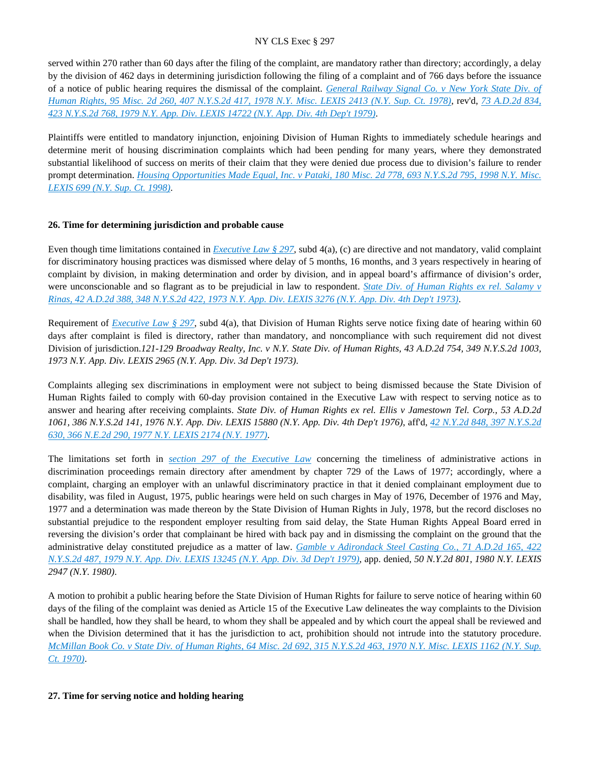served within 270 rather than 60 days after the filing of the complaint, are mandatory rather than directory; accordingly, a delay by the division of 462 days in determining jurisdiction following the filing of a complaint and of 766 days before the issuance of a notice of public hearing requires the dismissal of the complaint. *[General Railway Signal Co. v New York State Div. of](https://advance.lexis.com/api/document?collection=cases&id=urn:contentItem:3RRS-GNC0-003C-F3DY-00000-00&context=)  [Human Rights, 95 Misc. 2d 260, 407 N.Y.S.2d 417, 1978 N.Y. Misc. LEXIS 2413 \(N.Y. Sup. Ct. 1978\)](https://advance.lexis.com/api/document?collection=cases&id=urn:contentItem:3RRS-GNC0-003C-F3DY-00000-00&context=)*, rev'd, *[73 A.D.2d 834,](https://advance.lexis.com/api/document?collection=cases&id=urn:contentItem:3RRS-C620-003C-F0M7-00000-00&context=)  [423 N.Y.S.2d 768, 1979 N.Y. App. Div. LEXIS 14722 \(N.Y. App. Div. 4th Dep't 1979\)](https://advance.lexis.com/api/document?collection=cases&id=urn:contentItem:3RRS-C620-003C-F0M7-00000-00&context=)*.

Plaintiffs were entitled to mandatory injunction, enjoining Division of Human Rights to immediately schedule hearings and determine merit of housing discrimination complaints which had been pending for many years, where they demonstrated substantial likelihood of success on merits of their claim that they were denied due process due to division's failure to render prompt determination. *[Housing Opportunities Made Equal, Inc. v Pataki, 180 Misc. 2d 778, 693 N.Y.S.2d 795, 1998 N.Y. Misc.](https://advance.lexis.com/api/document?collection=cases&id=urn:contentItem:3X1X-DJ90-0039-434B-00000-00&context=)  [LEXIS 699 \(N.Y. Sup. Ct. 1998\)](https://advance.lexis.com/api/document?collection=cases&id=urn:contentItem:3X1X-DJ90-0039-434B-00000-00&context=)*.

## **26. Time for determining jurisdiction and probable cause**

Even though time limitations contained in *[Executive Law § 297](https://advance.lexis.com/api/document?collection=statutes-legislation&id=urn:contentItem:5H6N-1CT1-DXC8-036V-00000-00&context=)*, subd 4(a), (c) are directive and not mandatory, valid complaint for discriminatory housing practices was dismissed where delay of 5 months, 16 months, and 3 years respectively in hearing of complaint by division, in making determination and order by division, and in appeal board's affirmance of division's order, were unconscionable and so flagrant as to be prejudicial in law to respondent. *[State Div. of Human Rights ex rel. Salamy v](https://advance.lexis.com/api/document?collection=cases&id=urn:contentItem:3RRS-Y7T0-003C-C457-00000-00&context=)  [Rinas, 42 A.D.2d 388, 348 N.Y.S.2d 422, 1973 N.Y. App. Div. LEXIS 3276 \(N.Y. App. Div. 4th Dep't 1973\)](https://advance.lexis.com/api/document?collection=cases&id=urn:contentItem:3RRS-Y7T0-003C-C457-00000-00&context=)*.

Requirement of *[Executive Law § 297](https://advance.lexis.com/api/document?collection=statutes-legislation&id=urn:contentItem:5H6N-1CT1-DXC8-036V-00000-00&context=)*, subd 4(a), that Division of Human Rights serve notice fixing date of hearing within 60 days after complaint is filed is directory, rather than mandatory, and noncompliance with such requirement did not divest Division of jurisdiction.*121-129 Broadway Realty, Inc. v N.Y. State Div. of Human Rights, 43 A.D.2d 754, 349 N.Y.S.2d 1003, 1973 N.Y. App. Div. LEXIS 2965 (N.Y. App. Div. 3d Dep't 1973)*.

Complaints alleging sex discriminations in employment were not subject to being dismissed because the State Division of Human Rights failed to comply with 60-day provision contained in the Executive Law with respect to serving notice as to answer and hearing after receiving complaints. *State Div. of Human Rights ex rel. Ellis v Jamestown Tel. Corp., 53 A.D.2d 1061, 386 N.Y.S.2d 141, 1976 N.Y. App. Div. LEXIS 15880 (N.Y. App. Div. 4th Dep't 1976)*, aff'd, *[42 N.Y.2d 848, 397 N.Y.S.2d](https://advance.lexis.com/api/document?collection=cases&id=urn:contentItem:3RRS-B4R0-003C-F4DP-00000-00&context=)  [630, 366 N.E.2d 290, 1977 N.Y. LEXIS 2174 \(N.Y. 1977\)](https://advance.lexis.com/api/document?collection=cases&id=urn:contentItem:3RRS-B4R0-003C-F4DP-00000-00&context=)*.

The limitations set forth in *[section 297 of the Executive Law](https://advance.lexis.com/api/document?collection=statutes-legislation&id=urn:contentItem:5H6N-1CT1-DXC8-036V-00000-00&context=)* concerning the timeliness of administrative actions in discrimination proceedings remain directory after amendment by chapter 729 of the Laws of 1977; accordingly, where a complaint, charging an employer with an unlawful discriminatory practice in that it denied complainant employment due to disability, was filed in August, 1975, public hearings were held on such charges in May of 1976, December of 1976 and May, 1977 and a determination was made thereon by the State Division of Human Rights in July, 1978, but the record discloses no substantial prejudice to the respondent employer resulting from said delay, the State Human Rights Appeal Board erred in reversing the division's order that complainant be hired with back pay and in dismissing the complaint on the ground that the administrative delay constituted prejudice as a matter of law. *[Gamble v Adirondack Steel Casting Co., 71 A.D.2d 165, 422](https://advance.lexis.com/api/document?collection=cases&id=urn:contentItem:3RRS-C750-003C-F128-00000-00&context=)  [N.Y.S.2d 487, 1979 N.Y. App. Div. LEXIS 13245 \(N.Y. App. Div. 3d Dep't 1979\)](https://advance.lexis.com/api/document?collection=cases&id=urn:contentItem:3RRS-C750-003C-F128-00000-00&context=)*, app. denied, *50 N.Y.2d 801, 1980 N.Y. LEXIS 2947 (N.Y. 1980)*.

A motion to prohibit a public hearing before the State Division of Human Rights for failure to serve notice of hearing within 60 days of the filing of the complaint was denied as Article 15 of the Executive Law delineates the way complaints to the Division shall be handled, how they shall be heard, to whom they shall be appealed and by which court the appeal shall be reviewed and when the Division determined that it has the jurisdiction to act, prohibition should not intrude into the statutory procedure. *[McMillan Book Co. v State Div. of Human Rights, 64 Misc. 2d 692, 315 N.Y.S.2d 463, 1970 N.Y. Misc. LEXIS 1162 \(N.Y. Sup.](https://advance.lexis.com/api/document?collection=cases&id=urn:contentItem:3RRS-B420-003C-D0PN-00000-00&context=)  [Ct. 1970\)](https://advance.lexis.com/api/document?collection=cases&id=urn:contentItem:3RRS-B420-003C-D0PN-00000-00&context=)*.

### **27. Time for serving notice and holding hearing**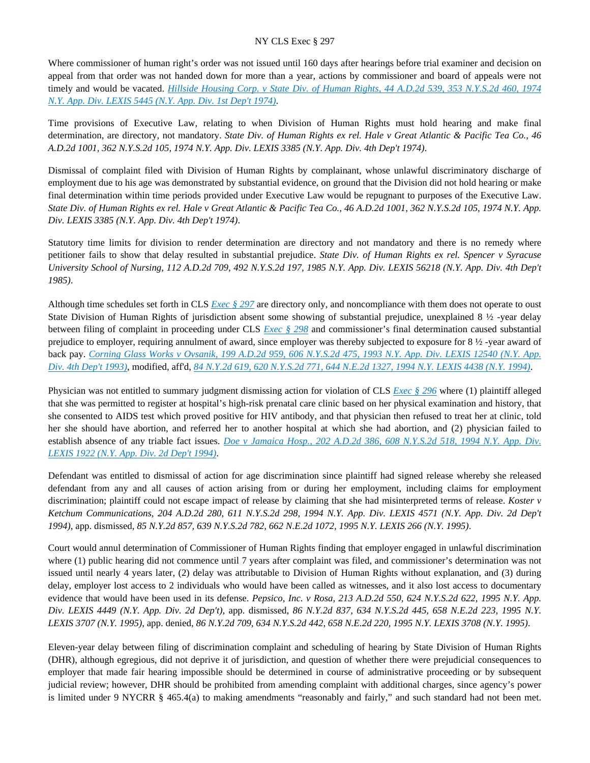Where commissioner of human right's order was not issued until 160 days after hearings before trial examiner and decision on appeal from that order was not handed down for more than a year, actions by commissioner and board of appeals were not timely and would be vacated. *[Hillside Housing Corp. v State Div. of Human Rights, 44 A.D.2d 539, 353 N.Y.S.2d 460, 1974](https://advance.lexis.com/api/document?collection=cases&id=urn:contentItem:3RRS-Y4Y0-003C-C2RP-00000-00&context=)  [N.Y. App. Div. LEXIS 5445 \(N.Y. App. Div. 1st Dep't 1974\)](https://advance.lexis.com/api/document?collection=cases&id=urn:contentItem:3RRS-Y4Y0-003C-C2RP-00000-00&context=)*.

Time provisions of Executive Law, relating to when Division of Human Rights must hold hearing and make final determination, are directory, not mandatory. *State Div. of Human Rights ex rel. Hale v Great Atlantic & Pacific Tea Co., 46 A.D.2d 1001, 362 N.Y.S.2d 105, 1974 N.Y. App. Div. LEXIS 3385 (N.Y. App. Div. 4th Dep't 1974)*.

Dismissal of complaint filed with Division of Human Rights by complainant, whose unlawful discriminatory discharge of employment due to his age was demonstrated by substantial evidence, on ground that the Division did not hold hearing or make final determination within time periods provided under Executive Law would be repugnant to purposes of the Executive Law. *State Div. of Human Rights ex rel. Hale v Great Atlantic & Pacific Tea Co., 46 A.D.2d 1001, 362 N.Y.S.2d 105, 1974 N.Y. App. Div. LEXIS 3385 (N.Y. App. Div. 4th Dep't 1974)*.

Statutory time limits for division to render determination are directory and not mandatory and there is no remedy where petitioner fails to show that delay resulted in substantial prejudice. *State Div. of Human Rights ex rel. Spencer v Syracuse University School of Nursing, 112 A.D.2d 709, 492 N.Y.S.2d 197, 1985 N.Y. App. Div. LEXIS 56218 (N.Y. App. Div. 4th Dep't 1985)*.

Although time schedules set forth in CLS *[Exec § 297](https://advance.lexis.com/api/document?collection=statutes-legislation&id=urn:contentItem:5H6N-1CT1-DXC8-036V-00000-00&context=)* are directory only, and noncompliance with them does not operate to oust State Division of Human Rights of jurisdiction absent some showing of substantial prejudice, unexplained 8 ½ -year delay between filing of complaint in proceeding under CLS *[Exec § 298](https://advance.lexis.com/api/document?collection=statutes-legislation&id=urn:contentItem:5CT3-0SG1-6RDJ-8489-00000-00&context=)* and commissioner's final determination caused substantial prejudice to employer, requiring annulment of award, since employer was thereby subjected to exposure for 8 ½ -year award of back pay. *[Corning Glass Works v Ovsanik, 199 A.D.2d 959, 606 N.Y.S.2d 475, 1993 N.Y. App. Div. LEXIS 12540 \(N.Y. App.](https://advance.lexis.com/api/document?collection=cases&id=urn:contentItem:3S2R-74H0-003V-B36F-00000-00&context=)  [Div. 4th Dep't 1993\)](https://advance.lexis.com/api/document?collection=cases&id=urn:contentItem:3S2R-74H0-003V-B36F-00000-00&context=)*, modified, aff'd, *[84 N.Y.2d 619, 620 N.Y.S.2d 771, 644 N.E.2d 1327, 1994 N.Y. LEXIS 4438 \(N.Y. 1994\)](https://advance.lexis.com/api/document?collection=cases&id=urn:contentItem:3S2R-6HR0-003V-B32P-00000-00&context=)*.

Physician was not entitled to summary judgment dismissing action for violation of CLS *[Exec § 296](https://advance.lexis.com/api/document?collection=statutes-legislation&id=urn:contentItem:8TP5-PCS2-8T6X-74HS-00000-00&context=)* where (1) plaintiff alleged that she was permitted to register at hospital's high-risk prenatal care clinic based on her physical examination and history, that she consented to AIDS test which proved positive for HIV antibody, and that physician then refused to treat her at clinic, told her she should have abortion, and referred her to another hospital at which she had abortion, and (2) physician failed to establish absence of any triable fact issues. *[Doe v Jamaica Hosp., 202 A.D.2d 386, 608 N.Y.S.2d 518, 1994 N.Y. App. Div.](https://advance.lexis.com/api/document?collection=cases&id=urn:contentItem:3S2R-71R0-003V-B4H4-00000-00&context=)  [LEXIS 1922 \(N.Y. App. Div. 2d Dep't 1994\)](https://advance.lexis.com/api/document?collection=cases&id=urn:contentItem:3S2R-71R0-003V-B4H4-00000-00&context=)*.

Defendant was entitled to dismissal of action for age discrimination since plaintiff had signed release whereby she released defendant from any and all causes of action arising from or during her employment, including claims for employment discrimination; plaintiff could not escape impact of release by claiming that she had misinterpreted terms of release. *Koster v Ketchum Communications, 204 A.D.2d 280, 611 N.Y.S.2d 298, 1994 N.Y. App. Div. LEXIS 4571 (N.Y. App. Div. 2d Dep't 1994)*, app. dismissed, *85 N.Y.2d 857, 639 N.Y.S.2d 782, 662 N.E.2d 1072, 1995 N.Y. LEXIS 266 (N.Y. 1995)*.

Court would annul determination of Commissioner of Human Rights finding that employer engaged in unlawful discrimination where (1) public hearing did not commence until 7 years after complaint was filed, and commissioner's determination was not issued until nearly 4 years later, (2) delay was attributable to Division of Human Rights without explanation, and (3) during delay, employer lost access to 2 individuals who would have been called as witnesses, and it also lost access to documentary evidence that would have been used in its defense. *Pepsico, Inc. v Rosa, 213 A.D.2d 550, 624 N.Y.S.2d 622, 1995 N.Y. App. Div. LEXIS 4449 (N.Y. App. Div. 2d Dep't)*, app. dismissed, *86 N.Y.2d 837, 634 N.Y.S.2d 445, 658 N.E.2d 223, 1995 N.Y. LEXIS 3707 (N.Y. 1995)*, app. denied, *86 N.Y.2d 709, 634 N.Y.S.2d 442, 658 N.E.2d 220, 1995 N.Y. LEXIS 3708 (N.Y. 1995)*.

Eleven-year delay between filing of discrimination complaint and scheduling of hearing by State Division of Human Rights (DHR), although egregious, did not deprive it of jurisdiction, and question of whether there were prejudicial consequences to employer that made fair hearing impossible should be determined in course of administrative proceeding or by subsequent judicial review; however, DHR should be prohibited from amending complaint with additional charges, since agency's power is limited under 9 NYCRR § 465.4(a) to making amendments "reasonably and fairly," and such standard had not been met.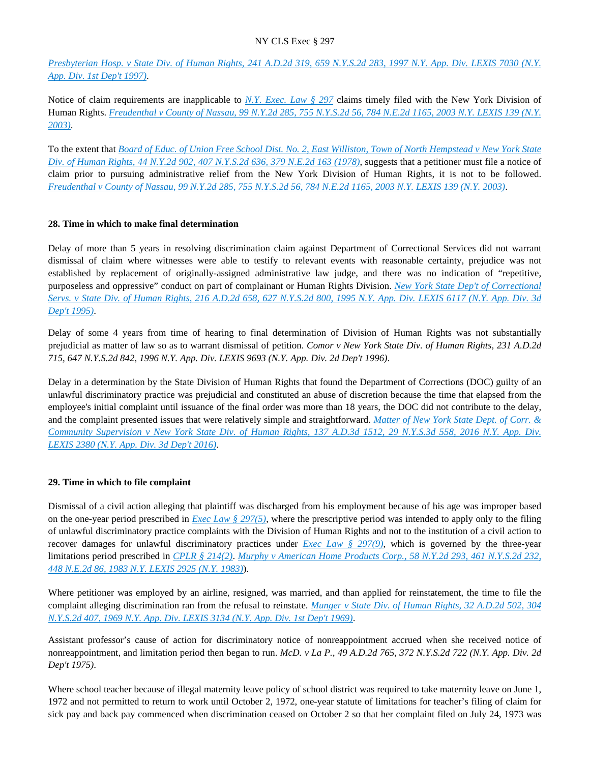*[Presbyterian Hosp. v State Div. of Human Rights, 241 A.D.2d 319, 659 N.Y.S.2d 283, 1997 N.Y. App. Div. LEXIS 7030 \(N.Y.](https://advance.lexis.com/api/document?collection=cases&id=urn:contentItem:3S2R-5150-003V-B1W4-00000-00&context=)  [App. Div. 1st Dep't 1997\)](https://advance.lexis.com/api/document?collection=cases&id=urn:contentItem:3S2R-5150-003V-B1W4-00000-00&context=)*.

Notice of claim requirements are inapplicable to *[N.Y. Exec. Law § 297](https://advance.lexis.com/api/document?collection=statutes-legislation&id=urn:contentItem:5H6N-1CT1-DXC8-036V-00000-00&context=)* claims timely filed with the New York Division of Human Rights. *[Freudenthal v County of Nassau, 99 N.Y.2d 285, 755 N.Y.S.2d 56, 784 N.E.2d 1165, 2003 N.Y. LEXIS 139 \(N.Y.](https://advance.lexis.com/api/document?collection=cases&id=urn:contentItem:47XF-T3T0-0039-41C8-00000-00&context=)  [2003\)](https://advance.lexis.com/api/document?collection=cases&id=urn:contentItem:47XF-T3T0-0039-41C8-00000-00&context=)*.

To the extent that *[Board of Educ. of Union Free School Dist. No. 2, East Williston, Town of North Hempstead v New York State](https://advance.lexis.com/api/document?collection=cases&id=urn:contentItem:3RRS-B200-003C-F3DK-00000-00&context=)  [Div. of Human Rights, 44 N.Y.2d 902, 407 N.Y.S.2d 636, 379 N.E.2d 163 \(1978\)](https://advance.lexis.com/api/document?collection=cases&id=urn:contentItem:3RRS-B200-003C-F3DK-00000-00&context=)*, suggests that a petitioner must file a notice of claim prior to pursuing administrative relief from the New York Division of Human Rights, it is not to be followed. *[Freudenthal v County of Nassau, 99 N.Y.2d 285, 755 N.Y.S.2d 56, 784 N.E.2d 1165, 2003 N.Y. LEXIS 139 \(N.Y. 2003\)](https://advance.lexis.com/api/document?collection=cases&id=urn:contentItem:47XF-T3T0-0039-41C8-00000-00&context=)*.

## **28. Time in which to make final determination**

Delay of more than 5 years in resolving discrimination claim against Department of Correctional Services did not warrant dismissal of claim where witnesses were able to testify to relevant events with reasonable certainty, prejudice was not established by replacement of originally-assigned administrative law judge, and there was no indication of "repetitive, purposeless and oppressive" conduct on part of complainant or Human Rights Division. *[New York State Dep't of Correctional](https://advance.lexis.com/api/document?collection=cases&id=urn:contentItem:3S2R-67W0-003V-B12P-00000-00&context=)  [Servs. v State Div. of Human Rights, 216 A.D.2d 658, 627 N.Y.S.2d 800, 1995 N.Y. App. Div. LEXIS 6117 \(N.Y. App. Div. 3d](https://advance.lexis.com/api/document?collection=cases&id=urn:contentItem:3S2R-67W0-003V-B12P-00000-00&context=)  [Dep't 1995\)](https://advance.lexis.com/api/document?collection=cases&id=urn:contentItem:3S2R-67W0-003V-B12P-00000-00&context=)*.

Delay of some 4 years from time of hearing to final determination of Division of Human Rights was not substantially prejudicial as matter of law so as to warrant dismissal of petition. *Comor v New York State Div. of Human Rights, 231 A.D.2d 715, 647 N.Y.S.2d 842, 1996 N.Y. App. Div. LEXIS 9693 (N.Y. App. Div. 2d Dep't 1996)*.

Delay in a determination by the State Division of Human Rights that found the Department of Corrections (DOC) guilty of an unlawful discriminatory practice was prejudicial and constituted an abuse of discretion because the time that elapsed from the employee's initial complaint until issuance of the final order was more than 18 years, the DOC did not contribute to the delay, and the complaint presented issues that were relatively simple and straightforward. *[Matter of New York State Dept. of Corr. &](https://advance.lexis.com/api/document?collection=cases&id=urn:contentItem:5JDY-PF21-F04J-7564-00000-00&context=)  Community Supervision v New York State Div. of Human Rights, 137 A.D.3d 1512, 29 N.Y.S.3d 558, 2016 N.Y. App. Div. [LEXIS 2380 \(N.Y. App. Div. 3d Dep't 2016\)](https://advance.lexis.com/api/document?collection=cases&id=urn:contentItem:5JDY-PF21-F04J-7564-00000-00&context=)*.

# **29. Time in which to file complaint**

Dismissal of a civil action alleging that plaintiff was discharged from his employment because of his age was improper based on the one-year period prescribed in *[Exec Law § 297\(5\)](https://advance.lexis.com/api/document?collection=statutes-legislation&id=urn:contentItem:5H6N-1CT1-DXC8-036V-00000-00&context=)*, where the prescriptive period was intended to apply only to the filing of unlawful discriminatory practice complaints with the Division of Human Rights and not to the institution of a civil action to recover damages for unlawful discriminatory practices under *[Exec Law § 297\(9\)](https://advance.lexis.com/api/document?collection=statutes-legislation&id=urn:contentItem:5H6N-1CT1-DXC8-036V-00000-00&context=)*, which is governed by the three-year limitations period prescribed in *[CPLR § 214\(2\)](https://advance.lexis.com/api/document?collection=statutes-legislation&id=urn:contentItem:5CT3-08C1-6RDJ-845T-00000-00&context=)*. *[Murphy v American Home Products Corp., 58 N.Y.2d 293, 461 N.Y.S.2d 232,](https://advance.lexis.com/api/document?collection=cases&id=urn:contentItem:3S3J-YFX0-003D-G0JM-00000-00&context=)  [448 N.E.2d 86, 1983 N.Y. LEXIS 2925 \(N.Y. 1983\)](https://advance.lexis.com/api/document?collection=cases&id=urn:contentItem:3S3J-YFX0-003D-G0JM-00000-00&context=)*).

Where petitioner was employed by an airline, resigned, was married, and than applied for reinstatement, the time to file the complaint alleging discrimination ran from the refusal to reinstate. *[Munger v State Div. of Human Rights, 32 A.D.2d 502, 304](https://advance.lexis.com/api/document?collection=cases&id=urn:contentItem:3RRT-05J0-003C-C251-00000-00&context=)  [N.Y.S.2d 407, 1969 N.Y. App. Div. LEXIS 3134 \(N.Y. App. Div. 1st Dep't 1969\)](https://advance.lexis.com/api/document?collection=cases&id=urn:contentItem:3RRT-05J0-003C-C251-00000-00&context=)*.

Assistant professor's cause of action for discriminatory notice of nonreappointment accrued when she received notice of nonreappointment, and limitation period then began to run. *McD. v La P., 49 A.D.2d 765, 372 N.Y.S.2d 722 (N.Y. App. Div. 2d Dep't 1975)*.

Where school teacher because of illegal maternity leave policy of school district was required to take maternity leave on June 1, 1972 and not permitted to return to work until October 2, 1972, one-year statute of limitations for teacher's filing of claim for sick pay and back pay commenced when discrimination ceased on October 2 so that her complaint filed on July 24, 1973 was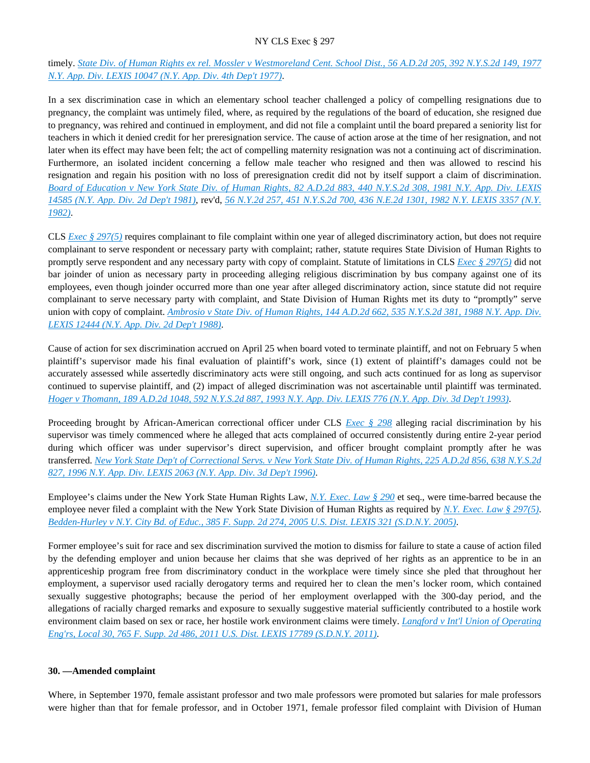timely. *[State Div. of Human Rights ex rel. Mossler v Westmoreland Cent. School Dist., 56 A.D.2d 205, 392 N.Y.S.2d 149, 1977](https://advance.lexis.com/api/document?collection=cases&id=urn:contentItem:3RRS-DT40-003C-F29C-00000-00&context=)  [N.Y. App. Div. LEXIS 10047 \(N.Y. App. Div. 4th Dep't 1977\)](https://advance.lexis.com/api/document?collection=cases&id=urn:contentItem:3RRS-DT40-003C-F29C-00000-00&context=)*.

In a sex discrimination case in which an elementary school teacher challenged a policy of compelling resignations due to pregnancy, the complaint was untimely filed, where, as required by the regulations of the board of education, she resigned due to pregnancy, was rehired and continued in employment, and did not file a complaint until the board prepared a seniority list for teachers in which it denied credit for her preresignation service. The cause of action arose at the time of her resignation, and not later when its effect may have been felt; the act of compelling maternity resignation was not a continuing act of discrimination. Furthermore, an isolated incident concerning a fellow male teacher who resigned and then was allowed to rescind his resignation and regain his position with no loss of preresignation credit did not by itself support a claim of discrimination. *[Board of Education v New York State Div. of Human Rights, 82 A.D.2d 883, 440 N.Y.S.2d 308, 1981 N.Y. App. Div. LEXIS](https://advance.lexis.com/api/document?collection=cases&id=urn:contentItem:3S3K-2JC0-003D-G1DH-00000-00&context=)  [14585 \(N.Y. App. Div. 2d Dep't 1981\)](https://advance.lexis.com/api/document?collection=cases&id=urn:contentItem:3S3K-2JC0-003D-G1DH-00000-00&context=)*, rev'd, *[56 N.Y.2d 257, 451 N.Y.S.2d 700, 436 N.E.2d 1301, 1982 N.Y. LEXIS 3357 \(N.Y.](https://advance.lexis.com/api/document?collection=cases&id=urn:contentItem:3S3J-YHH0-003D-G1D6-00000-00&context=)  [1982\)](https://advance.lexis.com/api/document?collection=cases&id=urn:contentItem:3S3J-YHH0-003D-G1D6-00000-00&context=)*.

CLS *[Exec § 297\(5\)](https://advance.lexis.com/api/document?collection=statutes-legislation&id=urn:contentItem:5H6N-1CT1-DXC8-036V-00000-00&context=)* requires complainant to file complaint within one year of alleged discriminatory action, but does not require complainant to serve respondent or necessary party with complaint; rather, statute requires State Division of Human Rights to promptly serve respondent and any necessary party with copy of complaint. Statute of limitations in CLS *[Exec § 297\(5\)](https://advance.lexis.com/api/document?collection=statutes-legislation&id=urn:contentItem:5H6N-1CT1-DXC8-036V-00000-00&context=)* did not bar joinder of union as necessary party in proceeding alleging religious discrimination by bus company against one of its employees, even though joinder occurred more than one year after alleged discriminatory action, since statute did not require complainant to serve necessary party with complaint, and State Division of Human Rights met its duty to "promptly" serve union with copy of complaint. *[Ambrosio v State Div. of Human Rights, 144 A.D.2d 662, 535 N.Y.S.2d 381, 1988 N.Y. App. Div.](https://advance.lexis.com/api/document?collection=cases&id=urn:contentItem:3S3J-YMW0-003D-G4R1-00000-00&context=)  [LEXIS 12444 \(N.Y. App. Div. 2d Dep't 1988\)](https://advance.lexis.com/api/document?collection=cases&id=urn:contentItem:3S3J-YMW0-003D-G4R1-00000-00&context=)*.

Cause of action for sex discrimination accrued on April 25 when board voted to terminate plaintiff, and not on February 5 when plaintiff's supervisor made his final evaluation of plaintiff's work, since (1) extent of plaintiff's damages could not be accurately assessed while assertedly discriminatory acts were still ongoing, and such acts continued for as long as supervisor continued to supervise plaintiff, and (2) impact of alleged discrimination was not ascertainable until plaintiff was terminated. *[Hoger v Thomann, 189 A.D.2d 1048, 592 N.Y.S.2d 887, 1993 N.Y. App. Div. LEXIS 776 \(N.Y. App. Div. 3d Dep't 1993\)](https://advance.lexis.com/api/document?collection=cases&id=urn:contentItem:3S2R-7MP0-003V-B3CS-00000-00&context=)*.

Proceeding brought by African-American correctional officer under CLS *[Exec § 298](https://advance.lexis.com/api/document?collection=statutes-legislation&id=urn:contentItem:5CT3-0SG1-6RDJ-8489-00000-00&context=)* alleging racial discrimination by his supervisor was timely commenced where he alleged that acts complained of occurred consistently during entire 2-year period during which officer was under supervisor's direct supervision, and officer brought complaint promptly after he was transferred. *[New York State Dep't of Correctional Servs. v New York State Div. of Human Rights, 225 A.D.2d 856, 638 N.Y.S.2d](https://advance.lexis.com/api/document?collection=cases&id=urn:contentItem:3S2R-5TS0-003V-B0F2-00000-00&context=)  [827, 1996 N.Y. App. Div. LEXIS 2063 \(N.Y. App. Div. 3d Dep't 1996\)](https://advance.lexis.com/api/document?collection=cases&id=urn:contentItem:3S2R-5TS0-003V-B0F2-00000-00&context=)*.

Employee's claims under the New York State Human Rights Law, *[N.Y. Exec. Law § 290](https://advance.lexis.com/api/document?collection=statutes-legislation&id=urn:contentItem:5CT3-0SG1-6RDJ-847W-00000-00&context=)* et seq., were time-barred because the employee never filed a complaint with the New York State Division of Human Rights as required by *[N.Y. Exec. Law § 297\(5\)](https://advance.lexis.com/api/document?collection=statutes-legislation&id=urn:contentItem:5H6N-1CT1-DXC8-036V-00000-00&context=)*. *[Bedden-Hurley v N.Y. City Bd. of Educ., 385 F. Supp. 2d 274, 2005 U.S. Dist. LEXIS 321 \(S.D.N.Y. 2005\)](https://advance.lexis.com/api/document?collection=cases&id=urn:contentItem:4F7H-15T0-TVW3-P2S0-00000-00&context=)*.

Former employee's suit for race and sex discrimination survived the motion to dismiss for failure to state a cause of action filed by the defending employer and union because her claims that she was deprived of her rights as an apprentice to be in an apprenticeship program free from discriminatory conduct in the workplace were timely since she pled that throughout her employment, a supervisor used racially derogatory terms and required her to clean the men's locker room, which contained sexually suggestive photographs; because the period of her employment overlapped with the 300-day period, and the allegations of racially charged remarks and exposure to sexually suggestive material sufficiently contributed to a hostile work environment claim based on sex or race, her hostile work environment claims were timely. *[Langford v Int'l Union of Operating](https://advance.lexis.com/api/document?collection=cases&id=urn:contentItem:527X-FXK1-JCNC-802T-00000-00&context=)  [Eng'rs, Local 30, 765 F. Supp. 2d 486, 2011 U.S. Dist. LEXIS 17789 \(S.D.N.Y. 2011\)](https://advance.lexis.com/api/document?collection=cases&id=urn:contentItem:527X-FXK1-JCNC-802T-00000-00&context=)*.

#### **30. —Amended complaint**

Where, in September 1970, female assistant professor and two male professors were promoted but salaries for male professors were higher than that for female professor, and in October 1971, female professor filed complaint with Division of Human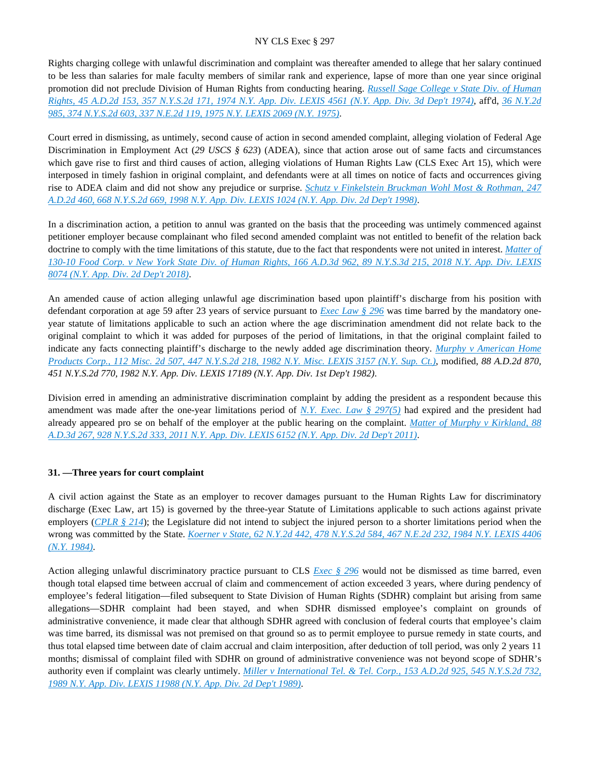Rights charging college with unlawful discrimination and complaint was thereafter amended to allege that her salary continued to be less than salaries for male faculty members of similar rank and experience, lapse of more than one year since original promotion did not preclude Division of Human Rights from conducting hearing. *[Russell Sage College v State Div. of Human](https://advance.lexis.com/api/document?collection=cases&id=urn:contentItem:3RRS-Y2J0-003C-C1M1-00000-00&context=)  [Rights, 45 A.D.2d 153, 357 N.Y.S.2d 171, 1974 N.Y. App. Div. LEXIS 4561 \(N.Y. App. Div. 3d Dep't 1974\)](https://advance.lexis.com/api/document?collection=cases&id=urn:contentItem:3RRS-Y2J0-003C-C1M1-00000-00&context=)*, aff'd, *[36 N.Y.2d](https://advance.lexis.com/api/document?collection=cases&id=urn:contentItem:3RRS-BBP0-003C-F1DK-00000-00&context=)  [985, 374 N.Y.S.2d 603, 337 N.E.2d 119, 1975 N.Y. LEXIS 2069 \(N.Y. 1975\)](https://advance.lexis.com/api/document?collection=cases&id=urn:contentItem:3RRS-BBP0-003C-F1DK-00000-00&context=)*.

Court erred in dismissing, as untimely, second cause of action in second amended complaint, alleging violation of Federal Age Discrimination in Employment Act (*29 USCS § 623*) (ADEA), since that action arose out of same facts and circumstances which gave rise to first and third causes of action, alleging violations of Human Rights Law (CLS Exec Art 15), which were interposed in timely fashion in original complaint, and defendants were at all times on notice of facts and occurrences giving rise to ADEA claim and did not show any prejudice or surprise. *[Schutz v Finkelstein Bruckman Wohl Most & Rothman, 247](https://advance.lexis.com/api/document?collection=cases&id=urn:contentItem:3S5N-DTR0-0039-44NV-00000-00&context=)  [A.D.2d 460, 668 N.Y.S.2d 669, 1998 N.Y. App. Div. LEXIS 1024 \(N.Y. App. Div. 2d Dep't 1998\)](https://advance.lexis.com/api/document?collection=cases&id=urn:contentItem:3S5N-DTR0-0039-44NV-00000-00&context=)*.

In a discrimination action, a petition to annul was granted on the basis that the proceeding was untimely commenced against petitioner employer because complainant who filed second amended complaint was not entitled to benefit of the relation back doctrine to comply with the time limitations of this statute, due to the fact that respondents were not united in interest. *[Matter of](https://advance.lexis.com/api/document?collection=cases&id=urn:contentItem:5TV8-19T1-FC1F-M02X-00000-00&context=)  [130-10 Food Corp. v New York State Div. of Human Rights, 166 A.D.3d 962, 89 N.Y.S.3d 215, 2018 N.Y. App. Div. LEXIS](https://advance.lexis.com/api/document?collection=cases&id=urn:contentItem:5TV8-19T1-FC1F-M02X-00000-00&context=)  [8074 \(N.Y. App. Div. 2d Dep't 2018\)](https://advance.lexis.com/api/document?collection=cases&id=urn:contentItem:5TV8-19T1-FC1F-M02X-00000-00&context=)*.

An amended cause of action alleging unlawful age discrimination based upon plaintiff's discharge from his position with defendant corporation at age 59 after 23 years of service pursuant to *[Exec Law § 296](https://advance.lexis.com/api/document?collection=statutes-legislation&id=urn:contentItem:8TP5-PCS2-8T6X-74HS-00000-00&context=)* was time barred by the mandatory oneyear statute of limitations applicable to such an action where the age discrimination amendment did not relate back to the original complaint to which it was added for purposes of the period of limitations, in that the original complaint failed to indicate any facts connecting plaintiff's discharge to the newly added age discrimination theory. *[Murphy v American Home](https://advance.lexis.com/api/document?collection=cases&id=urn:contentItem:3S3K-3580-003D-G4MF-00000-00&context=)  [Products Corp., 112 Misc. 2d 507, 447 N.Y.S.2d 218, 1982 N.Y. Misc. LEXIS 3157 \(N.Y. Sup. Ct.\)](https://advance.lexis.com/api/document?collection=cases&id=urn:contentItem:3S3K-3580-003D-G4MF-00000-00&context=)*, modified, *88 A.D.2d 870, 451 N.Y.S.2d 770, 1982 N.Y. App. Div. LEXIS 17189 (N.Y. App. Div. 1st Dep't 1982)*.

Division erred in amending an administrative discrimination complaint by adding the president as a respondent because this amendment was made after the one-year limitations period of *[N.Y. Exec. Law § 297\(5\)](https://advance.lexis.com/api/document?collection=statutes-legislation&id=urn:contentItem:5H6N-1CT1-DXC8-036V-00000-00&context=)* had expired and the president had already appeared pro se on behalf of the employer at the public hearing on the complaint. *[Matter of Murphy v Kirkland, 88](https://advance.lexis.com/api/document?collection=cases&id=urn:contentItem:53K6-CXF1-F04J-7012-00000-00&context=)  [A.D.3d 267, 928 N.Y.S.2d 333, 2011 N.Y. App. Div. LEXIS 6152 \(N.Y. App. Div. 2d Dep't 2011\)](https://advance.lexis.com/api/document?collection=cases&id=urn:contentItem:53K6-CXF1-F04J-7012-00000-00&context=)*.

### **31. —Three years for court complaint**

A civil action against the State as an employer to recover damages pursuant to the Human Rights Law for discriminatory discharge (Exec Law, art 15) is governed by the three-year Statute of Limitations applicable to such actions against private employers (*[CPLR § 214](https://advance.lexis.com/api/document?collection=statutes-legislation&id=urn:contentItem:5CT3-08C1-6RDJ-845T-00000-00&context=)*); the Legislature did not intend to subject the injured person to a shorter limitations period when the wrong was committed by the State. *[Koerner v State, 62 N.Y.2d 442, 478 N.Y.S.2d 584, 467 N.E.2d 232, 1984 N.Y. LEXIS 4406](https://advance.lexis.com/api/document?collection=cases&id=urn:contentItem:3S3J-YCB0-003D-G49Y-00000-00&context=)  [\(N.Y. 1984\)](https://advance.lexis.com/api/document?collection=cases&id=urn:contentItem:3S3J-YCB0-003D-G49Y-00000-00&context=)*.

Action alleging unlawful discriminatory practice pursuant to CLS *[Exec § 296](https://advance.lexis.com/api/document?collection=statutes-legislation&id=urn:contentItem:8TP5-PCS2-8T6X-74HS-00000-00&context=)* would not be dismissed as time barred, even though total elapsed time between accrual of claim and commencement of action exceeded 3 years, where during pendency of employee's federal litigation—filed subsequent to State Division of Human Rights (SDHR) complaint but arising from same allegations—SDHR complaint had been stayed, and when SDHR dismissed employee's complaint on grounds of administrative convenience, it made clear that although SDHR agreed with conclusion of federal courts that employee's claim was time barred, its dismissal was not premised on that ground so as to permit employee to pursue remedy in state courts, and thus total elapsed time between date of claim accrual and claim interposition, after deduction of toll period, was only 2 years 11 months; dismissal of complaint filed with SDHR on ground of administrative convenience was not beyond scope of SDHR's authority even if complaint was clearly untimely. *[Miller v International Tel. & Tel. Corp., 153 A.D.2d 925, 545 N.Y.S.2d 732,](https://advance.lexis.com/api/document?collection=cases&id=urn:contentItem:3S2R-B010-003V-B0M2-00000-00&context=)  [1989 N.Y. App. Div. LEXIS 11988 \(N.Y. App. Div. 2d Dep't 1989\)](https://advance.lexis.com/api/document?collection=cases&id=urn:contentItem:3S2R-B010-003V-B0M2-00000-00&context=)*.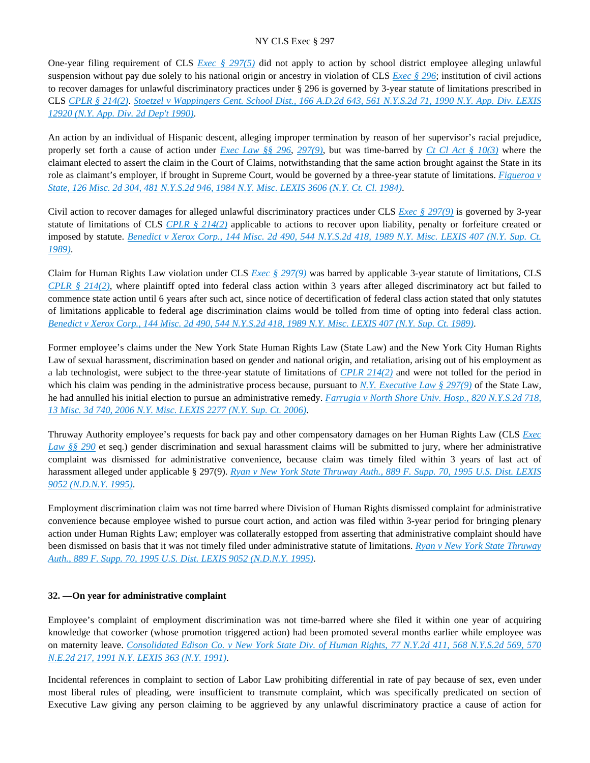One-year filing requirement of CLS *[Exec § 297\(5\)](https://advance.lexis.com/api/document?collection=statutes-legislation&id=urn:contentItem:5H6N-1CT1-DXC8-036V-00000-00&context=)* did not apply to action by school district employee alleging unlawful suspension without pay due solely to his national origin or ancestry in violation of CLS *[Exec § 296](https://advance.lexis.com/api/document?collection=statutes-legislation&id=urn:contentItem:8TP5-PCS2-8T6X-74HS-00000-00&context=)*; institution of civil actions to recover damages for unlawful discriminatory practices under § 296 is governed by 3-year statute of limitations prescribed in CLS *[CPLR § 214\(2\)](https://advance.lexis.com/api/document?collection=statutes-legislation&id=urn:contentItem:5CT3-08C1-6RDJ-845T-00000-00&context=)*. *[Stoetzel v Wappingers Cent. School Dist., 166 A.D.2d 643, 561 N.Y.S.2d 71, 1990 N.Y. App. Div. LEXIS](https://advance.lexis.com/api/document?collection=cases&id=urn:contentItem:3S2R-9280-003V-B2SJ-00000-00&context=)  [12920 \(N.Y. App. Div. 2d Dep't 1990\)](https://advance.lexis.com/api/document?collection=cases&id=urn:contentItem:3S2R-9280-003V-B2SJ-00000-00&context=)*.

An action by an individual of Hispanic descent, alleging improper termination by reason of her supervisor's racial prejudice, properly set forth a cause of action under *[Exec Law §§ 296](https://advance.lexis.com/api/document?collection=statutes-legislation&id=urn:contentItem:8TP5-PCS2-8T6X-74HS-00000-00&context=)*, *[297\(9\)](https://advance.lexis.com/api/document?collection=statutes-legislation&id=urn:contentItem:5H6N-1CT1-DXC8-036V-00000-00&context=)*, but was time-barred by *[Ct Cl Act § 10\(3\)](https://advance.lexis.com/api/document?collection=statutes-legislation&id=urn:contentItem:8TV7-8SH2-8T6X-74KY-00000-00&context=)* where the claimant elected to assert the claim in the Court of Claims, notwithstanding that the same action brought against the State in its role as claimant's employer, if brought in Supreme Court, would be governed by a three-year statute of limitations. *[Figueroa v](https://advance.lexis.com/api/document?collection=cases&id=urn:contentItem:3S3K-2WR0-003D-G11C-00000-00&context=)  [State, 126 Misc. 2d 304, 481 N.Y.S.2d 946, 1984 N.Y. Misc. LEXIS 3606 \(N.Y. Ct. Cl. 1984\)](https://advance.lexis.com/api/document?collection=cases&id=urn:contentItem:3S3K-2WR0-003D-G11C-00000-00&context=)*.

Civil action to recover damages for alleged unlawful discriminatory practices under CLS *[Exec § 297\(9\)](https://advance.lexis.com/api/document?collection=statutes-legislation&id=urn:contentItem:5H6N-1CT1-DXC8-036V-00000-00&context=)* is governed by 3-year statute of limitations of CLS *[CPLR § 214\(2\)](https://advance.lexis.com/api/document?collection=statutes-legislation&id=urn:contentItem:5CT3-08C1-6RDJ-845T-00000-00&context=)* applicable to actions to recover upon liability, penalty or forfeiture created or imposed by statute. *[Benedict v Xerox Corp., 144 Misc. 2d 490, 544 N.Y.S.2d 418, 1989 N.Y. Misc. LEXIS 407 \(N.Y. Sup. Ct.](https://advance.lexis.com/api/document?collection=cases&id=urn:contentItem:3S2R-B4N0-003V-B16S-00000-00&context=)  [1989\)](https://advance.lexis.com/api/document?collection=cases&id=urn:contentItem:3S2R-B4N0-003V-B16S-00000-00&context=)*.

Claim for Human Rights Law violation under CLS *[Exec § 297\(9\)](https://advance.lexis.com/api/document?collection=statutes-legislation&id=urn:contentItem:5H6N-1CT1-DXC8-036V-00000-00&context=)* was barred by applicable 3-year statute of limitations, CLS *[CPLR § 214\(2\)](https://advance.lexis.com/api/document?collection=statutes-legislation&id=urn:contentItem:5CT3-08C1-6RDJ-845T-00000-00&context=)*, where plaintiff opted into federal class action within 3 years after alleged discriminatory act but failed to commence state action until 6 years after such act, since notice of decertification of federal class action stated that only statutes of limitations applicable to federal age discrimination claims would be tolled from time of opting into federal class action. *[Benedict v Xerox Corp., 144 Misc. 2d 490, 544 N.Y.S.2d 418, 1989 N.Y. Misc. LEXIS 407 \(N.Y. Sup. Ct. 1989\)](https://advance.lexis.com/api/document?collection=cases&id=urn:contentItem:3S2R-B4N0-003V-B16S-00000-00&context=)*.

Former employee's claims under the New York State Human Rights Law (State Law) and the New York City Human Rights Law of sexual harassment, discrimination based on gender and national origin, and retaliation, arising out of his employment as a lab technologist, were subject to the three-year statute of limitations of *[CPLR 214\(2\)](https://advance.lexis.com/api/document?collection=statutes-legislation&id=urn:contentItem:5CT3-08C1-6RDJ-845T-00000-00&context=)* and were not tolled for the period in which his claim was pending in the administrative process because, pursuant to *[N.Y. Executive Law § 297\(9\)](https://advance.lexis.com/api/document?collection=statutes-legislation&id=urn:contentItem:5H6N-1CT1-DXC8-036V-00000-00&context=)* of the State Law, he had annulled his initial election to pursue an administrative remedy. *[Farrugia v North Shore Univ. Hosp., 820 N.Y.S.2d 718,](https://advance.lexis.com/api/document?collection=cases&id=urn:contentItem:4KS6-XFS0-0039-43NJ-00000-00&context=)  [13 Misc. 3d 740, 2006 N.Y. Misc. LEXIS 2277 \(N.Y. Sup. Ct. 2006\)](https://advance.lexis.com/api/document?collection=cases&id=urn:contentItem:4KS6-XFS0-0039-43NJ-00000-00&context=)*.

Thruway Authority employee's requests for back pay and other compensatory damages on her Human Rights Law (CLS *[Exec](https://advance.lexis.com/api/document?collection=statutes-legislation&id=urn:contentItem:5CT3-0SG1-6RDJ-847W-00000-00&context=)  [Law §§ 290](https://advance.lexis.com/api/document?collection=statutes-legislation&id=urn:contentItem:5CT3-0SG1-6RDJ-847W-00000-00&context=)* et seq.) gender discrimination and sexual harassment claims will be submitted to jury, where her administrative complaint was dismissed for administrative convenience, because claim was timely filed within 3 years of last act of harassment alleged under applicable § 297(9). *[Ryan v New York State Thruway Auth., 889 F. Supp. 70, 1995 U.S. Dist. LEXIS](https://advance.lexis.com/api/document?collection=cases&id=urn:contentItem:3S4N-H8G0-001T-53JP-00000-00&context=)  [9052 \(N.D.N.Y. 1995\)](https://advance.lexis.com/api/document?collection=cases&id=urn:contentItem:3S4N-H8G0-001T-53JP-00000-00&context=)*.

Employment discrimination claim was not time barred where Division of Human Rights dismissed complaint for administrative convenience because employee wished to pursue court action, and action was filed within 3-year period for bringing plenary action under Human Rights Law; employer was collaterally estopped from asserting that administrative complaint should have been dismissed on basis that it was not timely filed under administrative statute of limitations. *[Ryan v New York State Thruway](https://advance.lexis.com/api/document?collection=cases&id=urn:contentItem:3S4N-H8G0-001T-53JP-00000-00&context=)  [Auth., 889 F. Supp. 70, 1995 U.S. Dist. LEXIS 9052 \(N.D.N.Y. 1995\)](https://advance.lexis.com/api/document?collection=cases&id=urn:contentItem:3S4N-H8G0-001T-53JP-00000-00&context=)*.

### **32. —On year for administrative complaint**

Employee's complaint of employment discrimination was not time-barred where she filed it within one year of acquiring knowledge that coworker (whose promotion triggered action) had been promoted several months earlier while employee was on maternity leave. *[Consolidated Edison Co. v New York State Div. of Human Rights, 77 N.Y.2d 411, 568 N.Y.S.2d 569, 570](https://advance.lexis.com/api/document?collection=cases&id=urn:contentItem:3S2R-8PG0-003V-B117-00000-00&context=)  [N.E.2d 217, 1991 N.Y. LEXIS 363 \(N.Y. 1991\)](https://advance.lexis.com/api/document?collection=cases&id=urn:contentItem:3S2R-8PG0-003V-B117-00000-00&context=)*.

Incidental references in complaint to section of Labor Law prohibiting differential in rate of pay because of sex, even under most liberal rules of pleading, were insufficient to transmute complaint, which was specifically predicated on section of Executive Law giving any person claiming to be aggrieved by any unlawful discriminatory practice a cause of action for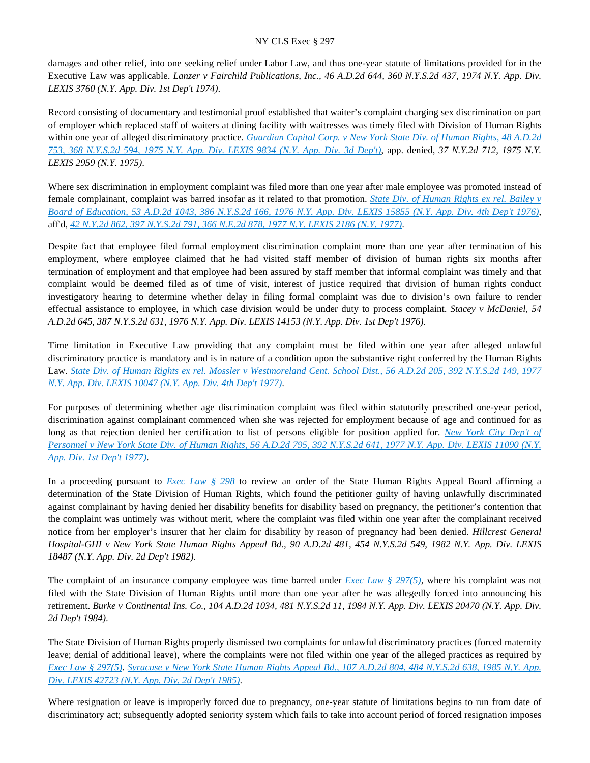damages and other relief, into one seeking relief under Labor Law, and thus one-year statute of limitations provided for in the Executive Law was applicable. *Lanzer v Fairchild Publications, Inc., 46 A.D.2d 644, 360 N.Y.S.2d 437, 1974 N.Y. App. Div. LEXIS 3760 (N.Y. App. Div. 1st Dep't 1974)*.

Record consisting of documentary and testimonial proof established that waiter's complaint charging sex discrimination on part of employer which replaced staff of waiters at dining facility with waitresses was timely filed with Division of Human Rights within one year of alleged discriminatory practice. *[Guardian Capital Corp. v New York State Div. of Human Rights, 48 A.D.2d](https://advance.lexis.com/api/document?collection=cases&id=urn:contentItem:3RRS-FYN0-003C-F359-00000-00&context=)  [753, 368 N.Y.S.2d 594, 1975 N.Y. App. Div. LEXIS 9834 \(N.Y. App. Div. 3d Dep't\)](https://advance.lexis.com/api/document?collection=cases&id=urn:contentItem:3RRS-FYN0-003C-F359-00000-00&context=)*, app. denied, *37 N.Y.2d 712, 1975 N.Y. LEXIS 2959 (N.Y. 1975)*.

Where sex discrimination in employment complaint was filed more than one year after male employee was promoted instead of female complainant, complaint was barred insofar as it related to that promotion. *[State Div. of Human Rights ex rel. Bailey v](https://advance.lexis.com/api/document?collection=cases&id=urn:contentItem:3RRS-F700-003C-F0W8-00000-00&context=)  [Board of Education, 53 A.D.2d 1043, 386 N.Y.S.2d 166, 1976 N.Y. App. Div. LEXIS 15855 \(N.Y. App. Div. 4th Dep't 1976\)](https://advance.lexis.com/api/document?collection=cases&id=urn:contentItem:3RRS-F700-003C-F0W8-00000-00&context=)*, aff'd, *[42 N.Y.2d 862, 397 N.Y.S.2d 791, 366 N.E.2d 878, 1977 N.Y. LEXIS 2186 \(N.Y. 1977\)](https://advance.lexis.com/api/document?collection=cases&id=urn:contentItem:3RRS-B4N0-003C-F4D1-00000-00&context=)*.

Despite fact that employee filed formal employment discrimination complaint more than one year after termination of his employment, where employee claimed that he had visited staff member of division of human rights six months after termination of employment and that employee had been assured by staff member that informal complaint was timely and that complaint would be deemed filed as of time of visit, interest of justice required that division of human rights conduct investigatory hearing to determine whether delay in filing formal complaint was due to division's own failure to render effectual assistance to employee, in which case division would be under duty to process complaint. *Stacey v McDaniel, 54 A.D.2d 645, 387 N.Y.S.2d 631, 1976 N.Y. App. Div. LEXIS 14153 (N.Y. App. Div. 1st Dep't 1976)*.

Time limitation in Executive Law providing that any complaint must be filed within one year after alleged unlawful discriminatory practice is mandatory and is in nature of a condition upon the substantive right conferred by the Human Rights Law. *[State Div. of Human Rights ex rel. Mossler v Westmoreland Cent. School Dist., 56 A.D.2d 205, 392 N.Y.S.2d 149, 1977](https://advance.lexis.com/api/document?collection=cases&id=urn:contentItem:3RRS-DT40-003C-F29C-00000-00&context=)  [N.Y. App. Div. LEXIS 10047 \(N.Y. App. Div. 4th Dep't 1977\)](https://advance.lexis.com/api/document?collection=cases&id=urn:contentItem:3RRS-DT40-003C-F29C-00000-00&context=)*.

For purposes of determining whether age discrimination complaint was filed within statutorily prescribed one-year period, discrimination against complainant commenced when she was rejected for employment because of age and continued for as long as that rejection denied her certification to list of persons eligible for position applied for. *[New York City Dep't of](https://advance.lexis.com/api/document?collection=cases&id=urn:contentItem:3RRS-DRW0-003C-F1SR-00000-00&context=)  [Personnel v New York State Div. of Human Rights, 56 A.D.2d 795, 392 N.Y.S.2d 641, 1977 N.Y. App. Div. LEXIS 11090 \(N.Y.](https://advance.lexis.com/api/document?collection=cases&id=urn:contentItem:3RRS-DRW0-003C-F1SR-00000-00&context=)  [App. Div. 1st Dep't 1977\)](https://advance.lexis.com/api/document?collection=cases&id=urn:contentItem:3RRS-DRW0-003C-F1SR-00000-00&context=)*.

In a proceeding pursuant to *[Exec Law § 298](https://advance.lexis.com/api/document?collection=statutes-legislation&id=urn:contentItem:5CT3-0SG1-6RDJ-8489-00000-00&context=)* to review an order of the State Human Rights Appeal Board affirming a determination of the State Division of Human Rights, which found the petitioner guilty of having unlawfully discriminated against complainant by having denied her disability benefits for disability based on pregnancy, the petitioner's contention that the complaint was untimely was without merit, where the complaint was filed within one year after the complainant received notice from her employer's insurer that her claim for disability by reason of pregnancy had been denied. *Hillcrest General Hospital-GHI v New York State Human Rights Appeal Bd., 90 A.D.2d 481, 454 N.Y.S.2d 549, 1982 N.Y. App. Div. LEXIS 18487 (N.Y. App. Div. 2d Dep't 1982)*.

The complaint of an insurance company employee was time barred under *[Exec Law § 297\(5\)](https://advance.lexis.com/api/document?collection=statutes-legislation&id=urn:contentItem:5H6N-1CT1-DXC8-036V-00000-00&context=)*, where his complaint was not filed with the State Division of Human Rights until more than one year after he was allegedly forced into announcing his retirement. *Burke v Continental Ins. Co., 104 A.D.2d 1034, 481 N.Y.S.2d 11, 1984 N.Y. App. Div. LEXIS 20470 (N.Y. App. Div. 2d Dep't 1984)*.

The State Division of Human Rights properly dismissed two complaints for unlawful discriminatory practices (forced maternity leave; denial of additional leave), where the complaints were not filed within one year of the alleged practices as required by *[Exec Law § 297\(5\)](https://advance.lexis.com/api/document?collection=statutes-legislation&id=urn:contentItem:5H6N-1CT1-DXC8-036V-00000-00&context=)*. *[Syracuse v New York State Human Rights Appeal Bd., 107 A.D.2d 804, 484 N.Y.S.2d 638, 1985 N.Y. App.](https://advance.lexis.com/api/document?collection=cases&id=urn:contentItem:3S3K-1M70-003D-G4CJ-00000-00&context=)  [Div. LEXIS 42723 \(N.Y. App. Div. 2d Dep't 1985\)](https://advance.lexis.com/api/document?collection=cases&id=urn:contentItem:3S3K-1M70-003D-G4CJ-00000-00&context=)*.

Where resignation or leave is improperly forced due to pregnancy, one-year statute of limitations begins to run from date of discriminatory act; subsequently adopted seniority system which fails to take into account period of forced resignation imposes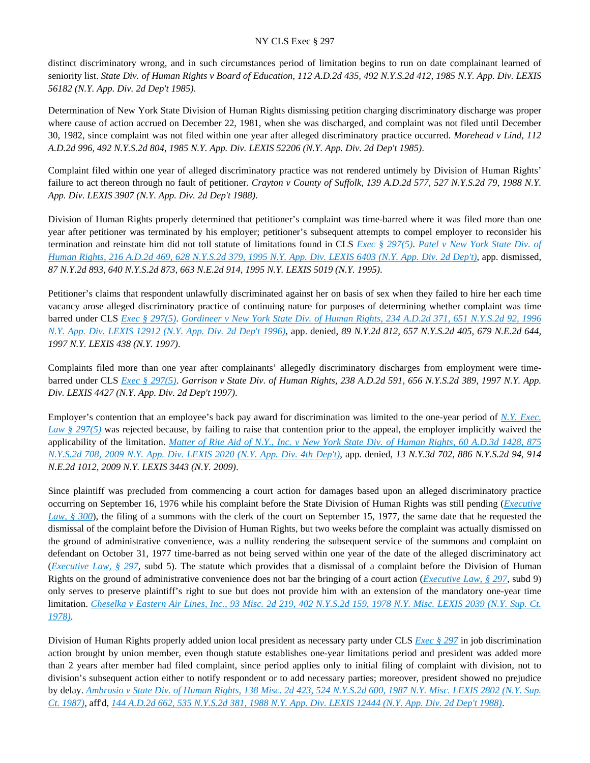distinct discriminatory wrong, and in such circumstances period of limitation begins to run on date complainant learned of seniority list. *State Div. of Human Rights v Board of Education, 112 A.D.2d 435, 492 N.Y.S.2d 412, 1985 N.Y. App. Div. LEXIS 56182 (N.Y. App. Div. 2d Dep't 1985)*.

Determination of New York State Division of Human Rights dismissing petition charging discriminatory discharge was proper where cause of action accrued on December 22, 1981, when she was discharged, and complaint was not filed until December 30, 1982, since complaint was not filed within one year after alleged discriminatory practice occurred. *Morehead v Lind, 112 A.D.2d 996, 492 N.Y.S.2d 804, 1985 N.Y. App. Div. LEXIS 52206 (N.Y. App. Div. 2d Dep't 1985)*.

Complaint filed within one year of alleged discriminatory practice was not rendered untimely by Division of Human Rights' failure to act thereon through no fault of petitioner. *Crayton v County of Suffolk, 139 A.D.2d 577, 527 N.Y.S.2d 79, 1988 N.Y. App. Div. LEXIS 3907 (N.Y. App. Div. 2d Dep't 1988)*.

Division of Human Rights properly determined that petitioner's complaint was time-barred where it was filed more than one year after petitioner was terminated by his employer; petitioner's subsequent attempts to compel employer to reconsider his termination and reinstate him did not toll statute of limitations found in CLS *[Exec § 297\(5\)](https://advance.lexis.com/api/document?collection=statutes-legislation&id=urn:contentItem:5H6N-1CT1-DXC8-036V-00000-00&context=)*. *[Patel v New York State Div. of](https://advance.lexis.com/api/document?collection=cases&id=urn:contentItem:3S2R-6710-003V-B005-00000-00&context=)  [Human Rights, 216 A.D.2d 469, 628 N.Y.S.2d 379, 1995 N.Y. App. Div. LEXIS 6403 \(N.Y. App. Div. 2d Dep't\)](https://advance.lexis.com/api/document?collection=cases&id=urn:contentItem:3S2R-6710-003V-B005-00000-00&context=)*, app. dismissed, *87 N.Y.2d 893, 640 N.Y.S.2d 873, 663 N.E.2d 914, 1995 N.Y. LEXIS 5019 (N.Y. 1995)*.

Petitioner's claims that respondent unlawfully discriminated against her on basis of sex when they failed to hire her each time vacancy arose alleged discriminatory practice of continuing nature for purposes of determining whether complaint was time barred under CLS *[Exec § 297\(5\)](https://advance.lexis.com/api/document?collection=statutes-legislation&id=urn:contentItem:5H6N-1CT1-DXC8-036V-00000-00&context=)*. *[Gordineer v New York State Div. of Human Rights, 234 A.D.2d 371, 651 N.Y.S.2d 92, 1996](https://advance.lexis.com/api/document?collection=cases&id=urn:contentItem:3RT4-NSN0-003V-B2Y4-00000-00&context=)  [N.Y. App. Div. LEXIS 12912 \(N.Y. App. Div. 2d Dep't 1996\)](https://advance.lexis.com/api/document?collection=cases&id=urn:contentItem:3RT4-NSN0-003V-B2Y4-00000-00&context=)*, app. denied, *89 N.Y.2d 812, 657 N.Y.S.2d 405, 679 N.E.2d 644, 1997 N.Y. LEXIS 438 (N.Y. 1997)*.

Complaints filed more than one year after complainants' allegedly discriminatory discharges from employment were timebarred under CLS *[Exec § 297\(5\)](https://advance.lexis.com/api/document?collection=statutes-legislation&id=urn:contentItem:5H6N-1CT1-DXC8-036V-00000-00&context=)*. *Garrison v State Div. of Human Rights, 238 A.D.2d 591, 656 N.Y.S.2d 389, 1997 N.Y. App. Div. LEXIS 4427 (N.Y. App. Div. 2d Dep't 1997)*.

Employer's contention that an employee's back pay award for discrimination was limited to the one-year period of *[N.Y. Exec.](https://advance.lexis.com/api/document?collection=statutes-legislation&id=urn:contentItem:5H6N-1CT1-DXC8-036V-00000-00&context=)  [Law § 297\(5\)](https://advance.lexis.com/api/document?collection=statutes-legislation&id=urn:contentItem:5H6N-1CT1-DXC8-036V-00000-00&context=)* was rejected because, by failing to raise that contention prior to the appeal, the employer implicitly waived the applicability of the limitation. *[Matter of Rite Aid of N.Y., Inc. v New York State Div. of Human Rights, 60 A.D.3d 1428, 875](https://advance.lexis.com/api/document?collection=cases&id=urn:contentItem:4VWX-CC30-TXFV-T2F7-00000-00&context=)  [N.Y.S.2d 708, 2009 N.Y. App. Div. LEXIS 2020 \(N.Y. App. Div. 4th Dep't\)](https://advance.lexis.com/api/document?collection=cases&id=urn:contentItem:4VWX-CC30-TXFV-T2F7-00000-00&context=)*, app. denied, *13 N.Y.3d 702, 886 N.Y.S.2d 94, 914 N.E.2d 1012, 2009 N.Y. LEXIS 3443 (N.Y. 2009)*.

Since plaintiff was precluded from commencing a court action for damages based upon an alleged discriminatory practice occurring on September 16, 1976 while his complaint before the State Division of Human Rights was still pending (*[Executive](https://advance.lexis.com/api/document?collection=statutes-legislation&id=urn:contentItem:5CT3-0SG1-6RDJ-848D-00000-00&context=)  [Law, § 300](https://advance.lexis.com/api/document?collection=statutes-legislation&id=urn:contentItem:5CT3-0SG1-6RDJ-848D-00000-00&context=)*), the filing of a summons with the clerk of the court on September 15, 1977, the same date that he requested the dismissal of the complaint before the Division of Human Rights, but two weeks before the complaint was actually dismissed on the ground of administrative convenience, was a nullity rendering the subsequent service of the summons and complaint on defendant on October 31, 1977 time-barred as not being served within one year of the date of the alleged discriminatory act (*[Executive Law, § 297](https://advance.lexis.com/api/document?collection=statutes-legislation&id=urn:contentItem:5H6N-1CT1-DXC8-036V-00000-00&context=)*, subd 5). The statute which provides that a dismissal of a complaint before the Division of Human Rights on the ground of administrative convenience does not bar the bringing of a court action (*[Executive Law, § 297](https://advance.lexis.com/api/document?collection=statutes-legislation&id=urn:contentItem:5H6N-1CT1-DXC8-036V-00000-00&context=)*, subd 9) only serves to preserve plaintiff's right to sue but does not provide him with an extension of the mandatory one-year time limitation. *[Cheselka v Eastern Air Lines, Inc., 93 Misc. 2d 219, 402 N.Y.S.2d 159, 1978 N.Y. Misc. LEXIS 2039 \(N.Y. Sup. Ct.](https://advance.lexis.com/api/document?collection=cases&id=urn:contentItem:3RRS-GRG0-003C-F400-00000-00&context=)  [1978\)](https://advance.lexis.com/api/document?collection=cases&id=urn:contentItem:3RRS-GRG0-003C-F400-00000-00&context=)*.

Division of Human Rights properly added union local president as necessary party under CLS *[Exec § 297](https://advance.lexis.com/api/document?collection=statutes-legislation&id=urn:contentItem:5H6N-1CT1-DXC8-036V-00000-00&context=)* in job discrimination action brought by union member, even though statute establishes one-year limitations period and president was added more than 2 years after member had filed complaint, since period applies only to initial filing of complaint with division, not to division's subsequent action either to notify respondent or to add necessary parties; moreover, president showed no prejudice by delay. *[Ambrosio v State Div. of Human Rights, 138 Misc. 2d 423, 524 N.Y.S.2d 600, 1987 N.Y. Misc. LEXIS 2802 \(N.Y. Sup.](https://advance.lexis.com/api/document?collection=cases&id=urn:contentItem:3S3K-2N60-003D-G32K-00000-00&context=)  [Ct. 1987\)](https://advance.lexis.com/api/document?collection=cases&id=urn:contentItem:3S3K-2N60-003D-G32K-00000-00&context=)*, aff'd, *[144 A.D.2d 662, 535 N.Y.S.2d 381, 1988 N.Y. App. Div. LEXIS 12444 \(N.Y. App. Div. 2d Dep't 1988\)](https://advance.lexis.com/api/document?collection=cases&id=urn:contentItem:3S3J-YMW0-003D-G4R1-00000-00&context=)*.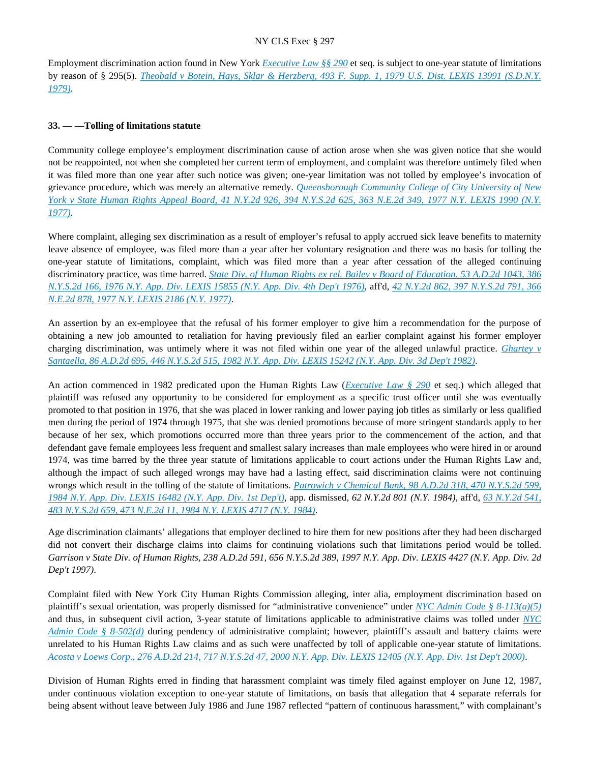Employment discrimination action found in New York *[Executive Law §§ 290](https://advance.lexis.com/api/document?collection=statutes-legislation&id=urn:contentItem:5CT3-0SG1-6RDJ-847W-00000-00&context=)* et seq. is subject to one-year statute of limitations by reason of § 295(5). *[Theobald v Botein, Hays, Sklar & Herzberg, 493 F. Supp. 1, 1979 U.S. Dist. LEXIS 13991 \(S.D.N.Y.](https://advance.lexis.com/api/document?collection=cases&id=urn:contentItem:3S4N-F2G0-0054-72Y6-00000-00&context=)  [1979\)](https://advance.lexis.com/api/document?collection=cases&id=urn:contentItem:3S4N-F2G0-0054-72Y6-00000-00&context=)*.

### **33. — —Tolling of limitations statute**

Community college employee's employment discrimination cause of action arose when she was given notice that she would not be reappointed, not when she completed her current term of employment, and complaint was therefore untimely filed when it was filed more than one year after such notice was given; one-year limitation was not tolled by employee's invocation of grievance procedure, which was merely an alternative remedy. *[Queensborough Community College of City University of New](https://advance.lexis.com/api/document?collection=cases&id=urn:contentItem:3RRS-B590-003C-F4NJ-00000-00&context=)  [York v State Human Rights Appeal Board, 41 N.Y.2d 926, 394 N.Y.S.2d 625, 363 N.E.2d 349, 1977 N.Y. LEXIS 1990 \(N.Y.](https://advance.lexis.com/api/document?collection=cases&id=urn:contentItem:3RRS-B590-003C-F4NJ-00000-00&context=)  [1977\)](https://advance.lexis.com/api/document?collection=cases&id=urn:contentItem:3RRS-B590-003C-F4NJ-00000-00&context=)*.

Where complaint, alleging sex discrimination as a result of employer's refusal to apply accrued sick leave benefits to maternity leave absence of employee, was filed more than a year after her voluntary resignation and there was no basis for tolling the one-year statute of limitations, complaint, which was filed more than a year after cessation of the alleged continuing discriminatory practice, was time barred. *[State Div. of Human Rights ex rel. Bailey v Board of Education, 53 A.D.2d 1043, 386](https://advance.lexis.com/api/document?collection=cases&id=urn:contentItem:3RRS-F700-003C-F0W8-00000-00&context=)  [N.Y.S.2d 166, 1976 N.Y. App. Div. LEXIS 15855 \(N.Y. App. Div. 4th Dep't 1976\)](https://advance.lexis.com/api/document?collection=cases&id=urn:contentItem:3RRS-F700-003C-F0W8-00000-00&context=)*, aff'd, *[42 N.Y.2d 862, 397 N.Y.S.2d 791, 366](https://advance.lexis.com/api/document?collection=cases&id=urn:contentItem:3RRS-B4N0-003C-F4D1-00000-00&context=)  [N.E.2d 878, 1977 N.Y. LEXIS 2186 \(N.Y. 1977\)](https://advance.lexis.com/api/document?collection=cases&id=urn:contentItem:3RRS-B4N0-003C-F4D1-00000-00&context=)*.

An assertion by an ex-employee that the refusal of his former employer to give him a recommendation for the purpose of obtaining a new job amounted to retaliation for having previously filed an earlier complaint against his former employer charging discrimination, was untimely where it was not filed within one year of the alleged unlawful practice. *[Ghartey v](https://advance.lexis.com/api/document?collection=cases&id=urn:contentItem:3S3K-2F70-003D-G3VP-00000-00&context=)  [Santaella, 86 A.D.2d 695, 446 N.Y.S.2d 515, 1982 N.Y. App. Div. LEXIS 15242 \(N.Y. App. Div. 3d Dep't 1982\)](https://advance.lexis.com/api/document?collection=cases&id=urn:contentItem:3S3K-2F70-003D-G3VP-00000-00&context=)*.

An action commenced in 1982 predicated upon the Human Rights Law (*[Executive Law § 290](https://advance.lexis.com/api/document?collection=statutes-legislation&id=urn:contentItem:5CT3-0SG1-6RDJ-847W-00000-00&context=)* et seq.) which alleged that plaintiff was refused any opportunity to be considered for employment as a specific trust officer until she was eventually promoted to that position in 1976, that she was placed in lower ranking and lower paying job titles as similarly or less qualified men during the period of 1974 through 1975, that she was denied promotions because of more stringent standards apply to her because of her sex, which promotions occurred more than three years prior to the commencement of the action, and that defendant gave female employees less frequent and smallest salary increases than male employees who were hired in or around 1974, was time barred by the three year statute of limitations applicable to court actions under the Human Rights Law and, although the impact of such alleged wrongs may have had a lasting effect, said discrimination claims were not continuing wrongs which result in the tolling of the statute of limitations. *[Patrowich v Chemical Bank, 98 A.D.2d 318, 470 N.Y.S.2d 599,](https://advance.lexis.com/api/document?collection=cases&id=urn:contentItem:3S3K-1X30-003D-G157-00000-00&context=)  [1984 N.Y. App. Div. LEXIS 16482 \(N.Y. App. Div. 1st Dep't\)](https://advance.lexis.com/api/document?collection=cases&id=urn:contentItem:3S3K-1X30-003D-G157-00000-00&context=)*, app. dismissed, *62 N.Y.2d 801 (N.Y. 1984)*, aff'd, *[63 N.Y.2d 541,](https://advance.lexis.com/api/document?collection=cases&id=urn:contentItem:3S3J-YBD0-003D-G3M7-00000-00&context=)  [483 N.Y.S.2d 659, 473 N.E.2d 11, 1984 N.Y. LEXIS 4717 \(N.Y. 1984\)](https://advance.lexis.com/api/document?collection=cases&id=urn:contentItem:3S3J-YBD0-003D-G3M7-00000-00&context=)*.

Age discrimination claimants' allegations that employer declined to hire them for new positions after they had been discharged did not convert their discharge claims into claims for continuing violations such that limitations period would be tolled. *Garrison v State Div. of Human Rights, 238 A.D.2d 591, 656 N.Y.S.2d 389, 1997 N.Y. App. Div. LEXIS 4427 (N.Y. App. Div. 2d Dep't 1997)*.

Complaint filed with New York City Human Rights Commission alleging, inter alia, employment discrimination based on plaintiff's sexual orientation, was properly dismissed for "administrative convenience" under *[NYC Admin Code § 8-113\(a\)\(5\)](https://advance.lexis.com/api/document?collection=statutes-legislation&id=urn:contentItem:5VXB-F9N1-F17G-F0R3-00000-00&context=)* and thus, in subsequent civil action, 3-year statute of limitations applicable to administrative claims was tolled under *[NYC](https://advance.lexis.com/api/document?collection=statutes-legislation&id=urn:contentItem:5VXB-F9N1-F17G-F0SB-00000-00&context=)  [Admin Code § 8-502\(d\)](https://advance.lexis.com/api/document?collection=statutes-legislation&id=urn:contentItem:5VXB-F9N1-F17G-F0SB-00000-00&context=)* during pendency of administrative complaint; however, plaintiff's assault and battery claims were unrelated to his Human Rights Law claims and as such were unaffected by toll of applicable one-year statute of limitations. *[Acosta v Loews Corp., 276 A.D.2d 214, 717 N.Y.S.2d 47, 2000 N.Y. App. Div. LEXIS 12405 \(N.Y. App. Div. 1st Dep't 2000\)](https://advance.lexis.com/api/document?collection=cases&id=urn:contentItem:41T0-85C0-0039-41X8-00000-00&context=)*.

Division of Human Rights erred in finding that harassment complaint was timely filed against employer on June 12, 1987, under continuous violation exception to one-year statute of limitations, on basis that allegation that 4 separate referrals for being absent without leave between July 1986 and June 1987 reflected "pattern of continuous harassment," with complainant's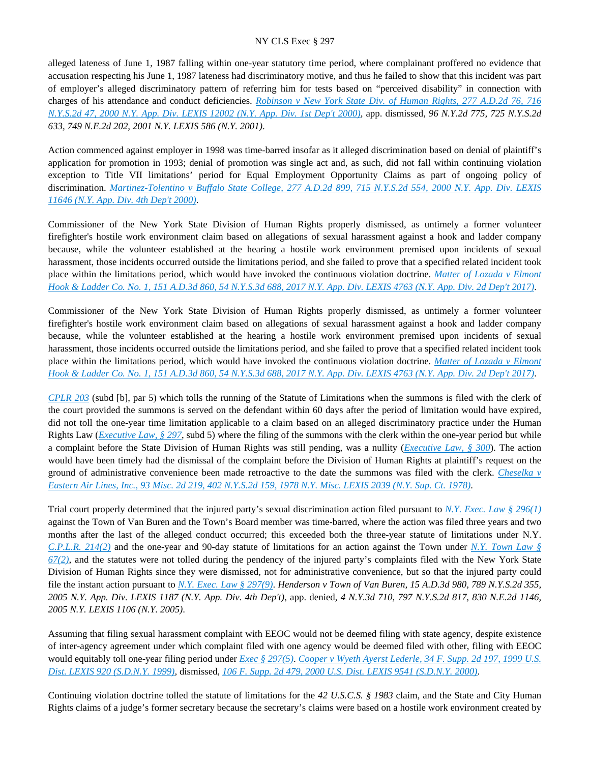alleged lateness of June 1, 1987 falling within one-year statutory time period, where complainant proffered no evidence that accusation respecting his June 1, 1987 lateness had discriminatory motive, and thus he failed to show that this incident was part of employer's alleged discriminatory pattern of referring him for tests based on "perceived disability" in connection with charges of his attendance and conduct deficiencies. *[Robinson v New York State Div. of Human Rights, 277 A.D.2d 76, 716](https://advance.lexis.com/api/document?collection=cases&id=urn:contentItem:41P2-G000-0039-43SK-00000-00&context=)  [N.Y.S.2d 47, 2000 N.Y. App. Div. LEXIS 12002 \(N.Y. App. Div. 1st Dep't 2000\)](https://advance.lexis.com/api/document?collection=cases&id=urn:contentItem:41P2-G000-0039-43SK-00000-00&context=)*, app. dismissed, *96 N.Y.2d 775, 725 N.Y.S.2d 633, 749 N.E.2d 202, 2001 N.Y. LEXIS 586 (N.Y. 2001)*.

Action commenced against employer in 1998 was time-barred insofar as it alleged discrimination based on denial of plaintiff's application for promotion in 1993; denial of promotion was single act and, as such, did not fall within continuing violation exception to Title VII limitations' period for Equal Employment Opportunity Claims as part of ongoing policy of discrimination. *[Martinez-Tolentino v Buffalo State College, 277 A.D.2d 899, 715 N.Y.S.2d 554, 2000 N.Y. App. Div. LEXIS](https://advance.lexis.com/api/document?collection=cases&id=urn:contentItem:41N6-KFW0-0039-44V9-00000-00&context=)  [11646 \(N.Y. App. Div. 4th Dep't 2000\)](https://advance.lexis.com/api/document?collection=cases&id=urn:contentItem:41N6-KFW0-0039-44V9-00000-00&context=)*.

Commissioner of the New York State Division of Human Rights properly dismissed, as untimely a former volunteer firefighter's hostile work environment claim based on allegations of sexual harassment against a hook and ladder company because, while the volunteer established at the hearing a hostile work environment premised upon incidents of sexual harassment, those incidents occurred outside the limitations period, and she failed to prove that a specified related incident took place within the limitations period, which would have invoked the continuous violation doctrine. *[Matter of Lozada v Elmont](https://advance.lexis.com/api/document?collection=cases&id=urn:contentItem:5NST-H811-F04J-72FV-00000-00&context=)  [Hook & Ladder Co. No. 1, 151 A.D.3d 860, 54 N.Y.S.3d 688, 2017 N.Y. App. Div. LEXIS 4763 \(N.Y. App. Div. 2d Dep't 2017\)](https://advance.lexis.com/api/document?collection=cases&id=urn:contentItem:5NST-H811-F04J-72FV-00000-00&context=)*.

Commissioner of the New York State Division of Human Rights properly dismissed, as untimely a former volunteer firefighter's hostile work environment claim based on allegations of sexual harassment against a hook and ladder company because, while the volunteer established at the hearing a hostile work environment premised upon incidents of sexual harassment, those incidents occurred outside the limitations period, and she failed to prove that a specified related incident took place within the limitations period, which would have invoked the continuous violation doctrine. *[Matter of Lozada v Elmont](https://advance.lexis.com/api/document?collection=cases&id=urn:contentItem:5NST-H811-F04J-72FV-00000-00&context=)  [Hook & Ladder Co. No. 1, 151 A.D.3d 860, 54 N.Y.S.3d 688, 2017 N.Y. App. Div. LEXIS 4763 \(N.Y. App. Div. 2d Dep't 2017\)](https://advance.lexis.com/api/document?collection=cases&id=urn:contentItem:5NST-H811-F04J-72FV-00000-00&context=)*.

*[CPLR 203](https://advance.lexis.com/api/document?collection=statutes-legislation&id=urn:contentItem:8PYM-9V12-D6RV-H42W-00000-00&context=)* (subd [b], par 5) which tolls the running of the Statute of Limitations when the summons is filed with the clerk of the court provided the summons is served on the defendant within 60 days after the period of limitation would have expired, did not toll the one-year time limitation applicable to a claim based on an alleged discriminatory practice under the Human Rights Law (*[Executive Law, § 297](https://advance.lexis.com/api/document?collection=statutes-legislation&id=urn:contentItem:5H6N-1CT1-DXC8-036V-00000-00&context=)*, subd 5) where the filing of the summons with the clerk within the one-year period but while a complaint before the State Division of Human Rights was still pending, was a nullity (*[Executive Law, § 300](https://advance.lexis.com/api/document?collection=statutes-legislation&id=urn:contentItem:5CT3-0SG1-6RDJ-848D-00000-00&context=)*). The action would have been timely had the dismissal of the complaint before the Division of Human Rights at plaintiff's request on the ground of administrative convenience been made retroactive to the date the summons was filed with the clerk. *[Cheselka v](https://advance.lexis.com/api/document?collection=cases&id=urn:contentItem:3RRS-GRG0-003C-F400-00000-00&context=)  [Eastern Air Lines, Inc., 93 Misc. 2d 219, 402 N.Y.S.2d 159, 1978 N.Y. Misc. LEXIS 2039 \(N.Y. Sup. Ct. 1978\)](https://advance.lexis.com/api/document?collection=cases&id=urn:contentItem:3RRS-GRG0-003C-F400-00000-00&context=)*.

Trial court properly determined that the injured party's sexual discrimination action filed pursuant to *[N.Y. Exec. Law § 296\(1\)](https://advance.lexis.com/api/document?collection=statutes-legislation&id=urn:contentItem:8TP5-PCS2-8T6X-74HS-00000-00&context=)* against the Town of Van Buren and the Town's Board member was time-barred, where the action was filed three years and two months after the last of the alleged conduct occurred; this exceeded both the three-year statute of limitations under N.Y. *[C.P.L.R. 214\(2\)](https://advance.lexis.com/api/document?collection=statutes-legislation&id=urn:contentItem:5CT3-08C1-6RDJ-845T-00000-00&context=)* and the one-year and 90-day statute of limitations for an action against the Town under *[N.Y. Town Law §](https://advance.lexis.com/api/document?collection=statutes-legislation&id=urn:contentItem:5CT3-26F1-6RDJ-8467-00000-00&context=)  [67\(2\)](https://advance.lexis.com/api/document?collection=statutes-legislation&id=urn:contentItem:5CT3-26F1-6RDJ-8467-00000-00&context=)*, and the statutes were not tolled during the pendency of the injured party's complaints filed with the New York State Division of Human Rights since they were dismissed, not for administrative convenience, but so that the injured party could file the instant action pursuant to *[N.Y. Exec. Law § 297\(9\)](https://advance.lexis.com/api/document?collection=statutes-legislation&id=urn:contentItem:5H6N-1CT1-DXC8-036V-00000-00&context=)*. *Henderson v Town of Van Buren, 15 A.D.3d 980, 789 N.Y.S.2d 355, 2005 N.Y. App. Div. LEXIS 1187 (N.Y. App. Div. 4th Dep't)*, app. denied, *4 N.Y.3d 710, 797 N.Y.S.2d 817, 830 N.E.2d 1146, 2005 N.Y. LEXIS 1106 (N.Y. 2005)*.

Assuming that filing sexual harassment complaint with EEOC would not be deemed filing with state agency, despite existence of inter-agency agreement under which complaint filed with one agency would be deemed filed with other, filing with EEOC would equitably toll one-year filing period under *[Exec § 297\(5\)](https://advance.lexis.com/api/document?collection=statutes-legislation&id=urn:contentItem:5H6N-1CT1-DXC8-036V-00000-00&context=)*. *[Cooper v Wyeth Ayerst Lederle, 34 F. Supp. 2d 197, 1999 U.S.](https://advance.lexis.com/api/document?collection=cases&id=urn:contentItem:3VRC-KYB0-0038-Y0K2-00000-00&context=)  [Dist. LEXIS 920 \(S.D.N.Y. 1999\)](https://advance.lexis.com/api/document?collection=cases&id=urn:contentItem:3VRC-KYB0-0038-Y0K2-00000-00&context=)*, dismissed, *[106 F. Supp. 2d 479, 2000 U.S. Dist. LEXIS 9541 \(S.D.N.Y. 2000\)](https://advance.lexis.com/api/document?collection=cases&id=urn:contentItem:413C-VMS0-0038-Y2K3-00000-00&context=)*.

Continuing violation doctrine tolled the statute of limitations for the *42 U.S.C.S. § 1983* claim, and the State and City Human Rights claims of a judge's former secretary because the secretary's claims were based on a hostile work environment created by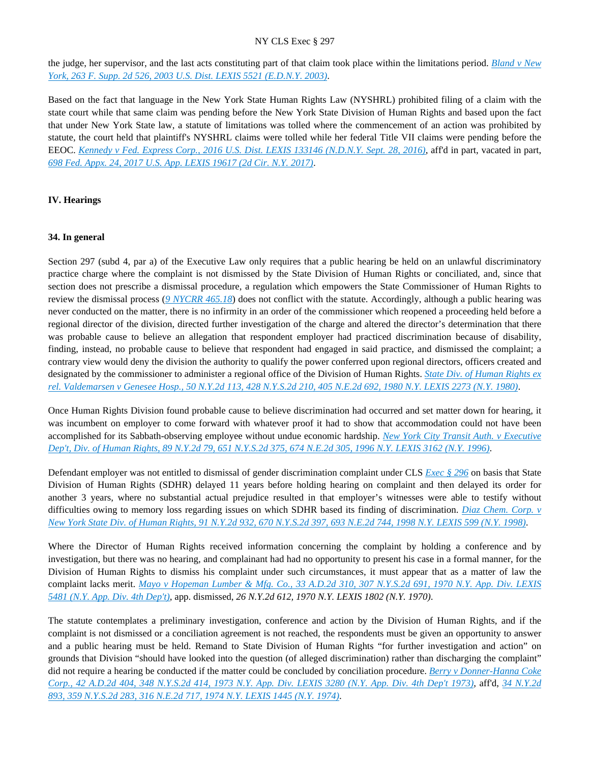the judge, her supervisor, and the last acts constituting part of that claim took place within the limitations period. *[Bland v New](https://advance.lexis.com/api/document?collection=cases&id=urn:contentItem:489Y-R6K0-0038-Y14W-00000-00&context=)  [York, 263 F. Supp. 2d 526, 2003 U.S. Dist. LEXIS 5521 \(E.D.N.Y. 2003\)](https://advance.lexis.com/api/document?collection=cases&id=urn:contentItem:489Y-R6K0-0038-Y14W-00000-00&context=)*.

Based on the fact that language in the New York State Human Rights Law (NYSHRL) prohibited filing of a claim with the state court while that same claim was pending before the New York State Division of Human Rights and based upon the fact that under New York State law, a statute of limitations was tolled where the commencement of an action was prohibited by statute, the court held that plaintiff's NYSHRL claims were tolled while her federal Title VII claims were pending before the EEOC. *[Kennedy v Fed. Express Corp., 2016 U.S. Dist. LEXIS 133146 \(N.D.N.Y. Sept. 28, 2016\)](https://advance.lexis.com/api/document?collection=cases&id=urn:contentItem:5KTK-8BW1-F04F-01GT-00000-00&context=)*, aff'd in part, vacated in part, *[698 Fed. Appx. 24, 2017 U.S. App. LEXIS 19617 \(2d Cir. N.Y. 2017\)](https://advance.lexis.com/api/document?collection=cases&id=urn:contentItem:5PMW-6MF1-F04K-J109-00000-00&context=)*.

### **IV. Hearings**

#### **34. In general**

Section 297 (subd 4, par a) of the Executive Law only requires that a public hearing be held on an unlawful discriminatory practice charge where the complaint is not dismissed by the State Division of Human Rights or conciliated, and, since that section does not prescribe a dismissal procedure, a regulation which empowers the State Commissioner of Human Rights to review the dismissal process (*[9 NYCRR 465.18](https://advance.lexis.com/api/document?collection=administrative-codes&id=urn:contentItem:5VXH-YX20-00XK-W118-00000-00&context=)*) does not conflict with the statute. Accordingly, although a public hearing was never conducted on the matter, there is no infirmity in an order of the commissioner which reopened a proceeding held before a regional director of the division, directed further investigation of the charge and altered the director's determination that there was probable cause to believe an allegation that respondent employer had practiced discrimination because of disability, finding, instead, no probable cause to believe that respondent had engaged in said practice, and dismissed the complaint; a contrary view would deny the division the authority to qualify the power conferred upon regional directors, officers created and designated by the commissioner to administer a regional office of the Division of Human Rights. *[State Div. of Human Rights ex](https://advance.lexis.com/api/document?collection=cases&id=urn:contentItem:3RRS-9V00-003C-F1GF-00000-00&context=)  [rel. Valdemarsen v Genesee Hosp., 50 N.Y.2d 113, 428 N.Y.S.2d 210, 405 N.E.2d 692, 1980 N.Y. LEXIS 2273 \(N.Y. 1980\)](https://advance.lexis.com/api/document?collection=cases&id=urn:contentItem:3RRS-9V00-003C-F1GF-00000-00&context=)*.

Once Human Rights Division found probable cause to believe discrimination had occurred and set matter down for hearing, it was incumbent on employer to come forward with whatever proof it had to show that accommodation could not have been accomplished for its Sabbath-observing employee without undue economic hardship. *[New York City Transit Auth. v Executive](https://advance.lexis.com/api/document?collection=cases&id=urn:contentItem:3S53-3XG0-003V-B2XD-00000-00&context=)  [Dep't, Div. of Human Rights, 89 N.Y.2d 79, 651 N.Y.S.2d 375, 674 N.E.2d 305, 1996 N.Y. LEXIS 3162 \(N.Y. 1996\)](https://advance.lexis.com/api/document?collection=cases&id=urn:contentItem:3S53-3XG0-003V-B2XD-00000-00&context=)*.

Defendant employer was not entitled to dismissal of gender discrimination complaint under CLS *[Exec § 296](https://advance.lexis.com/api/document?collection=statutes-legislation&id=urn:contentItem:8TP5-PCS2-8T6X-74HS-00000-00&context=)* on basis that State Division of Human Rights (SDHR) delayed 11 years before holding hearing on complaint and then delayed its order for another 3 years, where no substantial actual prejudice resulted in that employer's witnesses were able to testify without difficulties owing to memory loss regarding issues on which SDHR based its finding of discrimination. *[Diaz Chem. Corp. v](https://advance.lexis.com/api/document?collection=cases&id=urn:contentItem:3SB0-V0K0-0039-43TC-00000-00&context=)  [New York State Div. of Human Rights, 91 N.Y.2d 932, 670 N.Y.S.2d 397, 693 N.E.2d 744, 1998 N.Y. LEXIS 599 \(N.Y. 1998\)](https://advance.lexis.com/api/document?collection=cases&id=urn:contentItem:3SB0-V0K0-0039-43TC-00000-00&context=)*.

Where the Director of Human Rights received information concerning the complaint by holding a conference and by investigation, but there was no hearing, and complainant had had no opportunity to present his case in a formal manner, for the Division of Human Rights to dismiss his complaint under such circumstances, it must appear that as a matter of law the complaint lacks merit. *[Mayo v Hopeman Lumber & Mfg. Co., 33 A.D.2d 310, 307 N.Y.S.2d 691, 1970 N.Y. App. Div. LEXIS](https://advance.lexis.com/api/document?collection=cases&id=urn:contentItem:3RRT-02Y0-003C-C0WD-00000-00&context=)  [5481 \(N.Y. App. Div. 4th Dep't\)](https://advance.lexis.com/api/document?collection=cases&id=urn:contentItem:3RRT-02Y0-003C-C0WD-00000-00&context=)*, app. dismissed, *26 N.Y.2d 612, 1970 N.Y. LEXIS 1802 (N.Y. 1970)*.

The statute contemplates a preliminary investigation, conference and action by the Division of Human Rights, and if the complaint is not dismissed or a conciliation agreement is not reached, the respondents must be given an opportunity to answer and a public hearing must be held. Remand to State Division of Human Rights "for further investigation and action" on grounds that Division "should have looked into the question (of alleged discrimination) rather than discharging the complaint" did not require a hearing be conducted if the matter could be concluded by conciliation procedure. *[Berry v Donner-Hanna Coke](https://advance.lexis.com/api/document?collection=cases&id=urn:contentItem:3RRS-Y7T0-003C-C45C-00000-00&context=)  [Corp., 42 A.D.2d 404, 348 N.Y.S.2d 414, 1973 N.Y. App. Div. LEXIS 3280 \(N.Y. App. Div. 4th Dep't 1973\)](https://advance.lexis.com/api/document?collection=cases&id=urn:contentItem:3RRS-Y7T0-003C-C45C-00000-00&context=)*, aff'd, *[34 N.Y.2d](https://advance.lexis.com/api/document?collection=cases&id=urn:contentItem:3RRS-VGB0-003C-C0JV-00000-00&context=)  [893, 359 N.Y.S.2d 283, 316 N.E.2d 717, 1974 N.Y. LEXIS 1445 \(N.Y. 1974\)](https://advance.lexis.com/api/document?collection=cases&id=urn:contentItem:3RRS-VGB0-003C-C0JV-00000-00&context=)*.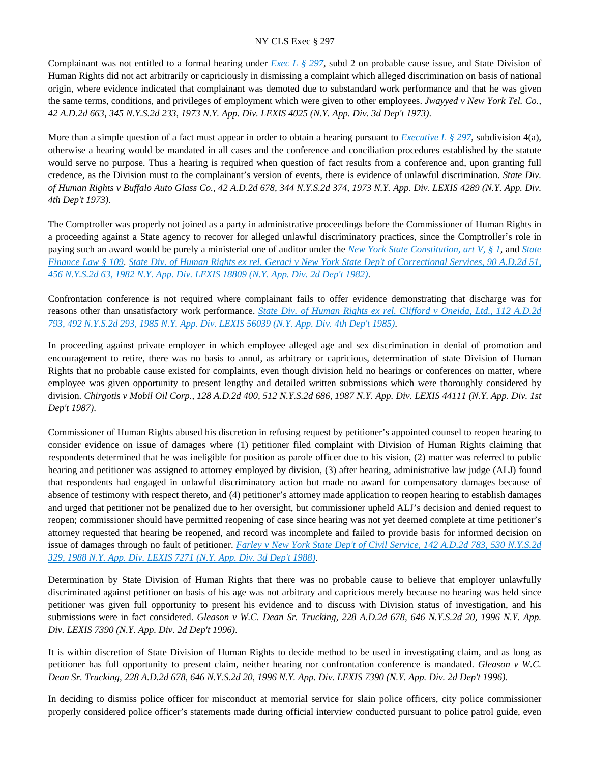Complainant was not entitled to a formal hearing under *[Exec L § 297](https://advance.lexis.com/api/document?collection=statutes-legislation&id=urn:contentItem:5H6N-1CT1-DXC8-036V-00000-00&context=)*, subd 2 on probable cause issue, and State Division of Human Rights did not act arbitrarily or capriciously in dismissing a complaint which alleged discrimination on basis of national origin, where evidence indicated that complainant was demoted due to substandard work performance and that he was given the same terms, conditions, and privileges of employment which were given to other employees. *Jwayyed v New York Tel. Co., 42 A.D.2d 663, 345 N.Y.S.2d 233, 1973 N.Y. App. Div. LEXIS 4025 (N.Y. App. Div. 3d Dep't 1973)*.

More than a simple question of a fact must appear in order to obtain a hearing pursuant to *[Executive L § 297](https://advance.lexis.com/api/document?collection=statutes-legislation&id=urn:contentItem:5H6N-1CT1-DXC8-036V-00000-00&context=)*, subdivision 4(a), otherwise a hearing would be mandated in all cases and the conference and conciliation procedures established by the statute would serve no purpose. Thus a hearing is required when question of fact results from a conference and, upon granting full credence, as the Division must to the complainant's version of events, there is evidence of unlawful discrimination. *State Div. of Human Rights v Buffalo Auto Glass Co., 42 A.D.2d 678, 344 N.Y.S.2d 374, 1973 N.Y. App. Div. LEXIS 4289 (N.Y. App. Div. 4th Dep't 1973)*.

The Comptroller was properly not joined as a party in administrative proceedings before the Commissioner of Human Rights in a proceeding against a State agency to recover for alleged unlawful discriminatory practices, since the Comptroller's role in paying such an award would be purely a ministerial one of auditor under the *[New York State Constitution, art V, § 1](https://advance.lexis.com/api/document?collection=statutes-legislation&id=urn:contentItem:5CT2-JHJ1-DYB7-M50K-00000-00&context=)*, and *[State](https://advance.lexis.com/api/document?collection=statutes-legislation&id=urn:contentItem:5CT3-21H1-6RDJ-840F-00000-00&context=)  [Finance Law § 109](https://advance.lexis.com/api/document?collection=statutes-legislation&id=urn:contentItem:5CT3-21H1-6RDJ-840F-00000-00&context=)*. *[State Div. of Human Rights ex rel. Geraci v New York State Dep't of Correctional Services, 90 A.D.2d 51,](https://advance.lexis.com/api/document?collection=cases&id=urn:contentItem:3S3K-27H0-003D-G41S-00000-00&context=)  [456 N.Y.S.2d 63, 1982 N.Y. App. Div. LEXIS 18809 \(N.Y. App. Div. 2d Dep't 1982\)](https://advance.lexis.com/api/document?collection=cases&id=urn:contentItem:3S3K-27H0-003D-G41S-00000-00&context=)*.

Confrontation conference is not required where complainant fails to offer evidence demonstrating that discharge was for reasons other than unsatisfactory work performance. *[State Div. of Human Rights ex rel. Clifford v Oneida, Ltd., 112 A.D.2d](https://advance.lexis.com/api/document?collection=cases&id=urn:contentItem:3S3K-1C20-003D-G15J-00000-00&context=)  [793, 492 N.Y.S.2d 293, 1985 N.Y. App. Div. LEXIS 56039 \(N.Y. App. Div. 4th Dep't 1985\)](https://advance.lexis.com/api/document?collection=cases&id=urn:contentItem:3S3K-1C20-003D-G15J-00000-00&context=)*.

In proceeding against private employer in which employee alleged age and sex discrimination in denial of promotion and encouragement to retire, there was no basis to annul, as arbitrary or capricious, determination of state Division of Human Rights that no probable cause existed for complaints, even though division held no hearings or conferences on matter, where employee was given opportunity to present lengthy and detailed written submissions which were thoroughly considered by division. *Chirgotis v Mobil Oil Corp., 128 A.D.2d 400, 512 N.Y.S.2d 686, 1987 N.Y. App. Div. LEXIS 44111 (N.Y. App. Div. 1st Dep't 1987)*.

Commissioner of Human Rights abused his discretion in refusing request by petitioner's appointed counsel to reopen hearing to consider evidence on issue of damages where (1) petitioner filed complaint with Division of Human Rights claiming that respondents determined that he was ineligible for position as parole officer due to his vision, (2) matter was referred to public hearing and petitioner was assigned to attorney employed by division, (3) after hearing, administrative law judge (ALJ) found that respondents had engaged in unlawful discriminatory action but made no award for compensatory damages because of absence of testimony with respect thereto, and (4) petitioner's attorney made application to reopen hearing to establish damages and urged that petitioner not be penalized due to her oversight, but commissioner upheld ALJ's decision and denied request to reopen; commissioner should have permitted reopening of case since hearing was not yet deemed complete at time petitioner's attorney requested that hearing be reopened, and record was incomplete and failed to provide basis for informed decision on issue of damages through no fault of petitioner. *[Farley v New York State Dep't of Civil Service, 142 A.D.2d 783, 530 N.Y.S.2d](https://advance.lexis.com/api/document?collection=cases&id=urn:contentItem:3S3J-YV10-003D-G0TH-00000-00&context=)  [329, 1988 N.Y. App. Div. LEXIS 7271 \(N.Y. App. Div. 3d Dep't 1988\)](https://advance.lexis.com/api/document?collection=cases&id=urn:contentItem:3S3J-YV10-003D-G0TH-00000-00&context=)*.

Determination by State Division of Human Rights that there was no probable cause to believe that employer unlawfully discriminated against petitioner on basis of his age was not arbitrary and capricious merely because no hearing was held since petitioner was given full opportunity to present his evidence and to discuss with Division status of investigation, and his submissions were in fact considered. *Gleason v W.C. Dean Sr. Trucking, 228 A.D.2d 678, 646 N.Y.S.2d 20, 1996 N.Y. App. Div. LEXIS 7390 (N.Y. App. Div. 2d Dep't 1996)*.

It is within discretion of State Division of Human Rights to decide method to be used in investigating claim, and as long as petitioner has full opportunity to present claim, neither hearing nor confrontation conference is mandated. *Gleason v W.C. Dean Sr. Trucking, 228 A.D.2d 678, 646 N.Y.S.2d 20, 1996 N.Y. App. Div. LEXIS 7390 (N.Y. App. Div. 2d Dep't 1996)*.

In deciding to dismiss police officer for misconduct at memorial service for slain police officers, city police commissioner properly considered police officer's statements made during official interview conducted pursuant to police patrol guide, even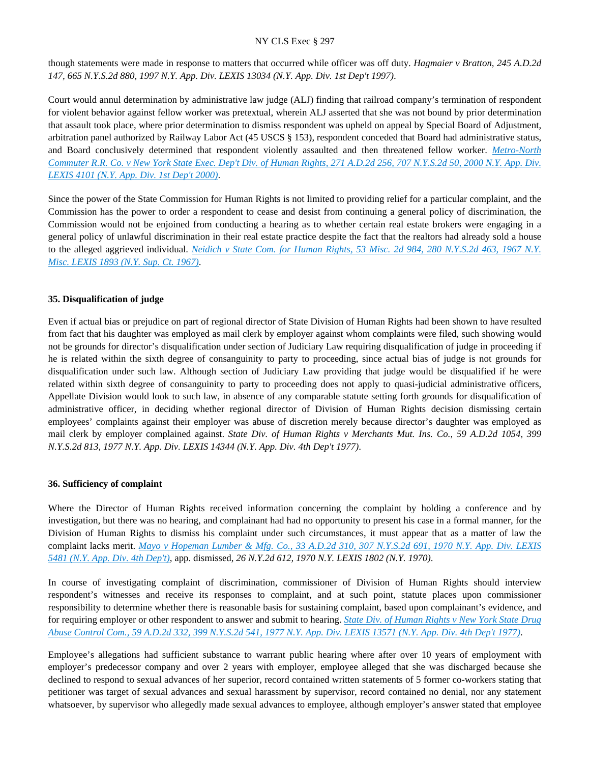though statements were made in response to matters that occurred while officer was off duty. *Hagmaier v Bratton, 245 A.D.2d 147, 665 N.Y.S.2d 880, 1997 N.Y. App. Div. LEXIS 13034 (N.Y. App. Div. 1st Dep't 1997)*.

Court would annul determination by administrative law judge (ALJ) finding that railroad company's termination of respondent for violent behavior against fellow worker was pretextual, wherein ALJ asserted that she was not bound by prior determination that assault took place, where prior determination to dismiss respondent was upheld on appeal by Special Board of Adjustment, arbitration panel authorized by Railway Labor Act (45 USCS § 153), respondent conceded that Board had administrative status, and Board conclusively determined that respondent violently assaulted and then threatened fellow worker. *[Metro-North](https://advance.lexis.com/api/document?collection=cases&id=urn:contentItem:401R-30Y0-0039-437T-00000-00&context=)  [Commuter R.R. Co. v New York State Exec. Dep't Div. of Human Rights, 271 A.D.2d 256, 707 N.Y.S.2d 50, 2000 N.Y. App. Div.](https://advance.lexis.com/api/document?collection=cases&id=urn:contentItem:401R-30Y0-0039-437T-00000-00&context=)  [LEXIS 4101 \(N.Y. App. Div. 1st Dep't 2000\)](https://advance.lexis.com/api/document?collection=cases&id=urn:contentItem:401R-30Y0-0039-437T-00000-00&context=)*.

Since the power of the State Commission for Human Rights is not limited to providing relief for a particular complaint, and the Commission has the power to order a respondent to cease and desist from continuing a general policy of discrimination, the Commission would not be enjoined from conducting a hearing as to whether certain real estate brokers were engaging in a general policy of unlawful discrimination in their real estate practice despite the fact that the realtors had already sold a house to the alleged aggrieved individual. *[Neidich v State Com. for Human Rights, 53 Misc. 2d 984, 280 N.Y.S.2d 463, 1967 N.Y.](https://advance.lexis.com/api/document?collection=cases&id=urn:contentItem:3RRS-H7W0-003C-F2JH-00000-00&context=)  [Misc. LEXIS 1893 \(N.Y. Sup. Ct. 1967\)](https://advance.lexis.com/api/document?collection=cases&id=urn:contentItem:3RRS-H7W0-003C-F2JH-00000-00&context=)*.

### **35. Disqualification of judge**

Even if actual bias or prejudice on part of regional director of State Division of Human Rights had been shown to have resulted from fact that his daughter was employed as mail clerk by employer against whom complaints were filed, such showing would not be grounds for director's disqualification under section of Judiciary Law requiring disqualification of judge in proceeding if he is related within the sixth degree of consanguinity to party to proceeding, since actual bias of judge is not grounds for disqualification under such law. Although section of Judiciary Law providing that judge would be disqualified if he were related within sixth degree of consanguinity to party to proceeding does not apply to quasi-judicial administrative officers, Appellate Division would look to such law, in absence of any comparable statute setting forth grounds for disqualification of administrative officer, in deciding whether regional director of Division of Human Rights decision dismissing certain employees' complaints against their employer was abuse of discretion merely because director's daughter was employed as mail clerk by employer complained against. *State Div. of Human Rights v Merchants Mut. Ins. Co., 59 A.D.2d 1054, 399 N.Y.S.2d 813, 1977 N.Y. App. Div. LEXIS 14344 (N.Y. App. Div. 4th Dep't 1977)*.

#### **36. Sufficiency of complaint**

Where the Director of Human Rights received information concerning the complaint by holding a conference and by investigation, but there was no hearing, and complainant had had no opportunity to present his case in a formal manner, for the Division of Human Rights to dismiss his complaint under such circumstances, it must appear that as a matter of law the complaint lacks merit. *[Mayo v Hopeman Lumber & Mfg. Co., 33 A.D.2d 310, 307 N.Y.S.2d 691, 1970 N.Y. App. Div. LEXIS](https://advance.lexis.com/api/document?collection=cases&id=urn:contentItem:3RRT-02Y0-003C-C0WD-00000-00&context=)  [5481 \(N.Y. App. Div. 4th Dep't\)](https://advance.lexis.com/api/document?collection=cases&id=urn:contentItem:3RRT-02Y0-003C-C0WD-00000-00&context=)*, app. dismissed, *26 N.Y.2d 612, 1970 N.Y. LEXIS 1802 (N.Y. 1970)*.

In course of investigating complaint of discrimination, commissioner of Division of Human Rights should interview respondent's witnesses and receive its responses to complaint, and at such point, statute places upon commissioner responsibility to determine whether there is reasonable basis for sustaining complaint, based upon complainant's evidence, and for requiring employer or other respondent to answer and submit to hearing. *[State Div. of Human Rights v New York State Drug](https://advance.lexis.com/api/document?collection=cases&id=urn:contentItem:3RRS-DDK0-003C-F35W-00000-00&context=)  [Abuse Control Com., 59 A.D.2d 332, 399 N.Y.S.2d 541, 1977 N.Y. App. Div. LEXIS 13571 \(N.Y. App. Div. 4th Dep't 1977\)](https://advance.lexis.com/api/document?collection=cases&id=urn:contentItem:3RRS-DDK0-003C-F35W-00000-00&context=)*.

Employee's allegations had sufficient substance to warrant public hearing where after over 10 years of employment with employer's predecessor company and over 2 years with employer, employee alleged that she was discharged because she declined to respond to sexual advances of her superior, record contained written statements of 5 former co-workers stating that petitioner was target of sexual advances and sexual harassment by supervisor, record contained no denial, nor any statement whatsoever, by supervisor who allegedly made sexual advances to employee, although employer's answer stated that employee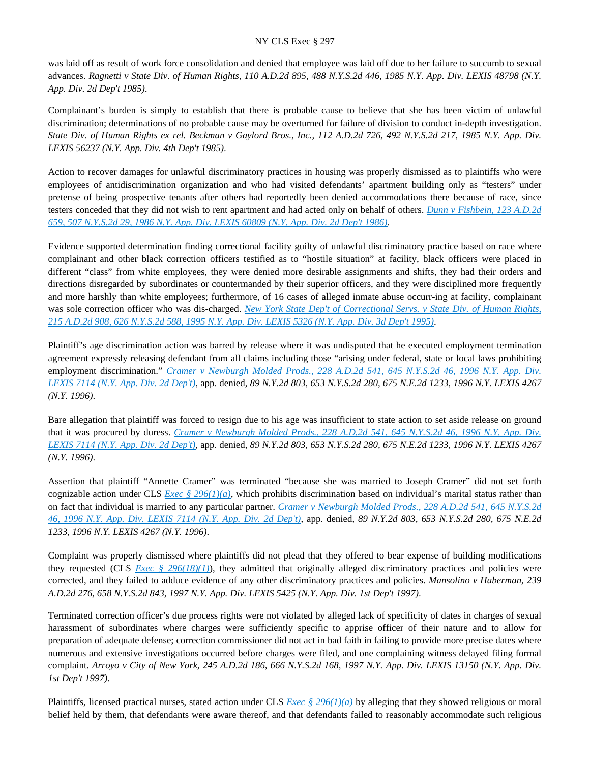was laid off as result of work force consolidation and denied that employee was laid off due to her failure to succumb to sexual advances. *Ragnetti v State Div. of Human Rights, 110 A.D.2d 895, 488 N.Y.S.2d 446, 1985 N.Y. App. Div. LEXIS 48798 (N.Y. App. Div. 2d Dep't 1985)*.

Complainant's burden is simply to establish that there is probable cause to believe that she has been victim of unlawful discrimination; determinations of no probable cause may be overturned for failure of division to conduct in-depth investigation. *State Div. of Human Rights ex rel. Beckman v Gaylord Bros., Inc., 112 A.D.2d 726, 492 N.Y.S.2d 217, 1985 N.Y. App. Div. LEXIS 56237 (N.Y. App. Div. 4th Dep't 1985)*.

Action to recover damages for unlawful discriminatory practices in housing was properly dismissed as to plaintiffs who were employees of antidiscrimination organization and who had visited defendants' apartment building only as "testers" under pretense of being prospective tenants after others had reportedly been denied accommodations there because of race, since testers conceded that they did not wish to rent apartment and had acted only on behalf of others. *[Dunn v Fishbein, 123 A.D.2d](https://advance.lexis.com/api/document?collection=cases&id=urn:contentItem:3S3K-0SR0-003D-G2YK-00000-00&context=)  [659, 507 N.Y.S.2d 29, 1986 N.Y. App. Div. LEXIS 60809 \(N.Y. App. Div. 2d Dep't 1986\)](https://advance.lexis.com/api/document?collection=cases&id=urn:contentItem:3S3K-0SR0-003D-G2YK-00000-00&context=)*.

Evidence supported determination finding correctional facility guilty of unlawful discriminatory practice based on race where complainant and other black correction officers testified as to "hostile situation" at facility, black officers were placed in different "class" from white employees, they were denied more desirable assignments and shifts, they had their orders and directions disregarded by subordinates or countermanded by their superior officers, and they were disciplined more frequently and more harshly than white employees; furthermore, of 16 cases of alleged inmate abuse occurr-ing at facility, complainant was sole correction officer who was dis-charged. *[New York State Dep't of Correctional Servs. v State Div. of Human Rights,](https://advance.lexis.com/api/document?collection=cases&id=urn:contentItem:3S2R-68R0-003V-B2G8-00000-00&context=)  [215 A.D.2d 908, 626 N.Y.S.2d 588, 1995 N.Y. App. Div. LEXIS 5326 \(N.Y. App. Div. 3d Dep't 1995\)](https://advance.lexis.com/api/document?collection=cases&id=urn:contentItem:3S2R-68R0-003V-B2G8-00000-00&context=)*.

Plaintiff's age discrimination action was barred by release where it was undisputed that he executed employment termination agreement expressly releasing defendant from all claims including those "arising under federal, state or local laws prohibiting employment discrimination." *Cramer v Newburgh Molded Prods.*, 228 A.D.2d 541, 645 N.Y.S.2d 46, 1996 N.Y. App. Div. *[LEXIS 7114 \(N.Y. App. Div. 2d Dep't\)](https://advance.lexis.com/api/document?collection=cases&id=urn:contentItem:3RGS-BGM0-003V-B0BG-00000-00&context=)*, app. denied, *89 N.Y.2d 803, 653 N.Y.S.2d 280, 675 N.E.2d 1233, 1996 N.Y. LEXIS 4267 (N.Y. 1996)*.

Bare allegation that plaintiff was forced to resign due to his age was insufficient to state action to set aside release on ground that it was procured by duress. *[Cramer v Newburgh Molded Prods., 228 A.D.2d 541, 645 N.Y.S.2d 46, 1996 N.Y. App. Div.](https://advance.lexis.com/api/document?collection=cases&id=urn:contentItem:3RGS-BGM0-003V-B0BG-00000-00&context=)  [LEXIS 7114 \(N.Y. App. Div. 2d Dep't\)](https://advance.lexis.com/api/document?collection=cases&id=urn:contentItem:3RGS-BGM0-003V-B0BG-00000-00&context=)*, app. denied, *89 N.Y.2d 803, 653 N.Y.S.2d 280, 675 N.E.2d 1233, 1996 N.Y. LEXIS 4267 (N.Y. 1996)*.

Assertion that plaintiff "Annette Cramer" was terminated "because she was married to Joseph Cramer" did not set forth cognizable action under CLS *[Exec § 296\(1\)\(a\)](https://advance.lexis.com/api/document?collection=statutes-legislation&id=urn:contentItem:8TP5-PCS2-8T6X-74HS-00000-00&context=)*, which prohibits discrimination based on individual's marital status rather than on fact that individual is married to any particular partner. *[Cramer v Newburgh Molded Prods., 228 A.D.2d 541, 645 N.Y.S.2d](https://advance.lexis.com/api/document?collection=cases&id=urn:contentItem:3RGS-BGM0-003V-B0BG-00000-00&context=)  [46, 1996 N.Y. App. Div. LEXIS 7114 \(N.Y. App. Div. 2d Dep't\)](https://advance.lexis.com/api/document?collection=cases&id=urn:contentItem:3RGS-BGM0-003V-B0BG-00000-00&context=)*, app. denied, *89 N.Y.2d 803, 653 N.Y.S.2d 280, 675 N.E.2d 1233, 1996 N.Y. LEXIS 4267 (N.Y. 1996)*.

Complaint was properly dismissed where plaintiffs did not plead that they offered to bear expense of building modifications they requested (CLS *[Exec § 296\(18\)\(1\)](https://advance.lexis.com/api/document?collection=statutes-legislation&id=urn:contentItem:8TP5-PCS2-8T6X-74HS-00000-00&context=)*), they admitted that originally alleged discriminatory practices and policies were corrected, and they failed to adduce evidence of any other discriminatory practices and policies. *Mansolino v Haberman, 239 A.D.2d 276, 658 N.Y.S.2d 843, 1997 N.Y. App. Div. LEXIS 5425 (N.Y. App. Div. 1st Dep't 1997)*.

Terminated correction officer's due process rights were not violated by alleged lack of specificity of dates in charges of sexual harassment of subordinates where charges were sufficiently specific to apprise officer of their nature and to allow for preparation of adequate defense; correction commissioner did not act in bad faith in failing to provide more precise dates where numerous and extensive investigations occurred before charges were filed, and one complaining witness delayed filing formal complaint. *Arroyo v City of New York, 245 A.D.2d 186, 666 N.Y.S.2d 168, 1997 N.Y. App. Div. LEXIS 13150 (N.Y. App. Div. 1st Dep't 1997)*.

Plaintiffs, licensed practical nurses, stated action under CLS *[Exec § 296\(1\)\(a\)](https://advance.lexis.com/api/document?collection=statutes-legislation&id=urn:contentItem:8TP5-PCS2-8T6X-74HS-00000-00&context=)* by alleging that they showed religious or moral belief held by them, that defendants were aware thereof, and that defendants failed to reasonably accommodate such religious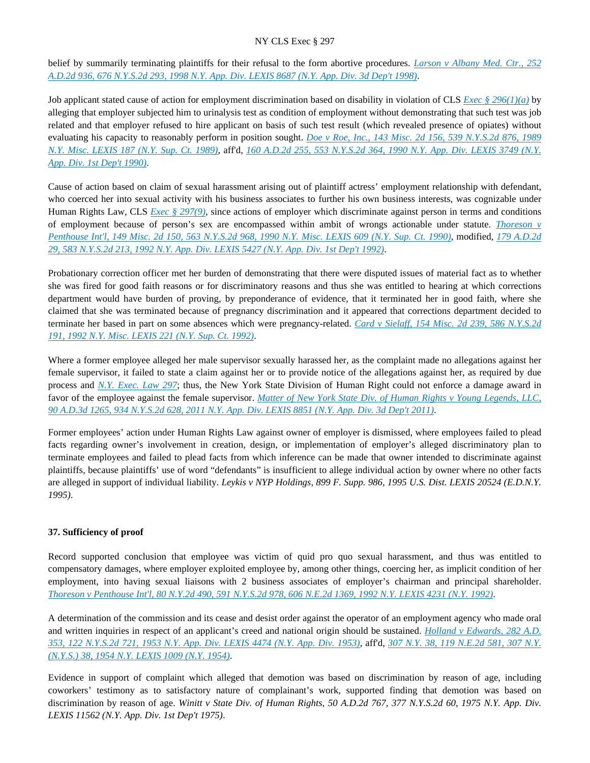belief by summarily terminating plaintiffs for their refusal to the form abortive procedures. *[Larson v Albany Med. Ctr., 252](https://advance.lexis.com/api/document?collection=cases&id=urn:contentItem:3T91-4VN0-0039-43T5-00000-00&context=)  [A.D.2d 936, 676 N.Y.S.2d 293, 1998 N.Y. App. Div. LEXIS 8687 \(N.Y. App. Div. 3d Dep't 1998\)](https://advance.lexis.com/api/document?collection=cases&id=urn:contentItem:3T91-4VN0-0039-43T5-00000-00&context=)*.

Job applicant stated cause of action for employment discrimination based on disability in violation of CLS *[Exec § 296\(1\)\(a\)](https://advance.lexis.com/api/document?collection=statutes-legislation&id=urn:contentItem:8TP5-PCS2-8T6X-74HS-00000-00&context=)* by alleging that employer subjected him to urinalysis test as condition of employment without demonstrating that such test was job related and that employer refused to hire applicant on basis of such test result (which revealed presence of opiates) without evaluating his capacity to reasonably perform in position sought. *[Doe v Roe, Inc., 143 Misc. 2d 156, 539 N.Y.S.2d 876, 1989](https://advance.lexis.com/api/document?collection=cases&id=urn:contentItem:3S2R-BC00-003V-B3H0-00000-00&context=)  [N.Y. Misc. LEXIS 187 \(N.Y. Sup. Ct. 1989\)](https://advance.lexis.com/api/document?collection=cases&id=urn:contentItem:3S2R-BC00-003V-B3H0-00000-00&context=)*, aff'd, *[160 A.D.2d 255, 553 N.Y.S.2d 364, 1990 N.Y. App. Div. LEXIS 3749 \(N.Y.](https://advance.lexis.com/api/document?collection=cases&id=urn:contentItem:3S2R-9H20-003V-B1N4-00000-00&context=)  [App. Div. 1st Dep't 1990\)](https://advance.lexis.com/api/document?collection=cases&id=urn:contentItem:3S2R-9H20-003V-B1N4-00000-00&context=)*.

Cause of action based on claim of sexual harassment arising out of plaintiff actress' employment relationship with defendant, who coerced her into sexual activity with his business associates to further his own business interests, was cognizable under Human Rights Law, CLS *[Exec § 297\(9\)](https://advance.lexis.com/api/document?collection=statutes-legislation&id=urn:contentItem:5H6N-1CT1-DXC8-036V-00000-00&context=)*, since actions of employer which discriminate against person in terms and conditions of employment because of person's sex are encompassed within ambit of wrongs actionable under statute. *[Thoreson v](https://advance.lexis.com/api/document?collection=cases&id=urn:contentItem:3S2R-9280-003V-B2S4-00000-00&context=)  [Penthouse Int'l, 149 Misc. 2d 150, 563 N.Y.S.2d 968, 1990 N.Y. Misc. LEXIS 609 \(N.Y. Sup. Ct. 1990\)](https://advance.lexis.com/api/document?collection=cases&id=urn:contentItem:3S2R-9280-003V-B2S4-00000-00&context=)*, modified, *[179 A.D.2d](https://advance.lexis.com/api/document?collection=cases&id=urn:contentItem:3S2R-81S0-003V-B4TV-00000-00&context=)  [29, 583 N.Y.S.2d 213, 1992 N.Y. App. Div. LEXIS 5427 \(N.Y. App. Div. 1st Dep't 1992\)](https://advance.lexis.com/api/document?collection=cases&id=urn:contentItem:3S2R-81S0-003V-B4TV-00000-00&context=)*.

Probationary correction officer met her burden of demonstrating that there were disputed issues of material fact as to whether she was fired for good faith reasons or for discriminatory reasons and thus she was entitled to hearing at which corrections department would have burden of proving, by preponderance of evidence, that it terminated her in good faith, where she claimed that she was terminated because of pregnancy discrimination and it appeared that corrections department decided to terminate her based in part on some absences which were pregnancy-related. *[Card v Sielaff, 154 Misc. 2d 239, 586 N.Y.S.2d](https://advance.lexis.com/api/document?collection=cases&id=urn:contentItem:3S2R-82D0-003V-B0JN-00000-00&context=)  [191, 1992 N.Y. Misc. LEXIS 221 \(N.Y. Sup. Ct. 1992\)](https://advance.lexis.com/api/document?collection=cases&id=urn:contentItem:3S2R-82D0-003V-B0JN-00000-00&context=)*.

Where a former employee alleged her male supervisor sexually harassed her, as the complaint made no allegations against her female supervisor, it failed to state a claim against her or to provide notice of the allegations against her, as required by due process and *[N.Y. Exec. Law 297](https://advance.lexis.com/api/document?collection=statutes-legislation&id=urn:contentItem:5H6N-1CT1-DXC8-036V-00000-00&context=)*; thus, the New York State Division of Human Right could not enforce a damage award in favor of the employee against the female supervisor. *[Matter of New York State Div. of Human Rights v Young Legends, LLC,](https://advance.lexis.com/api/document?collection=cases&id=urn:contentItem:54GK-K3F1-F04J-713D-00000-00&context=)  [90 A.D.3d 1265, 934 N.Y.S.2d 628, 2011 N.Y. App. Div. LEXIS 8851 \(N.Y. App. Div. 3d Dep't 2011\)](https://advance.lexis.com/api/document?collection=cases&id=urn:contentItem:54GK-K3F1-F04J-713D-00000-00&context=)*.

Former employees' action under Human Rights Law against owner of employer is dismissed, where employees failed to plead facts regarding owner's involvement in creation, design, or implementation of employer's alleged discriminatory plan to terminate employees and failed to plead facts from which inference can be made that owner intended to discriminate against plaintiffs, because plaintiffs' use of word "defendants" is insufficient to allege individual action by owner where no other facts are alleged in support of individual liability. *Leykis v NYP Holdings, 899 F. Supp. 986, 1995 U.S. Dist. LEXIS 20524 (E.D.N.Y. 1995)*.

# **37. Sufficiency of proof**

Record supported conclusion that employee was victim of quid pro quo sexual harassment, and thus was entitled to compensatory damages, where employer exploited employee by, among other things, coercing her, as implicit condition of her employment, into having sexual liaisons with 2 business associates of employer's chairman and principal shareholder. *[Thoreson v Penthouse Int'l, 80 N.Y.2d 490, 591 N.Y.S.2d 978, 606 N.E.2d 1369, 1992 N.Y. LEXIS 4231 \(N.Y. 1992\)](https://advance.lexis.com/api/document?collection=cases&id=urn:contentItem:3S2R-7P30-003V-B09P-00000-00&context=)*.

A determination of the commission and its cease and desist order against the operator of an employment agency who made oral and written inquiries in respect of an applicant's creed and national origin should be sustained. *[Holland v Edwards, 282 A.D.](https://advance.lexis.com/api/document?collection=cases&id=urn:contentItem:3RRM-STP0-003F-74CC-00000-00&context=)  [353, 122 N.Y.S.2d 721, 1953 N.Y. App. Div. LEXIS 4474 \(N.Y. App. Div. 1953\)](https://advance.lexis.com/api/document?collection=cases&id=urn:contentItem:3RRM-STP0-003F-74CC-00000-00&context=)*, aff'd, *[307 N.Y. 38, 119 N.E.2d 581, 307 N.Y.](https://advance.lexis.com/api/document?collection=cases&id=urn:contentItem:3RRS-XJ80-003C-C29P-00000-00&context=)  [\(N.Y.S.\) 38, 1954 N.Y. LEXIS 1009 \(N.Y. 1954\)](https://advance.lexis.com/api/document?collection=cases&id=urn:contentItem:3RRS-XJ80-003C-C29P-00000-00&context=)*.

Evidence in support of complaint which alleged that demotion was based on discrimination by reason of age, including coworkers' testimony as to satisfactory nature of complainant's work, supported finding that demotion was based on discrimination by reason of age. *Winitt v State Div. of Human Rights, 50 A.D.2d 767, 377 N.Y.S.2d 60, 1975 N.Y. App. Div. LEXIS 11562 (N.Y. App. Div. 1st Dep't 1975)*.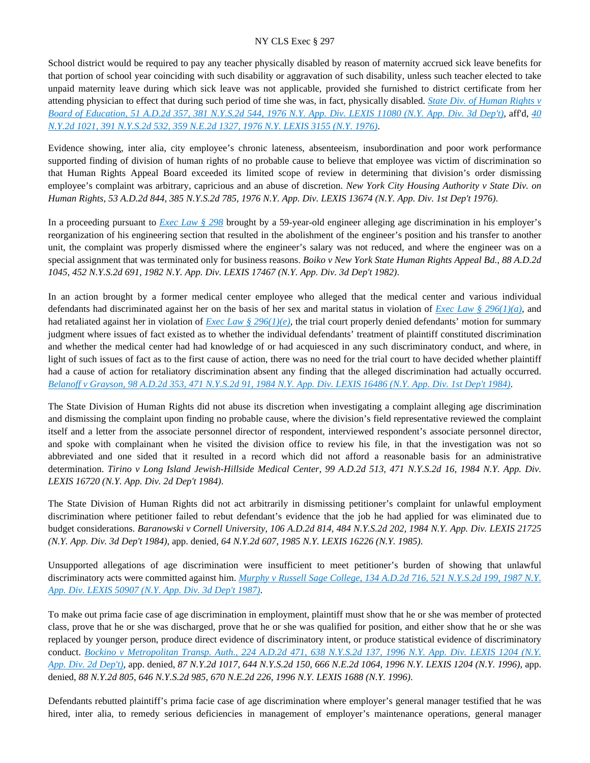School district would be required to pay any teacher physically disabled by reason of maternity accrued sick leave benefits for that portion of school year coinciding with such disability or aggravation of such disability, unless such teacher elected to take unpaid maternity leave during which sick leave was not applicable, provided she furnished to district certificate from her attending physician to effect that during such period of time she was, in fact, physically disabled. *[State Div. of Human Rights v](https://advance.lexis.com/api/document?collection=cases&id=urn:contentItem:3RRS-FF60-003C-F34M-00000-00&context=)  [Board of Education, 51 A.D.2d 357, 381 N.Y.S.2d 544, 1976 N.Y. App. Div. LEXIS 11080 \(N.Y. App. Div. 3d Dep't\)](https://advance.lexis.com/api/document?collection=cases&id=urn:contentItem:3RRS-FF60-003C-F34M-00000-00&context=)*, aff'd, *[40](https://advance.lexis.com/api/document?collection=cases&id=urn:contentItem:3RRS-B5Y0-003C-F4XS-00000-00&context=)  [N.Y.2d 1021, 391 N.Y.S.2d 532, 359 N.E.2d 1327, 1976 N.Y. LEXIS 3155 \(N.Y. 1976\)](https://advance.lexis.com/api/document?collection=cases&id=urn:contentItem:3RRS-B5Y0-003C-F4XS-00000-00&context=)*.

Evidence showing, inter alia, city employee's chronic lateness, absenteeism, insubordination and poor work performance supported finding of division of human rights of no probable cause to believe that employee was victim of discrimination so that Human Rights Appeal Board exceeded its limited scope of review in determining that division's order dismissing employee's complaint was arbitrary, capricious and an abuse of discretion. *New York City Housing Authority v State Div. on Human Rights, 53 A.D.2d 844, 385 N.Y.S.2d 785, 1976 N.Y. App. Div. LEXIS 13674 (N.Y. App. Div. 1st Dep't 1976)*.

In a proceeding pursuant to *[Exec Law § 298](https://advance.lexis.com/api/document?collection=statutes-legislation&id=urn:contentItem:5CT3-0SG1-6RDJ-8489-00000-00&context=)* brought by a 59-year-old engineer alleging age discrimination in his employer's reorganization of his engineering section that resulted in the abolishment of the engineer's position and his transfer to another unit, the complaint was properly dismissed where the engineer's salary was not reduced, and where the engineer was on a special assignment that was terminated only for business reasons. *Boiko v New York State Human Rights Appeal Bd., 88 A.D.2d 1045, 452 N.Y.S.2d 691, 1982 N.Y. App. Div. LEXIS 17467 (N.Y. App. Div. 3d Dep't 1982)*.

In an action brought by a former medical center employee who alleged that the medical center and various individual defendants had discriminated against her on the basis of her sex and marital status in violation of *[Exec Law § 296\(1\)\(a\)](https://advance.lexis.com/api/document?collection=statutes-legislation&id=urn:contentItem:8TP5-PCS2-8T6X-74HS-00000-00&context=)*, and had retaliated against her in violation of *[Exec Law § 296\(1\)\(e\)](https://advance.lexis.com/api/document?collection=statutes-legislation&id=urn:contentItem:8TP5-PCS2-8T6X-74HS-00000-00&context=)*, the trial court properly denied defendants' motion for summary judgment where issues of fact existed as to whether the individual defendants' treatment of plaintiff constituted discrimination and whether the medical center had had knowledge of or had acquiesced in any such discriminatory conduct, and where, in light of such issues of fact as to the first cause of action, there was no need for the trial court to have decided whether plaintiff had a cause of action for retaliatory discrimination absent any finding that the alleged discrimination had actually occurred. *[Belanoff v Grayson, 98 A.D.2d 353, 471 N.Y.S.2d 91, 1984 N.Y. App. Div. LEXIS 16486 \(N.Y. App. Div. 1st Dep't 1984\)](https://advance.lexis.com/api/document?collection=cases&id=urn:contentItem:3S3K-1X30-003D-G159-00000-00&context=)*.

The State Division of Human Rights did not abuse its discretion when investigating a complaint alleging age discrimination and dismissing the complaint upon finding no probable cause, where the division's field representative reviewed the complaint itself and a letter from the associate personnel director of respondent, interviewed respondent's associate personnel director, and spoke with complainant when he visited the division office to review his file, in that the investigation was not so abbreviated and one sided that it resulted in a record which did not afford a reasonable basis for an administrative determination. *Tirino v Long Island Jewish-Hillside Medical Center, 99 A.D.2d 513, 471 N.Y.S.2d 16, 1984 N.Y. App. Div. LEXIS 16720 (N.Y. App. Div. 2d Dep't 1984)*.

The State Division of Human Rights did not act arbitrarily in dismissing petitioner's complaint for unlawful employment discrimination where petitioner failed to rebut defendant's evidence that the job he had applied for was eliminated due to budget considerations. *Baranowski v Cornell University, 106 A.D.2d 814, 484 N.Y.S.2d 202, 1984 N.Y. App. Div. LEXIS 21725 (N.Y. App. Div. 3d Dep't 1984)*, app. denied, *64 N.Y.2d 607, 1985 N.Y. LEXIS 16226 (N.Y. 1985)*.

Unsupported allegations of age discrimination were insufficient to meet petitioner's burden of showing that unlawful discriminatory acts were committed against him. *[Murphy v Russell Sage College, 134 A.D.2d 716, 521 N.Y.S.2d 199, 1987 N.Y.](https://advance.lexis.com/api/document?collection=cases&id=urn:contentItem:3S3K-0720-003D-G36H-00000-00&context=)  [App. Div. LEXIS 50907 \(N.Y. App. Div. 3d Dep't 1987\)](https://advance.lexis.com/api/document?collection=cases&id=urn:contentItem:3S3K-0720-003D-G36H-00000-00&context=)*.

To make out prima facie case of age discrimination in employment, plaintiff must show that he or she was member of protected class, prove that he or she was discharged, prove that he or she was qualified for position, and either show that he or she was replaced by younger person, produce direct evidence of discriminatory intent, or produce statistical evidence of discriminatory conduct. *[Bockino v Metropolitan Transp. Auth., 224 A.D.2d 471, 638 N.Y.S.2d 137, 1996 N.Y. App. Div. LEXIS 1204 \(N.Y.](https://advance.lexis.com/api/document?collection=cases&id=urn:contentItem:3S2R-5VT0-003V-B217-00000-00&context=)  [App. Div. 2d Dep't\)](https://advance.lexis.com/api/document?collection=cases&id=urn:contentItem:3S2R-5VT0-003V-B217-00000-00&context=)*, app. denied, *87 N.Y.2d 1017, 644 N.Y.S.2d 150, 666 N.E.2d 1064, 1996 N.Y. LEXIS 1204 (N.Y. 1996)*, app. denied, *88 N.Y.2d 805, 646 N.Y.S.2d 985, 670 N.E.2d 226, 1996 N.Y. LEXIS 1688 (N.Y. 1996)*.

Defendants rebutted plaintiff's prima facie case of age discrimination where employer's general manager testified that he was hired, inter alia, to remedy serious deficiencies in management of employer's maintenance operations, general manager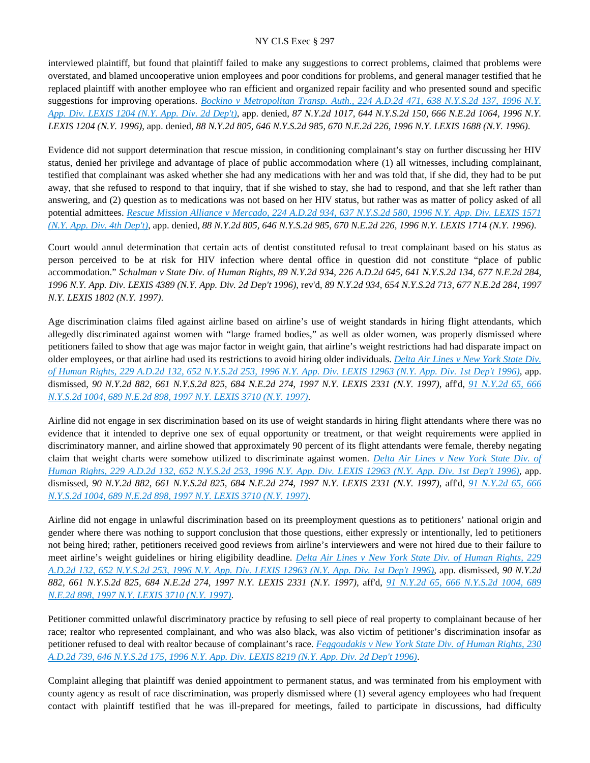interviewed plaintiff, but found that plaintiff failed to make any suggestions to correct problems, claimed that problems were overstated, and blamed uncooperative union employees and poor conditions for problems, and general manager testified that he replaced plaintiff with another employee who ran efficient and organized repair facility and who presented sound and specific suggestions for improving operations. *[Bockino v Metropolitan Transp. Auth., 224 A.D.2d 471, 638 N.Y.S.2d 137, 1996 N.Y.](https://advance.lexis.com/api/document?collection=cases&id=urn:contentItem:3S2R-5VT0-003V-B217-00000-00&context=)  [App. Div. LEXIS 1204 \(N.Y. App. Div. 2d Dep't\)](https://advance.lexis.com/api/document?collection=cases&id=urn:contentItem:3S2R-5VT0-003V-B217-00000-00&context=)*, app. denied, *87 N.Y.2d 1017, 644 N.Y.S.2d 150, 666 N.E.2d 1064, 1996 N.Y. LEXIS 1204 (N.Y. 1996)*, app. denied, *88 N.Y.2d 805, 646 N.Y.S.2d 985, 670 N.E.2d 226, 1996 N.Y. LEXIS 1688 (N.Y. 1996)*.

Evidence did not support determination that rescue mission, in conditioning complainant's stay on further discussing her HIV status, denied her privilege and advantage of place of public accommodation where (1) all witnesses, including complainant, testified that complainant was asked whether she had any medications with her and was told that, if she did, they had to be put away, that she refused to respond to that inquiry, that if she wished to stay, she had to respond, and that she left rather than answering, and (2) question as to medications was not based on her HIV status, but rather was as matter of policy asked of all potential admittees. *[Rescue Mission Alliance v Mercado, 224 A.D.2d 934, 637 N.Y.S.2d 580, 1996 N.Y. App. Div. LEXIS 1571](https://advance.lexis.com/api/document?collection=cases&id=urn:contentItem:3S2R-5W70-003V-B2P8-00000-00&context=)  [\(N.Y. App. Div. 4th Dep't\)](https://advance.lexis.com/api/document?collection=cases&id=urn:contentItem:3S2R-5W70-003V-B2P8-00000-00&context=)*, app. denied, *88 N.Y.2d 805, 646 N.Y.S.2d 985, 670 N.E.2d 226, 1996 N.Y. LEXIS 1714 (N.Y. 1996)*.

Court would annul determination that certain acts of dentist constituted refusal to treat complainant based on his status as person perceived to be at risk for HIV infection where dental office in question did not constitute "place of public accommodation." *Schulman v State Div. of Human Rights, 89 N.Y.2d 934, 226 A.D.2d 645, 641 N.Y.S.2d 134, 677 N.E.2d 284, 1996 N.Y. App. Div. LEXIS 4389 (N.Y. App. Div. 2d Dep't 1996)*, rev'd, *89 N.Y.2d 934, 654 N.Y.S.2d 713, 677 N.E.2d 284, 1997 N.Y. LEXIS 1802 (N.Y. 1997)*.

Age discrimination claims filed against airline based on airline's use of weight standards in hiring flight attendants, which allegedly discriminated against women with "large framed bodies," as well as older women, was properly dismissed where petitioners failed to show that age was major factor in weight gain, that airline's weight restrictions had had disparate impact on older employees, or that airline had used its restrictions to avoid hiring older individuals. *[Delta Air Lines v New York State Div.](https://advance.lexis.com/api/document?collection=cases&id=urn:contentItem:3RX4-5FD0-003V-B08T-00000-00&context=)  [of Human Rights, 229 A.D.2d 132, 652 N.Y.S.2d 253, 1996 N.Y. App. Div. LEXIS 12963 \(N.Y. App. Div. 1st Dep't 1996\)](https://advance.lexis.com/api/document?collection=cases&id=urn:contentItem:3RX4-5FD0-003V-B08T-00000-00&context=)*, app. dismissed, *90 N.Y.2d 882, 661 N.Y.S.2d 825, 684 N.E.2d 274, 1997 N.Y. LEXIS 2331 (N.Y. 1997)*, aff'd, *[91 N.Y.2d 65, 666](https://advance.lexis.com/api/document?collection=cases&id=urn:contentItem:3S5N-DTH0-0039-44CN-00000-00&context=)  [N.Y.S.2d 1004, 689 N.E.2d 898, 1997 N.Y. LEXIS 3710 \(N.Y. 1997\)](https://advance.lexis.com/api/document?collection=cases&id=urn:contentItem:3S5N-DTH0-0039-44CN-00000-00&context=)*.

Airline did not engage in sex discrimination based on its use of weight standards in hiring flight attendants where there was no evidence that it intended to deprive one sex of equal opportunity or treatment, or that weight requirements were applied in discriminatory manner, and airline showed that approximately 90 percent of its flight attendants were female, thereby negating claim that weight charts were somehow utilized to discriminate against women. *[Delta Air Lines v New York State Div. of](https://advance.lexis.com/api/document?collection=cases&id=urn:contentItem:3RX4-5FD0-003V-B08T-00000-00&context=)  [Human Rights, 229 A.D.2d 132, 652 N.Y.S.2d 253, 1996 N.Y. App. Div. LEXIS 12963 \(N.Y. App. Div. 1st Dep't 1996\)](https://advance.lexis.com/api/document?collection=cases&id=urn:contentItem:3RX4-5FD0-003V-B08T-00000-00&context=)*, app. dismissed, *90 N.Y.2d 882, 661 N.Y.S.2d 825, 684 N.E.2d 274, 1997 N.Y. LEXIS 2331 (N.Y. 1997)*, aff'd, *[91 N.Y.2d 65, 666](https://advance.lexis.com/api/document?collection=cases&id=urn:contentItem:3S5N-DTH0-0039-44CN-00000-00&context=)  [N.Y.S.2d 1004, 689 N.E.2d 898, 1997 N.Y. LEXIS 3710 \(N.Y. 1997\)](https://advance.lexis.com/api/document?collection=cases&id=urn:contentItem:3S5N-DTH0-0039-44CN-00000-00&context=)*.

Airline did not engage in unlawful discrimination based on its preemployment questions as to petitioners' national origin and gender where there was nothing to support conclusion that those questions, either expressly or intentionally, led to petitioners not being hired; rather, petitioners received good reviews from airline's interviewers and were not hired due to their failure to meet airline's weight guidelines or hiring eligibility deadline. *[Delta Air Lines v New York State Div. of Human Rights, 229](https://advance.lexis.com/api/document?collection=cases&id=urn:contentItem:3RX4-5FD0-003V-B08T-00000-00&context=)  [A.D.2d 132, 652 N.Y.S.2d 253, 1996 N.Y. App. Div. LEXIS 12963 \(N.Y. App. Div. 1st Dep't 1996\)](https://advance.lexis.com/api/document?collection=cases&id=urn:contentItem:3RX4-5FD0-003V-B08T-00000-00&context=)*, app. dismissed, *90 N.Y.2d 882, 661 N.Y.S.2d 825, 684 N.E.2d 274, 1997 N.Y. LEXIS 2331 (N.Y. 1997)*, aff'd, *[91 N.Y.2d 65, 666 N.Y.S.2d 1004, 689](https://advance.lexis.com/api/document?collection=cases&id=urn:contentItem:3S5N-DTH0-0039-44CN-00000-00&context=)  [N.E.2d 898, 1997 N.Y. LEXIS 3710 \(N.Y. 1997\)](https://advance.lexis.com/api/document?collection=cases&id=urn:contentItem:3S5N-DTH0-0039-44CN-00000-00&context=)*.

Petitioner committed unlawful discriminatory practice by refusing to sell piece of real property to complainant because of her race; realtor who represented complainant, and who was also black, was also victim of petitioner's discrimination insofar as petitioner refused to deal with realtor because of complainant's race. *[Feggoudakis v New York State Div. of Human Rights, 230](https://advance.lexis.com/api/document?collection=cases&id=urn:contentItem:3S2K-JC10-003V-B3K7-00000-00&context=)  [A.D.2d 739, 646 N.Y.S.2d 175, 1996 N.Y. App. Div. LEXIS 8219 \(N.Y. App. Div. 2d Dep't 1996\)](https://advance.lexis.com/api/document?collection=cases&id=urn:contentItem:3S2K-JC10-003V-B3K7-00000-00&context=)*.

Complaint alleging that plaintiff was denied appointment to permanent status, and was terminated from his employment with county agency as result of race discrimination, was properly dismissed where (1) several agency employees who had frequent contact with plaintiff testified that he was ill-prepared for meetings, failed to participate in discussions, had difficulty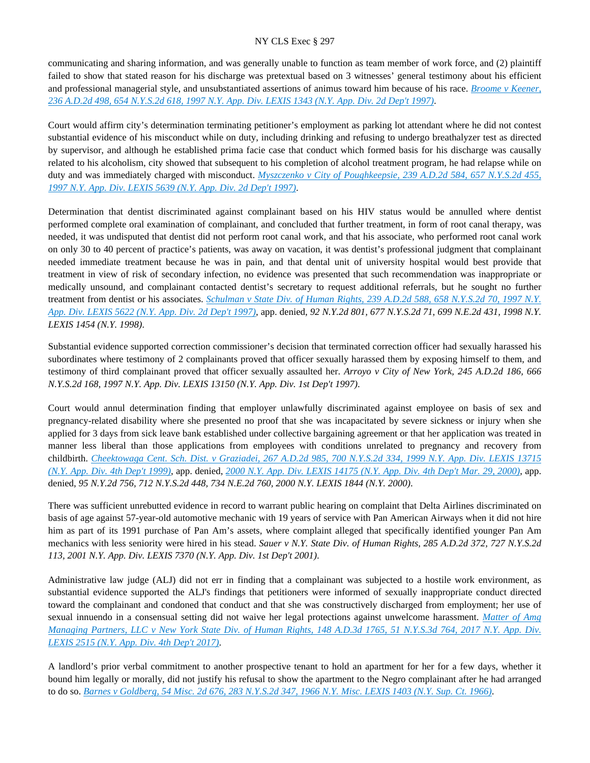communicating and sharing information, and was generally unable to function as team member of work force, and (2) plaintiff failed to show that stated reason for his discharge was pretextual based on 3 witnesses' general testimony about his efficient and professional managerial style, and unsubstantiated assertions of animus toward him because of his race. *[Broome v Keener,](https://advance.lexis.com/api/document?collection=cases&id=urn:contentItem:3RS8-NS20-003V-B1T4-00000-00&context=)  [236 A.D.2d 498, 654 N.Y.S.2d 618, 1997 N.Y. App. Div. LEXIS 1343 \(N.Y. App. Div. 2d Dep't 1997\)](https://advance.lexis.com/api/document?collection=cases&id=urn:contentItem:3RS8-NS20-003V-B1T4-00000-00&context=)*.

Court would affirm city's determination terminating petitioner's employment as parking lot attendant where he did not contest substantial evidence of his misconduct while on duty, including drinking and refusing to undergo breathalyzer test as directed by supervisor, and although he established prima facie case that conduct which formed basis for his discharge was causally related to his alcoholism, city showed that subsequent to his completion of alcohol treatment program, he had relapse while on duty and was immediately charged with misconduct. *[Myszczenko v City of Poughkeepsie, 239 A.D.2d 584, 657 N.Y.S.2d 455,](https://advance.lexis.com/api/document?collection=cases&id=urn:contentItem:3S2R-5310-003V-B4NJ-00000-00&context=)  [1997 N.Y. App. Div. LEXIS 5639 \(N.Y. App. Div. 2d Dep't 1997\)](https://advance.lexis.com/api/document?collection=cases&id=urn:contentItem:3S2R-5310-003V-B4NJ-00000-00&context=)*.

Determination that dentist discriminated against complainant based on his HIV status would be annulled where dentist performed complete oral examination of complainant, and concluded that further treatment, in form of root canal therapy, was needed, it was undisputed that dentist did not perform root canal work, and that his associate, who performed root canal work on only 30 to 40 percent of practice's patients, was away on vacation, it was dentist's professional judgment that complainant needed immediate treatment because he was in pain, and that dental unit of university hospital would best provide that treatment in view of risk of secondary infection, no evidence was presented that such recommendation was inappropriate or medically unsound, and complainant contacted dentist's secretary to request additional referrals, but he sought no further treatment from dentist or his associates. *[Schulman v State Div. of Human Rights, 239 A.D.2d 588, 658 N.Y.S.2d 70, 1997 N.Y.](https://advance.lexis.com/api/document?collection=cases&id=urn:contentItem:3S2R-5300-003V-B4MY-00000-00&context=)  [App. Div. LEXIS 5622 \(N.Y. App. Div. 2d Dep't 1997\)](https://advance.lexis.com/api/document?collection=cases&id=urn:contentItem:3S2R-5300-003V-B4MY-00000-00&context=)*, app. denied, *92 N.Y.2d 801, 677 N.Y.S.2d 71, 699 N.E.2d 431, 1998 N.Y. LEXIS 1454 (N.Y. 1998)*.

Substantial evidence supported correction commissioner's decision that terminated correction officer had sexually harassed his subordinates where testimony of 2 complainants proved that officer sexually harassed them by exposing himself to them, and testimony of third complainant proved that officer sexually assaulted her. *Arroyo v City of New York, 245 A.D.2d 186, 666 N.Y.S.2d 168, 1997 N.Y. App. Div. LEXIS 13150 (N.Y. App. Div. 1st Dep't 1997)*.

Court would annul determination finding that employer unlawfully discriminated against employee on basis of sex and pregnancy-related disability where she presented no proof that she was incapacitated by severe sickness or injury when she applied for 3 days from sick leave bank established under collective bargaining agreement or that her application was treated in manner less liberal than those applications from employees with conditions unrelated to pregnancy and recovery from childbirth. *[Cheektowaga Cent. Sch. Dist. v Graziadei, 267 A.D.2d 985, 700 N.Y.S.2d 334, 1999 N.Y. App. Div. LEXIS 13715](https://advance.lexis.com/api/document?collection=cases&id=urn:contentItem:3Y9Y-GX60-0039-41M8-00000-00&context=)  [\(N.Y. App. Div. 4th Dep't 1999\)](https://advance.lexis.com/api/document?collection=cases&id=urn:contentItem:3Y9Y-GX60-0039-41M8-00000-00&context=)*, app. denied, *[2000 N.Y. App. Div. LEXIS 14175 \(N.Y. App. Div. 4th Dep't Mar. 29, 2000\)](https://advance.lexis.com/api/document?collection=cases&id=urn:contentItem:432M-87X0-0039-43KS-00000-00&context=)*, app. denied, *95 N.Y.2d 756, 712 N.Y.S.2d 448, 734 N.E.2d 760, 2000 N.Y. LEXIS 1844 (N.Y. 2000)*.

There was sufficient unrebutted evidence in record to warrant public hearing on complaint that Delta Airlines discriminated on basis of age against 57-year-old automotive mechanic with 19 years of service with Pan American Airways when it did not hire him as part of its 1991 purchase of Pan Am's assets, where complaint alleged that specifically identified younger Pan Am mechanics with less seniority were hired in his stead. *Sauer v N.Y. State Div. of Human Rights, 285 A.D.2d 372, 727 N.Y.S.2d 113, 2001 N.Y. App. Div. LEXIS 7370 (N.Y. App. Div. 1st Dep't 2001)*.

Administrative law judge (ALJ) did not err in finding that a complainant was subjected to a hostile work environment, as substantial evidence supported the ALJ's findings that petitioners were informed of sexually inappropriate conduct directed toward the complainant and condoned that conduct and that she was constructively discharged from employment; her use of sexual innuendo in a consensual setting did not waive her legal protections against unwelcome harassment. *[Matter of Amg](https://advance.lexis.com/api/document?collection=cases&id=urn:contentItem:5N6T-RYS1-F04J-71FJ-00000-00&context=)  [Managing Partners, LLC v New York State Div. of Human Rights, 148 A.D.3d 1765, 51 N.Y.S.3d 764, 2017 N.Y. App. Div.](https://advance.lexis.com/api/document?collection=cases&id=urn:contentItem:5N6T-RYS1-F04J-71FJ-00000-00&context=)  [LEXIS 2515 \(N.Y. App. Div. 4th Dep't 2017\)](https://advance.lexis.com/api/document?collection=cases&id=urn:contentItem:5N6T-RYS1-F04J-71FJ-00000-00&context=)*.

A landlord's prior verbal commitment to another prospective tenant to hold an apartment for her for a few days, whether it bound him legally or morally, did not justify his refusal to show the apartment to the Negro complainant after he had arranged to do so. *[Barnes v Goldberg, 54 Misc. 2d 676, 283 N.Y.S.2d 347, 1966 N.Y. Misc. LEXIS 1403 \(N.Y. Sup. Ct. 1966\)](https://advance.lexis.com/api/document?collection=cases&id=urn:contentItem:3RRS-BKM0-003C-D0F6-00000-00&context=)*.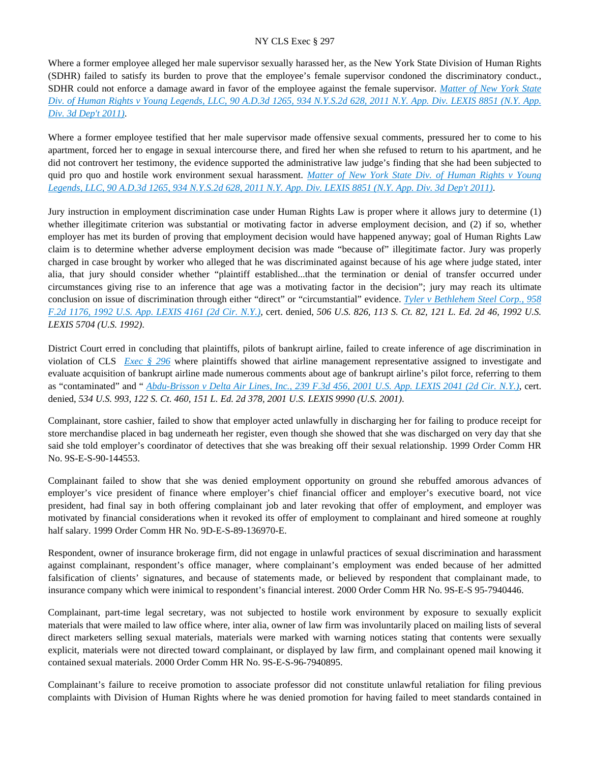Where a former employee alleged her male supervisor sexually harassed her, as the New York State Division of Human Rights (SDHR) failed to satisfy its burden to prove that the employee's female supervisor condoned the discriminatory conduct., SDHR could not enforce a damage award in favor of the employee against the female supervisor. *[Matter of New York State](https://advance.lexis.com/api/document?collection=cases&id=urn:contentItem:54GK-K3F1-F04J-713D-00000-00&context=)  [Div. of Human Rights v Young Legends, LLC, 90 A.D.3d 1265, 934 N.Y.S.2d 628, 2011 N.Y. App. Div. LEXIS 8851 \(N.Y. App.](https://advance.lexis.com/api/document?collection=cases&id=urn:contentItem:54GK-K3F1-F04J-713D-00000-00&context=)  [Div. 3d Dep't 2011\)](https://advance.lexis.com/api/document?collection=cases&id=urn:contentItem:54GK-K3F1-F04J-713D-00000-00&context=)*.

Where a former employee testified that her male supervisor made offensive sexual comments, pressured her to come to his apartment, forced her to engage in sexual intercourse there, and fired her when she refused to return to his apartment, and he did not controvert her testimony, the evidence supported the administrative law judge's finding that she had been subjected to quid pro quo and hostile work environment sexual harassment. *[Matter of New York State Div. of Human Rights v Young](https://advance.lexis.com/api/document?collection=cases&id=urn:contentItem:54GK-K3F1-F04J-713D-00000-00&context=)  [Legends, LLC, 90 A.D.3d 1265, 934 N.Y.S.2d 628, 2011 N.Y. App. Div. LEXIS 8851 \(N.Y. App. Div. 3d Dep't 2011\)](https://advance.lexis.com/api/document?collection=cases&id=urn:contentItem:54GK-K3F1-F04J-713D-00000-00&context=)*.

Jury instruction in employment discrimination case under Human Rights Law is proper where it allows jury to determine (1) whether illegitimate criterion was substantial or motivating factor in adverse employment decision, and (2) if so, whether employer has met its burden of proving that employment decision would have happened anyway; goal of Human Rights Law claim is to determine whether adverse employment decision was made "because of" illegitimate factor. Jury was properly charged in case brought by worker who alleged that he was discriminated against because of his age where judge stated, inter alia, that jury should consider whether "plaintiff established...that the termination or denial of transfer occurred under circumstances giving rise to an inference that age was a motivating factor in the decision"; jury may reach its ultimate conclusion on issue of discrimination through either "direct" or "circumstantial" evidence. *[Tyler v Bethlehem Steel Corp., 958](https://advance.lexis.com/api/document?collection=cases&id=urn:contentItem:3S4X-56M0-008H-V437-00000-00&context=)  [F.2d 1176, 1992 U.S. App. LEXIS 4161 \(2d Cir. N.Y.\)](https://advance.lexis.com/api/document?collection=cases&id=urn:contentItem:3S4X-56M0-008H-V437-00000-00&context=)*, cert. denied, *506 U.S. 826, 113 S. Ct. 82, 121 L. Ed. 2d 46, 1992 U.S. LEXIS 5704 (U.S. 1992)*.

District Court erred in concluding that plaintiffs, pilots of bankrupt airline, failed to create inference of age discrimination in violation of CLS *[Exec § 296](https://advance.lexis.com/api/document?collection=statutes-legislation&id=urn:contentItem:8TP5-PCS2-8T6X-74HS-00000-00&context=)* where plaintiffs showed that airline management representative assigned to investigate and evaluate acquisition of bankrupt airline made numerous comments about age of bankrupt airline's pilot force, referring to them as "contaminated" and " *[Abdu-Brisson v Delta Air Lines, Inc., 239 F.3d 456, 2001 U.S. App. LEXIS 2041 \(2d Cir. N.Y.\)](https://advance.lexis.com/api/document?collection=cases&id=urn:contentItem:42BS-Y2S0-0038-X2F0-00000-00&context=)*, cert. denied, *534 U.S. 993, 122 S. Ct. 460, 151 L. Ed. 2d 378, 2001 U.S. LEXIS 9990 (U.S. 2001)*.

Complainant, store cashier, failed to show that employer acted unlawfully in discharging her for failing to produce receipt for store merchandise placed in bag underneath her register, even though she showed that she was discharged on very day that she said she told employer's coordinator of detectives that she was breaking off their sexual relationship. 1999 Order Comm HR No. 9S-E-S-90-144553.

Complainant failed to show that she was denied employment opportunity on ground she rebuffed amorous advances of employer's vice president of finance where employer's chief financial officer and employer's executive board, not vice president, had final say in both offering complainant job and later revoking that offer of employment, and employer was motivated by financial considerations when it revoked its offer of employment to complainant and hired someone at roughly half salary. 1999 Order Comm HR No. 9D-E-S-89-136970-E.

Respondent, owner of insurance brokerage firm, did not engage in unlawful practices of sexual discrimination and harassment against complainant, respondent's office manager, where complainant's employment was ended because of her admitted falsification of clients' signatures, and because of statements made, or believed by respondent that complainant made, to insurance company which were inimical to respondent's financial interest. 2000 Order Comm HR No. 9S-E-S 95-7940446.

Complainant, part-time legal secretary, was not subjected to hostile work environment by exposure to sexually explicit materials that were mailed to law office where, inter alia, owner of law firm was involuntarily placed on mailing lists of several direct marketers selling sexual materials, materials were marked with warning notices stating that contents were sexually explicit, materials were not directed toward complainant, or displayed by law firm, and complainant opened mail knowing it contained sexual materials. 2000 Order Comm HR No. 9S-E-S-96-7940895.

Complainant's failure to receive promotion to associate professor did not constitute unlawful retaliation for filing previous complaints with Division of Human Rights where he was denied promotion for having failed to meet standards contained in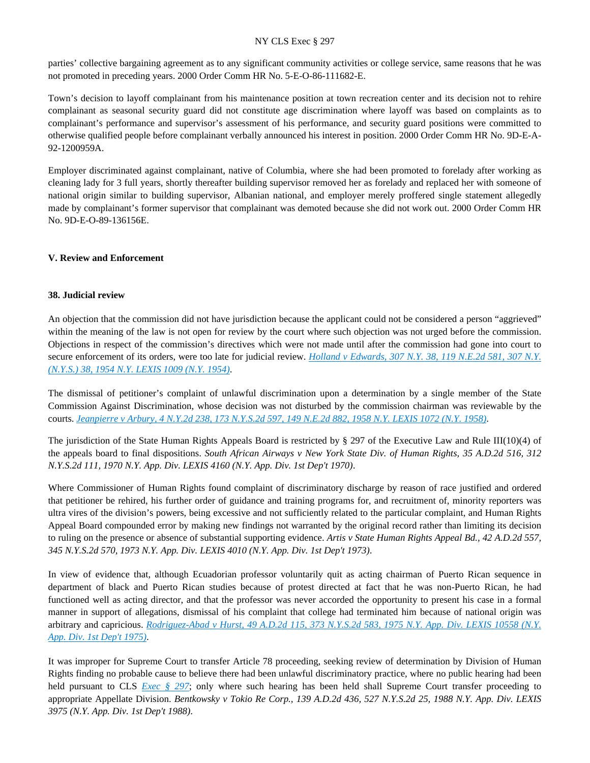parties' collective bargaining agreement as to any significant community activities or college service, same reasons that he was not promoted in preceding years. 2000 Order Comm HR No. 5-E-O-86-111682-E.

Town's decision to layoff complainant from his maintenance position at town recreation center and its decision not to rehire complainant as seasonal security guard did not constitute age discrimination where layoff was based on complaints as to complainant's performance and supervisor's assessment of his performance, and security guard positions were committed to otherwise qualified people before complainant verbally announced his interest in position. 2000 Order Comm HR No. 9D-E-A-92-1200959A.

Employer discriminated against complainant, native of Columbia, where she had been promoted to forelady after working as cleaning lady for 3 full years, shortly thereafter building supervisor removed her as forelady and replaced her with someone of national origin similar to building supervisor, Albanian national, and employer merely proffered single statement allegedly made by complainant's former supervisor that complainant was demoted because she did not work out. 2000 Order Comm HR No. 9D-E-O-89-136156E.

### **V. Review and Enforcement**

#### **38. Judicial review**

An objection that the commission did not have jurisdiction because the applicant could not be considered a person "aggrieved" within the meaning of the law is not open for review by the court where such objection was not urged before the commission. Objections in respect of the commission's directives which were not made until after the commission had gone into court to secure enforcement of its orders, were too late for judicial review. *[Holland v Edwards, 307 N.Y. 38, 119 N.E.2d 581, 307 N.Y.](https://advance.lexis.com/api/document?collection=cases&id=urn:contentItem:3RRS-XJ80-003C-C29P-00000-00&context=)  [\(N.Y.S.\) 38, 1954 N.Y. LEXIS 1009 \(N.Y. 1954\)](https://advance.lexis.com/api/document?collection=cases&id=urn:contentItem:3RRS-XJ80-003C-C29P-00000-00&context=)*.

The dismissal of petitioner's complaint of unlawful discrimination upon a determination by a single member of the State Commission Against Discrimination, whose decision was not disturbed by the commission chairman was reviewable by the courts. *[Jeanpierre v Arbury, 4 N.Y.2d 238, 173 N.Y.S.2d 597, 149 N.E.2d 882, 1958 N.Y. LEXIS 1072 \(N.Y. 1958\)](https://advance.lexis.com/api/document?collection=cases&id=urn:contentItem:3RRS-X8D0-003C-C0CJ-00000-00&context=)*.

The jurisdiction of the State Human Rights Appeals Board is restricted by  $\S$  297 of the Executive Law and Rule III(10)(4) of the appeals board to final dispositions. *South African Airways v New York State Div. of Human Rights, 35 A.D.2d 516, 312 N.Y.S.2d 111, 1970 N.Y. App. Div. LEXIS 4160 (N.Y. App. Div. 1st Dep't 1970)*.

Where Commissioner of Human Rights found complaint of discriminatory discharge by reason of race justified and ordered that petitioner be rehired, his further order of guidance and training programs for, and recruitment of, minority reporters was ultra vires of the division's powers, being excessive and not sufficiently related to the particular complaint, and Human Rights Appeal Board compounded error by making new findings not warranted by the original record rather than limiting its decision to ruling on the presence or absence of substantial supporting evidence. *Artis v State Human Rights Appeal Bd., 42 A.D.2d 557, 345 N.Y.S.2d 570, 1973 N.Y. App. Div. LEXIS 4010 (N.Y. App. Div. 1st Dep't 1973)*.

In view of evidence that, although Ecuadorian professor voluntarily quit as acting chairman of Puerto Rican sequence in department of black and Puerto Rican studies because of protest directed at fact that he was non-Puerto Rican, he had functioned well as acting director, and that the professor was never accorded the opportunity to present his case in a formal manner in support of allegations, dismissal of his complaint that college had terminated him because of national origin was arbitrary and capricious. *[Rodriguez-Abad v Hurst, 49 A.D.2d 115, 373 N.Y.S.2d 583, 1975 N.Y. App. Div. LEXIS 10558 \(N.Y.](https://advance.lexis.com/api/document?collection=cases&id=urn:contentItem:3RRS-FTT0-003C-F1KM-00000-00&context=)  [App. Div. 1st Dep't 1975\)](https://advance.lexis.com/api/document?collection=cases&id=urn:contentItem:3RRS-FTT0-003C-F1KM-00000-00&context=)*.

It was improper for Supreme Court to transfer Article 78 proceeding, seeking review of determination by Division of Human Rights finding no probable cause to believe there had been unlawful discriminatory practice, where no public hearing had been held pursuant to CLS *[Exec § 297](https://advance.lexis.com/api/document?collection=statutes-legislation&id=urn:contentItem:5H6N-1CT1-DXC8-036V-00000-00&context=)*; only where such hearing has been held shall Supreme Court transfer proceeding to appropriate Appellate Division. *Bentkowsky v Tokio Re Corp., 139 A.D.2d 436, 527 N.Y.S.2d 25, 1988 N.Y. App. Div. LEXIS 3975 (N.Y. App. Div. 1st Dep't 1988)*.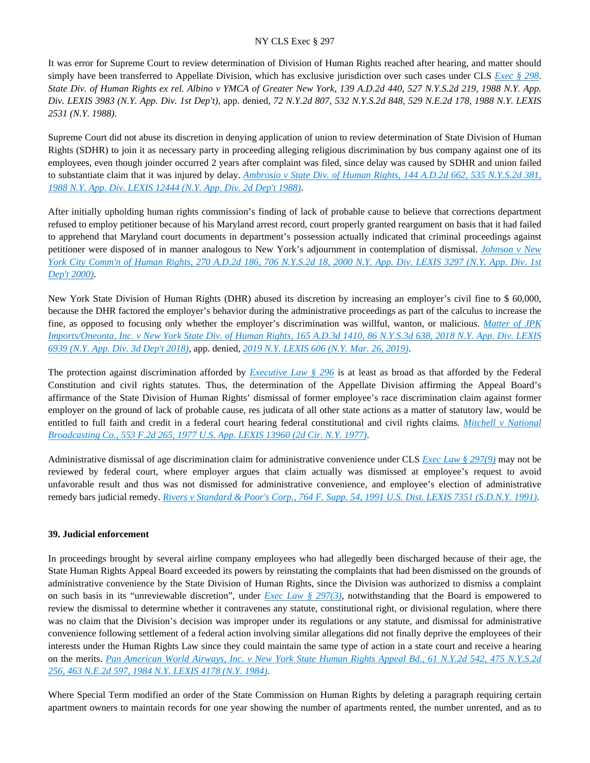It was error for Supreme Court to review determination of Division of Human Rights reached after hearing, and matter should simply have been transferred to Appellate Division, which has exclusive jurisdiction over such cases under CLS *[Exec § 298](https://advance.lexis.com/api/document?collection=statutes-legislation&id=urn:contentItem:5CT3-0SG1-6RDJ-8489-00000-00&context=)*. *State Div. of Human Rights ex rel. Albino v YMCA of Greater New York, 139 A.D.2d 440, 527 N.Y.S.2d 219, 1988 N.Y. App. Div. LEXIS 3983 (N.Y. App. Div. 1st Dep't)*, app. denied, *72 N.Y.2d 807, 532 N.Y.S.2d 848, 529 N.E.2d 178, 1988 N.Y. LEXIS 2531 (N.Y. 1988)*.

Supreme Court did not abuse its discretion in denying application of union to review determination of State Division of Human Rights (SDHR) to join it as necessary party in proceeding alleging religious discrimination by bus company against one of its employees, even though joinder occurred 2 years after complaint was filed, since delay was caused by SDHR and union failed to substantiate claim that it was injured by delay. *[Ambrosio v State Div. of Human Rights, 144 A.D.2d 662, 535 N.Y.S.2d 381,](https://advance.lexis.com/api/document?collection=cases&id=urn:contentItem:3S3J-YMW0-003D-G4R1-00000-00&context=)  [1988 N.Y. App. Div. LEXIS 12444 \(N.Y. App. Div. 2d Dep't 1988\)](https://advance.lexis.com/api/document?collection=cases&id=urn:contentItem:3S3J-YMW0-003D-G4R1-00000-00&context=)*.

After initially upholding human rights commission's finding of lack of probable cause to believe that corrections department refused to employ petitioner because of his Maryland arrest record, court properly granted reargument on basis that it had failed to apprehend that Maryland court documents in department's possession actually indicated that criminal proceedings against petitioner were disposed of in manner analogous to New York's adjournment in contemplation of dismissal. *[Johnson v New](https://advance.lexis.com/api/document?collection=cases&id=urn:contentItem:3YXN-D0R0-0039-4069-00000-00&context=)  [York City Comm'n of Human Rights, 270 A.D.2d 186, 706 N.Y.S.2d 18, 2000 N.Y. App. Div. LEXIS 3297 \(N.Y. App. Div. 1st](https://advance.lexis.com/api/document?collection=cases&id=urn:contentItem:3YXN-D0R0-0039-4069-00000-00&context=)  [Dep't 2000\)](https://advance.lexis.com/api/document?collection=cases&id=urn:contentItem:3YXN-D0R0-0039-4069-00000-00&context=)*.

New York State Division of Human Rights (DHR) abused its discretion by increasing an employer's civil fine to \$ 60,000, because the DHR factored the employer's behavior during the administrative proceedings as part of the calculus to increase the fine, as opposed to focusing only whether the employer's discrimination was willful, wanton, or malicious. *[Matter of JPK](https://advance.lexis.com/api/document?collection=cases&id=urn:contentItem:5THH-CC81-JXNB-600X-00000-00&context=)  [Imports/Oneonta, Inc. v New York State Div. of Human Rights, 165 A.D.3d 1410, 86 N.Y.S.3d 638, 2018 N.Y. App. Div. LEXIS](https://advance.lexis.com/api/document?collection=cases&id=urn:contentItem:5THH-CC81-JXNB-600X-00000-00&context=)  [6939 \(N.Y. App. Div. 3d Dep't 2018\)](https://advance.lexis.com/api/document?collection=cases&id=urn:contentItem:5THH-CC81-JXNB-600X-00000-00&context=)*, app. denied, *[2019 N.Y. LEXIS 606 \(N.Y. Mar. 26, 2019\)](https://advance.lexis.com/api/document?collection=cases&id=urn:contentItem:5VRD-9P71-DY33-B0F3-00000-00&context=)*.

The protection against discrimination afforded by *[Executive Law § 296](https://advance.lexis.com/api/document?collection=statutes-legislation&id=urn:contentItem:8TP5-PCS2-8T6X-74HS-00000-00&context=)* is at least as broad as that afforded by the Federal Constitution and civil rights statutes. Thus, the determination of the Appellate Division affirming the Appeal Board's affirmance of the State Division of Human Rights' dismissal of former employee's race discrimination claim against former employer on the ground of lack of probable cause, res judicata of all other state actions as a matter of statutory law, would be entitled to full faith and credit in a federal court hearing federal constitutional and civil rights claims. *[Mitchell v National](https://advance.lexis.com/api/document?collection=cases&id=urn:contentItem:3S4X-0YJ0-0039-M3R6-00000-00&context=)  [Broadcasting Co., 553 F.2d 265, 1977 U.S. App. LEXIS 13960 \(2d Cir. N.Y. 1977\)](https://advance.lexis.com/api/document?collection=cases&id=urn:contentItem:3S4X-0YJ0-0039-M3R6-00000-00&context=)*.

Administrative dismissal of age discrimination claim for administrative convenience under CLS *[Exec Law § 297\(9\)](https://advance.lexis.com/api/document?collection=statutes-legislation&id=urn:contentItem:5H6N-1CT1-DXC8-036V-00000-00&context=)* may not be reviewed by federal court, where employer argues that claim actually was dismissed at employee's request to avoid unfavorable result and thus was not dismissed for administrative convenience, and employee's election of administrative remedy bars judicial remedy. *[Rivers v Standard & Poor's Corp., 764 F. Supp. 54, 1991 U.S. Dist. LEXIS 7351 \(S.D.N.Y. 1991\)](https://advance.lexis.com/api/document?collection=cases&id=urn:contentItem:3S4N-CTK0-001T-74JG-00000-00&context=)*.

#### **39. Judicial enforcement**

In proceedings brought by several airline company employees who had allegedly been discharged because of their age, the State Human Rights Appeal Board exceeded its powers by reinstating the complaints that had been dismissed on the grounds of administrative convenience by the State Division of Human Rights, since the Division was authorized to dismiss a complaint on such basis in its "unreviewable discretion", under *[Exec Law § 297\(3\)](https://advance.lexis.com/api/document?collection=statutes-legislation&id=urn:contentItem:5H6N-1CT1-DXC8-036V-00000-00&context=)*, notwithstanding that the Board is empowered to review the dismissal to determine whether it contravenes any statute, constitutional right, or divisional regulation, where there was no claim that the Division's decision was improper under its regulations or any statute, and dismissal for administrative convenience following settlement of a federal action involving similar allegations did not finally deprive the employees of their interests under the Human Rights Law since they could maintain the same type of action in a state court and receive a hearing on the merits. *[Pan American World Airways, Inc. v New York State Human Rights Appeal Bd., 61 N.Y.2d 542, 475 N.Y.S.2d](https://advance.lexis.com/api/document?collection=cases&id=urn:contentItem:3S3J-YD00-003D-G4NS-00000-00&context=)  [256, 463 N.E.2d 597, 1984 N.Y. LEXIS 4178 \(N.Y. 1984\)](https://advance.lexis.com/api/document?collection=cases&id=urn:contentItem:3S3J-YD00-003D-G4NS-00000-00&context=)*.

Where Special Term modified an order of the State Commission on Human Rights by deleting a paragraph requiring certain apartment owners to maintain records for one year showing the number of apartments rented, the number unrented, and as to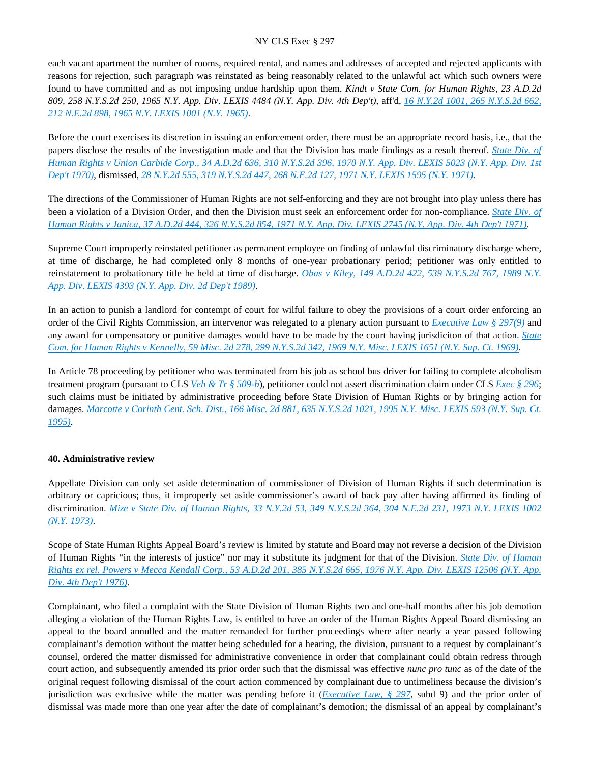each vacant apartment the number of rooms, required rental, and names and addresses of accepted and rejected applicants with reasons for rejection, such paragraph was reinstated as being reasonably related to the unlawful act which such owners were found to have committed and as not imposing undue hardship upon them. *Kindt v State Com. for Human Rights, 23 A.D.2d 809, 258 N.Y.S.2d 250, 1965 N.Y. App. Div. LEXIS 4484 (N.Y. App. Div. 4th Dep't)*, aff'd, *[16 N.Y.2d 1001, 265 N.Y.S.2d 662,](https://advance.lexis.com/api/document?collection=cases&id=urn:contentItem:3RRS-WGG0-003C-C3ST-00000-00&context=)  [212 N.E.2d 898, 1965 N.Y. LEXIS 1001 \(N.Y. 1965\)](https://advance.lexis.com/api/document?collection=cases&id=urn:contentItem:3RRS-WGG0-003C-C3ST-00000-00&context=)*.

Before the court exercises its discretion in issuing an enforcement order, there must be an appropriate record basis, i.e., that the papers disclose the results of the investigation made and that the Division has made findings as a result thereof. *[State Div. of](https://advance.lexis.com/api/document?collection=cases&id=urn:contentItem:3RRT-01S0-003C-C08Y-00000-00&context=)  [Human Rights v Union Carbide Corp., 34 A.D.2d 636, 310 N.Y.S.2d 396, 1970 N.Y. App. Div. LEXIS 5023 \(N.Y. App. Div. 1st](https://advance.lexis.com/api/document?collection=cases&id=urn:contentItem:3RRT-01S0-003C-C08Y-00000-00&context=)  [Dep't 1970\)](https://advance.lexis.com/api/document?collection=cases&id=urn:contentItem:3RRT-01S0-003C-C08Y-00000-00&context=)*, dismissed, *[28 N.Y.2d 555, 319 N.Y.S.2d 447, 268 N.E.2d 127, 1971 N.Y. LEXIS 1595 \(N.Y. 1971\)](https://advance.lexis.com/api/document?collection=cases&id=urn:contentItem:3RRS-VTY0-003C-C3R0-00000-00&context=)*.

The directions of the Commissioner of Human Rights are not self-enforcing and they are not brought into play unless there has been a violation of a Division Order, and then the Division must seek an enforcement order for non-compliance. *[State Div. of](https://advance.lexis.com/api/document?collection=cases&id=urn:contentItem:3RRS-YNN0-003C-C02K-00000-00&context=)  [Human Rights v Janica, 37 A.D.2d 444, 326 N.Y.S.2d 854, 1971 N.Y. App. Div. LEXIS 2745 \(N.Y. App. Div. 4th Dep't 1971\)](https://advance.lexis.com/api/document?collection=cases&id=urn:contentItem:3RRS-YNN0-003C-C02K-00000-00&context=)*.

Supreme Court improperly reinstated petitioner as permanent employee on finding of unlawful discriminatory discharge where, at time of discharge, he had completed only 8 months of one-year probationary period; petitioner was only entitled to reinstatement to probationary title he held at time of discharge. *[Obas v Kiley, 149 A.D.2d 422, 539 N.Y.S.2d 767, 1989 N.Y.](https://advance.lexis.com/api/document?collection=cases&id=urn:contentItem:3S2R-BBM0-003V-B34R-00000-00&context=)  [App. Div. LEXIS 4393 \(N.Y. App. Div. 2d Dep't 1989\)](https://advance.lexis.com/api/document?collection=cases&id=urn:contentItem:3S2R-BBM0-003V-B34R-00000-00&context=)*.

In an action to punish a landlord for contempt of court for wilful failure to obey the provisions of a court order enforcing an order of the Civil Rights Commission, an intervenor was relegated to a plenary action pursuant to *[Executive Law § 297\(9\)](https://advance.lexis.com/api/document?collection=statutes-legislation&id=urn:contentItem:5H6N-1CT1-DXC8-036V-00000-00&context=)* and any award for compensatory or punitive damages would have to be made by the court having jurisdiciton of that action. *[State](https://advance.lexis.com/api/document?collection=cases&id=urn:contentItem:3RRS-B9D0-003C-D2PF-00000-00&context=)  [Com. for Human Rights v Kennelly, 59 Misc. 2d 278, 299 N.Y.S.2d 342, 1969 N.Y. Misc. LEXIS 1651 \(N.Y. Sup. Ct. 1969\)](https://advance.lexis.com/api/document?collection=cases&id=urn:contentItem:3RRS-B9D0-003C-D2PF-00000-00&context=)*.

In Article 78 proceeding by petitioner who was terminated from his job as school bus driver for failing to complete alcoholism treatment program (pursuant to CLS *[Veh & Tr § 509-b](https://advance.lexis.com/api/document?collection=statutes-legislation&id=urn:contentItem:5CT3-2BK1-6RDJ-84KN-00000-00&context=)*), petitioner could not assert discrimination claim under CLS *[Exec § 296](https://advance.lexis.com/api/document?collection=statutes-legislation&id=urn:contentItem:8TP5-PCS2-8T6X-74HS-00000-00&context=)*; such claims must be initiated by administrative proceeding before State Division of Human Rights or by bringing action for damages. *[Marcotte v Corinth Cent. Sch. Dist., 166 Misc. 2d 881, 635 N.Y.S.2d 1021, 1995 N.Y. Misc. LEXIS 593 \(N.Y. Sup. Ct.](https://advance.lexis.com/api/document?collection=cases&id=urn:contentItem:3S2R-6080-003V-B0KF-00000-00&context=)  [1995\)](https://advance.lexis.com/api/document?collection=cases&id=urn:contentItem:3S2R-6080-003V-B0KF-00000-00&context=)*.

### **40. Administrative review**

Appellate Division can only set aside determination of commissioner of Division of Human Rights if such determination is arbitrary or capricious; thus, it improperly set aside commissioner's award of back pay after having affirmed its finding of discrimination. *[Mize v State Div. of Human Rights, 33 N.Y.2d 53, 349 N.Y.S.2d 364, 304 N.E.2d 231, 1973 N.Y. LEXIS 1002](https://advance.lexis.com/api/document?collection=cases&id=urn:contentItem:3RRS-VJB0-003C-C16F-00000-00&context=)  [\(N.Y. 1973\)](https://advance.lexis.com/api/document?collection=cases&id=urn:contentItem:3RRS-VJB0-003C-C16F-00000-00&context=)*.

Scope of State Human Rights Appeal Board's review is limited by statute and Board may not reverse a decision of the Division of Human Rights "in the interests of justice" nor may it substitute its judgment for that of the Division. *[State Div. of Human](https://advance.lexis.com/api/document?collection=cases&id=urn:contentItem:3RRS-F6K0-003C-F0ST-00000-00&context=)  [Rights ex rel. Powers v Mecca Kendall Corp., 53 A.D.2d 201, 385 N.Y.S.2d 665, 1976 N.Y. App. Div. LEXIS 12506 \(N.Y. App.](https://advance.lexis.com/api/document?collection=cases&id=urn:contentItem:3RRS-F6K0-003C-F0ST-00000-00&context=)  [Div. 4th Dep't 1976\)](https://advance.lexis.com/api/document?collection=cases&id=urn:contentItem:3RRS-F6K0-003C-F0ST-00000-00&context=)*.

Complainant, who filed a complaint with the State Division of Human Rights two and one-half months after his job demotion alleging a violation of the Human Rights Law, is entitled to have an order of the Human Rights Appeal Board dismissing an appeal to the board annulled and the matter remanded for further proceedings where after nearly a year passed following complainant's demotion without the matter being scheduled for a hearing, the division, pursuant to a request by complainant's counsel, ordered the matter dismissed for administrative convenience in order that complainant could obtain redress through court action, and subsequently amended its prior order such that the dismissal was effective *nunc pro tunc* as of the date of the original request following dismissal of the court action commenced by complainant due to untimeliness because the division's jurisdiction was exclusive while the matter was pending before it (*[Executive Law, § 297](https://advance.lexis.com/api/document?collection=statutes-legislation&id=urn:contentItem:5H6N-1CT1-DXC8-036V-00000-00&context=)*, subd 9) and the prior order of dismissal was made more than one year after the date of complainant's demotion; the dismissal of an appeal by complainant's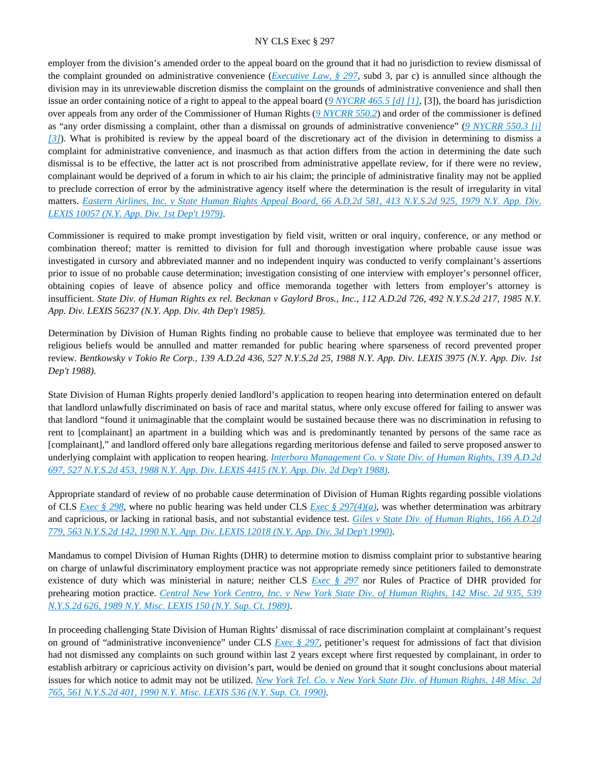employer from the division's amended order to the appeal board on the ground that it had no jurisdiction to review dismissal of the complaint grounded on administrative convenience (*[Executive Law, § 297](https://advance.lexis.com/api/document?collection=statutes-legislation&id=urn:contentItem:5H6N-1CT1-DXC8-036V-00000-00&context=)*, subd 3, par c) is annulled since although the division may in its unreviewable discretion dismiss the complaint on the grounds of administrative convenience and shall then issue an order containing notice of a right to appeal to the appeal board (*[9 NYCRR 465.5 \[d\] \[1\]](https://advance.lexis.com/api/document?collection=administrative-codes&id=urn:contentItem:5VXH-YX20-00XK-W10T-00000-00&context=)*, [3]), the board has jurisdiction over appeals from any order of the Commissioner of Human Rights (*[9 NYCRR 550.2](https://advance.lexis.com/api/document?collection=administrative-codes&id=urn:contentItem:5VXH-YX30-00XK-W1FR-00000-00&context=)*) and order of the commissioner is defined as "any order dismissing a complaint, other than a dismissal on grounds of administrative convenience" (*[9 NYCRR 550.3 \[i\]](https://advance.lexis.com/api/document?collection=administrative-codes&id=urn:contentItem:5VXH-YX30-00XK-W1FS-00000-00&context=)  [\[3\]](https://advance.lexis.com/api/document?collection=administrative-codes&id=urn:contentItem:5VXH-YX30-00XK-W1FS-00000-00&context=)*). What is prohibited is review by the appeal board of the discretionary act of the division in determining to dismiss a complaint for administrative convenience, and inasmuch as that action differs from the action in determining the date such dismissal is to be effective, the latter act is not proscribed from administrative appellate review, for if there were no review, complainant would be deprived of a forum in which to air his claim; the principle of administrative finality may not be applied to preclude correction of error by the administrative agency itself where the determination is the result of irregularity in vital matters. *[Eastern Airlines, Inc. v State Human Rights Appeal Board, 66 A.D.2d 581, 413 N.Y.S.2d 925, 1979 N.Y. App. Div.](https://advance.lexis.com/api/document?collection=cases&id=urn:contentItem:3RRS-CR10-003C-F0C9-00000-00&context=)  [LEXIS 10057 \(N.Y. App. Div. 1st Dep't 1979\)](https://advance.lexis.com/api/document?collection=cases&id=urn:contentItem:3RRS-CR10-003C-F0C9-00000-00&context=)*.

Commissioner is required to make prompt investigation by field visit, written or oral inquiry, conference, or any method or combination thereof; matter is remitted to division for full and thorough investigation where probable cause issue was investigated in cursory and abbreviated manner and no independent inquiry was conducted to verify complainant's assertions prior to issue of no probable cause determination; investigation consisting of one interview with employer's personnel officer, obtaining copies of leave of absence policy and office memoranda together with letters from employer's attorney is insufficient. *State Div. of Human Rights ex rel. Beckman v Gaylord Bros., Inc., 112 A.D.2d 726, 492 N.Y.S.2d 217, 1985 N.Y. App. Div. LEXIS 56237 (N.Y. App. Div. 4th Dep't 1985)*.

Determination by Division of Human Rights finding no probable cause to believe that employee was terminated due to her religious beliefs would be annulled and matter remanded for public hearing where sparseness of record prevented proper review. *Bentkowsky v Tokio Re Corp., 139 A.D.2d 436, 527 N.Y.S.2d 25, 1988 N.Y. App. Div. LEXIS 3975 (N.Y. App. Div. 1st Dep't 1988)*.

State Division of Human Rights properly denied landlord's application to reopen hearing into determination entered on default that landlord unlawfully discriminated on basis of race and marital status, where only excuse offered for failing to answer was that landlord "found it unimaginable that the complaint would be sustained because there was no discrimination in refusing to rent to [complainant] an apartment in a building which was and is predominantly tenanted by persons of the same race as [complainant]," and landlord offered only bare allegations regarding meritorious defense and failed to serve proposed answer to underlying complaint with application to reopen hearing. *[Interboro Management Co. v State Div. of Human Rights, 139 A.D.2d](https://advance.lexis.com/api/document?collection=cases&id=urn:contentItem:3S3J-YYW0-003D-G4XR-00000-00&context=)  [697, 527 N.Y.S.2d 453, 1988 N.Y. App. Div. LEXIS 4415 \(N.Y. App. Div. 2d Dep't 1988\)](https://advance.lexis.com/api/document?collection=cases&id=urn:contentItem:3S3J-YYW0-003D-G4XR-00000-00&context=)*.

Appropriate standard of review of no probable cause determination of Division of Human Rights regarding possible violations of CLS *[Exec § 298](https://advance.lexis.com/api/document?collection=statutes-legislation&id=urn:contentItem:5CT3-0SG1-6RDJ-8489-00000-00&context=)*, where no public hearing was held under CLS *[Exec § 297\(4\)\(a\)](https://advance.lexis.com/api/document?collection=statutes-legislation&id=urn:contentItem:5H6N-1CT1-DXC8-036V-00000-00&context=)*, was whether determination was arbitrary and capricious, or lacking in rational basis, and not substantial evidence test. *[Giles v State Div. of Human Rights, 166 A.D.2d](https://advance.lexis.com/api/document?collection=cases&id=urn:contentItem:3S2R-92D0-003V-B2W9-00000-00&context=)  [779, 563 N.Y.S.2d 142, 1990 N.Y. App. Div. LEXIS 12018 \(N.Y. App. Div. 3d Dep't 1990\)](https://advance.lexis.com/api/document?collection=cases&id=urn:contentItem:3S2R-92D0-003V-B2W9-00000-00&context=)*.

Mandamus to compel Division of Human Rights (DHR) to determine motion to dismiss complaint prior to substantive hearing on charge of unlawful discriminatory employment practice was not appropriate remedy since petitioners failed to demonstrate existence of duty which was ministerial in nature; neither CLS *[Exec § 297](https://advance.lexis.com/api/document?collection=statutes-legislation&id=urn:contentItem:5H6N-1CT1-DXC8-036V-00000-00&context=)* nor Rules of Practice of DHR provided for prehearing motion practice. *[Central New York Centro, Inc. v New York State Div. of Human Rights, 142 Misc. 2d 935, 539](https://advance.lexis.com/api/document?collection=cases&id=urn:contentItem:3S2R-BDS0-003V-B0D0-00000-00&context=)  [N.Y.S.2d 626, 1989 N.Y. Misc. LEXIS 150 \(N.Y. Sup. Ct. 1989\)](https://advance.lexis.com/api/document?collection=cases&id=urn:contentItem:3S2R-BDS0-003V-B0D0-00000-00&context=)*.

In proceeding challenging State Division of Human Rights' dismissal of race discrimination complaint at complainant's request on ground of "administrative inconvenience" under CLS *[Exec § 297](https://advance.lexis.com/api/document?collection=statutes-legislation&id=urn:contentItem:5H6N-1CT1-DXC8-036V-00000-00&context=)*, petitioner's request for admissions of fact that division had not dismissed any complaints on such ground within last 2 years except where first requested by complainant, in order to establish arbitrary or capricious activity on division's part, would be denied on ground that it sought conclusions about material issues for which notice to admit may not be utilized. *[New York Tel. Co. v New York State Div. of Human Rights, 148 Misc. 2d](https://advance.lexis.com/api/document?collection=cases&id=urn:contentItem:3S2R-9260-003V-B2P9-00000-00&context=)  [765, 561 N.Y.S.2d 401, 1990 N.Y. Misc. LEXIS 536 \(N.Y. Sup. Ct. 1990\)](https://advance.lexis.com/api/document?collection=cases&id=urn:contentItem:3S2R-9260-003V-B2P9-00000-00&context=)*.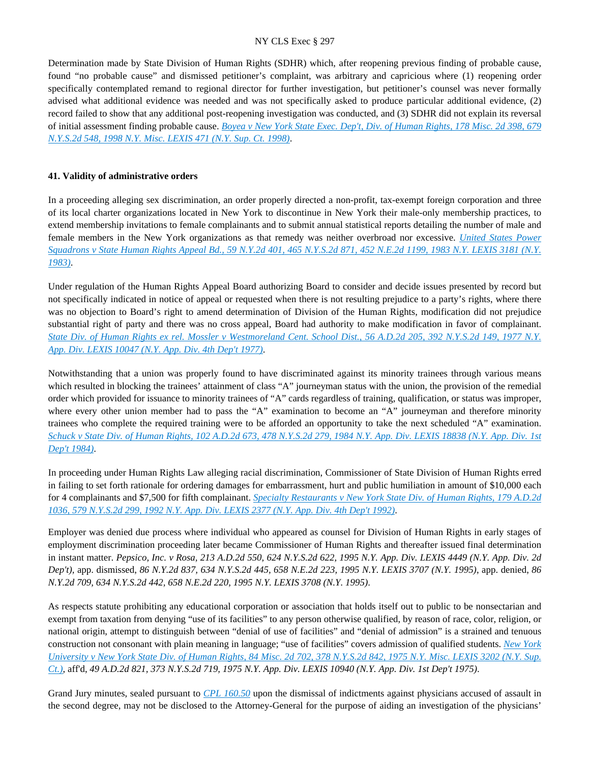Determination made by State Division of Human Rights (SDHR) which, after reopening previous finding of probable cause, found "no probable cause" and dismissed petitioner's complaint, was arbitrary and capricious where (1) reopening order specifically contemplated remand to regional director for further investigation, but petitioner's counsel was never formally advised what additional evidence was needed and was not specifically asked to produce particular additional evidence, (2) record failed to show that any additional post-reopening investigation was conducted, and (3) SDHR did not explain its reversal of initial assessment finding probable cause. *[Boyea v New York State Exec. Dep't, Div. of Human Rights, 178 Misc. 2d 398, 679](https://advance.lexis.com/api/document?collection=cases&id=urn:contentItem:3TYS-K3K0-0039-4506-00000-00&context=)  [N.Y.S.2d 548, 1998 N.Y. Misc. LEXIS 471 \(N.Y. Sup. Ct. 1998\)](https://advance.lexis.com/api/document?collection=cases&id=urn:contentItem:3TYS-K3K0-0039-4506-00000-00&context=)*.

### **41. Validity of administrative orders**

In a proceeding alleging sex discrimination, an order properly directed a non-profit, tax-exempt foreign corporation and three of its local charter organizations located in New York to discontinue in New York their male-only membership practices, to extend membership invitations to female complainants and to submit annual statistical reports detailing the number of male and female members in the New York organizations as that remedy was neither overbroad nor excessive. *[United States Power](https://advance.lexis.com/api/document?collection=cases&id=urn:contentItem:3S3J-YF40-003D-G050-00000-00&context=)  [Squadrons v State Human Rights Appeal Bd., 59 N.Y.2d 401, 465 N.Y.S.2d 871, 452 N.E.2d 1199, 1983 N.Y. LEXIS 3181 \(N.Y.](https://advance.lexis.com/api/document?collection=cases&id=urn:contentItem:3S3J-YF40-003D-G050-00000-00&context=)  [1983\)](https://advance.lexis.com/api/document?collection=cases&id=urn:contentItem:3S3J-YF40-003D-G050-00000-00&context=)*.

Under regulation of the Human Rights Appeal Board authorizing Board to consider and decide issues presented by record but not specifically indicated in notice of appeal or requested when there is not resulting prejudice to a party's rights, where there was no objection to Board's right to amend determination of Division of the Human Rights, modification did not prejudice substantial right of party and there was no cross appeal, Board had authority to make modification in favor of complainant. *[State Div. of Human Rights ex rel. Mossler v Westmoreland Cent. School Dist., 56 A.D.2d 205, 392 N.Y.S.2d 149, 1977 N.Y.](https://advance.lexis.com/api/document?collection=cases&id=urn:contentItem:3RRS-DT40-003C-F29C-00000-00&context=)  [App. Div. LEXIS 10047 \(N.Y. App. Div. 4th Dep't 1977\)](https://advance.lexis.com/api/document?collection=cases&id=urn:contentItem:3RRS-DT40-003C-F29C-00000-00&context=)*.

Notwithstanding that a union was properly found to have discriminated against its minority trainees through various means which resulted in blocking the trainees' attainment of class "A" journeyman status with the union, the provision of the remedial order which provided for issuance to minority trainees of "A" cards regardless of training, qualification, or status was improper, where every other union member had to pass the "A" examination to become an "A" journeyman and therefore minority trainees who complete the required training were to be afforded an opportunity to take the next scheduled "A" examination. *[Schuck v State Div. of Human Rights, 102 A.D.2d 673, 478 N.Y.S.2d 279, 1984 N.Y. App. Div. LEXIS 18838 \(N.Y. App. Div. 1st](https://advance.lexis.com/api/document?collection=cases&id=urn:contentItem:3S3K-1RW0-003D-G2K1-00000-00&context=)  [Dep't 1984\)](https://advance.lexis.com/api/document?collection=cases&id=urn:contentItem:3S3K-1RW0-003D-G2K1-00000-00&context=)*.

In proceeding under Human Rights Law alleging racial discrimination, Commissioner of State Division of Human Rights erred in failing to set forth rationale for ordering damages for embarrassment, hurt and public humiliation in amount of \$10,000 each for 4 complainants and \$7,500 for fifth complainant. *[Specialty Restaurants v New York State Div. of Human Rights, 179 A.D.2d](https://advance.lexis.com/api/document?collection=cases&id=urn:contentItem:3S2R-84P0-003V-B4G2-00000-00&context=)  [1036, 579 N.Y.S.2d 299, 1992 N.Y. App. Div. LEXIS 2377 \(N.Y. App. Div. 4th Dep't 1992\)](https://advance.lexis.com/api/document?collection=cases&id=urn:contentItem:3S2R-84P0-003V-B4G2-00000-00&context=)*.

Employer was denied due process where individual who appeared as counsel for Division of Human Rights in early stages of employment discrimination proceeding later became Commissioner of Human Rights and thereafter issued final determination in instant matter. *Pepsico, Inc. v Rosa, 213 A.D.2d 550, 624 N.Y.S.2d 622, 1995 N.Y. App. Div. LEXIS 4449 (N.Y. App. Div. 2d Dep't)*, app. dismissed, *86 N.Y.2d 837, 634 N.Y.S.2d 445, 658 N.E.2d 223, 1995 N.Y. LEXIS 3707 (N.Y. 1995)*, app. denied, *86 N.Y.2d 709, 634 N.Y.S.2d 442, 658 N.E.2d 220, 1995 N.Y. LEXIS 3708 (N.Y. 1995)*.

As respects statute prohibiting any educational corporation or association that holds itself out to public to be nonsectarian and exempt from taxation from denying "use of its facilities" to any person otherwise qualified, by reason of race, color, religion, or national origin, attempt to distinguish between "denial of use of facilities" and "denial of admission" is a strained and tenuous construction not consonant with plain meaning in language; "use of facilities" covers admission of qualified students. *[New York](https://advance.lexis.com/api/document?collection=cases&id=urn:contentItem:3RRS-H6V0-003C-F28W-00000-00&context=)  [University v New York State Div. of Human Rights, 84 Misc. 2d 702, 378 N.Y.S.2d 842, 1975 N.Y. Misc. LEXIS 3202 \(N.Y. Sup.](https://advance.lexis.com/api/document?collection=cases&id=urn:contentItem:3RRS-H6V0-003C-F28W-00000-00&context=)  [Ct.\)](https://advance.lexis.com/api/document?collection=cases&id=urn:contentItem:3RRS-H6V0-003C-F28W-00000-00&context=)*, aff'd, *49 A.D.2d 821, 373 N.Y.S.2d 719, 1975 N.Y. App. Div. LEXIS 10940 (N.Y. App. Div. 1st Dep't 1975)*.

Grand Jury minutes, sealed pursuant to *[CPL 160.50](https://advance.lexis.com/api/document?collection=statutes-legislation&id=urn:contentItem:5HFT-8X31-DXC8-0156-00000-00&context=)* upon the dismissal of indictments against physicians accused of assault in the second degree, may not be disclosed to the Attorney-General for the purpose of aiding an investigation of the physicians'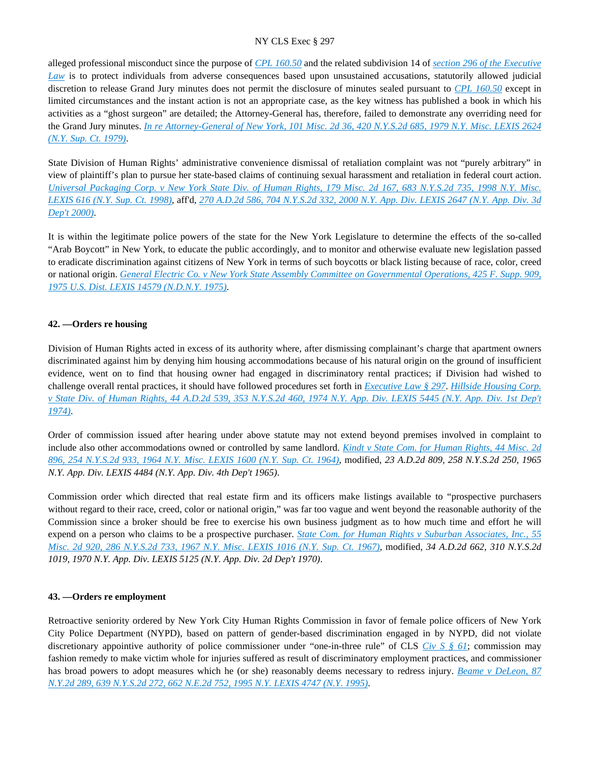alleged professional misconduct since the purpose of *[CPL 160.50](https://advance.lexis.com/api/document?collection=statutes-legislation&id=urn:contentItem:5HFT-8X31-DXC8-0156-00000-00&context=)* and the related subdivision 14 of *[section 296 of the Executive](https://advance.lexis.com/api/document?collection=statutes-legislation&id=urn:contentItem:8TP5-PCS2-8T6X-74HS-00000-00&context=)  [Law](https://advance.lexis.com/api/document?collection=statutes-legislation&id=urn:contentItem:8TP5-PCS2-8T6X-74HS-00000-00&context=)* is to protect individuals from adverse consequences based upon unsustained accusations, statutorily allowed judicial discretion to release Grand Jury minutes does not permit the disclosure of minutes sealed pursuant to *[CPL 160.50](https://advance.lexis.com/api/document?collection=statutes-legislation&id=urn:contentItem:5HFT-8X31-DXC8-0156-00000-00&context=)* except in limited circumstances and the instant action is not an appropriate case, as the key witness has published a book in which his activities as a "ghost surgeon" are detailed; the Attorney-General has, therefore, failed to demonstrate any overriding need for the Grand Jury minutes. *[In re Attorney-General of New York, 101 Misc. 2d 36, 420 N.Y.S.2d 685, 1979 N.Y. Misc. LEXIS 2624](https://advance.lexis.com/api/document?collection=cases&id=urn:contentItem:3RRS-GFB0-003C-F1XP-00000-00&context=)  [\(N.Y. Sup. Ct. 1979\)](https://advance.lexis.com/api/document?collection=cases&id=urn:contentItem:3RRS-GFB0-003C-F1XP-00000-00&context=)*.

State Division of Human Rights' administrative convenience dismissal of retaliation complaint was not "purely arbitrary" in view of plaintiff's plan to pursue her state-based claims of continuing sexual harassment and retaliation in federal court action. *[Universal Packaging Corp. v New York State Div. of Human Rights, 179 Misc. 2d 167, 683 N.Y.S.2d 735, 1998 N.Y. Misc.](https://advance.lexis.com/api/document?collection=cases&id=urn:contentItem:3VH4-G7B0-0039-40Y3-00000-00&context=)  [LEXIS 616 \(N.Y. Sup. Ct. 1998\)](https://advance.lexis.com/api/document?collection=cases&id=urn:contentItem:3VH4-G7B0-0039-40Y3-00000-00&context=)*, aff'd, *[270 A.D.2d 586, 704 N.Y.S.2d 332, 2000 N.Y. App. Div. LEXIS 2647 \(N.Y. App. Div. 3d](https://advance.lexis.com/api/document?collection=cases&id=urn:contentItem:3YT3-XK40-0039-40SD-00000-00&context=)  [Dep't 2000\)](https://advance.lexis.com/api/document?collection=cases&id=urn:contentItem:3YT3-XK40-0039-40SD-00000-00&context=)*.

It is within the legitimate police powers of the state for the New York Legislature to determine the effects of the so-called "Arab Boycott" in New York, to educate the public accordingly, and to monitor and otherwise evaluate new legislation passed to eradicate discrimination against citizens of New York in terms of such boycotts or black listing because of race, color, creed or national origin. *[General Electric Co. v New York State Assembly Committee on Governmental Operations, 425 F. Supp. 909,](https://advance.lexis.com/api/document?collection=cases&id=urn:contentItem:3S4V-KGY0-0054-627W-00000-00&context=)  [1975 U.S. Dist. LEXIS 14579 \(N.D.N.Y. 1975\)](https://advance.lexis.com/api/document?collection=cases&id=urn:contentItem:3S4V-KGY0-0054-627W-00000-00&context=)*.

## **42. —Orders re housing**

Division of Human Rights acted in excess of its authority where, after dismissing complainant's charge that apartment owners discriminated against him by denying him housing accommodations because of his natural origin on the ground of insufficient evidence, went on to find that housing owner had engaged in discriminatory rental practices; if Division had wished to challenge overall rental practices, it should have followed procedures set forth in *[Executive Law § 297](https://advance.lexis.com/api/document?collection=statutes-legislation&id=urn:contentItem:5H6N-1CT1-DXC8-036V-00000-00&context=)*. *[Hillside Housing Corp.](https://advance.lexis.com/api/document?collection=cases&id=urn:contentItem:3RRS-Y4Y0-003C-C2RP-00000-00&context=)  [v State Div. of Human Rights, 44 A.D.2d 539, 353 N.Y.S.2d 460, 1974 N.Y. App. Div. LEXIS 5445 \(N.Y. App. Div. 1st Dep't](https://advance.lexis.com/api/document?collection=cases&id=urn:contentItem:3RRS-Y4Y0-003C-C2RP-00000-00&context=)  [1974\)](https://advance.lexis.com/api/document?collection=cases&id=urn:contentItem:3RRS-Y4Y0-003C-C2RP-00000-00&context=)*.

Order of commission issued after hearing under above statute may not extend beyond premises involved in complaint to include also other accommodations owned or controlled by same landlord. *[Kindt v State Com. for Human Rights, 44 Misc. 2d](https://advance.lexis.com/api/document?collection=cases&id=urn:contentItem:3RRS-BXD0-003C-D3ST-00000-00&context=)  [896, 254 N.Y.S.2d 933, 1964 N.Y. Misc. LEXIS 1600 \(N.Y. Sup. Ct. 1964\)](https://advance.lexis.com/api/document?collection=cases&id=urn:contentItem:3RRS-BXD0-003C-D3ST-00000-00&context=)*, modified, *23 A.D.2d 809, 258 N.Y.S.2d 250, 1965 N.Y. App. Div. LEXIS 4484 (N.Y. App. Div. 4th Dep't 1965)*.

Commission order which directed that real estate firm and its officers make listings available to "prospective purchasers without regard to their race, creed, color or national origin," was far too vague and went beyond the reasonable authority of the Commission since a broker should be free to exercise his own business judgment as to how much time and effort he will expend on a person who claims to be a prospective purchaser. *[State Com. for Human Rights v Suburban Associates, Inc., 55](https://advance.lexis.com/api/document?collection=cases&id=urn:contentItem:3RRS-BFP0-003C-D481-00000-00&context=)  [Misc. 2d 920, 286 N.Y.S.2d 733, 1967 N.Y. Misc. LEXIS 1016 \(N.Y. Sup. Ct. 1967\)](https://advance.lexis.com/api/document?collection=cases&id=urn:contentItem:3RRS-BFP0-003C-D481-00000-00&context=)*, modified, *34 A.D.2d 662, 310 N.Y.S.2d 1019, 1970 N.Y. App. Div. LEXIS 5125 (N.Y. App. Div. 2d Dep't 1970)*.

### **43. —Orders re employment**

Retroactive seniority ordered by New York City Human Rights Commission in favor of female police officers of New York City Police Department (NYPD), based on pattern of gender-based discrimination engaged in by NYPD, did not violate discretionary appointive authority of police commissioner under "one-in-three rule" of CLS *[Civ S § 61](https://advance.lexis.com/api/document?collection=statutes-legislation&id=urn:contentItem:5CT3-0D01-6RDJ-84GN-00000-00&context=)*; commission may fashion remedy to make victim whole for injuries suffered as result of discriminatory employment practices, and commissioner has broad powers to adopt measures which he (or she) reasonably deems necessary to redress injury. *[Beame v DeLeon, 87](https://advance.lexis.com/api/document?collection=cases&id=urn:contentItem:3RHF-9XJ0-003V-B2CD-00000-00&context=)  [N.Y.2d 289, 639 N.Y.S.2d 272, 662 N.E.2d 752, 1995 N.Y. LEXIS 4747 \(N.Y. 1995\)](https://advance.lexis.com/api/document?collection=cases&id=urn:contentItem:3RHF-9XJ0-003V-B2CD-00000-00&context=)*.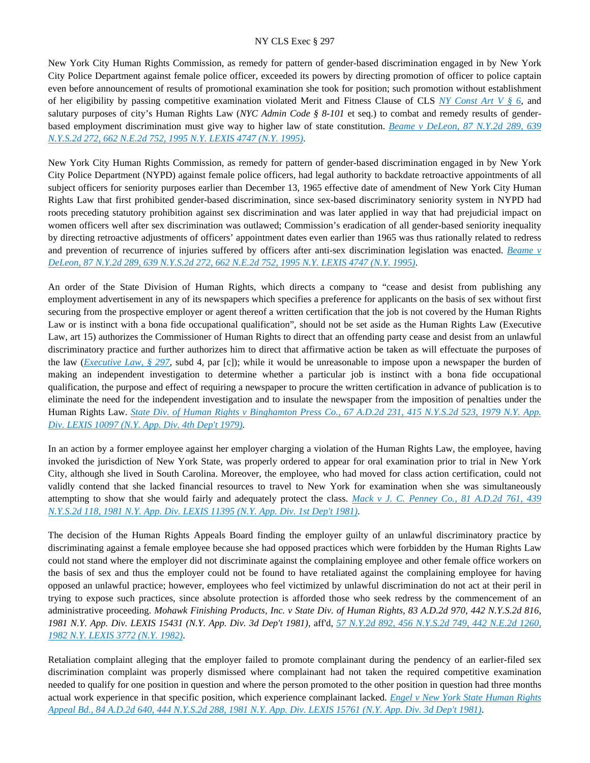New York City Human Rights Commission, as remedy for pattern of gender-based discrimination engaged in by New York City Police Department against female police officer, exceeded its powers by directing promotion of officer to police captain even before announcement of results of promotional examination she took for position; such promotion without establishment of her eligibility by passing competitive examination violated Merit and Fitness Clause of CLS *[NY Const Art V § 6](https://advance.lexis.com/api/document?collection=statutes-legislation&id=urn:contentItem:5CT2-JHJ1-DYB7-M50S-00000-00&context=)*, and salutary purposes of city's Human Rights Law (*NYC Admin Code § 8-101* et seq.) to combat and remedy results of genderbased employment discrimination must give way to higher law of state constitution. *[Beame v DeLeon, 87 N.Y.2d 289, 639](https://advance.lexis.com/api/document?collection=cases&id=urn:contentItem:3RHF-9XJ0-003V-B2CD-00000-00&context=)  [N.Y.S.2d 272, 662 N.E.2d 752, 1995 N.Y. LEXIS 4747 \(N.Y. 1995\)](https://advance.lexis.com/api/document?collection=cases&id=urn:contentItem:3RHF-9XJ0-003V-B2CD-00000-00&context=)*.

New York City Human Rights Commission, as remedy for pattern of gender-based discrimination engaged in by New York City Police Department (NYPD) against female police officers, had legal authority to backdate retroactive appointments of all subject officers for seniority purposes earlier than December 13, 1965 effective date of amendment of New York City Human Rights Law that first prohibited gender-based discrimination, since sex-based discriminatory seniority system in NYPD had roots preceding statutory prohibition against sex discrimination and was later applied in way that had prejudicial impact on women officers well after sex discrimination was outlawed; Commission's eradication of all gender-based seniority inequality by directing retroactive adjustments of officers' appointment dates even earlier than 1965 was thus rationally related to redress and prevention of recurrence of injuries suffered by officers after anti-sex discrimination legislation was enacted. *[Beame v](https://advance.lexis.com/api/document?collection=cases&id=urn:contentItem:3RHF-9XJ0-003V-B2CD-00000-00&context=)  [DeLeon, 87 N.Y.2d 289, 639 N.Y.S.2d 272, 662 N.E.2d 752, 1995 N.Y. LEXIS 4747 \(N.Y. 1995\)](https://advance.lexis.com/api/document?collection=cases&id=urn:contentItem:3RHF-9XJ0-003V-B2CD-00000-00&context=)*.

An order of the State Division of Human Rights, which directs a company to "cease and desist from publishing any employment advertisement in any of its newspapers which specifies a preference for applicants on the basis of sex without first securing from the prospective employer or agent thereof a written certification that the job is not covered by the Human Rights Law or is instinct with a bona fide occupational qualification", should not be set aside as the Human Rights Law (Executive Law, art 15) authorizes the Commissioner of Human Rights to direct that an offending party cease and desist from an unlawful discriminatory practice and further authorizes him to direct that affirmative action be taken as will effectuate the purposes of the law (*[Executive Law, § 297](https://advance.lexis.com/api/document?collection=statutes-legislation&id=urn:contentItem:5H6N-1CT1-DXC8-036V-00000-00&context=)*, subd 4, par [c]); while it would be unreasonable to impose upon a newspaper the burden of making an independent investigation to determine whether a particular job is instinct with a bona fide occupational qualification, the purpose and effect of requiring a newspaper to procure the written certification in advance of publication is to eliminate the need for the independent investigation and to insulate the newspaper from the imposition of penalties under the Human Rights Law. *[State Div. of Human Rights v Binghamton Press Co., 67 A.D.2d 231, 415 N.Y.S.2d 523, 1979 N.Y. App.](https://advance.lexis.com/api/document?collection=cases&id=urn:contentItem:3RRS-CNH0-003C-F515-00000-00&context=)  [Div. LEXIS 10097 \(N.Y. App. Div. 4th Dep't 1979\)](https://advance.lexis.com/api/document?collection=cases&id=urn:contentItem:3RRS-CNH0-003C-F515-00000-00&context=)*.

In an action by a former employee against her employer charging a violation of the Human Rights Law, the employee, having invoked the jurisdiction of New York State, was properly ordered to appear for oral examination prior to trial in New York City, although she lived in South Carolina. Moreover, the employee, who had moved for class action certification, could not validly contend that she lacked financial resources to travel to New York for examination when she was simultaneously attempting to show that she would fairly and adequately protect the class. *[Mack v J. C. Penney Co., 81 A.D.2d 761, 439](https://advance.lexis.com/api/document?collection=cases&id=urn:contentItem:3RRS-BGB0-003C-F2S4-00000-00&context=)  [N.Y.S.2d 118, 1981 N.Y. App. Div. LEXIS 11395 \(N.Y. App. Div. 1st Dep't 1981\)](https://advance.lexis.com/api/document?collection=cases&id=urn:contentItem:3RRS-BGB0-003C-F2S4-00000-00&context=)*.

The decision of the Human Rights Appeals Board finding the employer guilty of an unlawful discriminatory practice by discriminating against a female employee because she had opposed practices which were forbidden by the Human Rights Law could not stand where the employer did not discriminate against the complaining employee and other female office workers on the basis of sex and thus the employer could not be found to have retaliated against the complaining employee for having opposed an unlawful practice; however, employees who feel victimized by unlawful discrimination do not act at their peril in trying to expose such practices, since absolute protection is afforded those who seek redress by the commencement of an administrative proceeding. *Mohawk Finishing Products, Inc. v State Div. of Human Rights, 83 A.D.2d 970, 442 N.Y.S.2d 816, 1981 N.Y. App. Div. LEXIS 15431 (N.Y. App. Div. 3d Dep't 1981)*, aff'd, *[57 N.Y.2d 892, 456 N.Y.S.2d 749, 442 N.E.2d 1260,](https://advance.lexis.com/api/document?collection=cases&id=urn:contentItem:3S3J-YGX0-003D-G11P-00000-00&context=)  [1982 N.Y. LEXIS 3772 \(N.Y. 1982\)](https://advance.lexis.com/api/document?collection=cases&id=urn:contentItem:3S3J-YGX0-003D-G11P-00000-00&context=)*.

Retaliation complaint alleging that the employer failed to promote complainant during the pendency of an earlier-filed sex discrimination complaint was properly dismissed where complainant had not taken the required competitive examination needed to qualify for one position in question and where the person promoted to the other position in question had three months actual work experience in that specific position, which experience complainant lacked. *[Engel v New York State Human Rights](https://advance.lexis.com/api/document?collection=cases&id=urn:contentItem:3S3K-2H00-003D-G046-00000-00&context=)  [Appeal Bd., 84 A.D.2d 640, 444 N.Y.S.2d 288, 1981 N.Y. App. Div. LEXIS 15761 \(N.Y. App. Div. 3d Dep't 1981\)](https://advance.lexis.com/api/document?collection=cases&id=urn:contentItem:3S3K-2H00-003D-G046-00000-00&context=)*.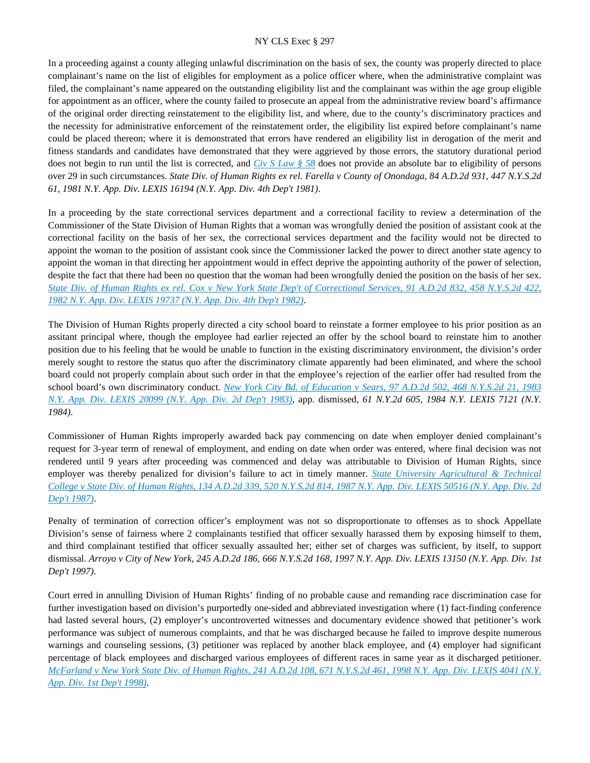In a proceeding against a county alleging unlawful discrimination on the basis of sex, the county was properly directed to place complainant's name on the list of eligibles for employment as a police officer where, when the administrative complaint was filed, the complainant's name appeared on the outstanding eligibility list and the complainant was within the age group eligible for appointment as an officer, where the county failed to prosecute an appeal from the administrative review board's affirmance of the original order directing reinstatement to the eligibility list, and where, due to the county's discriminatory practices and the necessity for administrative enforcement of the reinstatement order, the eligibility list expired before complainant's name could be placed thereon; where it is demonstrated that errors have rendered an eligibility list in derogation of the merit and fitness standards and candidates have demonstrated that they were aggrieved by those errors, the statutory durational period does not begin to run until the list is corrected, and *[Civ S Law § 58](https://advance.lexis.com/api/document?collection=statutes-legislation&id=urn:contentItem:5HNF-DR51-DXC8-04RJ-00000-00&context=)* does not provide an absolute bar to eligibility of persons over 29 in such circumstances. *State Div. of Human Rights ex rel. Farella v County of Onondaga, 84 A.D.2d 931, 447 N.Y.S.2d 61, 1981 N.Y. App. Div. LEXIS 16194 (N.Y. App. Div. 4th Dep't 1981)*.

In a proceeding by the state correctional services department and a correctional facility to review a determination of the Commissioner of the State Division of Human Rights that a woman was wrongfully denied the position of assistant cook at the correctional facility on the basis of her sex, the correctional services department and the facility would not be directed to appoint the woman to the position of assistant cook since the Commissioner lacked the power to direct another state agency to appoint the woman in that directing her appointment would in effect deprive the appointing authority of the power of selection, despite the fact that there had been no question that the woman had been wrongfully denied the position on the basis of her sex. *[State Div. of Human Rights ex rel. Cox v New York State Dep't of Correctional Services, 91 A.D.2d 832, 458 N.Y.S.2d 422,](https://advance.lexis.com/api/document?collection=cases&id=urn:contentItem:3S3K-26K0-003D-G354-00000-00&context=)  [1982 N.Y. App. Div. LEXIS 19737 \(N.Y. App. Div. 4th Dep't 1982\)](https://advance.lexis.com/api/document?collection=cases&id=urn:contentItem:3S3K-26K0-003D-G354-00000-00&context=)*.

The Division of Human Rights properly directed a city school board to reinstate a former employee to his prior position as an assitant principal where, though the employee had earlier rejected an offer by the school board to reinstate him to another position due to his feeling that he would be unable to function in the existing discriminatory environment, the division's order merely sought to restore the status quo after the discriminatory climate apparently had been eliminated, and where the school board could not properly complain about such order in that the employee's rejection of the earlier offer had resulted from the school board's own discriminatory conduct. *[New York City Bd. of Education v Sears, 97 A.D.2d 502, 468 N.Y.S.2d 21, 1983](https://advance.lexis.com/api/document?collection=cases&id=urn:contentItem:3S3K-2010-003D-G2VC-00000-00&context=)  [N.Y. App. Div. LEXIS 20099 \(N.Y. App. Div. 2d Dep't 1983\)](https://advance.lexis.com/api/document?collection=cases&id=urn:contentItem:3S3K-2010-003D-G2VC-00000-00&context=)*, app. dismissed, *61 N.Y.2d 605, 1984 N.Y. LEXIS 7121 (N.Y. 1984)*.

Commissioner of Human Rights improperly awarded back pay commencing on date when employer denied complainant's request for 3-year term of renewal of employment, and ending on date when order was entered, where final decision was not rendered until 9 years after proceeding was commenced and delay was attributable to Division of Human Rights, since employer was thereby penalized for division's failure to act in timely manner. *[State University Agricultural & Technical](https://advance.lexis.com/api/document?collection=cases&id=urn:contentItem:3S3K-07G0-003D-G3W2-00000-00&context=)  [College v State Div. of Human Rights, 134 A.D.2d 339, 520 N.Y.S.2d 814, 1987 N.Y. App. Div. LEXIS 50516 \(N.Y. App. Div. 2d](https://advance.lexis.com/api/document?collection=cases&id=urn:contentItem:3S3K-07G0-003D-G3W2-00000-00&context=)  [Dep't 1987\)](https://advance.lexis.com/api/document?collection=cases&id=urn:contentItem:3S3K-07G0-003D-G3W2-00000-00&context=)*.

Penalty of termination of correction officer's employment was not so disproportionate to offenses as to shock Appellate Division's sense of fairness where 2 complainants testified that officer sexually harassed them by exposing himself to them, and third complainant testified that officer sexually assaulted her; either set of charges was sufficient, by itself, to support dismissal. *Arroyo v City of New York, 245 A.D.2d 186, 666 N.Y.S.2d 168, 1997 N.Y. App. Div. LEXIS 13150 (N.Y. App. Div. 1st Dep't 1997)*.

Court erred in annulling Division of Human Rights' finding of no probable cause and remanding race discrimination case for further investigation based on division's purportedly one-sided and abbreviated investigation where (1) fact-finding conference had lasted several hours, (2) employer's uncontroverted witnesses and documentary evidence showed that petitioner's work performance was subject of numerous complaints, and that he was discharged because he failed to improve despite numerous warnings and counseling sessions, (3) petitioner was replaced by another black employee, and (4) employer had significant percentage of black employees and discharged various employees of different races in same year as it discharged petitioner. *[McFarland v New York State Div. of Human Rights, 241 A.D.2d 108, 671 N.Y.S.2d 461, 1998 N.Y. App. Div. LEXIS 4041 \(N.Y.](https://advance.lexis.com/api/document?collection=cases&id=urn:contentItem:3SG8-7CV0-0039-455M-00000-00&context=)  [App. Div. 1st Dep't 1998\)](https://advance.lexis.com/api/document?collection=cases&id=urn:contentItem:3SG8-7CV0-0039-455M-00000-00&context=)*.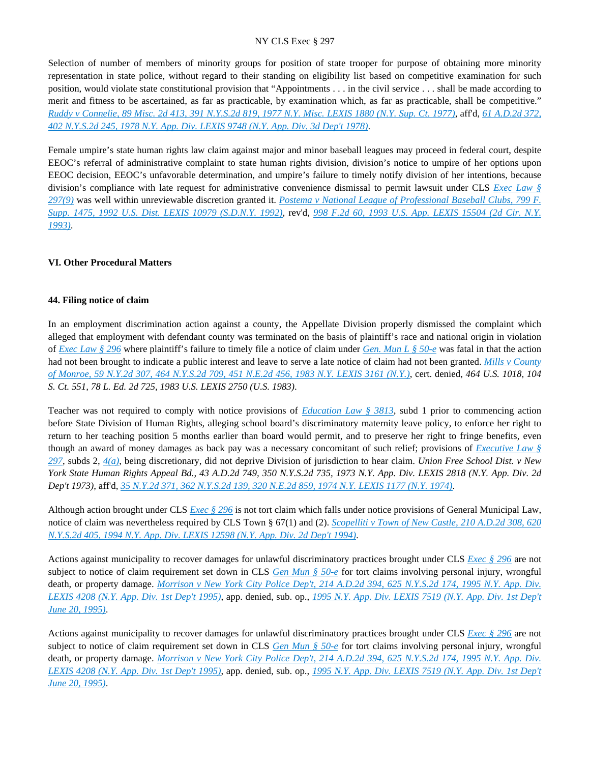Selection of number of members of minority groups for position of state trooper for purpose of obtaining more minority representation in state police, without regard to their standing on eligibility list based on competitive examination for such position, would violate state constitutional provision that "Appointments . . . in the civil service . . . shall be made according to merit and fitness to be ascertained, as far as practicable, by examination which, as far as practicable, shall be competitive." *[Ruddy v Connelie, 89 Misc. 2d 413, 391 N.Y.S.2d 819, 1977 N.Y. Misc. LEXIS 1880 \(N.Y. Sup. Ct. 1977\)](https://advance.lexis.com/api/document?collection=cases&id=urn:contentItem:3RRS-GWX0-003C-F547-00000-00&context=)*, aff'd, *[61 A.D.2d 372,](https://advance.lexis.com/api/document?collection=cases&id=urn:contentItem:3RRS-D8D0-003C-F1GN-00000-00&context=)  [402 N.Y.S.2d 245, 1978 N.Y. App. Div. LEXIS 9748 \(N.Y. App. Div. 3d Dep't 1978\)](https://advance.lexis.com/api/document?collection=cases&id=urn:contentItem:3RRS-D8D0-003C-F1GN-00000-00&context=)*.

Female umpire's state human rights law claim against major and minor baseball leagues may proceed in federal court, despite EEOC's referral of administrative complaint to state human rights division, division's notice to umpire of her options upon EEOC decision, EEOC's unfavorable determination, and umpire's failure to timely notify division of her intentions, because division's compliance with late request for administrative convenience dismissal to permit lawsuit under CLS *[Exec Law §](https://advance.lexis.com/api/document?collection=statutes-legislation&id=urn:contentItem:5H6N-1CT1-DXC8-036V-00000-00&context=)  [297\(9\)](https://advance.lexis.com/api/document?collection=statutes-legislation&id=urn:contentItem:5H6N-1CT1-DXC8-036V-00000-00&context=)* was well within unreviewable discretion granted it. *[Postema v National League of Professional Baseball Clubs, 799 F.](https://advance.lexis.com/api/document?collection=cases&id=urn:contentItem:3S4N-J560-008H-F23F-00000-00&context=)  [Supp. 1475, 1992 U.S. Dist. LEXIS 10979 \(S.D.N.Y. 1992\)](https://advance.lexis.com/api/document?collection=cases&id=urn:contentItem:3S4N-J560-008H-F23F-00000-00&context=)*, rev'd, *[998 F.2d 60, 1993 U.S. App. LEXIS 15504 \(2d Cir. N.Y.](https://advance.lexis.com/api/document?collection=cases&id=urn:contentItem:3S4X-FHY0-003B-P2D9-00000-00&context=)  [1993\)](https://advance.lexis.com/api/document?collection=cases&id=urn:contentItem:3S4X-FHY0-003B-P2D9-00000-00&context=)*.

# **VI. Other Procedural Matters**

#### **44. Filing notice of claim**

In an employment discrimination action against a county, the Appellate Division properly dismissed the complaint which alleged that employment with defendant county was terminated on the basis of plaintiff's race and national origin in violation of *[Exec Law § 296](https://advance.lexis.com/api/document?collection=statutes-legislation&id=urn:contentItem:8TP5-PCS2-8T6X-74HS-00000-00&context=)* where plaintiff's failure to timely file a notice of claim under *[Gen. Mun L § 50-e](https://advance.lexis.com/api/document?collection=statutes-legislation&id=urn:contentItem:8TV7-8M62-8T6X-74KN-00000-00&context=)* was fatal in that the action had not been brought to indicate a public interest and leave to serve a late notice of claim had not been granted. *[Mills v County](https://advance.lexis.com/api/document?collection=cases&id=urn:contentItem:3S3J-YFG0-003D-G09T-00000-00&context=)  [of Monroe, 59 N.Y.2d 307, 464 N.Y.S.2d 709, 451 N.E.2d 456, 1983 N.Y. LEXIS 3161 \(N.Y.\)](https://advance.lexis.com/api/document?collection=cases&id=urn:contentItem:3S3J-YFG0-003D-G09T-00000-00&context=)*, cert. denied, *464 U.S. 1018, 104 S. Ct. 551, 78 L. Ed. 2d 725, 1983 U.S. LEXIS 2750 (U.S. 1983)*.

Teacher was not required to comply with notice provisions of *[Education Law § 3813](https://advance.lexis.com/api/document?collection=statutes-legislation&id=urn:contentItem:8TV7-8M62-D6RV-H560-00000-00&context=)*, subd 1 prior to commencing action before State Division of Human Rights, alleging school board's discriminatory maternity leave policy, to enforce her right to return to her teaching position 5 months earlier than board would permit, and to preserve her right to fringe benefits, even though an award of money damages as back pay was a necessary concomitant of such relief; provisions of *[Executive Law §](https://advance.lexis.com/api/document?collection=statutes-legislation&id=urn:contentItem:5H6N-1CT1-DXC8-036V-00000-00&context=)  [297](https://advance.lexis.com/api/document?collection=statutes-legislation&id=urn:contentItem:5H6N-1CT1-DXC8-036V-00000-00&context=)*, subds 2, *[4\(a\)](https://advance.lexis.com/api/document?collection=statutes-legislation&id=urn:contentItem:5CT3-0SF1-6RDJ-851F-00000-00&context=)*, being discretionary, did not deprive Division of jurisdiction to hear claim. *Union Free School Dist. v New York State Human Rights Appeal Bd., 43 A.D.2d 749, 350 N.Y.S.2d 735, 1973 N.Y. App. Div. LEXIS 2818 (N.Y. App. Div. 2d Dep't 1973)*, aff'd, *[35 N.Y.2d 371, 362 N.Y.S.2d 139, 320 N.E.2d 859, 1974 N.Y. LEXIS 1177 \(N.Y. 1974\)](https://advance.lexis.com/api/document?collection=cases&id=urn:contentItem:3RRS-VF80-003C-C078-00000-00&context=)*.

Although action brought under CLS *[Exec § 296](https://advance.lexis.com/api/document?collection=statutes-legislation&id=urn:contentItem:8TP5-PCS2-8T6X-74HS-00000-00&context=)* is not tort claim which falls under notice provisions of General Municipal Law, notice of claim was nevertheless required by CLS Town § 67(1) and (2). *[Scopelliti v Town of New Castle, 210 A.D.2d 308, 620](https://advance.lexis.com/api/document?collection=cases&id=urn:contentItem:3S2R-6HW0-003V-B390-00000-00&context=)  [N.Y.S.2d 405, 1994 N.Y. App. Div. LEXIS 12598 \(N.Y. App. Div. 2d Dep't 1994\)](https://advance.lexis.com/api/document?collection=cases&id=urn:contentItem:3S2R-6HW0-003V-B390-00000-00&context=)*.

Actions against municipality to recover damages for unlawful discriminatory practices brought under CLS *[Exec § 296](https://advance.lexis.com/api/document?collection=statutes-legislation&id=urn:contentItem:8TP5-PCS2-8T6X-74HS-00000-00&context=)* are not subject to notice of claim requirement set down in CLS *[Gen Mun § 50-e](https://advance.lexis.com/api/document?collection=statutes-legislation&id=urn:contentItem:8TV7-8M62-8T6X-74KN-00000-00&context=)* for tort claims involving personal injury, wrongful death, or property damage. *[Morrison v New York City Police Dep't, 214 A.D.2d 394, 625 N.Y.S.2d 174, 1995 N.Y. App. Div.](https://advance.lexis.com/api/document?collection=cases&id=urn:contentItem:3S2R-6BB0-003V-B4YT-00000-00&context=)  [LEXIS 4208 \(N.Y. App. Div. 1st Dep't 1995\)](https://advance.lexis.com/api/document?collection=cases&id=urn:contentItem:3S2R-6BB0-003V-B4YT-00000-00&context=)*, app. denied, sub. op., *[1995 N.Y. App. Div. LEXIS 7519 \(N.Y. App. Div. 1st Dep't](https://advance.lexis.com/api/document?collection=cases&id=urn:contentItem:3S2R-66Y0-003V-B55C-00000-00&context=)  [June 20, 1995\)](https://advance.lexis.com/api/document?collection=cases&id=urn:contentItem:3S2R-66Y0-003V-B55C-00000-00&context=)*.

Actions against municipality to recover damages for unlawful discriminatory practices brought under CLS *[Exec § 296](https://advance.lexis.com/api/document?collection=statutes-legislation&id=urn:contentItem:8TP5-PCS2-8T6X-74HS-00000-00&context=)* are not subject to notice of claim requirement set down in CLS *[Gen Mun § 50-e](https://advance.lexis.com/api/document?collection=statutes-legislation&id=urn:contentItem:8TV7-8M62-8T6X-74KN-00000-00&context=)* for tort claims involving personal injury, wrongful death, or property damage. *[Morrison v New York City Police Dep't, 214 A.D.2d 394, 625 N.Y.S.2d 174, 1995 N.Y. App. Div.](https://advance.lexis.com/api/document?collection=cases&id=urn:contentItem:3S2R-6BB0-003V-B4YT-00000-00&context=)  [LEXIS 4208 \(N.Y. App. Div. 1st Dep't 1995\)](https://advance.lexis.com/api/document?collection=cases&id=urn:contentItem:3S2R-6BB0-003V-B4YT-00000-00&context=)*, app. denied, sub. op., *[1995 N.Y. App. Div. LEXIS 7519 \(N.Y. App. Div. 1st Dep't](https://advance.lexis.com/api/document?collection=cases&id=urn:contentItem:3S2R-66Y0-003V-B55C-00000-00&context=)  [June 20, 1995\)](https://advance.lexis.com/api/document?collection=cases&id=urn:contentItem:3S2R-66Y0-003V-B55C-00000-00&context=)*.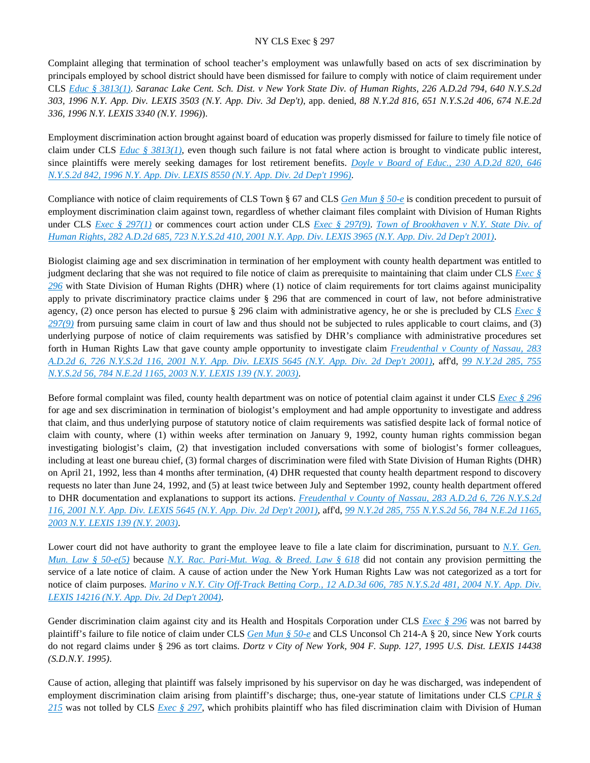Complaint alleging that termination of school teacher's employment was unlawfully based on acts of sex discrimination by principals employed by school district should have been dismissed for failure to comply with notice of claim requirement under CLS *[Educ § 3813\(1\)](https://advance.lexis.com/api/document?collection=statutes-legislation&id=urn:contentItem:8TV7-8M62-D6RV-H560-00000-00&context=)*. *Saranac Lake Cent. Sch. Dist. v New York State Div. of Human Rights, 226 A.D.2d 794, 640 N.Y.S.2d 303, 1996 N.Y. App. Div. LEXIS 3503 (N.Y. App. Div. 3d Dep't)*, app. denied, *88 N.Y.2d 816, 651 N.Y.S.2d 406, 674 N.E.2d 336, 1996 N.Y. LEXIS 3340 (N.Y. 1996)*).

Employment discrimination action brought against board of education was properly dismissed for failure to timely file notice of claim under CLS *[Educ § 3813\(1\)](https://advance.lexis.com/api/document?collection=statutes-legislation&id=urn:contentItem:8TV7-8M62-D6RV-H560-00000-00&context=)*, even though such failure is not fatal where action is brought to vindicate public interest, since plaintiffs were merely seeking damages for lost retirement benefits. *[Doyle v Board of Educ., 230 A.D.2d 820, 646](https://advance.lexis.com/api/document?collection=cases&id=urn:contentItem:3S2K-JC80-003V-B3PP-00000-00&context=)  [N.Y.S.2d 842, 1996 N.Y. App. Div. LEXIS 8550 \(N.Y. App. Div. 2d Dep't 1996\)](https://advance.lexis.com/api/document?collection=cases&id=urn:contentItem:3S2K-JC80-003V-B3PP-00000-00&context=)*.

Compliance with notice of claim requirements of CLS Town § 67 and CLS *[Gen Mun § 50-e](https://advance.lexis.com/api/document?collection=statutes-legislation&id=urn:contentItem:8TV7-8M62-8T6X-74KN-00000-00&context=)* is condition precedent to pursuit of employment discrimination claim against town, regardless of whether claimant files complaint with Division of Human Rights under CLS *[Exec § 297\(1\)](https://advance.lexis.com/api/document?collection=statutes-legislation&id=urn:contentItem:5H6N-1CT1-DXC8-036V-00000-00&context=)* or commences court action under CLS *[Exec § 297\(9\)](https://advance.lexis.com/api/document?collection=statutes-legislation&id=urn:contentItem:5H6N-1CT1-DXC8-036V-00000-00&context=)*. *[Town of Brookhaven v N.Y. State Div. of](https://advance.lexis.com/api/document?collection=cases&id=urn:contentItem:42WP-2K50-0039-4081-00000-00&context=)  [Human Rights, 282 A.D.2d 685, 723 N.Y.S.2d 410, 2001 N.Y. App. Div. LEXIS 3965 \(N.Y. App. Div. 2d Dep't 2001\)](https://advance.lexis.com/api/document?collection=cases&id=urn:contentItem:42WP-2K50-0039-4081-00000-00&context=)*.

Biologist claiming age and sex discrimination in termination of her employment with county health department was entitled to judgment declaring that she was not required to file notice of claim as prerequisite to maintaining that claim under CLS *[Exec §](https://advance.lexis.com/api/document?collection=statutes-legislation&id=urn:contentItem:8TP5-PCS2-8T6X-74HS-00000-00&context=)  [296](https://advance.lexis.com/api/document?collection=statutes-legislation&id=urn:contentItem:8TP5-PCS2-8T6X-74HS-00000-00&context=)* with State Division of Human Rights (DHR) where (1) notice of claim requirements for tort claims against municipality apply to private discriminatory practice claims under § 296 that are commenced in court of law, not before administrative agency, (2) once person has elected to pursue § 296 claim with administrative agency, he or she is precluded by CLS *[Exec §](https://advance.lexis.com/api/document?collection=statutes-legislation&id=urn:contentItem:5H6N-1CT1-DXC8-036V-00000-00&context=)  [297\(9\)](https://advance.lexis.com/api/document?collection=statutes-legislation&id=urn:contentItem:5H6N-1CT1-DXC8-036V-00000-00&context=)* from pursuing same claim in court of law and thus should not be subjected to rules applicable to court claims, and (3) underlying purpose of notice of claim requirements was satisfied by DHR's compliance with administrative procedures set forth in Human Rights Law that gave county ample opportunity to investigate claim *[Freudenthal v County of Nassau, 283](https://advance.lexis.com/api/document?collection=cases&id=urn:contentItem:436P-NVF0-0039-43B2-00000-00&context=)  [A.D.2d 6, 726 N.Y.S.2d 116, 2001 N.Y. App. Div. LEXIS 5645 \(N.Y. App. Div. 2d Dep't 2001\)](https://advance.lexis.com/api/document?collection=cases&id=urn:contentItem:436P-NVF0-0039-43B2-00000-00&context=)*, aff'd, *[99 N.Y.2d 285, 755](https://advance.lexis.com/api/document?collection=cases&id=urn:contentItem:47XF-T3T0-0039-41C8-00000-00&context=)  [N.Y.S.2d 56, 784 N.E.2d 1165, 2003 N.Y. LEXIS 139 \(N.Y. 2003\)](https://advance.lexis.com/api/document?collection=cases&id=urn:contentItem:47XF-T3T0-0039-41C8-00000-00&context=)*.

Before formal complaint was filed, county health department was on notice of potential claim against it under CLS *[Exec § 296](https://advance.lexis.com/api/document?collection=statutes-legislation&id=urn:contentItem:8TP5-PCS2-8T6X-74HS-00000-00&context=)* for age and sex discrimination in termination of biologist's employment and had ample opportunity to investigate and address that claim, and thus underlying purpose of statutory notice of claim requirements was satisfied despite lack of formal notice of claim with county, where (1) within weeks after termination on January 9, 1992, county human rights commission began investigating biologist's claim, (2) that investigation included conversations with some of biologist's former colleagues, including at least one bureau chief, (3) formal charges of discrimination were filed with State Division of Human Rights (DHR) on April 21, 1992, less than 4 months after termination, (4) DHR requested that county health department respond to discovery requests no later than June 24, 1992, and (5) at least twice between July and September 1992, county health department offered to DHR documentation and explanations to support its actions. *[Freudenthal v County of Nassau, 283 A.D.2d 6, 726 N.Y.S.2d](https://advance.lexis.com/api/document?collection=cases&id=urn:contentItem:436P-NVF0-0039-43B2-00000-00&context=)  [116, 2001 N.Y. App. Div. LEXIS 5645 \(N.Y. App. Div. 2d Dep't 2001\)](https://advance.lexis.com/api/document?collection=cases&id=urn:contentItem:436P-NVF0-0039-43B2-00000-00&context=)*, aff'd, *[99 N.Y.2d 285, 755 N.Y.S.2d 56, 784 N.E.2d 1165,](https://advance.lexis.com/api/document?collection=cases&id=urn:contentItem:47XF-T3T0-0039-41C8-00000-00&context=)  [2003 N.Y. LEXIS 139 \(N.Y. 2003\)](https://advance.lexis.com/api/document?collection=cases&id=urn:contentItem:47XF-T3T0-0039-41C8-00000-00&context=)*.

Lower court did not have authority to grant the employee leave to file a late claim for discrimination, pursuant to *N.Y. Gen. [Mun. Law § 50-e\(5\)](https://advance.lexis.com/api/document?collection=statutes-legislation&id=urn:contentItem:8TV7-8M62-8T6X-74KN-00000-00&context=)* because *[N.Y. Rac. Pari-Mut. Wag. & Breed. Law § 618](https://advance.lexis.com/api/document?collection=statutes-legislation&id=urn:contentItem:5CT3-1P71-6RDJ-853H-00000-00&context=)* did not contain any provision permitting the service of a late notice of claim. A cause of action under the New York Human Rights Law was not categorized as a tort for notice of claim purposes. *[Marino v N.Y. City Off-Track Betting Corp., 12 A.D.3d 606, 785 N.Y.S.2d 481, 2004 N.Y. App. Div.](https://advance.lexis.com/api/document?collection=cases&id=urn:contentItem:4DW1-VK10-0039-43XK-00000-00&context=)  [LEXIS 14216 \(N.Y. App. Div. 2d Dep't 2004\)](https://advance.lexis.com/api/document?collection=cases&id=urn:contentItem:4DW1-VK10-0039-43XK-00000-00&context=)*.

Gender discrimination claim against city and its Health and Hospitals Corporation under CLS *[Exec § 296](https://advance.lexis.com/api/document?collection=statutes-legislation&id=urn:contentItem:8TP5-PCS2-8T6X-74HS-00000-00&context=)* was not barred by plaintiff's failure to file notice of claim under CLS *[Gen Mun § 50-e](https://advance.lexis.com/api/document?collection=statutes-legislation&id=urn:contentItem:8TV7-8M62-8T6X-74KN-00000-00&context=)* and CLS Unconsol Ch 214-A § 20, since New York courts do not regard claims under § 296 as tort claims. *Dortz v City of New York, 904 F. Supp. 127, 1995 U.S. Dist. LEXIS 14438 (S.D.N.Y. 1995)*.

Cause of action, alleging that plaintiff was falsely imprisoned by his supervisor on day he was discharged, was independent of employment discrimination claim arising from plaintiff's discharge; thus, one-year statute of limitations under CLS *[CPLR §](https://advance.lexis.com/api/document?collection=statutes-legislation&id=urn:contentItem:5CT3-08C1-6RDJ-8461-00000-00&context=)  [215](https://advance.lexis.com/api/document?collection=statutes-legislation&id=urn:contentItem:5CT3-08C1-6RDJ-8461-00000-00&context=)* was not tolled by CLS *[Exec § 297](https://advance.lexis.com/api/document?collection=statutes-legislation&id=urn:contentItem:5H6N-1CT1-DXC8-036V-00000-00&context=)*, which prohibits plaintiff who has filed discrimination claim with Division of Human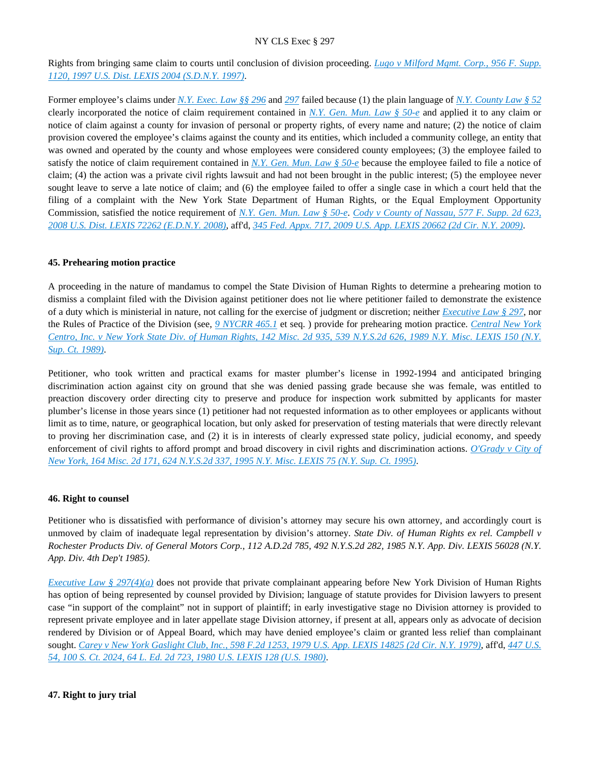Rights from bringing same claim to courts until conclusion of division proceeding. *[Lugo v Milford Mgmt. Corp., 956 F. Supp.](https://advance.lexis.com/api/document?collection=cases&id=urn:contentItem:3S4N-GPX0-00B1-F172-00000-00&context=)  [1120, 1997 U.S. Dist. LEXIS 2004 \(S.D.N.Y. 1997\)](https://advance.lexis.com/api/document?collection=cases&id=urn:contentItem:3S4N-GPX0-00B1-F172-00000-00&context=)*.

Former employee's claims under *[N.Y. Exec. Law §§ 296](https://advance.lexis.com/api/document?collection=statutes-legislation&id=urn:contentItem:8TP5-PCS2-8T6X-74HS-00000-00&context=)* and *[297](https://advance.lexis.com/api/document?collection=statutes-legislation&id=urn:contentItem:5H6N-1CT1-DXC8-036V-00000-00&context=)* failed because (1) the plain language of *[N.Y. County Law § 52](https://advance.lexis.com/api/document?collection=statutes-legislation&id=urn:contentItem:5CT2-YKP1-6RDJ-842X-00000-00&context=)* clearly incorporated the notice of claim requirement contained in *[N.Y. Gen. Mun. Law § 50-e](https://advance.lexis.com/api/document?collection=statutes-legislation&id=urn:contentItem:8TV7-8M62-8T6X-74KN-00000-00&context=)* and applied it to any claim or notice of claim against a county for invasion of personal or property rights, of every name and nature; (2) the notice of claim provision covered the employee's claims against the county and its entities, which included a community college, an entity that was owned and operated by the county and whose employees were considered county employees; (3) the employee failed to satisfy the notice of claim requirement contained in *[N.Y. Gen. Mun. Law § 50-e](https://advance.lexis.com/api/document?collection=statutes-legislation&id=urn:contentItem:8TV7-8M62-8T6X-74KN-00000-00&context=)* because the employee failed to file a notice of claim; (4) the action was a private civil rights lawsuit and had not been brought in the public interest; (5) the employee never sought leave to serve a late notice of claim; and (6) the employee failed to offer a single case in which a court held that the filing of a complaint with the New York State Department of Human Rights, or the Equal Employment Opportunity Commission, satisfied the notice requirement of *[N.Y. Gen. Mun. Law § 50-e](https://advance.lexis.com/api/document?collection=statutes-legislation&id=urn:contentItem:8TV7-8M62-8T6X-74KN-00000-00&context=)*. *[Cody v County of Nassau, 577 F. Supp. 2d 623,](https://advance.lexis.com/api/document?collection=cases&id=urn:contentItem:4THM-2G60-TXFR-J1TJ-00000-00&context=)  [2008 U.S. Dist. LEXIS 72262 \(E.D.N.Y. 2008\)](https://advance.lexis.com/api/document?collection=cases&id=urn:contentItem:4THM-2G60-TXFR-J1TJ-00000-00&context=)*, aff'd, *[345 Fed. Appx. 717, 2009 U.S. App. LEXIS 20662 \(2d Cir. N.Y. 2009\)](https://advance.lexis.com/api/document?collection=cases&id=urn:contentItem:4X7Y-6KY0-TXFX-42NF-00000-00&context=)*.

## **45. Prehearing motion practice**

A proceeding in the nature of mandamus to compel the State Division of Human Rights to determine a prehearing motion to dismiss a complaint filed with the Division against petitioner does not lie where petitioner failed to demonstrate the existence of a duty which is ministerial in nature, not calling for the exercise of judgment or discretion; neither *[Executive Law § 297](https://advance.lexis.com/api/document?collection=statutes-legislation&id=urn:contentItem:5H6N-1CT1-DXC8-036V-00000-00&context=)*, nor the Rules of Practice of the Division (see, *[9 NYCRR 465.1](https://advance.lexis.com/api/document?collection=administrative-codes&id=urn:contentItem:5VXH-YX20-00XK-W10N-00000-00&context=)* et seq. ) provide for prehearing motion practice. *[Central New York](https://advance.lexis.com/api/document?collection=cases&id=urn:contentItem:3S2R-BDS0-003V-B0D0-00000-00&context=)  [Centro, Inc. v New York State Div. of Human Rights, 142 Misc. 2d 935, 539 N.Y.S.2d 626, 1989 N.Y. Misc. LEXIS 150 \(N.Y.](https://advance.lexis.com/api/document?collection=cases&id=urn:contentItem:3S2R-BDS0-003V-B0D0-00000-00&context=)  [Sup. Ct. 1989\)](https://advance.lexis.com/api/document?collection=cases&id=urn:contentItem:3S2R-BDS0-003V-B0D0-00000-00&context=)*.

Petitioner, who took written and practical exams for master plumber's license in 1992-1994 and anticipated bringing discrimination action against city on ground that she was denied passing grade because she was female, was entitled to preaction discovery order directing city to preserve and produce for inspection work submitted by applicants for master plumber's license in those years since (1) petitioner had not requested information as to other employees or applicants without limit as to time, nature, or geographical location, but only asked for preservation of testing materials that were directly relevant to proving her discrimination case, and (2) it is in interests of clearly expressed state policy, judicial economy, and speedy enforcement of civil rights to afford prompt and broad discovery in civil rights and discrimination actions. *[O'Grady v City of](https://advance.lexis.com/api/document?collection=cases&id=urn:contentItem:3S2R-6F60-003V-B46B-00000-00&context=)  [New York, 164 Misc. 2d 171, 624 N.Y.S.2d 337, 1995 N.Y. Misc. LEXIS 75 \(N.Y. Sup. Ct. 1995\)](https://advance.lexis.com/api/document?collection=cases&id=urn:contentItem:3S2R-6F60-003V-B46B-00000-00&context=)*.

#### **46. Right to counsel**

Petitioner who is dissatisfied with performance of division's attorney may secure his own attorney, and accordingly court is unmoved by claim of inadequate legal representation by division's attorney. *State Div. of Human Rights ex rel. Campbell v Rochester Products Div. of General Motors Corp., 112 A.D.2d 785, 492 N.Y.S.2d 282, 1985 N.Y. App. Div. LEXIS 56028 (N.Y. App. Div. 4th Dep't 1985)*.

*[Executive Law § 297\(4\)\(a\)](https://advance.lexis.com/api/document?collection=statutes-legislation&id=urn:contentItem:5H6N-1CT1-DXC8-036V-00000-00&context=)* does not provide that private complainant appearing before New York Division of Human Rights has option of being represented by counsel provided by Division; language of statute provides for Division lawyers to present case "in support of the complaint" not in support of plaintiff; in early investigative stage no Division attorney is provided to represent private employee and in later appellate stage Division attorney, if present at all, appears only as advocate of decision rendered by Division or of Appeal Board, which may have denied employee's claim or granted less relief than complainant sought. *[Carey v New York Gaslight Club, Inc., 598 F.2d 1253, 1979 U.S. App. LEXIS 14825 \(2d Cir. N.Y. 1979\)](https://advance.lexis.com/api/document?collection=cases&id=urn:contentItem:3S4W-W1W0-0039-M272-00000-00&context=)*, aff'd, *[447 U.S.](https://advance.lexis.com/api/document?collection=cases&id=urn:contentItem:3S4X-76S0-003B-S1C9-00000-00&context=)  [54, 100 S. Ct. 2024, 64 L. Ed. 2d 723, 1980 U.S. LEXIS 128 \(U.S. 1980\)](https://advance.lexis.com/api/document?collection=cases&id=urn:contentItem:3S4X-76S0-003B-S1C9-00000-00&context=)*.

## **47. Right to jury trial**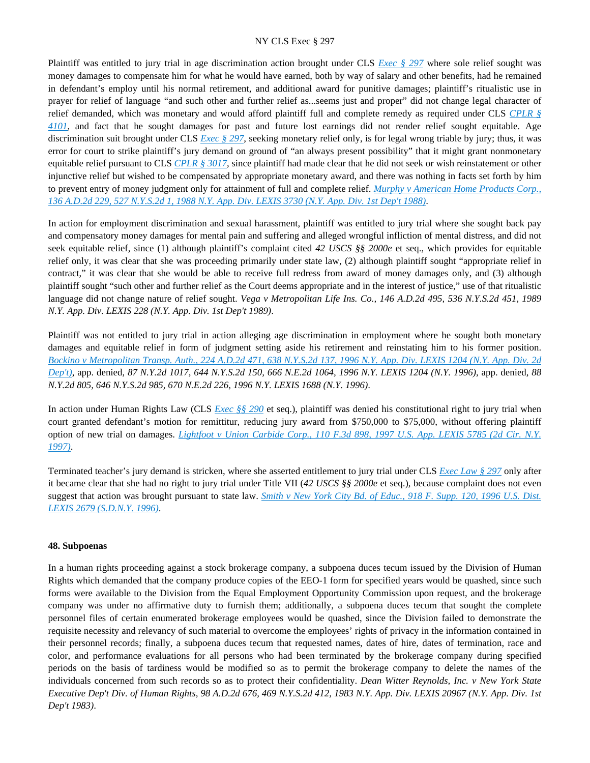Plaintiff was entitled to jury trial in age discrimination action brought under CLS *[Exec § 297](https://advance.lexis.com/api/document?collection=statutes-legislation&id=urn:contentItem:5H6N-1CT1-DXC8-036V-00000-00&context=)* where sole relief sought was money damages to compensate him for what he would have earned, both by way of salary and other benefits, had he remained in defendant's employ until his normal retirement, and additional award for punitive damages; plaintiff's ritualistic use in prayer for relief of language "and such other and further relief as...seems just and proper" did not change legal character of relief demanded, which was monetary and would afford plaintiff full and complete remedy as required under CLS *[CPLR §](https://advance.lexis.com/api/document?collection=statutes-legislation&id=urn:contentItem:5CT3-08C1-6RDJ-84N7-00000-00&context=)  [4101](https://advance.lexis.com/api/document?collection=statutes-legislation&id=urn:contentItem:5CT3-08C1-6RDJ-84N7-00000-00&context=)*, and fact that he sought damages for past and future lost earnings did not render relief sought equitable. Age discrimination suit brought under CLS *[Exec § 297](https://advance.lexis.com/api/document?collection=statutes-legislation&id=urn:contentItem:5H6N-1CT1-DXC8-036V-00000-00&context=)*, seeking monetary relief only, is for legal wrong triable by jury; thus, it was error for court to strike plaintiff's jury demand on ground of "an always present possibility" that it might grant nonmonetary equitable relief pursuant to CLS *[CPLR § 3017](https://advance.lexis.com/api/document?collection=statutes-legislation&id=urn:contentItem:5CT3-08C1-6RDJ-84HX-00000-00&context=)*, since plaintiff had made clear that he did not seek or wish reinstatement or other injunctive relief but wished to be compensated by appropriate monetary award, and there was nothing in facts set forth by him to prevent entry of money judgment only for attainment of full and complete relief. *[Murphy v American Home Products Corp.,](https://advance.lexis.com/api/document?collection=cases&id=urn:contentItem:3S3K-00M0-003D-G0N0-00000-00&context=)  [136 A.D.2d 229, 527 N.Y.S.2d 1, 1988 N.Y. App. Div. LEXIS 3730 \(N.Y. App. Div. 1st Dep't 1988\)](https://advance.lexis.com/api/document?collection=cases&id=urn:contentItem:3S3K-00M0-003D-G0N0-00000-00&context=)*.

In action for employment discrimination and sexual harassment, plaintiff was entitled to jury trial where she sought back pay and compensatory money damages for mental pain and suffering and alleged wrongful infliction of mental distress, and did not seek equitable relief, since (1) although plaintiff's complaint cited *42 USCS §§ 2000e* et seq., which provides for equitable relief only, it was clear that she was proceeding primarily under state law, (2) although plaintiff sought "appropriate relief in contract," it was clear that she would be able to receive full redress from award of money damages only, and (3) although plaintiff sought "such other and further relief as the Court deems appropriate and in the interest of justice," use of that ritualistic language did not change nature of relief sought. *Vega v Metropolitan Life Ins. Co., 146 A.D.2d 495, 536 N.Y.S.2d 451, 1989 N.Y. App. Div. LEXIS 228 (N.Y. App. Div. 1st Dep't 1989)*.

Plaintiff was not entitled to jury trial in action alleging age discrimination in employment where he sought both monetary damages and equitable relief in form of judgment setting aside his retirement and reinstating him to his former position. *[Bockino v Metropolitan Transp. Auth., 224 A.D.2d 471, 638 N.Y.S.2d 137, 1996 N.Y. App. Div. LEXIS 1204 \(N.Y. App. Div. 2d](https://advance.lexis.com/api/document?collection=cases&id=urn:contentItem:3S2R-5VT0-003V-B217-00000-00&context=)  [Dep't\)](https://advance.lexis.com/api/document?collection=cases&id=urn:contentItem:3S2R-5VT0-003V-B217-00000-00&context=)*, app. denied, *87 N.Y.2d 1017, 644 N.Y.S.2d 150, 666 N.E.2d 1064, 1996 N.Y. LEXIS 1204 (N.Y. 1996)*, app. denied, *88 N.Y.2d 805, 646 N.Y.S.2d 985, 670 N.E.2d 226, 1996 N.Y. LEXIS 1688 (N.Y. 1996)*.

In action under Human Rights Law (CLS *[Exec §§ 290](https://advance.lexis.com/api/document?collection=statutes-legislation&id=urn:contentItem:5CT3-0SG1-6RDJ-847W-00000-00&context=)* et seq.), plaintiff was denied his constitutional right to jury trial when court granted defendant's motion for remittitur, reducing jury award from \$750,000 to \$75,000, without offering plaintiff option of new trial on damages. *[Lightfoot v Union Carbide Corp., 110 F.3d 898, 1997 U.S. App. LEXIS 5785 \(2d Cir. N.Y.](https://advance.lexis.com/api/document?collection=cases&id=urn:contentItem:3S4X-HP80-00B1-D34B-00000-00&context=)  [1997\)](https://advance.lexis.com/api/document?collection=cases&id=urn:contentItem:3S4X-HP80-00B1-D34B-00000-00&context=)*.

Terminated teacher's jury demand is stricken, where she asserted entitlement to jury trial under CLS *[Exec Law § 297](https://advance.lexis.com/api/document?collection=statutes-legislation&id=urn:contentItem:5H6N-1CT1-DXC8-036V-00000-00&context=)* only after it became clear that she had no right to jury trial under Title VII (*42 USCS §§ 2000e* et seq.), because complaint does not even suggest that action was brought pursuant to state law. *[Smith v New York City Bd. of Educ., 918 F. Supp. 120, 1996 U.S. Dist.](https://advance.lexis.com/api/document?collection=cases&id=urn:contentItem:3S4N-T1C0-006F-P1MD-00000-00&context=)  [LEXIS 2679 \(S.D.N.Y. 1996\)](https://advance.lexis.com/api/document?collection=cases&id=urn:contentItem:3S4N-T1C0-006F-P1MD-00000-00&context=)*.

#### **48. Subpoenas**

In a human rights proceeding against a stock brokerage company, a subpoena duces tecum issued by the Division of Human Rights which demanded that the company produce copies of the EEO-1 form for specified years would be quashed, since such forms were available to the Division from the Equal Employment Opportunity Commission upon request, and the brokerage company was under no affirmative duty to furnish them; additionally, a subpoena duces tecum that sought the complete personnel files of certain enumerated brokerage employees would be quashed, since the Division failed to demonstrate the requisite necessity and relevancy of such material to overcome the employees' rights of privacy in the information contained in their personnel records; finally, a subpoena duces tecum that requested names, dates of hire, dates of termination, race and color, and performance evaluations for all persons who had been terminated by the brokerage company during specified periods on the basis of tardiness would be modified so as to permit the brokerage company to delete the names of the individuals concerned from such records so as to protect their confidentiality. *Dean Witter Reynolds, Inc. v New York State Executive Dep't Div. of Human Rights, 98 A.D.2d 676, 469 N.Y.S.2d 412, 1983 N.Y. App. Div. LEXIS 20967 (N.Y. App. Div. 1st Dep't 1983)*.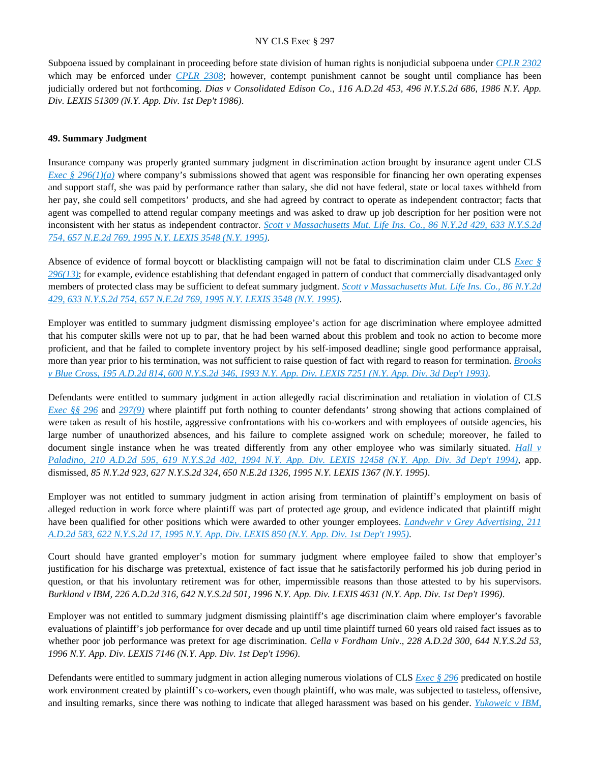Subpoena issued by complainant in proceeding before state division of human rights is nonjudicial subpoena under *[CPLR 2302](https://advance.lexis.com/api/document?collection=statutes-legislation&id=urn:contentItem:5CT3-08C1-6RDJ-84FY-00000-00&context=)* which may be enforced under *[CPLR 2308](https://advance.lexis.com/api/document?collection=statutes-legislation&id=urn:contentItem:5CT3-08C1-6RDJ-84G6-00000-00&context=)*; however, contempt punishment cannot be sought until compliance has been judicially ordered but not forthcoming. *Dias v Consolidated Edison Co., 116 A.D.2d 453, 496 N.Y.S.2d 686, 1986 N.Y. App. Div. LEXIS 51309 (N.Y. App. Div. 1st Dep't 1986)*.

#### **49. Summary Judgment**

Insurance company was properly granted summary judgment in discrimination action brought by insurance agent under CLS *[Exec § 296\(1\)\(a\)](https://advance.lexis.com/api/document?collection=statutes-legislation&id=urn:contentItem:8TP5-PCS2-8T6X-74HS-00000-00&context=)* where company's submissions showed that agent was responsible for financing her own operating expenses and support staff, she was paid by performance rather than salary, she did not have federal, state or local taxes withheld from her pay, she could sell competitors' products, and she had agreed by contract to operate as independent contractor; facts that agent was compelled to attend regular company meetings and was asked to draw up job description for her position were not inconsistent with her status as independent contractor. *[Scott v Massachusetts Mut. Life Ins. Co., 86 N.Y.2d 429, 633 N.Y.S.2d](https://advance.lexis.com/api/document?collection=cases&id=urn:contentItem:3S2R-62J0-003V-B3P4-00000-00&context=)  [754, 657 N.E.2d 769, 1995 N.Y. LEXIS 3548 \(N.Y. 1995\)](https://advance.lexis.com/api/document?collection=cases&id=urn:contentItem:3S2R-62J0-003V-B3P4-00000-00&context=)*.

Absence of evidence of formal boycott or blacklisting campaign will not be fatal to discrimination claim under CLS *[Exec §](https://advance.lexis.com/api/document?collection=statutes-legislation&id=urn:contentItem:8TP5-PCS2-8T6X-74HS-00000-00&context=)  [296\(13\)](https://advance.lexis.com/api/document?collection=statutes-legislation&id=urn:contentItem:8TP5-PCS2-8T6X-74HS-00000-00&context=)*; for example, evidence establishing that defendant engaged in pattern of conduct that commercially disadvantaged only members of protected class may be sufficient to defeat summary judgment. *[Scott v Massachusetts Mut. Life Ins. Co., 86 N.Y.2d](https://advance.lexis.com/api/document?collection=cases&id=urn:contentItem:3S2R-62J0-003V-B3P4-00000-00&context=)  [429, 633 N.Y.S.2d 754, 657 N.E.2d 769, 1995 N.Y. LEXIS 3548 \(N.Y. 1995\)](https://advance.lexis.com/api/document?collection=cases&id=urn:contentItem:3S2R-62J0-003V-B3P4-00000-00&context=)*.

Employer was entitled to summary judgment dismissing employee's action for age discrimination where employee admitted that his computer skills were not up to par, that he had been warned about this problem and took no action to become more proficient, and that he failed to complete inventory project by his self-imposed deadline; single good performance appraisal, more than year prior to his termination, was not sufficient to raise question of fact with regard to reason for termination. *[Brooks](https://advance.lexis.com/api/document?collection=cases&id=urn:contentItem:3S2R-7BY0-003V-B2FR-00000-00&context=)  [v Blue Cross, 195 A.D.2d 814, 600 N.Y.S.2d 346, 1993 N.Y. App. Div. LEXIS 7251 \(N.Y. App. Div. 3d Dep't 1993\)](https://advance.lexis.com/api/document?collection=cases&id=urn:contentItem:3S2R-7BY0-003V-B2FR-00000-00&context=)*.

Defendants were entitled to summary judgment in action allegedly racial discrimination and retaliation in violation of CLS *[Exec §§ 296](https://advance.lexis.com/api/document?collection=statutes-legislation&id=urn:contentItem:8TP5-PCS2-8T6X-74HS-00000-00&context=)* and *[297\(9\)](https://advance.lexis.com/api/document?collection=statutes-legislation&id=urn:contentItem:5H6N-1CT1-DXC8-036V-00000-00&context=)* where plaintiff put forth nothing to counter defendants' strong showing that actions complained of were taken as result of his hostile, aggressive confrontations with his co-workers and with employees of outside agencies, his large number of unauthorized absences, and his failure to complete assigned work on schedule; moreover, he failed to document single instance when he was treated differently from any other employee who was similarly situated. *[Hall v](https://advance.lexis.com/api/document?collection=cases&id=urn:contentItem:3S2R-6J10-003V-B3H4-00000-00&context=)  [Paladino, 210 A.D.2d 595, 619 N.Y.S.2d 402, 1994 N.Y. App. Div. LEXIS 12458 \(N.Y. App. Div. 3d Dep't 1994\)](https://advance.lexis.com/api/document?collection=cases&id=urn:contentItem:3S2R-6J10-003V-B3H4-00000-00&context=)*, app. dismissed, *85 N.Y.2d 923, 627 N.Y.S.2d 324, 650 N.E.2d 1326, 1995 N.Y. LEXIS 1367 (N.Y. 1995)*.

Employer was not entitled to summary judgment in action arising from termination of plaintiff's employment on basis of alleged reduction in work force where plaintiff was part of protected age group, and evidence indicated that plaintiff might have been qualified for other positions which were awarded to other younger employees. *[Landwehr v Grey Advertising, 211](https://advance.lexis.com/api/document?collection=cases&id=urn:contentItem:3S2R-6FT0-003V-B556-00000-00&context=)  [A.D.2d 583, 622 N.Y.S.2d 17, 1995 N.Y. App. Div. LEXIS 850 \(N.Y. App. Div. 1st Dep't 1995\)](https://advance.lexis.com/api/document?collection=cases&id=urn:contentItem:3S2R-6FT0-003V-B556-00000-00&context=)*.

Court should have granted employer's motion for summary judgment where employee failed to show that employer's justification for his discharge was pretextual, existence of fact issue that he satisfactorily performed his job during period in question, or that his involuntary retirement was for other, impermissible reasons than those attested to by his supervisors. *Burkland v IBM, 226 A.D.2d 316, 642 N.Y.S.2d 501, 1996 N.Y. App. Div. LEXIS 4631 (N.Y. App. Div. 1st Dep't 1996)*.

Employer was not entitled to summary judgment dismissing plaintiff's age discrimination claim where employer's favorable evaluations of plaintiff's job performance for over decade and up until time plaintiff turned 60 years old raised fact issues as to whether poor job performance was pretext for age discrimination. *Cella v Fordham Univ.*, 228 A.D.2d 300, 644 N.Y.S.2d 53, *1996 N.Y. App. Div. LEXIS 7146 (N.Y. App. Div. 1st Dep't 1996)*.

Defendants were entitled to summary judgment in action alleging numerous violations of CLS *[Exec § 296](https://advance.lexis.com/api/document?collection=statutes-legislation&id=urn:contentItem:8TP5-PCS2-8T6X-74HS-00000-00&context=)* predicated on hostile work environment created by plaintiff's co-workers, even though plaintiff, who was male, was subjected to tasteless, offensive, and insulting remarks, since there was nothing to indicate that alleged harassment was based on his gender. *[Yukoweic v IBM,](https://advance.lexis.com/api/document?collection=cases&id=urn:contentItem:3RGS-BGT0-003V-B0GT-00000-00&context=)*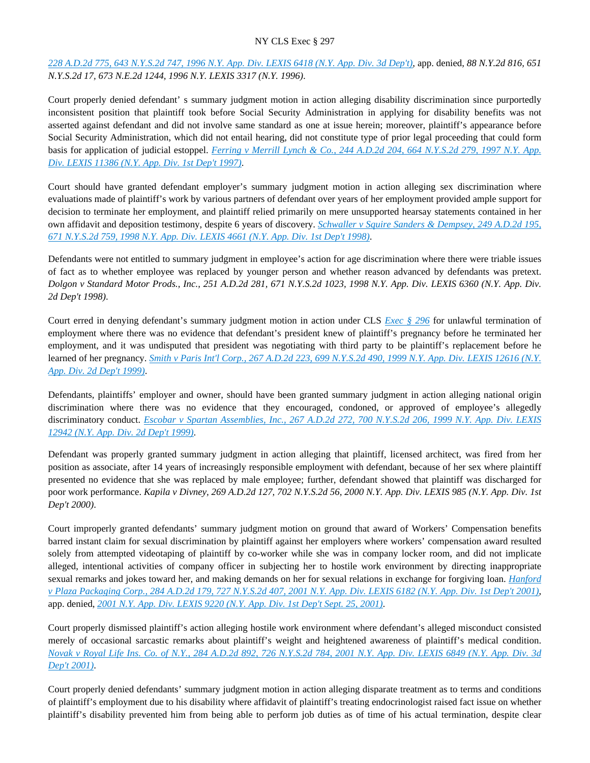*[228 A.D.2d 775, 643 N.Y.S.2d 747, 1996 N.Y. App. Div. LEXIS 6418 \(N.Y. App. Div. 3d Dep't\)](https://advance.lexis.com/api/document?collection=cases&id=urn:contentItem:3RGS-BGT0-003V-B0GT-00000-00&context=)*, app. denied, *88 N.Y.2d 816, 651 N.Y.S.2d 17, 673 N.E.2d 1244, 1996 N.Y. LEXIS 3317 (N.Y. 1996)*.

Court properly denied defendant' s summary judgment motion in action alleging disability discrimination since purportedly inconsistent position that plaintiff took before Social Security Administration in applying for disability benefits was not asserted against defendant and did not involve same standard as one at issue herein; moreover, plaintiff's appearance before Social Security Administration, which did not entail hearing, did not constitute type of prior legal proceeding that could form basis for application of judicial estoppel. *[Ferring v Merrill Lynch & Co., 244 A.D.2d 204, 664 N.Y.S.2d 279, 1997 N.Y. App.](https://advance.lexis.com/api/document?collection=cases&id=urn:contentItem:3RNF-BVD0-0039-44T9-00000-00&context=)  [Div. LEXIS 11386 \(N.Y. App. Div. 1st Dep't 1997\)](https://advance.lexis.com/api/document?collection=cases&id=urn:contentItem:3RNF-BVD0-0039-44T9-00000-00&context=)*.

Court should have granted defendant employer's summary judgment motion in action alleging sex discrimination where evaluations made of plaintiff's work by various partners of defendant over years of her employment provided ample support for decision to terminate her employment, and plaintiff relied primarily on mere unsupported hearsay statements contained in her own affidavit and deposition testimony, despite 6 years of discovery. *[Schwaller v Squire Sanders & Dempsey, 249 A.D.2d 195,](https://advance.lexis.com/api/document?collection=cases&id=urn:contentItem:3SJY-WBW0-0039-438T-00000-00&context=)  [671 N.Y.S.2d 759, 1998 N.Y. App. Div. LEXIS 4661 \(N.Y. App. Div. 1st Dep't 1998\)](https://advance.lexis.com/api/document?collection=cases&id=urn:contentItem:3SJY-WBW0-0039-438T-00000-00&context=)*.

Defendants were not entitled to summary judgment in employee's action for age discrimination where there were triable issues of fact as to whether employee was replaced by younger person and whether reason advanced by defendants was pretext. *Dolgon v Standard Motor Prods., Inc., 251 A.D.2d 281, 671 N.Y.S.2d 1023, 1998 N.Y. App. Div. LEXIS 6360 (N.Y. App. Div. 2d Dep't 1998)*.

Court erred in denying defendant's summary judgment motion in action under CLS *[Exec § 296](https://advance.lexis.com/api/document?collection=statutes-legislation&id=urn:contentItem:8TP5-PCS2-8T6X-74HS-00000-00&context=)* for unlawful termination of employment where there was no evidence that defendant's president knew of plaintiff's pregnancy before he terminated her employment, and it was undisputed that president was negotiating with third party to be plaintiff's replacement before he learned of her pregnancy. *[Smith v Paris Int'l Corp., 267 A.D.2d 223, 699 N.Y.S.2d 490, 1999 N.Y. App. Div. LEXIS 12616 \(N.Y.](https://advance.lexis.com/api/document?collection=cases&id=urn:contentItem:3Y2G-HH70-0039-4206-00000-00&context=)  [App. Div. 2d Dep't 1999\)](https://advance.lexis.com/api/document?collection=cases&id=urn:contentItem:3Y2G-HH70-0039-4206-00000-00&context=)*.

Defendants, plaintiffs' employer and owner, should have been granted summary judgment in action alleging national origin discrimination where there was no evidence that they encouraged, condoned, or approved of employee's allegedly discriminatory conduct. *[Escobar v Spartan Assemblies, Inc., 267 A.D.2d 272, 700 N.Y.S.2d 206, 1999 N.Y. App. Div. LEXIS](https://advance.lexis.com/api/document?collection=cases&id=urn:contentItem:3Y46-93J0-0039-43T7-00000-00&context=)  [12942 \(N.Y. App. Div. 2d Dep't 1999\)](https://advance.lexis.com/api/document?collection=cases&id=urn:contentItem:3Y46-93J0-0039-43T7-00000-00&context=)*.

Defendant was properly granted summary judgment in action alleging that plaintiff, licensed architect, was fired from her position as associate, after 14 years of increasingly responsible employment with defendant, because of her sex where plaintiff presented no evidence that she was replaced by male employee; further, defendant showed that plaintiff was discharged for poor work performance. *Kapila v Divney, 269 A.D.2d 127, 702 N.Y.S.2d 56, 2000 N.Y. App. Div. LEXIS 985 (N.Y. App. Div. 1st Dep't 2000)*.

Court improperly granted defendants' summary judgment motion on ground that award of Workers' Compensation benefits barred instant claim for sexual discrimination by plaintiff against her employers where workers' compensation award resulted solely from attempted videotaping of plaintiff by co-worker while she was in company locker room, and did not implicate alleged, intentional activities of company officer in subjecting her to hostile work environment by directing inappropriate sexual remarks and jokes toward her, and making demands on her for sexual relations in exchange for forgiving loan. *[Hanford](https://advance.lexis.com/api/document?collection=cases&id=urn:contentItem:438T-CP20-0039-451Y-00000-00&context=)  [v Plaza Packaging Corp., 284 A.D.2d 179, 727 N.Y.S.2d 407, 2001 N.Y. App. Div. LEXIS 6182 \(N.Y. App. Div. 1st Dep't 2001\)](https://advance.lexis.com/api/document?collection=cases&id=urn:contentItem:438T-CP20-0039-451Y-00000-00&context=)*, app. denied, *[2001 N.Y. App. Div. LEXIS 9220 \(N.Y. App. Div. 1st Dep't Sept. 25, 2001\)](https://advance.lexis.com/api/document?collection=cases&id=urn:contentItem:4448-5NB0-0039-4173-00000-00&context=)*.

Court properly dismissed plaintiff's action alleging hostile work environment where defendant's alleged misconduct consisted merely of occasional sarcastic remarks about plaintiff's weight and heightened awareness of plaintiff's medical condition. *[Novak v Royal Life Ins. Co. of N.Y., 284 A.D.2d 892, 726 N.Y.S.2d 784, 2001 N.Y. App. Div. LEXIS 6849 \(N.Y. App. Div. 3d](https://advance.lexis.com/api/document?collection=cases&id=urn:contentItem:43CV-02P0-0039-43HB-00000-00&context=)  [Dep't 2001\)](https://advance.lexis.com/api/document?collection=cases&id=urn:contentItem:43CV-02P0-0039-43HB-00000-00&context=)*.

Court properly denied defendants' summary judgment motion in action alleging disparate treatment as to terms and conditions of plaintiff's employment due to his disability where affidavit of plaintiff's treating endocrinologist raised fact issue on whether plaintiff's disability prevented him from being able to perform job duties as of time of his actual termination, despite clear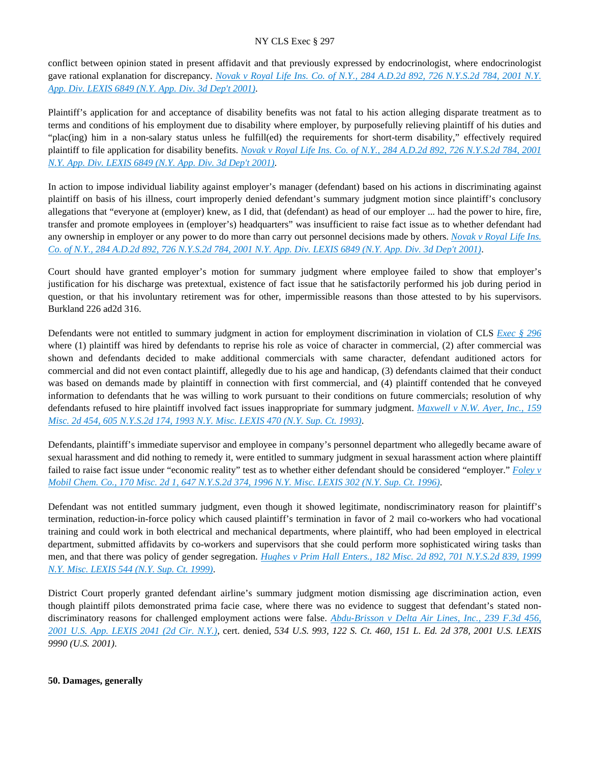conflict between opinion stated in present affidavit and that previously expressed by endocrinologist, where endocrinologist gave rational explanation for discrepancy. *[Novak v Royal Life Ins. Co. of N.Y., 284 A.D.2d 892, 726 N.Y.S.2d 784, 2001 N.Y.](https://advance.lexis.com/api/document?collection=cases&id=urn:contentItem:43CV-02P0-0039-43HB-00000-00&context=)  [App. Div. LEXIS 6849 \(N.Y. App. Div. 3d Dep't 2001\)](https://advance.lexis.com/api/document?collection=cases&id=urn:contentItem:43CV-02P0-0039-43HB-00000-00&context=)*.

Plaintiff's application for and acceptance of disability benefits was not fatal to his action alleging disparate treatment as to terms and conditions of his employment due to disability where employer, by purposefully relieving plaintiff of his duties and "plac(ing) him in a non-salary status unless he fulfill(ed) the requirements for short-term disability," effectively required plaintiff to file application for disability benefits. *[Novak v Royal Life Ins. Co. of N.Y., 284 A.D.2d 892, 726 N.Y.S.2d 784, 2001](https://advance.lexis.com/api/document?collection=cases&id=urn:contentItem:43CV-02P0-0039-43HB-00000-00&context=)  [N.Y. App. Div. LEXIS 6849 \(N.Y. App. Div. 3d Dep't 2001\)](https://advance.lexis.com/api/document?collection=cases&id=urn:contentItem:43CV-02P0-0039-43HB-00000-00&context=)*.

In action to impose individual liability against employer's manager (defendant) based on his actions in discriminating against plaintiff on basis of his illness, court improperly denied defendant's summary judgment motion since plaintiff's conclusory allegations that "everyone at (employer) knew, as I did, that (defendant) as head of our employer ... had the power to hire, fire, transfer and promote employees in (employer's) headquarters" was insufficient to raise fact issue as to whether defendant had any ownership in employer or any power to do more than carry out personnel decisions made by others. *[Novak v Royal Life Ins.](https://advance.lexis.com/api/document?collection=cases&id=urn:contentItem:43CV-02P0-0039-43HB-00000-00&context=)  [Co. of N.Y., 284 A.D.2d 892, 726 N.Y.S.2d 784, 2001 N.Y. App. Div. LEXIS 6849 \(N.Y. App. Div. 3d Dep't 2001\)](https://advance.lexis.com/api/document?collection=cases&id=urn:contentItem:43CV-02P0-0039-43HB-00000-00&context=)*.

Court should have granted employer's motion for summary judgment where employee failed to show that employer's justification for his discharge was pretextual, existence of fact issue that he satisfactorily performed his job during period in question, or that his involuntary retirement was for other, impermissible reasons than those attested to by his supervisors. Burkland 226 ad2d 316.

Defendants were not entitled to summary judgment in action for employment discrimination in violation of CLS *[Exec § 296](https://advance.lexis.com/api/document?collection=statutes-legislation&id=urn:contentItem:8TP5-PCS2-8T6X-74HS-00000-00&context=)* where (1) plaintiff was hired by defendants to reprise his role as voice of character in commercial, (2) after commercial was shown and defendants decided to make additional commercials with same character, defendant auditioned actors for commercial and did not even contact plaintiff, allegedly due to his age and handicap, (3) defendants claimed that their conduct was based on demands made by plaintiff in connection with first commercial, and (4) plaintiff contended that he conveyed information to defendants that he was willing to work pursuant to their conditions on future commercials; resolution of why defendants refused to hire plaintiff involved fact issues inappropriate for summary judgment. *[Maxwell v N.W. Ayer, Inc., 159](https://advance.lexis.com/api/document?collection=cases&id=urn:contentItem:3S2R-79J0-003V-B02F-00000-00&context=)  [Misc. 2d 454, 605 N.Y.S.2d 174, 1993 N.Y. Misc. LEXIS 470 \(N.Y. Sup. Ct. 1993\)](https://advance.lexis.com/api/document?collection=cases&id=urn:contentItem:3S2R-79J0-003V-B02F-00000-00&context=)*.

Defendants, plaintiff's immediate supervisor and employee in company's personnel department who allegedly became aware of sexual harassment and did nothing to remedy it, were entitled to summary judgment in sexual harassment action where plaintiff failed to raise fact issue under "economic reality" test as to whether either defendant should be considered "employer." *[Foley v](https://advance.lexis.com/api/document?collection=cases&id=urn:contentItem:3S2R-5NG0-003V-B4JK-00000-00&context=)  [Mobil Chem. Co., 170 Misc. 2d 1, 647 N.Y.S.2d 374, 1996 N.Y. Misc. LEXIS 302 \(N.Y. Sup. Ct. 1996\)](https://advance.lexis.com/api/document?collection=cases&id=urn:contentItem:3S2R-5NG0-003V-B4JK-00000-00&context=)*.

Defendant was not entitled summary judgment, even though it showed legitimate, nondiscriminatory reason for plaintiff's termination, reduction-in-force policy which caused plaintiff's termination in favor of 2 mail co-workers who had vocational training and could work in both electrical and mechanical departments, where plaintiff, who had been employed in electrical department, submitted affidavits by co-workers and supervisors that she could perform more sophisticated wiring tasks than men, and that there was policy of gender segregation. *[Hughes v Prim Hall Enters., 182 Misc. 2d 892, 701 N.Y.S.2d 839, 1999](https://advance.lexis.com/api/document?collection=cases&id=urn:contentItem:3Y87-RKN0-0039-42CR-00000-00&context=)  [N.Y. Misc. LEXIS 544 \(N.Y. Sup. Ct. 1999\)](https://advance.lexis.com/api/document?collection=cases&id=urn:contentItem:3Y87-RKN0-0039-42CR-00000-00&context=)*.

District Court properly granted defendant airline's summary judgment motion dismissing age discrimination action, even though plaintiff pilots demonstrated prima facie case, where there was no evidence to suggest that defendant's stated nondiscriminatory reasons for challenged employment actions were false. *[Abdu-Brisson v Delta Air Lines, Inc., 239 F.3d 456,](https://advance.lexis.com/api/document?collection=cases&id=urn:contentItem:42BS-Y2S0-0038-X2F0-00000-00&context=)  [2001 U.S. App. LEXIS 2041 \(2d Cir. N.Y.\)](https://advance.lexis.com/api/document?collection=cases&id=urn:contentItem:42BS-Y2S0-0038-X2F0-00000-00&context=)*, cert. denied, *534 U.S. 993, 122 S. Ct. 460, 151 L. Ed. 2d 378, 2001 U.S. LEXIS 9990 (U.S. 2001)*.

## **50. Damages, generally**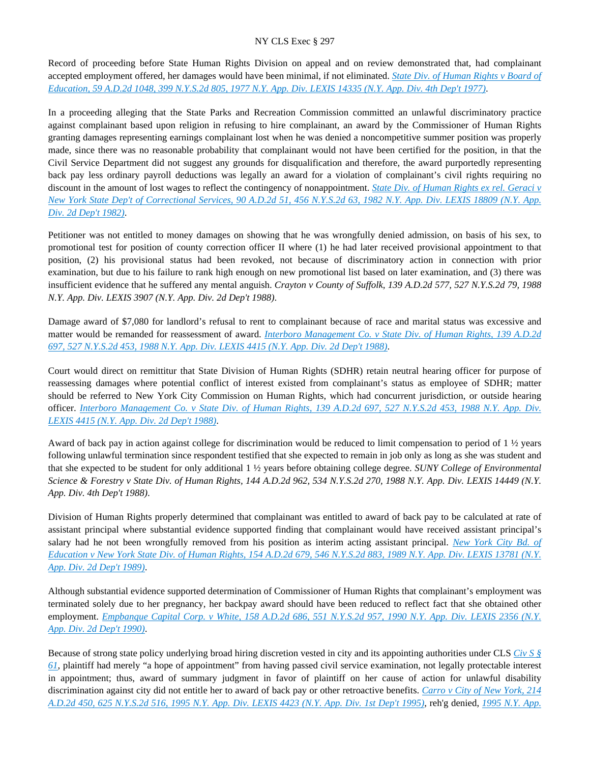Record of proceeding before State Human Rights Division on appeal and on review demonstrated that, had complainant accepted employment offered, her damages would have been minimal, if not eliminated. *[State Div. of Human Rights v Board of](https://advance.lexis.com/api/document?collection=cases&id=urn:contentItem:3RRS-DDP0-003C-F37B-00000-00&context=)  [Education, 59 A.D.2d 1048, 399 N.Y.S.2d 805, 1977 N.Y. App. Div. LEXIS 14335 \(N.Y. App. Div. 4th Dep't 1977\)](https://advance.lexis.com/api/document?collection=cases&id=urn:contentItem:3RRS-DDP0-003C-F37B-00000-00&context=)*.

In a proceeding alleging that the State Parks and Recreation Commission committed an unlawful discriminatory practice against complainant based upon religion in refusing to hire complainant, an award by the Commissioner of Human Rights granting damages representing earnings complainant lost when he was denied a noncompetitive summer position was properly made, since there was no reasonable probability that complainant would not have been certified for the position, in that the Civil Service Department did not suggest any grounds for disqualification and therefore, the award purportedly representing back pay less ordinary payroll deductions was legally an award for a violation of complainant's civil rights requiring no discount in the amount of lost wages to reflect the contingency of nonappointment. *[State Div. of Human Rights ex rel. Geraci v](https://advance.lexis.com/api/document?collection=cases&id=urn:contentItem:3S3K-27H0-003D-G41S-00000-00&context=)  [New York State Dep't of Correctional Services, 90 A.D.2d 51, 456 N.Y.S.2d 63, 1982 N.Y. App. Div. LEXIS 18809 \(N.Y. App.](https://advance.lexis.com/api/document?collection=cases&id=urn:contentItem:3S3K-27H0-003D-G41S-00000-00&context=)  [Div. 2d Dep't 1982\)](https://advance.lexis.com/api/document?collection=cases&id=urn:contentItem:3S3K-27H0-003D-G41S-00000-00&context=)*.

Petitioner was not entitled to money damages on showing that he was wrongfully denied admission, on basis of his sex, to promotional test for position of county correction officer II where (1) he had later received provisional appointment to that position, (2) his provisional status had been revoked, not because of discriminatory action in connection with prior examination, but due to his failure to rank high enough on new promotional list based on later examination, and (3) there was insufficient evidence that he suffered any mental anguish. *Crayton v County of Suffolk, 139 A.D.2d 577, 527 N.Y.S.2d 79, 1988 N.Y. App. Div. LEXIS 3907 (N.Y. App. Div. 2d Dep't 1988)*.

Damage award of \$7,080 for landlord's refusal to rent to complainant because of race and marital status was excessive and matter would be remanded for reassessment of award. *[Interboro Management Co. v State Div. of Human Rights, 139 A.D.2d](https://advance.lexis.com/api/document?collection=cases&id=urn:contentItem:3S3J-YYW0-003D-G4XR-00000-00&context=)  [697, 527 N.Y.S.2d 453, 1988 N.Y. App. Div. LEXIS 4415 \(N.Y. App. Div. 2d Dep't 1988\)](https://advance.lexis.com/api/document?collection=cases&id=urn:contentItem:3S3J-YYW0-003D-G4XR-00000-00&context=)*.

Court would direct on remittitur that State Division of Human Rights (SDHR) retain neutral hearing officer for purpose of reassessing damages where potential conflict of interest existed from complainant's status as employee of SDHR; matter should be referred to New York City Commission on Human Rights, which had concurrent jurisdiction, or outside hearing officer. *[Interboro Management Co. v State Div. of Human Rights, 139 A.D.2d 697, 527 N.Y.S.2d 453, 1988 N.Y. App. Div.](https://advance.lexis.com/api/document?collection=cases&id=urn:contentItem:3S3J-YYW0-003D-G4XR-00000-00&context=)  [LEXIS 4415 \(N.Y. App. Div. 2d Dep't 1988\)](https://advance.lexis.com/api/document?collection=cases&id=urn:contentItem:3S3J-YYW0-003D-G4XR-00000-00&context=)*.

Award of back pay in action against college for discrimination would be reduced to limit compensation to period of  $1 \frac{1}{2}$  years following unlawful termination since respondent testified that she expected to remain in job only as long as she was student and that she expected to be student for only additional 1 ½ years before obtaining college degree. *SUNY College of Environmental Science & Forestry v State Div. of Human Rights, 144 A.D.2d 962, 534 N.Y.S.2d 270, 1988 N.Y. App. Div. LEXIS 14449 (N.Y. App. Div. 4th Dep't 1988)*.

Division of Human Rights properly determined that complainant was entitled to award of back pay to be calculated at rate of assistant principal where substantial evidence supported finding that complainant would have received assistant principal's salary had he not been wrongfully removed from his position as interim acting assistant principal. *[New York City Bd. of](https://advance.lexis.com/api/document?collection=cases&id=urn:contentItem:3S2R-9WV0-003V-B2YX-00000-00&context=)  [Education v New York State Div. of Human Rights, 154 A.D.2d 679, 546 N.Y.S.2d 883, 1989 N.Y. App. Div. LEXIS 13781 \(N.Y.](https://advance.lexis.com/api/document?collection=cases&id=urn:contentItem:3S2R-9WV0-003V-B2YX-00000-00&context=)  [App. Div. 2d Dep't 1989\)](https://advance.lexis.com/api/document?collection=cases&id=urn:contentItem:3S2R-9WV0-003V-B2YX-00000-00&context=)*.

Although substantial evidence supported determination of Commissioner of Human Rights that complainant's employment was terminated solely due to her pregnancy, her backpay award should have been reduced to reflect fact that she obtained other employment. *[Empbanque Capital Corp. v White, 158 A.D.2d 686, 551 N.Y.S.2d 957, 1990 N.Y. App. Div. LEXIS 2356 \(N.Y.](https://advance.lexis.com/api/document?collection=cases&id=urn:contentItem:3S2R-9M00-003V-B4TB-00000-00&context=)  [App. Div. 2d Dep't 1990\)](https://advance.lexis.com/api/document?collection=cases&id=urn:contentItem:3S2R-9M00-003V-B4TB-00000-00&context=)*.

Because of strong state policy underlying broad hiring discretion vested in city and its appointing authorities under CLS *[Civ S §](https://advance.lexis.com/api/document?collection=statutes-legislation&id=urn:contentItem:5CT3-0D01-6RDJ-84GN-00000-00&context=)  [61](https://advance.lexis.com/api/document?collection=statutes-legislation&id=urn:contentItem:5CT3-0D01-6RDJ-84GN-00000-00&context=)*, plaintiff had merely "a hope of appointment" from having passed civil service examination, not legally protectable interest in appointment; thus, award of summary judgment in favor of plaintiff on her cause of action for unlawful disability discrimination against city did not entitle her to award of back pay or other retroactive benefits. *[Carro v City of New York, 214](https://advance.lexis.com/api/document?collection=cases&id=urn:contentItem:3S2R-6B30-003V-B4KD-00000-00&context=)  [A.D.2d 450, 625 N.Y.S.2d 516, 1995 N.Y. App. Div. LEXIS 4423 \(N.Y. App. Div. 1st Dep't 1995\)](https://advance.lexis.com/api/document?collection=cases&id=urn:contentItem:3S2R-6B30-003V-B4KD-00000-00&context=)*, reh'g denied, *[1995 N.Y. App.](https://advance.lexis.com/api/document?collection=cases&id=urn:contentItem:3S2R-6570-003V-B2S3-00000-00&context=)*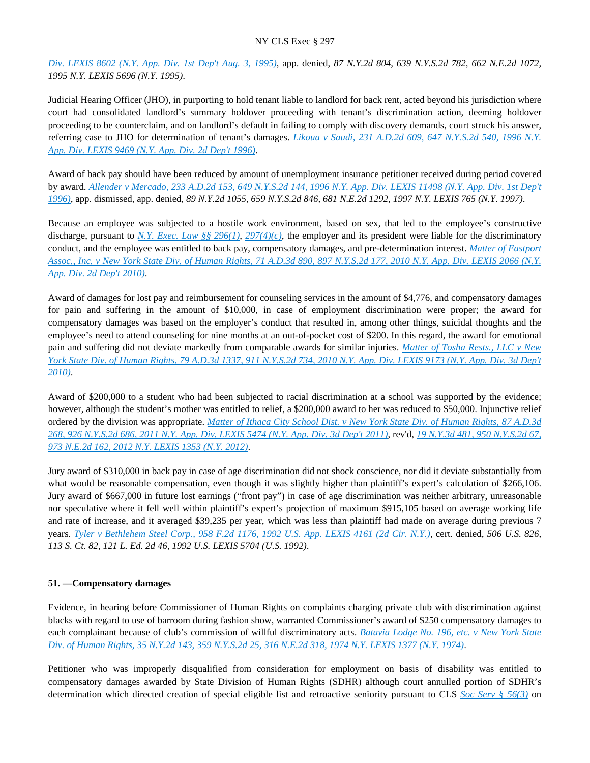*[Div. LEXIS 8602 \(N.Y. App. Div. 1st Dep't Aug. 3, 1995\)](https://advance.lexis.com/api/document?collection=cases&id=urn:contentItem:3S2R-6570-003V-B2S3-00000-00&context=)*, app. denied, *87 N.Y.2d 804, 639 N.Y.S.2d 782, 662 N.E.2d 1072, 1995 N.Y. LEXIS 5696 (N.Y. 1995)*.

Judicial Hearing Officer (JHO), in purporting to hold tenant liable to landlord for back rent, acted beyond his jurisdiction where court had consolidated landlord's summary holdover proceeding with tenant's discrimination action, deeming holdover proceeding to be counterclaim, and on landlord's default in failing to comply with discovery demands, court struck his answer, referring case to JHO for determination of tenant's damages. *[Likoua v Saudi, 231 A.D.2d 609, 647 N.Y.S.2d 540, 1996 N.Y.](https://advance.lexis.com/api/document?collection=cases&id=urn:contentItem:3S2R-5GV0-003V-B09B-00000-00&context=)  [App. Div. LEXIS 9469 \(N.Y. App. Div. 2d Dep't 1996\)](https://advance.lexis.com/api/document?collection=cases&id=urn:contentItem:3S2R-5GV0-003V-B09B-00000-00&context=)*.

Award of back pay should have been reduced by amount of unemployment insurance petitioner received during period covered by award. *[Allender v Mercado, 233 A.D.2d 153, 649 N.Y.S.2d 144, 1996 N.Y. App. Div. LEXIS 11498 \(N.Y. App. Div. 1st Dep't](https://advance.lexis.com/api/document?collection=cases&id=urn:contentItem:3RHB-6XB0-003V-B1K6-00000-00&context=)  [1996\)](https://advance.lexis.com/api/document?collection=cases&id=urn:contentItem:3RHB-6XB0-003V-B1K6-00000-00&context=)*, app. dismissed, app. denied, *89 N.Y.2d 1055, 659 N.Y.S.2d 846, 681 N.E.2d 1292, 1997 N.Y. LEXIS 765 (N.Y. 1997)*.

Because an employee was subjected to a hostile work environment, based on sex, that led to the employee's constructive discharge, pursuant to *[N.Y. Exec. Law §§ 296\(1\)](https://advance.lexis.com/api/document?collection=statutes-legislation&id=urn:contentItem:8TP5-PCS2-8T6X-74HS-00000-00&context=)*, *[297\(4\)\(c\)](https://advance.lexis.com/api/document?collection=statutes-legislation&id=urn:contentItem:5H6N-1CT1-DXC8-036V-00000-00&context=)*, the employer and its president were liable for the discriminatory conduct, and the employee was entitled to back pay, compensatory damages, and pre-determination interest. *[Matter of Eastport](https://advance.lexis.com/api/document?collection=cases&id=urn:contentItem:7Y1T-V2W0-YB0T-30C8-00000-00&context=)  [Assoc., Inc. v New York State Div. of Human Rights, 71 A.D.3d 890, 897 N.Y.S.2d 177, 2010 N.Y. App. Div. LEXIS 2066 \(N.Y.](https://advance.lexis.com/api/document?collection=cases&id=urn:contentItem:7Y1T-V2W0-YB0T-30C8-00000-00&context=)  [App. Div. 2d Dep't 2010\)](https://advance.lexis.com/api/document?collection=cases&id=urn:contentItem:7Y1T-V2W0-YB0T-30C8-00000-00&context=)*.

Award of damages for lost pay and reimbursement for counseling services in the amount of \$4,776, and compensatory damages for pain and suffering in the amount of \$10,000, in case of employment discrimination were proper; the award for compensatory damages was based on the employer's conduct that resulted in, among other things, suicidal thoughts and the employee's need to attend counseling for nine months at an out-of-pocket cost of \$200. In this regard, the award for emotional pain and suffering did not deviate markedly from comparable awards for similar injuries. *[Matter of Tosha Rests., LLC v New](https://advance.lexis.com/api/document?collection=cases&id=urn:contentItem:51NG-JG91-F04J-732C-00000-00&context=)  [York State Div. of Human Rights, 79 A.D.3d 1337, 911 N.Y.S.2d 734, 2010 N.Y. App. Div. LEXIS 9173 \(N.Y. App. Div. 3d Dep't](https://advance.lexis.com/api/document?collection=cases&id=urn:contentItem:51NG-JG91-F04J-732C-00000-00&context=)  [2010\)](https://advance.lexis.com/api/document?collection=cases&id=urn:contentItem:51NG-JG91-F04J-732C-00000-00&context=)*.

Award of \$200,000 to a student who had been subjected to racial discrimination at a school was supported by the evidence; however, although the student's mother was entitled to relief, a \$200,000 award to her was reduced to \$50,000. Injunctive relief ordered by the division was appropriate. *[Matter of Ithaca City School Dist. v New York State Div. of Human Rights, 87 A.D.3d](https://advance.lexis.com/api/document?collection=cases&id=urn:contentItem:536S-9CX1-F04J-74WH-00000-00&context=)  [268, 926 N.Y.S.2d 686, 2011 N.Y. App. Div. LEXIS 5474 \(N.Y. App. Div. 3d Dep't 2011\)](https://advance.lexis.com/api/document?collection=cases&id=urn:contentItem:536S-9CX1-F04J-74WH-00000-00&context=)*, rev'd, *[19 N.Y.3d 481, 950 N.Y.S.2d 67,](https://advance.lexis.com/api/document?collection=cases&id=urn:contentItem:55VY-V1P1-F04J-60P8-00000-00&context=)  [973 N.E.2d 162, 2012 N.Y. LEXIS 1353 \(N.Y. 2012\)](https://advance.lexis.com/api/document?collection=cases&id=urn:contentItem:55VY-V1P1-F04J-60P8-00000-00&context=)*.

Jury award of \$310,000 in back pay in case of age discrimination did not shock conscience, nor did it deviate substantially from what would be reasonable compensation, even though it was slightly higher than plaintiff's expert's calculation of \$266,106. Jury award of \$667,000 in future lost earnings ("front pay") in case of age discrimination was neither arbitrary, unreasonable nor speculative where it fell well within plaintiff's expert's projection of maximum \$915,105 based on average working life and rate of increase, and it averaged \$39,235 per year, which was less than plaintiff had made on average during previous 7 years. *[Tyler v Bethlehem Steel Corp., 958 F.2d 1176, 1992 U.S. App. LEXIS 4161 \(2d Cir. N.Y.\)](https://advance.lexis.com/api/document?collection=cases&id=urn:contentItem:3S4X-56M0-008H-V437-00000-00&context=)*, cert. denied, *506 U.S. 826, 113 S. Ct. 82, 121 L. Ed. 2d 46, 1992 U.S. LEXIS 5704 (U.S. 1992)*.

## **51. —Compensatory damages**

Evidence, in hearing before Commissioner of Human Rights on complaints charging private club with discrimination against blacks with regard to use of barroom during fashion show, warranted Commissioner's award of \$250 compensatory damages to each complainant because of club's commission of willful discriminatory acts. *[Batavia Lodge No. 196, etc. v New York State](https://advance.lexis.com/api/document?collection=cases&id=urn:contentItem:3RRS-VG20-003C-C0GD-00000-00&context=)  [Div. of Human Rights, 35 N.Y.2d 143, 359 N.Y.S.2d 25, 316 N.E.2d 318, 1974 N.Y. LEXIS 1377 \(N.Y. 1974\)](https://advance.lexis.com/api/document?collection=cases&id=urn:contentItem:3RRS-VG20-003C-C0GD-00000-00&context=)*.

Petitioner who was improperly disqualified from consideration for employment on basis of disability was entitled to compensatory damages awarded by State Division of Human Rights (SDHR) although court annulled portion of SDHR's determination which directed creation of special eligible list and retroactive seniority pursuant to CLS *[Soc Serv § 56\(3\)](https://advance.lexis.com/api/document?collection=statutes-legislation&id=urn:contentItem:5CT3-20S1-6RDJ-83XD-00000-00&context=)* on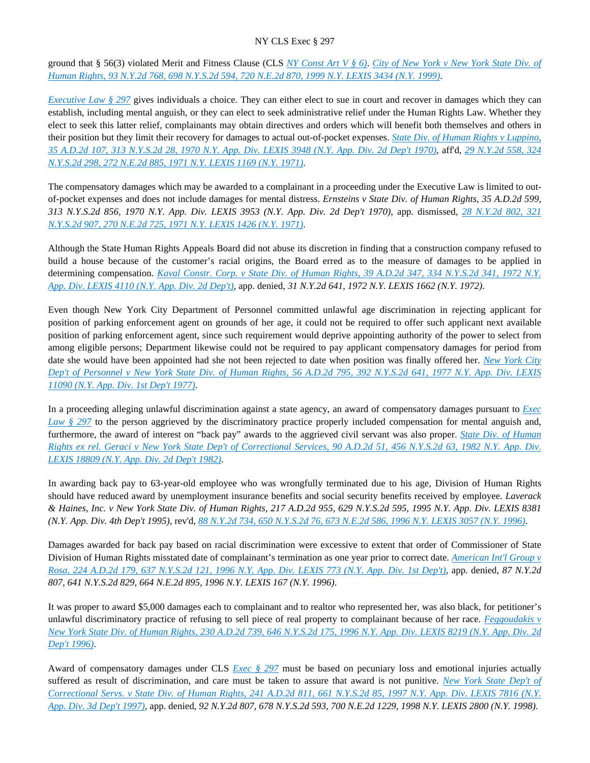ground that § 56(3) violated Merit and Fitness Clause (CLS *[NY Const Art V § 6\)](https://advance.lexis.com/api/document?collection=statutes-legislation&id=urn:contentItem:5CT2-JHJ1-DYB7-M50S-00000-00&context=)*. *[City of New York v New York State Div. of](https://advance.lexis.com/api/document?collection=cases&id=urn:contentItem:3XP0-5F50-0039-43W0-00000-00&context=)  [Human Rights, 93 N.Y.2d 768, 698 N.Y.S.2d 594, 720 N.E.2d 870, 1999 N.Y. LEXIS 3434 \(N.Y. 1999\)](https://advance.lexis.com/api/document?collection=cases&id=urn:contentItem:3XP0-5F50-0039-43W0-00000-00&context=)*.

*[Executive Law § 297](https://advance.lexis.com/api/document?collection=statutes-legislation&id=urn:contentItem:5H6N-1CT1-DXC8-036V-00000-00&context=)* gives individuals a choice. They can either elect to sue in court and recover in damages which they can establish, including mental anguish, or they can elect to seek administrative relief under the Human Rights Law. Whether they elect to seek this latter relief, complainants may obtain directives and orders which will benefit both themselves and others in their position but they limit their recovery for damages to actual out-of-pocket expenses. *[State Div. of Human Rights v Luppino,](https://advance.lexis.com/api/document?collection=cases&id=urn:contentItem:3RRS-YY10-003C-C44T-00000-00&context=)  [35 A.D.2d 107, 313 N.Y.S.2d 28, 1970 N.Y. App. Div. LEXIS 3948 \(N.Y. App. Div. 2d Dep't 1970\)](https://advance.lexis.com/api/document?collection=cases&id=urn:contentItem:3RRS-YY10-003C-C44T-00000-00&context=)*, aff'd, *[29 N.Y.2d 558, 324](https://advance.lexis.com/api/document?collection=cases&id=urn:contentItem:3RRS-VS50-003C-C35R-00000-00&context=)  [N.Y.S.2d 298, 272 N.E.2d 885, 1971 N.Y. LEXIS 1169 \(N.Y. 1971\)](https://advance.lexis.com/api/document?collection=cases&id=urn:contentItem:3RRS-VS50-003C-C35R-00000-00&context=)*.

The compensatory damages which may be awarded to a complainant in a proceeding under the Executive Law is limited to outof-pocket expenses and does not include damages for mental distress. *Ernsteins v State Div. of Human Rights, 35 A.D.2d 599, 313 N.Y.S.2d 856, 1970 N.Y. App. Div. LEXIS 3953 (N.Y. App. Div. 2d Dep't 1970)*, app. dismissed, *[28 N.Y.2d 802, 321](https://advance.lexis.com/api/document?collection=cases&id=urn:contentItem:3RRS-VT20-003C-C3GX-00000-00&context=)  [N.Y.S.2d 907, 270 N.E.2d 725, 1971 N.Y. LEXIS 1426 \(N.Y. 1971\)](https://advance.lexis.com/api/document?collection=cases&id=urn:contentItem:3RRS-VT20-003C-C3GX-00000-00&context=)*.

Although the State Human Rights Appeals Board did not abuse its discretion in finding that a construction company refused to build a house because of the customer's racial origins, the Board erred as to the measure of damages to be applied in determining compensation. *[Kaval Constr. Corp. v State Div. of Human Rights, 39 A.D.2d 347, 334 N.Y.S.2d 341, 1972 N.Y.](https://advance.lexis.com/api/document?collection=cases&id=urn:contentItem:3RRS-YHN0-003C-C32P-00000-00&context=)  [App. Div. LEXIS 4110 \(N.Y. App. Div. 2d Dep't\)](https://advance.lexis.com/api/document?collection=cases&id=urn:contentItem:3RRS-YHN0-003C-C32P-00000-00&context=)*, app. denied, *31 N.Y.2d 641, 1972 N.Y. LEXIS 1662 (N.Y. 1972)*.

Even though New York City Department of Personnel committed unlawful age discrimination in rejecting applicant for position of parking enforcement agent on grounds of her age, it could not be required to offer such applicant next available position of parking enforcement agent, since such requirement would deprive appointing authority of the power to select from among eligible persons; Department likewise could not be required to pay applicant compensatory damages for period from date she would have been appointed had she not been rejected to date when position was finally offered her. *[New York City](https://advance.lexis.com/api/document?collection=cases&id=urn:contentItem:3RRS-DRW0-003C-F1SR-00000-00&context=)  [Dep't of Personnel v New York State Div. of Human Rights, 56 A.D.2d 795, 392 N.Y.S.2d 641, 1977 N.Y. App. Div. LEXIS](https://advance.lexis.com/api/document?collection=cases&id=urn:contentItem:3RRS-DRW0-003C-F1SR-00000-00&context=)  [11090 \(N.Y. App. Div. 1st Dep't 1977\)](https://advance.lexis.com/api/document?collection=cases&id=urn:contentItem:3RRS-DRW0-003C-F1SR-00000-00&context=)*.

In a proceeding alleging unlawful discrimination against a state agency, an award of compensatory damages pursuant to *[Exec](https://advance.lexis.com/api/document?collection=statutes-legislation&id=urn:contentItem:5H6N-1CT1-DXC8-036V-00000-00&context=)  [Law § 297](https://advance.lexis.com/api/document?collection=statutes-legislation&id=urn:contentItem:5H6N-1CT1-DXC8-036V-00000-00&context=)* to the person aggrieved by the discriminatory practice properly included compensation for mental anguish and, furthermore, the award of interest on "back pay" awards to the aggrieved civil servant was also proper. *[State Div. of Human](https://advance.lexis.com/api/document?collection=cases&id=urn:contentItem:3S3K-27H0-003D-G41S-00000-00&context=)  [Rights ex rel. Geraci v New York State Dep't of Correctional Services, 90 A.D.2d 51, 456 N.Y.S.2d 63, 1982 N.Y. App. Div.](https://advance.lexis.com/api/document?collection=cases&id=urn:contentItem:3S3K-27H0-003D-G41S-00000-00&context=)  [LEXIS 18809 \(N.Y. App. Div. 2d Dep't 1982\)](https://advance.lexis.com/api/document?collection=cases&id=urn:contentItem:3S3K-27H0-003D-G41S-00000-00&context=)*.

In awarding back pay to 63-year-old employee who was wrongfully terminated due to his age, Division of Human Rights should have reduced award by unemployment insurance benefits and social security benefits received by employee. *Laverack & Haines, Inc. v New York State Div. of Human Rights, 217 A.D.2d 955, 629 N.Y.S.2d 595, 1995 N.Y. App. Div. LEXIS 8381 (N.Y. App. Div. 4th Dep't 1995)*, rev'd, *[88 N.Y.2d 734, 650 N.Y.S.2d 76, 673 N.E.2d 586, 1996 N.Y. LEXIS 3057 \(N.Y. 1996\)](https://advance.lexis.com/api/document?collection=cases&id=urn:contentItem:3RSP-TNK0-003V-B231-00000-00&context=)*.

Damages awarded for back pay based on racial discrimination were excessive to extent that order of Commissioner of State Division of Human Rights misstated date of complainant's termination as one year prior to correct date. *[American Int'l Group v](https://advance.lexis.com/api/document?collection=cases&id=urn:contentItem:3S2R-5WD0-003V-B31B-00000-00&context=)  [Rosa, 224 A.D.2d 179, 637 N.Y.S.2d 121, 1996 N.Y. App. Div. LEXIS 773 \(N.Y. App. Div. 1st Dep't\)](https://advance.lexis.com/api/document?collection=cases&id=urn:contentItem:3S2R-5WD0-003V-B31B-00000-00&context=)*, app. denied, *87 N.Y.2d 807, 641 N.Y.S.2d 829, 664 N.E.2d 895, 1996 N.Y. LEXIS 167 (N.Y. 1996)*.

It was proper to award \$5,000 damages each to complainant and to realtor who represented her, was also black, for petitioner's unlawful discriminatory practice of refusing to sell piece of real property to complainant because of her race. *[Feggoudakis v](https://advance.lexis.com/api/document?collection=cases&id=urn:contentItem:3S2K-JC10-003V-B3K7-00000-00&context=)  [New York State Div. of Human Rights, 230 A.D.2d 739, 646 N.Y.S.2d 175, 1996 N.Y. App. Div. LEXIS 8219 \(N.Y. App. Div. 2d](https://advance.lexis.com/api/document?collection=cases&id=urn:contentItem:3S2K-JC10-003V-B3K7-00000-00&context=)  [Dep't 1996\)](https://advance.lexis.com/api/document?collection=cases&id=urn:contentItem:3S2K-JC10-003V-B3K7-00000-00&context=)*.

Award of compensatory damages under CLS *[Exec § 297](https://advance.lexis.com/api/document?collection=statutes-legislation&id=urn:contentItem:5H6N-1CT1-DXC8-036V-00000-00&context=)* must be based on pecuniary loss and emotional injuries actually suffered as result of discrimination, and care must be taken to assure that award is not punitive. *[New York State Dep't of](https://advance.lexis.com/api/document?collection=cases&id=urn:contentItem:3S2R-5090-003V-B12C-00000-00&context=)  [Correctional Servs. v State Div. of Human Rights, 241 A.D.2d 811, 661 N.Y.S.2d 85, 1997 N.Y. App. Div. LEXIS 7816 \(N.Y.](https://advance.lexis.com/api/document?collection=cases&id=urn:contentItem:3S2R-5090-003V-B12C-00000-00&context=)  [App. Div. 3d Dep't 1997\)](https://advance.lexis.com/api/document?collection=cases&id=urn:contentItem:3S2R-5090-003V-B12C-00000-00&context=)*, app. denied, *92 N.Y.2d 807, 678 N.Y.S.2d 593, 700 N.E.2d 1229, 1998 N.Y. LEXIS 2800 (N.Y. 1998)*.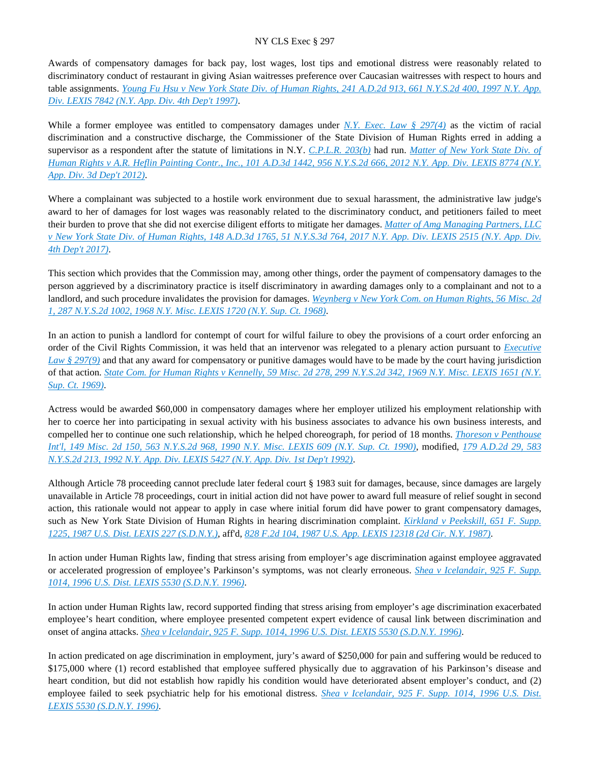Awards of compensatory damages for back pay, lost wages, lost tips and emotional distress were reasonably related to discriminatory conduct of restaurant in giving Asian waitresses preference over Caucasian waitresses with respect to hours and table assignments. *[Young Fu Hsu v New York State Div. of Human Rights, 241 A.D.2d 913, 661 N.Y.S.2d 400, 1997 N.Y. App.](https://advance.lexis.com/api/document?collection=cases&id=urn:contentItem:3S2R-5100-003V-B1MN-00000-00&context=)  [Div. LEXIS 7842 \(N.Y. App. Div. 4th Dep't 1997\)](https://advance.lexis.com/api/document?collection=cases&id=urn:contentItem:3S2R-5100-003V-B1MN-00000-00&context=)*.

While a former employee was entitled to compensatory damages under *[N.Y. Exec. Law § 297\(4\)](https://advance.lexis.com/api/document?collection=statutes-legislation&id=urn:contentItem:5H6N-1CT1-DXC8-036V-00000-00&context=)* as the victim of racial discrimination and a constructive discharge, the Commissioner of the State Division of Human Rights erred in adding a supervisor as a respondent after the statute of limitations in N.Y. *[C.P.L.R. 203\(b\)](https://advance.lexis.com/api/document?collection=statutes-legislation&id=urn:contentItem:8PYM-9V12-D6RV-H42W-00000-00&context=)* had run. *[Matter of New York State Div. of](https://advance.lexis.com/api/document?collection=cases&id=urn:contentItem:579R-7SK1-F04J-740F-00000-00&context=)  [Human Rights v A.R. Heflin Painting Contr., Inc., 101 A.D.3d 1442, 956 N.Y.S.2d 666, 2012 N.Y. App. Div. LEXIS 8774 \(N.Y.](https://advance.lexis.com/api/document?collection=cases&id=urn:contentItem:579R-7SK1-F04J-740F-00000-00&context=)  [App. Div. 3d Dep't 2012\)](https://advance.lexis.com/api/document?collection=cases&id=urn:contentItem:579R-7SK1-F04J-740F-00000-00&context=)*.

Where a complainant was subjected to a hostile work environment due to sexual harassment, the administrative law judge's award to her of damages for lost wages was reasonably related to the discriminatory conduct, and petitioners failed to meet their burden to prove that she did not exercise diligent efforts to mitigate her damages. *[Matter of Amg Managing Partners, LLC](https://advance.lexis.com/api/document?collection=cases&id=urn:contentItem:5N6T-RYS1-F04J-71FJ-00000-00&context=)  [v New York State Div. of Human Rights, 148 A.D.3d 1765, 51 N.Y.S.3d 764, 2017 N.Y. App. Div. LEXIS 2515 \(N.Y. App. Div.](https://advance.lexis.com/api/document?collection=cases&id=urn:contentItem:5N6T-RYS1-F04J-71FJ-00000-00&context=)  [4th Dep't 2017\)](https://advance.lexis.com/api/document?collection=cases&id=urn:contentItem:5N6T-RYS1-F04J-71FJ-00000-00&context=)*.

This section which provides that the Commission may, among other things, order the payment of compensatory damages to the person aggrieved by a discriminatory practice is itself discriminatory in awarding damages only to a complainant and not to a landlord, and such procedure invalidates the provision for damages. *[Weynberg v New York Com. on Human Rights, 56 Misc. 2d](https://advance.lexis.com/api/document?collection=cases&id=urn:contentItem:3RRS-BDX0-003C-D40F-00000-00&context=)  [1, 287 N.Y.S.2d 1002, 1968 N.Y. Misc. LEXIS 1720 \(N.Y. Sup. Ct. 1968\)](https://advance.lexis.com/api/document?collection=cases&id=urn:contentItem:3RRS-BDX0-003C-D40F-00000-00&context=)*.

In an action to punish a landlord for contempt of court for wilful failure to obey the provisions of a court order enforcing an order of the Civil Rights Commission, it was held that an intervenor was relegated to a plenary action pursuant to *[Executive](https://advance.lexis.com/api/document?collection=statutes-legislation&id=urn:contentItem:5H6N-1CT1-DXC8-036V-00000-00&context=)  [Law § 297\(9\)](https://advance.lexis.com/api/document?collection=statutes-legislation&id=urn:contentItem:5H6N-1CT1-DXC8-036V-00000-00&context=)* and that any award for compensatory or punitive damages would have to be made by the court having jurisdiction of that action. *[State Com. for Human Rights v Kennelly, 59 Misc. 2d 278, 299 N.Y.S.2d 342, 1969 N.Y. Misc. LEXIS 1651 \(N.Y.](https://advance.lexis.com/api/document?collection=cases&id=urn:contentItem:3RRS-B9D0-003C-D2PF-00000-00&context=)  [Sup. Ct. 1969\)](https://advance.lexis.com/api/document?collection=cases&id=urn:contentItem:3RRS-B9D0-003C-D2PF-00000-00&context=)*.

Actress would be awarded \$60,000 in compensatory damages where her employer utilized his employment relationship with her to coerce her into participating in sexual activity with his business associates to advance his own business interests, and compelled her to continue one such relationship, which he helped choreograph, for period of 18 months. *[Thoreson v Penthouse](https://advance.lexis.com/api/document?collection=cases&id=urn:contentItem:3S2R-9280-003V-B2S4-00000-00&context=)  [Int'l, 149 Misc. 2d 150, 563 N.Y.S.2d 968, 1990 N.Y. Misc. LEXIS 609 \(N.Y. Sup. Ct. 1990\)](https://advance.lexis.com/api/document?collection=cases&id=urn:contentItem:3S2R-9280-003V-B2S4-00000-00&context=)*, modified, *[179 A.D.2d 29, 583](https://advance.lexis.com/api/document?collection=cases&id=urn:contentItem:3S2R-81S0-003V-B4TV-00000-00&context=)  [N.Y.S.2d 213, 1992 N.Y. App. Div. LEXIS 5427 \(N.Y. App. Div. 1st Dep't 1992\)](https://advance.lexis.com/api/document?collection=cases&id=urn:contentItem:3S2R-81S0-003V-B4TV-00000-00&context=)*.

Although Article 78 proceeding cannot preclude later federal court § 1983 suit for damages, because, since damages are largely unavailable in Article 78 proceedings, court in initial action did not have power to award full measure of relief sought in second action, this rationale would not appear to apply in case where initial forum did have power to grant compensatory damages, such as New York State Division of Human Rights in hearing discrimination complaint. *[Kirkland v Peekskill, 651 F. Supp.](https://advance.lexis.com/api/document?collection=cases&id=urn:contentItem:3S4N-DSR0-003B-60PF-00000-00&context=)  [1225, 1987 U.S. Dist. LEXIS 227 \(S.D.N.Y.\)](https://advance.lexis.com/api/document?collection=cases&id=urn:contentItem:3S4N-DSR0-003B-60PF-00000-00&context=)*, aff'd, *[828 F.2d 104, 1987 U.S. App. LEXIS 12318 \(2d Cir. N.Y. 1987\)](https://advance.lexis.com/api/document?collection=cases&id=urn:contentItem:3S4X-7CT0-001B-K37V-00000-00&context=)*.

In action under Human Rights law, finding that stress arising from employer's age discrimination against employee aggravated or accelerated progression of employee's Parkinson's symptoms, was not clearly erroneous. *[Shea v Icelandair, 925 F. Supp.](https://advance.lexis.com/api/document?collection=cases&id=urn:contentItem:3S4N-MN60-006F-P2SK-00000-00&context=)  [1014, 1996 U.S. Dist. LEXIS 5530 \(S.D.N.Y. 1996\)](https://advance.lexis.com/api/document?collection=cases&id=urn:contentItem:3S4N-MN60-006F-P2SK-00000-00&context=)*.

In action under Human Rights law, record supported finding that stress arising from employer's age discrimination exacerbated employee's heart condition, where employee presented competent expert evidence of causal link between discrimination and onset of angina attacks. *[Shea v Icelandair, 925 F. Supp. 1014, 1996 U.S. Dist. LEXIS 5530 \(S.D.N.Y. 1996\)](https://advance.lexis.com/api/document?collection=cases&id=urn:contentItem:3S4N-MN60-006F-P2SK-00000-00&context=)*.

In action predicated on age discrimination in employment, jury's award of \$250,000 for pain and suffering would be reduced to \$175,000 where (1) record established that employee suffered physically due to aggravation of his Parkinson's disease and heart condition, but did not establish how rapidly his condition would have deteriorated absent employer's conduct, and (2) employee failed to seek psychiatric help for his emotional distress. *[Shea v Icelandair, 925 F. Supp. 1014, 1996 U.S. Dist.](https://advance.lexis.com/api/document?collection=cases&id=urn:contentItem:3S4N-MN60-006F-P2SK-00000-00&context=)  [LEXIS 5530 \(S.D.N.Y. 1996\)](https://advance.lexis.com/api/document?collection=cases&id=urn:contentItem:3S4N-MN60-006F-P2SK-00000-00&context=)*.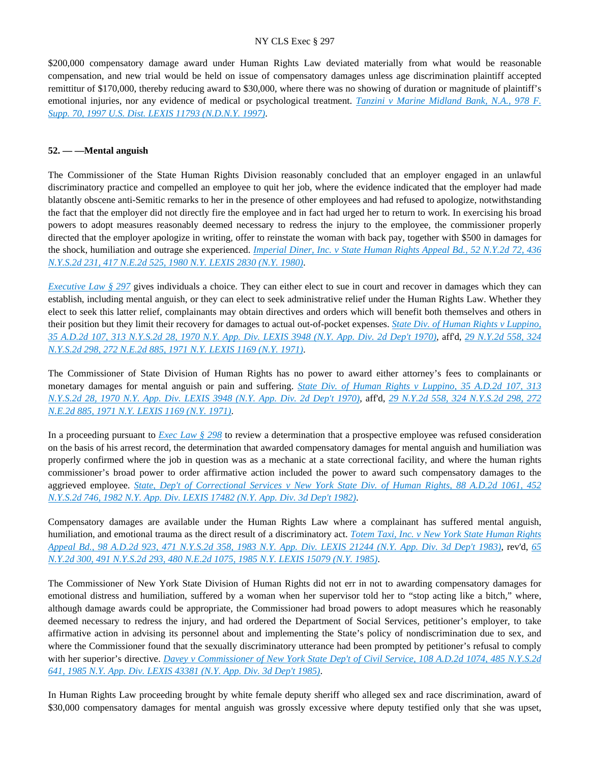\$200,000 compensatory damage award under Human Rights Law deviated materially from what would be reasonable compensation, and new trial would be held on issue of compensatory damages unless age discrimination plaintiff accepted remittitur of \$170,000, thereby reducing award to \$30,000, where there was no showing of duration or magnitude of plaintiff's emotional injuries, nor any evidence of medical or psychological treatment. *[Tanzini v Marine Midland Bank, N.A., 978 F.](https://advance.lexis.com/api/document?collection=cases&id=urn:contentItem:3RX3-4CV0-00B1-F1XG-00000-00&context=)  [Supp. 70, 1997 U.S. Dist. LEXIS 11793 \(N.D.N.Y. 1997\)](https://advance.lexis.com/api/document?collection=cases&id=urn:contentItem:3RX3-4CV0-00B1-F1XG-00000-00&context=)*.

## **52. — —Mental anguish**

The Commissioner of the State Human Rights Division reasonably concluded that an employer engaged in an unlawful discriminatory practice and compelled an employee to quit her job, where the evidence indicated that the employer had made blatantly obscene anti-Semitic remarks to her in the presence of other employees and had refused to apologize, notwithstanding the fact that the employer did not directly fire the employee and in fact had urged her to return to work. In exercising his broad powers to adopt measures reasonably deemed necessary to redress the injury to the employee, the commissioner properly directed that the employer apologize in writing, offer to reinstate the woman with back pay, together with \$500 in damages for the shock, humiliation and outrage she experienced. *[Imperial Diner, Inc. v State Human Rights Appeal Bd., 52 N.Y.2d 72, 436](https://advance.lexis.com/api/document?collection=cases&id=urn:contentItem:3RRS-9RK0-003C-F0SK-00000-00&context=)  [N.Y.S.2d 231, 417 N.E.2d 525, 1980 N.Y. LEXIS 2830 \(N.Y. 1980\)](https://advance.lexis.com/api/document?collection=cases&id=urn:contentItem:3RRS-9RK0-003C-F0SK-00000-00&context=)*.

*[Executive Law § 297](https://advance.lexis.com/api/document?collection=statutes-legislation&id=urn:contentItem:5H6N-1CT1-DXC8-036V-00000-00&context=)* gives individuals a choice. They can either elect to sue in court and recover in damages which they can establish, including mental anguish, or they can elect to seek administrative relief under the Human Rights Law. Whether they elect to seek this latter relief, complainants may obtain directives and orders which will benefit both themselves and others in their position but they limit their recovery for damages to actual out-of-pocket expenses. *[State Div. of Human Rights v Luppino,](https://advance.lexis.com/api/document?collection=cases&id=urn:contentItem:3RRS-YY10-003C-C44T-00000-00&context=)  [35 A.D.2d 107, 313 N.Y.S.2d 28, 1970 N.Y. App. Div. LEXIS 3948 \(N.Y. App. Div. 2d Dep't 1970\)](https://advance.lexis.com/api/document?collection=cases&id=urn:contentItem:3RRS-YY10-003C-C44T-00000-00&context=)*, aff'd, *[29 N.Y.2d 558, 324](https://advance.lexis.com/api/document?collection=cases&id=urn:contentItem:3RRS-VS50-003C-C35R-00000-00&context=)  [N.Y.S.2d 298, 272 N.E.2d 885, 1971 N.Y. LEXIS 1169 \(N.Y. 1971\)](https://advance.lexis.com/api/document?collection=cases&id=urn:contentItem:3RRS-VS50-003C-C35R-00000-00&context=)*.

The Commissioner of State Division of Human Rights has no power to award either attorney's fees to complainants or monetary damages for mental anguish or pain and suffering. *[State Div. of Human Rights v Luppino, 35 A.D.2d 107, 313](https://advance.lexis.com/api/document?collection=cases&id=urn:contentItem:3RRS-YY10-003C-C44T-00000-00&context=)  [N.Y.S.2d 28, 1970 N.Y. App. Div. LEXIS 3948 \(N.Y. App. Div. 2d Dep't 1970\)](https://advance.lexis.com/api/document?collection=cases&id=urn:contentItem:3RRS-YY10-003C-C44T-00000-00&context=)*, aff'd, *[29 N.Y.2d 558, 324 N.Y.S.2d 298, 272](https://advance.lexis.com/api/document?collection=cases&id=urn:contentItem:3RRS-VS50-003C-C35R-00000-00&context=)  [N.E.2d 885, 1971 N.Y. LEXIS 1169 \(N.Y. 1971\)](https://advance.lexis.com/api/document?collection=cases&id=urn:contentItem:3RRS-VS50-003C-C35R-00000-00&context=)*.

In a proceeding pursuant to *[Exec Law § 298](https://advance.lexis.com/api/document?collection=statutes-legislation&id=urn:contentItem:5CT3-0SG1-6RDJ-8489-00000-00&context=)* to review a determination that a prospective employee was refused consideration on the basis of his arrest record, the determination that awarded compensatory damages for mental anguish and humiliation was properly confirmed where the job in question was as a mechanic at a state correctional facility, and where the human rights commissioner's broad power to order affirmative action included the power to award such compensatory damages to the aggrieved employee. *[State, Dep't of Correctional Services v New York State Div. of Human Rights, 88 A.D.2d 1061, 452](https://advance.lexis.com/api/document?collection=cases&id=urn:contentItem:3S3K-29P0-003D-G0VF-00000-00&context=)  [N.Y.S.2d 746, 1982 N.Y. App. Div. LEXIS 17482 \(N.Y. App. Div. 3d Dep't 1982\)](https://advance.lexis.com/api/document?collection=cases&id=urn:contentItem:3S3K-29P0-003D-G0VF-00000-00&context=)*.

Compensatory damages are available under the Human Rights Law where a complainant has suffered mental anguish, humiliation, and emotional trauma as the direct result of a discriminatory act. *[Totem Taxi, Inc. v New York State Human Rights](https://advance.lexis.com/api/document?collection=cases&id=urn:contentItem:3S3K-1XC0-003D-G1D5-00000-00&context=)  [Appeal Bd., 98 A.D.2d 923, 471 N.Y.S.2d 358, 1983 N.Y. App. Div. LEXIS 21244 \(N.Y. App. Div. 3d Dep't 1983\)](https://advance.lexis.com/api/document?collection=cases&id=urn:contentItem:3S3K-1XC0-003D-G1D5-00000-00&context=)*, rev'd, *[65](https://advance.lexis.com/api/document?collection=cases&id=urn:contentItem:3S3J-Y830-003D-G0VW-00000-00&context=)  [N.Y.2d 300, 491 N.Y.S.2d 293, 480 N.E.2d 1075, 1985 N.Y. LEXIS 15079 \(N.Y. 1985\)](https://advance.lexis.com/api/document?collection=cases&id=urn:contentItem:3S3J-Y830-003D-G0VW-00000-00&context=)*.

The Commissioner of New York State Division of Human Rights did not err in not to awarding compensatory damages for emotional distress and humiliation, suffered by a woman when her supervisor told her to "stop acting like a bitch," where, although damage awards could be appropriate, the Commissioner had broad powers to adopt measures which he reasonably deemed necessary to redress the injury, and had ordered the Department of Social Services, petitioner's employer, to take affirmative action in advising its personnel about and implementing the State's policy of nondiscrimination due to sex, and where the Commissioner found that the sexually discriminatory utterance had been prompted by petitioner's refusal to comply with her superior's directive. *[Davey v Commissioner of New York State Dep't of Civil Service, 108 A.D.2d 1074, 485 N.Y.S.2d](https://advance.lexis.com/api/document?collection=cases&id=urn:contentItem:3S3K-1JJ0-003D-G3H2-00000-00&context=)  [641, 1985 N.Y. App. Div. LEXIS 43381 \(N.Y. App. Div. 3d Dep't 1985\)](https://advance.lexis.com/api/document?collection=cases&id=urn:contentItem:3S3K-1JJ0-003D-G3H2-00000-00&context=)*.

In Human Rights Law proceeding brought by white female deputy sheriff who alleged sex and race discrimination, award of \$30,000 compensatory damages for mental anguish was grossly excessive where deputy testified only that she was upset,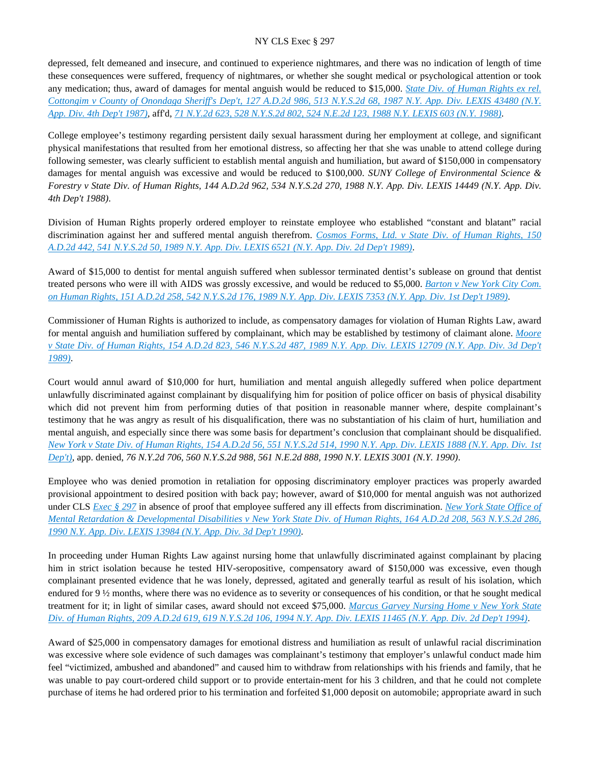depressed, felt demeaned and insecure, and continued to experience nightmares, and there was no indication of length of time these consequences were suffered, frequency of nightmares, or whether she sought medical or psychological attention or took any medication; thus, award of damages for mental anguish would be reduced to \$15,000. *[State Div. of Human Rights ex rel.](https://advance.lexis.com/api/document?collection=cases&id=urn:contentItem:3S3K-0JD0-003D-G04T-00000-00&context=)  [Cottongim v County of Onondaga Sheriff's Dep't, 127 A.D.2d 986, 513 N.Y.S.2d 68, 1987 N.Y. App. Div. LEXIS 43480 \(N.Y.](https://advance.lexis.com/api/document?collection=cases&id=urn:contentItem:3S3K-0JD0-003D-G04T-00000-00&context=)  [App. Div. 4th Dep't 1987\)](https://advance.lexis.com/api/document?collection=cases&id=urn:contentItem:3S3K-0JD0-003D-G04T-00000-00&context=)*, aff'd, *[71 N.Y.2d 623, 528 N.Y.S.2d 802, 524 N.E.2d 123, 1988 N.Y. LEXIS 603 \(N.Y. 1988\)](https://advance.lexis.com/api/document?collection=cases&id=urn:contentItem:3S3J-XM20-003D-G2YH-00000-00&context=)*.

College employee's testimony regarding persistent daily sexual harassment during her employment at college, and significant physical manifestations that resulted from her emotional distress, so affecting her that she was unable to attend college during following semester, was clearly sufficient to establish mental anguish and humiliation, but award of \$150,000 in compensatory damages for mental anguish was excessive and would be reduced to \$100,000. *SUNY College of Environmental Science & Forestry v State Div. of Human Rights, 144 A.D.2d 962, 534 N.Y.S.2d 270, 1988 N.Y. App. Div. LEXIS 14449 (N.Y. App. Div. 4th Dep't 1988)*.

Division of Human Rights properly ordered employer to reinstate employee who established "constant and blatant" racial discrimination against her and suffered mental anguish therefrom. *[Cosmos Forms, Ltd. v State Div. of Human Rights, 150](https://advance.lexis.com/api/document?collection=cases&id=urn:contentItem:3S2R-B7T0-003V-B011-00000-00&context=)  [A.D.2d 442, 541 N.Y.S.2d 50, 1989 N.Y. App. Div. LEXIS 6521 \(N.Y. App. Div. 2d Dep't 1989\)](https://advance.lexis.com/api/document?collection=cases&id=urn:contentItem:3S2R-B7T0-003V-B011-00000-00&context=)*.

Award of \$15,000 to dentist for mental anguish suffered when sublessor terminated dentist's sublease on ground that dentist treated persons who were ill with AIDS was grossly excessive, and would be reduced to \$5,000. *[Barton v New York City Com.](https://advance.lexis.com/api/document?collection=cases&id=urn:contentItem:3S2R-B5G0-003V-B2BG-00000-00&context=)  [on Human Rights, 151 A.D.2d 258, 542 N.Y.S.2d 176, 1989 N.Y. App. Div. LEXIS 7353 \(N.Y. App. Div. 1st Dep't 1989\)](https://advance.lexis.com/api/document?collection=cases&id=urn:contentItem:3S2R-B5G0-003V-B2BG-00000-00&context=)*.

Commissioner of Human Rights is authorized to include, as compensatory damages for violation of Human Rights Law, award for mental anguish and humiliation suffered by complainant, which may be established by testimony of claimant alone. *[Moore](https://advance.lexis.com/api/document?collection=cases&id=urn:contentItem:3S2R-9XG0-003V-B3NT-00000-00&context=)  [v State Div. of Human Rights, 154 A.D.2d 823, 546 N.Y.S.2d 487, 1989 N.Y. App. Div. LEXIS 12709 \(N.Y. App. Div. 3d Dep't](https://advance.lexis.com/api/document?collection=cases&id=urn:contentItem:3S2R-9XG0-003V-B3NT-00000-00&context=)  [1989\)](https://advance.lexis.com/api/document?collection=cases&id=urn:contentItem:3S2R-9XG0-003V-B3NT-00000-00&context=)*.

Court would annul award of \$10,000 for hurt, humiliation and mental anguish allegedly suffered when police department unlawfully discriminated against complainant by disqualifying him for position of police officer on basis of physical disability which did not prevent him from performing duties of that position in reasonable manner where, despite complainant's testimony that he was angry as result of his disqualification, there was no substantiation of his claim of hurt, humiliation and mental anguish, and especially since there was some basis for department's conclusion that complainant should be disqualified. *[New York v State Div. of Human Rights, 154 A.D.2d 56, 551 N.Y.S.2d 514, 1990 N.Y. App. Div. LEXIS 1888 \(N.Y. App. Div. 1st](https://advance.lexis.com/api/document?collection=cases&id=urn:contentItem:3S2R-9M60-003V-B50K-00000-00&context=)  [Dep't\)](https://advance.lexis.com/api/document?collection=cases&id=urn:contentItem:3S2R-9M60-003V-B50K-00000-00&context=)*, app. denied, *76 N.Y.2d 706, 560 N.Y.S.2d 988, 561 N.E.2d 888, 1990 N.Y. LEXIS 3001 (N.Y. 1990)*.

Employee who was denied promotion in retaliation for opposing discriminatory employer practices was properly awarded provisional appointment to desired position with back pay; however, award of \$10,000 for mental anguish was not authorized under CLS *[Exec § 297](https://advance.lexis.com/api/document?collection=statutes-legislation&id=urn:contentItem:5H6N-1CT1-DXC8-036V-00000-00&context=)* in absence of proof that employee suffered any ill effects from discrimination. *[New York State Office of](https://advance.lexis.com/api/document?collection=cases&id=urn:contentItem:3S2R-9090-003V-B06S-00000-00&context=)  [Mental Retardation & Developmental Disabilities v New York State Div. of Human Rights, 164 A.D.2d 208, 563 N.Y.S.2d 286,](https://advance.lexis.com/api/document?collection=cases&id=urn:contentItem:3S2R-9090-003V-B06S-00000-00&context=)  [1990 N.Y. App. Div. LEXIS 13984 \(N.Y. App. Div. 3d Dep't 1990\)](https://advance.lexis.com/api/document?collection=cases&id=urn:contentItem:3S2R-9090-003V-B06S-00000-00&context=)*.

In proceeding under Human Rights Law against nursing home that unlawfully discriminated against complainant by placing him in strict isolation because he tested HIV-seropositive, compensatory award of \$150,000 was excessive, even though complainant presented evidence that he was lonely, depressed, agitated and generally tearful as result of his isolation, which endured for 9 ½ months, where there was no evidence as to severity or consequences of his condition, or that he sought medical treatment for it; in light of similar cases, award should not exceed \$75,000. *[Marcus Garvey Nursing Home v New York State](https://advance.lexis.com/api/document?collection=cases&id=urn:contentItem:3S2R-6JS0-003V-B4MV-00000-00&context=)  [Div. of Human Rights, 209 A.D.2d 619, 619 N.Y.S.2d 106, 1994 N.Y. App. Div. LEXIS 11465 \(N.Y. App. Div. 2d Dep't 1994\)](https://advance.lexis.com/api/document?collection=cases&id=urn:contentItem:3S2R-6JS0-003V-B4MV-00000-00&context=)*.

Award of \$25,000 in compensatory damages for emotional distress and humiliation as result of unlawful racial discrimination was excessive where sole evidence of such damages was complainant's testimony that employer's unlawful conduct made him feel "victimized, ambushed and abandoned" and caused him to withdraw from relationships with his friends and family, that he was unable to pay court-ordered child support or to provide entertain-ment for his 3 children, and that he could not complete purchase of items he had ordered prior to his termination and forfeited \$1,000 deposit on automobile; appropriate award in such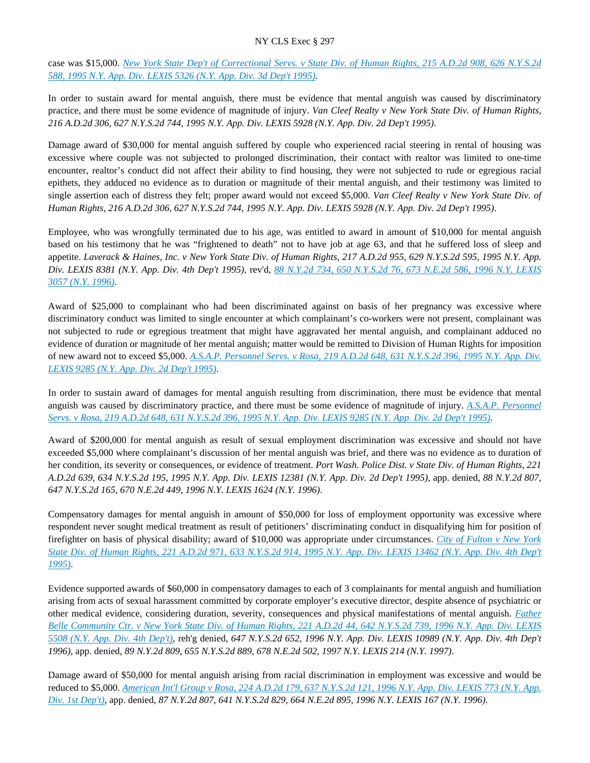case was \$15,000. *[New York State Dep't of Correctional Servs. v State Div. of Human Rights, 215 A.D.2d 908, 626 N.Y.S.2d](https://advance.lexis.com/api/document?collection=cases&id=urn:contentItem:3S2R-68R0-003V-B2G8-00000-00&context=)  [588, 1995 N.Y. App. Div. LEXIS 5326 \(N.Y. App. Div. 3d Dep't 1995\)](https://advance.lexis.com/api/document?collection=cases&id=urn:contentItem:3S2R-68R0-003V-B2G8-00000-00&context=)*.

In order to sustain award for mental anguish, there must be evidence that mental anguish was caused by discriminatory practice, and there must be some evidence of magnitude of injury. *Van Cleef Realty v New York State Div. of Human Rights, 216 A.D.2d 306, 627 N.Y.S.2d 744, 1995 N.Y. App. Div. LEXIS 5928 (N.Y. App. Div. 2d Dep't 1995)*.

Damage award of \$30,000 for mental anguish suffered by couple who experienced racial steering in rental of housing was excessive where couple was not subjected to prolonged discrimination, their contact with realtor was limited to one-time encounter, realtor's conduct did not affect their ability to find housing, they were not subjected to rude or egregious racial epithets, they adduced no evidence as to duration or magnitude of their mental anguish, and their testimony was limited to single assertion each of distress they felt; proper award would not exceed \$5,000. *Van Cleef Realty v New York State Div. of Human Rights, 216 A.D.2d 306, 627 N.Y.S.2d 744, 1995 N.Y. App. Div. LEXIS 5928 (N.Y. App. Div. 2d Dep't 1995)*.

Employee, who was wrongfully terminated due to his age, was entitled to award in amount of \$10,000 for mental anguish based on his testimony that he was "frightened to death" not to have job at age 63, and that he suffered loss of sleep and appetite. *Laverack & Haines, Inc. v New York State Div. of Human Rights, 217 A.D.2d 955, 629 N.Y.S.2d 595, 1995 N.Y. App. Div. LEXIS 8381 (N.Y. App. Div. 4th Dep't 1995)*, rev'd, *[88 N.Y.2d 734, 650 N.Y.S.2d 76, 673 N.E.2d 586, 1996 N.Y. LEXIS](https://advance.lexis.com/api/document?collection=cases&id=urn:contentItem:3RSP-TNK0-003V-B231-00000-00&context=)  [3057 \(N.Y. 1996\)](https://advance.lexis.com/api/document?collection=cases&id=urn:contentItem:3RSP-TNK0-003V-B231-00000-00&context=)*.

Award of \$25,000 to complainant who had been discriminated against on basis of her pregnancy was excessive where discriminatory conduct was limited to single encounter at which complainant's co-workers were not present, complainant was not subjected to rude or egregious treatment that might have aggravated her mental anguish, and complainant adduced no evidence of duration or magnitude of her mental anguish; matter would be remitted to Division of Human Rights for imposition of new award not to exceed \$5,000. *[A.S.A.P. Personnel Servs. v Rosa, 219 A.D.2d 648, 631 N.Y.S.2d 396, 1995 N.Y. App. Div.](https://advance.lexis.com/api/document?collection=cases&id=urn:contentItem:3S2R-6400-003V-B0NH-00000-00&context=)  [LEXIS 9285 \(N.Y. App. Div. 2d Dep't 1995\)](https://advance.lexis.com/api/document?collection=cases&id=urn:contentItem:3S2R-6400-003V-B0NH-00000-00&context=)*.

In order to sustain award of damages for mental anguish resulting from discrimination, there must be evidence that mental anguish was caused by discriminatory practice, and there must be some evidence of magnitude of injury. *[A.S.A.P. Personnel](https://advance.lexis.com/api/document?collection=cases&id=urn:contentItem:3S2R-6400-003V-B0NH-00000-00&context=)  [Servs. v Rosa, 219 A.D.2d 648, 631 N.Y.S.2d 396, 1995 N.Y. App. Div. LEXIS 9285 \(N.Y. App. Div. 2d Dep't 1995\)](https://advance.lexis.com/api/document?collection=cases&id=urn:contentItem:3S2R-6400-003V-B0NH-00000-00&context=)*.

Award of \$200,000 for mental anguish as result of sexual employment discrimination was excessive and should not have exceeded \$5,000 where complainant's discussion of her mental anguish was brief, and there was no evidence as to duration of her condition, its severity or consequences, or evidence of treatment. *Port Wash. Police Dist. v State Div. of Human Rights, 221 A.D.2d 639, 634 N.Y.S.2d 195, 1995 N.Y. App. Div. LEXIS 12381 (N.Y. App. Div. 2d Dep't 1995)*, app. denied, *88 N.Y.2d 807, 647 N.Y.S.2d 165, 670 N.E.2d 449, 1996 N.Y. LEXIS 1624 (N.Y. 1996)*.

Compensatory damages for mental anguish in amount of \$50,000 for loss of employment opportunity was excessive where respondent never sought medical treatment as result of petitioners' discriminating conduct in disqualifying him for position of firefighter on basis of physical disability; award of \$10,000 was appropriate under circumstances. *[City of Fulton v New York](https://advance.lexis.com/api/document?collection=cases&id=urn:contentItem:3S2R-6140-003V-B1PP-00000-00&context=)  [State Div. of Human Rights, 221 A.D.2d 971, 633 N.Y.S.2d 914, 1995 N.Y. App. Div. LEXIS 13462 \(N.Y. App. Div. 4th Dep't](https://advance.lexis.com/api/document?collection=cases&id=urn:contentItem:3S2R-6140-003V-B1PP-00000-00&context=)  [1995\)](https://advance.lexis.com/api/document?collection=cases&id=urn:contentItem:3S2R-6140-003V-B1PP-00000-00&context=)*.

Evidence supported awards of \$60,000 in compensatory damages to each of 3 complainants for mental anguish and humiliation arising from acts of sexual harassment committed by corporate employer's executive director, despite absence of psychiatric or other medical evidence, considering duration, severity, consequences and physical manifestations of mental anguish. *[Father](https://advance.lexis.com/api/document?collection=cases&id=urn:contentItem:3S2R-5RC0-003V-B21B-00000-00&context=)  [Belle Community Ctr. v New York State Div. of Human Rights, 221 A.D.2d 44, 642 N.Y.S.2d 739, 1996 N.Y. App. Div. LEXIS](https://advance.lexis.com/api/document?collection=cases&id=urn:contentItem:3S2R-5RC0-003V-B21B-00000-00&context=)  [5508 \(N.Y. App. Div. 4th Dep't\)](https://advance.lexis.com/api/document?collection=cases&id=urn:contentItem:3S2R-5RC0-003V-B21B-00000-00&context=)*, reh'g denied, *647 N.Y.S.2d 652, 1996 N.Y. App. Div. LEXIS 10989 (N.Y. App. Div. 4th Dep't 1996)*, app. denied, *89 N.Y.2d 809, 655 N.Y.S.2d 889, 678 N.E.2d 502, 1997 N.Y. LEXIS 214 (N.Y. 1997)*.

Damage award of \$50,000 for mental anguish arising from racial discrimination in employment was excessive and would be reduced to \$5,000. *[American Int'l Group v Rosa, 224 A.D.2d 179, 637 N.Y.S.2d 121, 1996 N.Y. App. Div. LEXIS 773 \(N.Y. App.](https://advance.lexis.com/api/document?collection=cases&id=urn:contentItem:3S2R-5WD0-003V-B31B-00000-00&context=)  [Div. 1st Dep't\)](https://advance.lexis.com/api/document?collection=cases&id=urn:contentItem:3S2R-5WD0-003V-B31B-00000-00&context=)*, app. denied, *87 N.Y.2d 807, 641 N.Y.S.2d 829, 664 N.E.2d 895, 1996 N.Y. LEXIS 167 (N.Y. 1996)*.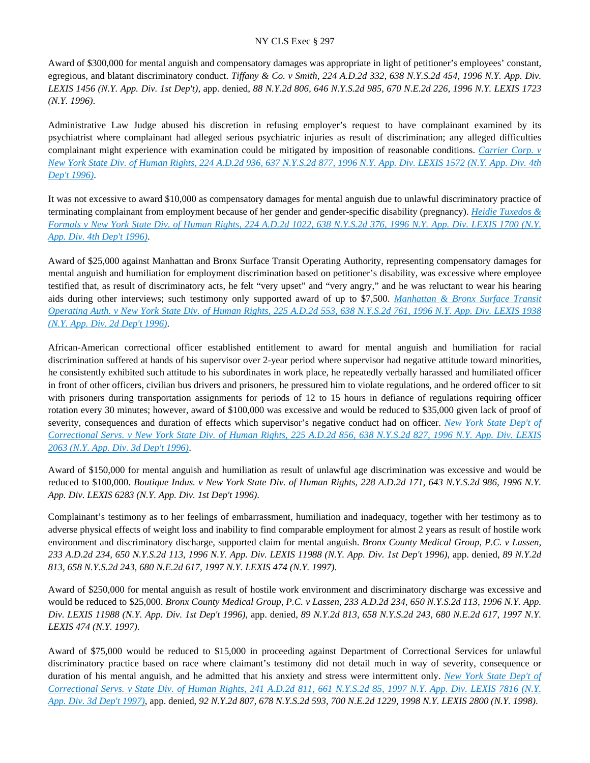Award of \$300,000 for mental anguish and compensatory damages was appropriate in light of petitioner's employees' constant, egregious, and blatant discriminatory conduct. *Tiffany & Co. v Smith, 224 A.D.2d 332, 638 N.Y.S.2d 454, 1996 N.Y. App. Div. LEXIS 1456 (N.Y. App. Div. 1st Dep't)*, app. denied, *88 N.Y.2d 806, 646 N.Y.S.2d 985, 670 N.E.2d 226, 1996 N.Y. LEXIS 1723 (N.Y. 1996)*.

Administrative Law Judge abused his discretion in refusing employer's request to have complainant examined by its psychiatrist where complainant had alleged serious psychiatric injuries as result of discrimination; any alleged difficulties complainant might experience with examination could be mitigated by imposition of reasonable conditions. *[Carrier Corp. v](https://advance.lexis.com/api/document?collection=cases&id=urn:contentItem:3S2R-5W70-003V-B2P9-00000-00&context=)  [New York State Div. of Human Rights, 224 A.D.2d 936, 637 N.Y.S.2d 877, 1996 N.Y. App. Div. LEXIS 1572 \(N.Y. App. Div. 4th](https://advance.lexis.com/api/document?collection=cases&id=urn:contentItem:3S2R-5W70-003V-B2P9-00000-00&context=)  [Dep't 1996\)](https://advance.lexis.com/api/document?collection=cases&id=urn:contentItem:3S2R-5W70-003V-B2P9-00000-00&context=)*.

It was not excessive to award \$10,000 as compensatory damages for mental anguish due to unlawful discriminatory practice of terminating complainant from employment because of her gender and gender-specific disability (pregnancy). *[Heidie Tuxedos &](https://advance.lexis.com/api/document?collection=cases&id=urn:contentItem:3S2R-5WB0-003V-B2VW-00000-00&context=)  [Formals v New York State Div. of Human Rights, 224 A.D.2d 1022, 638 N.Y.S.2d 376, 1996 N.Y. App. Div. LEXIS 1700 \(N.Y.](https://advance.lexis.com/api/document?collection=cases&id=urn:contentItem:3S2R-5WB0-003V-B2VW-00000-00&context=)  [App. Div. 4th Dep't 1996\)](https://advance.lexis.com/api/document?collection=cases&id=urn:contentItem:3S2R-5WB0-003V-B2VW-00000-00&context=)*.

Award of \$25,000 against Manhattan and Bronx Surface Transit Operating Authority, representing compensatory damages for mental anguish and humiliation for employment discrimination based on petitioner's disability, was excessive where employee testified that, as result of discriminatory acts, he felt "very upset" and "very angry," and he was reluctant to wear his hearing aids during other interviews; such testimony only supported award of up to \$7,500. *[Manhattan & Bronx Surface Transit](https://advance.lexis.com/api/document?collection=cases&id=urn:contentItem:3S2R-5V00-003V-B0SW-00000-00&context=)  [Operating Auth. v New York State Div. of Human Rights, 225 A.D.2d 553, 638 N.Y.S.2d 761, 1996 N.Y. App. Div. LEXIS 1938](https://advance.lexis.com/api/document?collection=cases&id=urn:contentItem:3S2R-5V00-003V-B0SW-00000-00&context=)  [\(N.Y. App. Div. 2d Dep't 1996\)](https://advance.lexis.com/api/document?collection=cases&id=urn:contentItem:3S2R-5V00-003V-B0SW-00000-00&context=)*.

African-American correctional officer established entitlement to award for mental anguish and humiliation for racial discrimination suffered at hands of his supervisor over 2-year period where supervisor had negative attitude toward minorities, he consistently exhibited such attitude to his subordinates in work place, he repeatedly verbally harassed and humiliated officer in front of other officers, civilian bus drivers and prisoners, he pressured him to violate regulations, and he ordered officer to sit with prisoners during transportation assignments for periods of 12 to 15 hours in defiance of regulations requiring officer rotation every 30 minutes; however, award of \$100,000 was excessive and would be reduced to \$35,000 given lack of proof of severity, consequences and duration of effects which supervisor's negative conduct had on officer. *[New York State Dep't of](https://advance.lexis.com/api/document?collection=cases&id=urn:contentItem:3S2R-5TS0-003V-B0F2-00000-00&context=)  [Correctional Servs. v New York State Div. of Human Rights, 225 A.D.2d 856, 638 N.Y.S.2d 827, 1996 N.Y. App. Div. LEXIS](https://advance.lexis.com/api/document?collection=cases&id=urn:contentItem:3S2R-5TS0-003V-B0F2-00000-00&context=)  [2063 \(N.Y. App. Div. 3d Dep't 1996\)](https://advance.lexis.com/api/document?collection=cases&id=urn:contentItem:3S2R-5TS0-003V-B0F2-00000-00&context=)*.

Award of \$150,000 for mental anguish and humiliation as result of unlawful age discrimination was excessive and would be reduced to \$100,000. *Boutique Indus. v New York State Div. of Human Rights, 228 A.D.2d 171, 643 N.Y.S.2d 986, 1996 N.Y. App. Div. LEXIS 6283 (N.Y. App. Div. 1st Dep't 1996)*.

Complainant's testimony as to her feelings of embarrassment, humiliation and inadequacy, together with her testimony as to adverse physical effects of weight loss and inability to find comparable employment for almost 2 years as result of hostile work environment and discriminatory discharge, supported claim for mental anguish. *Bronx County Medical Group, P.C. v Lassen, 233 A.D.2d 234, 650 N.Y.S.2d 113, 1996 N.Y. App. Div. LEXIS 11988 (N.Y. App. Div. 1st Dep't 1996)*, app. denied, *89 N.Y.2d 813, 658 N.Y.S.2d 243, 680 N.E.2d 617, 1997 N.Y. LEXIS 474 (N.Y. 1997)*.

Award of \$250,000 for mental anguish as result of hostile work environment and discriminatory discharge was excessive and would be reduced to \$25,000. *Bronx County Medical Group, P.C. v Lassen, 233 A.D.2d 234, 650 N.Y.S.2d 113, 1996 N.Y. App. Div. LEXIS 11988 (N.Y. App. Div. 1st Dep't 1996)*, app. denied, *89 N.Y.2d 813, 658 N.Y.S.2d 243, 680 N.E.2d 617, 1997 N.Y. LEXIS 474 (N.Y. 1997)*.

Award of \$75,000 would be reduced to \$15,000 in proceeding against Department of Correctional Services for unlawful discriminatory practice based on race where claimant's testimony did not detail much in way of severity, consequence or duration of his mental anguish, and he admitted that his anxiety and stress were intermittent only. *[New York State Dep't of](https://advance.lexis.com/api/document?collection=cases&id=urn:contentItem:3S2R-5090-003V-B12C-00000-00&context=)  [Correctional Servs. v State Div. of Human Rights, 241 A.D.2d 811, 661 N.Y.S.2d 85, 1997 N.Y. App. Div. LEXIS 7816 \(N.Y.](https://advance.lexis.com/api/document?collection=cases&id=urn:contentItem:3S2R-5090-003V-B12C-00000-00&context=)  [App. Div. 3d Dep't 1997\)](https://advance.lexis.com/api/document?collection=cases&id=urn:contentItem:3S2R-5090-003V-B12C-00000-00&context=)*, app. denied, *92 N.Y.2d 807, 678 N.Y.S.2d 593, 700 N.E.2d 1229, 1998 N.Y. LEXIS 2800 (N.Y. 1998)*.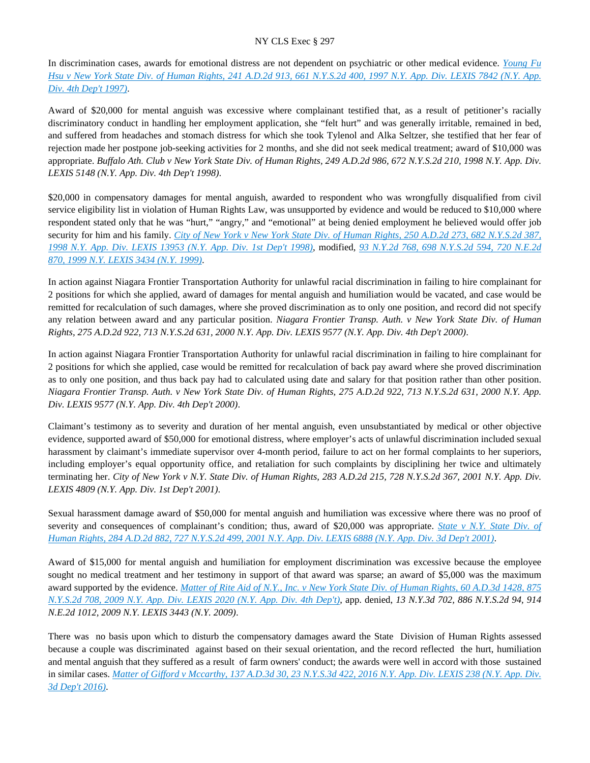In discrimination cases, awards for emotional distress are not dependent on psychiatric or other medical evidence. *[Young Fu](https://advance.lexis.com/api/document?collection=cases&id=urn:contentItem:3S2R-5100-003V-B1MN-00000-00&context=)  [Hsu v New York State Div. of Human Rights, 241 A.D.2d 913, 661 N.Y.S.2d 400, 1997 N.Y. App. Div. LEXIS 7842 \(N.Y. App.](https://advance.lexis.com/api/document?collection=cases&id=urn:contentItem:3S2R-5100-003V-B1MN-00000-00&context=)  [Div. 4th Dep't 1997\)](https://advance.lexis.com/api/document?collection=cases&id=urn:contentItem:3S2R-5100-003V-B1MN-00000-00&context=)*.

Award of \$20,000 for mental anguish was excessive where complainant testified that, as a result of petitioner's racially discriminatory conduct in handling her employment application, she "felt hurt" and was generally irritable, remained in bed, and suffered from headaches and stomach distress for which she took Tylenol and Alka Seltzer, she testified that her fear of rejection made her postpone job-seeking activities for 2 months, and she did not seek medical treatment; award of \$10,000 was appropriate. *Buffalo Ath. Club v New York State Div. of Human Rights, 249 A.D.2d 986, 672 N.Y.S.2d 210, 1998 N.Y. App. Div. LEXIS 5148 (N.Y. App. Div. 4th Dep't 1998)*.

\$20,000 in compensatory damages for mental anguish, awarded to respondent who was wrongfully disqualified from civil service eligibility list in violation of Human Rights Law, was unsupported by evidence and would be reduced to \$10,000 where respondent stated only that he was "hurt," "angry," and "emotional" at being denied employment he believed would offer job security for him and his family. *[City of New York v New York State Div. of Human Rights, 250 A.D.2d 273, 682 N.Y.S.2d 387,](https://advance.lexis.com/api/document?collection=cases&id=urn:contentItem:3VF9-HY70-0039-40K1-00000-00&context=)  [1998 N.Y. App. Div. LEXIS 13953 \(N.Y. App. Div. 1st Dep't 1998\)](https://advance.lexis.com/api/document?collection=cases&id=urn:contentItem:3VF9-HY70-0039-40K1-00000-00&context=)*, modified, *[93 N.Y.2d 768, 698 N.Y.S.2d 594, 720 N.E.2d](https://advance.lexis.com/api/document?collection=cases&id=urn:contentItem:3XP0-5F50-0039-43W0-00000-00&context=)  [870, 1999 N.Y. LEXIS 3434 \(N.Y. 1999\)](https://advance.lexis.com/api/document?collection=cases&id=urn:contentItem:3XP0-5F50-0039-43W0-00000-00&context=)*.

In action against Niagara Frontier Transportation Authority for unlawful racial discrimination in failing to hire complainant for 2 positions for which she applied, award of damages for mental anguish and humiliation would be vacated, and case would be remitted for recalculation of such damages, where she proved discrimination as to only one position, and record did not specify any relation between award and any particular position. *Niagara Frontier Transp. Auth. v New York State Div. of Human Rights, 275 A.D.2d 922, 713 N.Y.S.2d 631, 2000 N.Y. App. Div. LEXIS 9577 (N.Y. App. Div. 4th Dep't 2000)*.

In action against Niagara Frontier Transportation Authority for unlawful racial discrimination in failing to hire complainant for 2 positions for which she applied, case would be remitted for recalculation of back pay award where she proved discrimination as to only one position, and thus back pay had to calculated using date and salary for that position rather than other position. *Niagara Frontier Transp. Auth. v New York State Div. of Human Rights, 275 A.D.2d 922, 713 N.Y.S.2d 631, 2000 N.Y. App. Div. LEXIS 9577 (N.Y. App. Div. 4th Dep't 2000)*.

Claimant's testimony as to severity and duration of her mental anguish, even unsubstantiated by medical or other objective evidence, supported award of \$50,000 for emotional distress, where employer's acts of unlawful discrimination included sexual harassment by claimant's immediate supervisor over 4-month period, failure to act on her formal complaints to her superiors, including employer's equal opportunity office, and retaliation for such complaints by disciplining her twice and ultimately terminating her. *City of New York v N.Y. State Div. of Human Rights, 283 A.D.2d 215, 728 N.Y.S.2d 367, 2001 N.Y. App. Div. LEXIS 4809 (N.Y. App. Div. 1st Dep't 2001)*.

Sexual harassment damage award of \$50,000 for mental anguish and humiliation was excessive where there was no proof of severity and consequences of complainant's condition; thus, award of \$20,000 was appropriate. *[State v N.Y. State Div. of](https://advance.lexis.com/api/document?collection=cases&id=urn:contentItem:43D0-3NY0-0039-43W8-00000-00&context=)  [Human Rights, 284 A.D.2d 882, 727 N.Y.S.2d 499, 2001 N.Y. App. Div. LEXIS 6888 \(N.Y. App. Div. 3d Dep't 2001\)](https://advance.lexis.com/api/document?collection=cases&id=urn:contentItem:43D0-3NY0-0039-43W8-00000-00&context=)*.

Award of \$15,000 for mental anguish and humiliation for employment discrimination was excessive because the employee sought no medical treatment and her testimony in support of that award was sparse; an award of \$5,000 was the maximum award supported by the evidence. *[Matter of Rite Aid of N.Y., Inc. v New York State Div. of Human Rights, 60 A.D.3d 1428, 875](https://advance.lexis.com/api/document?collection=cases&id=urn:contentItem:4VWX-CC30-TXFV-T2F7-00000-00&context=)  [N.Y.S.2d 708, 2009 N.Y. App. Div. LEXIS 2020 \(N.Y. App. Div. 4th Dep't\)](https://advance.lexis.com/api/document?collection=cases&id=urn:contentItem:4VWX-CC30-TXFV-T2F7-00000-00&context=)*, app. denied, *13 N.Y.3d 702, 886 N.Y.S.2d 94, 914 N.E.2d 1012, 2009 N.Y. LEXIS 3443 (N.Y. 2009)*.

There was no basis upon which to disturb the compensatory damages award the State Division of Human Rights assessed because a couple was discriminated against based on their sexual orientation, and the record reflected the hurt, humiliation and mental anguish that they suffered as a result of farm owners' conduct; the awards were well in accord with those sustained in similar cases. *[Matter of Gifford v Mccarthy, 137 A.D.3d 30, 23 N.Y.S.3d 422, 2016 N.Y. App. Div. LEXIS 238 \(N.Y. App. Div.](https://advance.lexis.com/api/document?collection=cases&id=urn:contentItem:5HVJ-4741-F04J-71XX-00000-00&context=)  [3d Dep't 2016\)](https://advance.lexis.com/api/document?collection=cases&id=urn:contentItem:5HVJ-4741-F04J-71XX-00000-00&context=)*.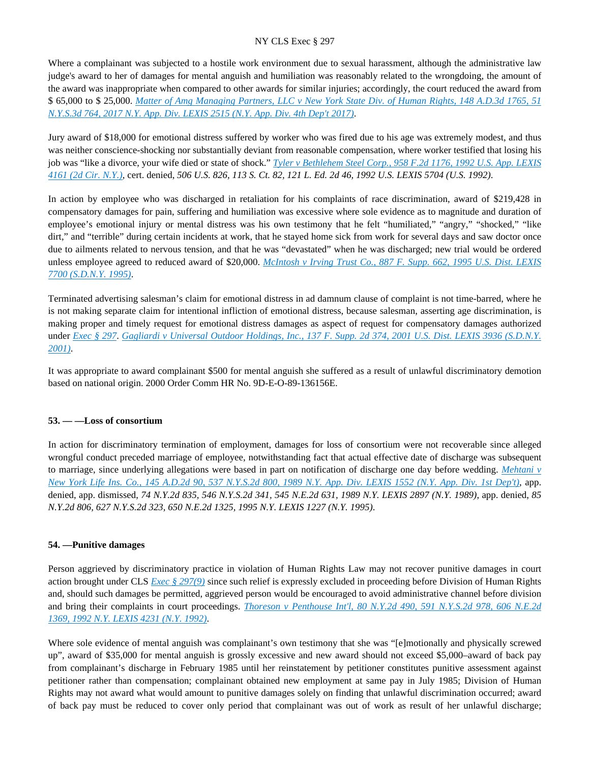Where a complainant was subjected to a hostile work environment due to sexual harassment, although the administrative law judge's award to her of damages for mental anguish and humiliation was reasonably related to the wrongdoing, the amount of the award was inappropriate when compared to other awards for similar injuries; accordingly, the court reduced the award from \$ 65,000 to \$ 25,000. *[Matter of Amg Managing Partners, LLC v New York State Div. of Human Rights, 148 A.D.3d 1765, 51](https://advance.lexis.com/api/document?collection=cases&id=urn:contentItem:5N6T-RYS1-F04J-71FJ-00000-00&context=)  [N.Y.S.3d 764, 2017 N.Y. App. Div. LEXIS 2515 \(N.Y. App. Div. 4th Dep't 2017\)](https://advance.lexis.com/api/document?collection=cases&id=urn:contentItem:5N6T-RYS1-F04J-71FJ-00000-00&context=)*.

Jury award of \$18,000 for emotional distress suffered by worker who was fired due to his age was extremely modest, and thus was neither conscience-shocking nor substantially deviant from reasonable compensation, where worker testified that losing his job was "like a divorce, your wife died or state of shock." *[Tyler v Bethlehem Steel Corp., 958 F.2d 1176, 1992 U.S. App. LEXIS](https://advance.lexis.com/api/document?collection=cases&id=urn:contentItem:3S4X-56M0-008H-V437-00000-00&context=)  [4161 \(2d Cir. N.Y.\)](https://advance.lexis.com/api/document?collection=cases&id=urn:contentItem:3S4X-56M0-008H-V437-00000-00&context=)*, cert. denied, *506 U.S. 826, 113 S. Ct. 82, 121 L. Ed. 2d 46, 1992 U.S. LEXIS 5704 (U.S. 1992)*.

In action by employee who was discharged in retaliation for his complaints of race discrimination, award of \$219,428 in compensatory damages for pain, suffering and humiliation was excessive where sole evidence as to magnitude and duration of employee's emotional injury or mental distress was his own testimony that he felt "humiliated," "angry," "shocked," "like dirt," and "terrible" during certain incidents at work, that he stayed home sick from work for several days and saw doctor once due to ailments related to nervous tension, and that he was "devastated" when he was discharged; new trial would be ordered unless employee agreed to reduced award of \$20,000. *[McIntosh v Irving Trust Co., 887 F. Supp. 662, 1995 U.S. Dist. LEXIS](https://advance.lexis.com/api/document?collection=cases&id=urn:contentItem:3S4N-KBH0-001T-5055-00000-00&context=)  [7700 \(S.D.N.Y. 1995\)](https://advance.lexis.com/api/document?collection=cases&id=urn:contentItem:3S4N-KBH0-001T-5055-00000-00&context=)*.

Terminated advertising salesman's claim for emotional distress in ad damnum clause of complaint is not time-barred, where he is not making separate claim for intentional infliction of emotional distress, because salesman, asserting age discrimination, is making proper and timely request for emotional distress damages as aspect of request for compensatory damages authorized under *[Exec § 297](https://advance.lexis.com/api/document?collection=statutes-legislation&id=urn:contentItem:5H6N-1CT1-DXC8-036V-00000-00&context=)*. *[Gagliardi v Universal Outdoor Holdings, Inc., 137 F. Supp. 2d 374, 2001 U.S. Dist. LEXIS 3936 \(S.D.N.Y.](https://advance.lexis.com/api/document?collection=cases&id=urn:contentItem:42S2-P070-0038-Y2TP-00000-00&context=)  [2001\)](https://advance.lexis.com/api/document?collection=cases&id=urn:contentItem:42S2-P070-0038-Y2TP-00000-00&context=)*.

It was appropriate to award complainant \$500 for mental anguish she suffered as a result of unlawful discriminatory demotion based on national origin. 2000 Order Comm HR No. 9D-E-O-89-136156E.

## **53. — —Loss of consortium**

In action for discriminatory termination of employment, damages for loss of consortium were not recoverable since alleged wrongful conduct preceded marriage of employee, notwithstanding fact that actual effective date of discharge was subsequent to marriage, since underlying allegations were based in part on notification of discharge one day before wedding. *[Mehtani v](https://advance.lexis.com/api/document?collection=cases&id=urn:contentItem:3S2R-BFT0-003V-B1J6-00000-00&context=)  [New York Life Ins. Co., 145 A.D.2d 90, 537 N.Y.S.2d 800, 1989 N.Y. App. Div. LEXIS 1552 \(N.Y. App. Div. 1st Dep't\)](https://advance.lexis.com/api/document?collection=cases&id=urn:contentItem:3S2R-BFT0-003V-B1J6-00000-00&context=)*, app. denied, app. dismissed, *74 N.Y.2d 835, 546 N.Y.S.2d 341, 545 N.E.2d 631, 1989 N.Y. LEXIS 2897 (N.Y. 1989)*, app. denied, *85 N.Y.2d 806, 627 N.Y.S.2d 323, 650 N.E.2d 1325, 1995 N.Y. LEXIS 1227 (N.Y. 1995)*.

## **54. —Punitive damages**

Person aggrieved by discriminatory practice in violation of Human Rights Law may not recover punitive damages in court action brought under CLS *[Exec § 297\(9\)](https://advance.lexis.com/api/document?collection=statutes-legislation&id=urn:contentItem:5H6N-1CT1-DXC8-036V-00000-00&context=)* since such relief is expressly excluded in proceeding before Division of Human Rights and, should such damages be permitted, aggrieved person would be encouraged to avoid administrative channel before division and bring their complaints in court proceedings. *[Thoreson v Penthouse Int'l, 80 N.Y.2d 490, 591 N.Y.S.2d 978, 606 N.E.2d](https://advance.lexis.com/api/document?collection=cases&id=urn:contentItem:3S2R-7P30-003V-B09P-00000-00&context=)  [1369, 1992 N.Y. LEXIS 4231 \(N.Y. 1992\)](https://advance.lexis.com/api/document?collection=cases&id=urn:contentItem:3S2R-7P30-003V-B09P-00000-00&context=)*.

Where sole evidence of mental anguish was complainant's own testimony that she was "[e]motionally and physically screwed up", award of \$35,000 for mental anguish is grossly excessive and new award should not exceed \$5,000–award of back pay from complainant's discharge in February 1985 until her reinstatement by petitioner constitutes punitive assessment against petitioner rather than compensation; complainant obtained new employment at same pay in July 1985; Division of Human Rights may not award what would amount to punitive damages solely on finding that unlawful discrimination occurred; award of back pay must be reduced to cover only period that complainant was out of work as result of her unlawful discharge;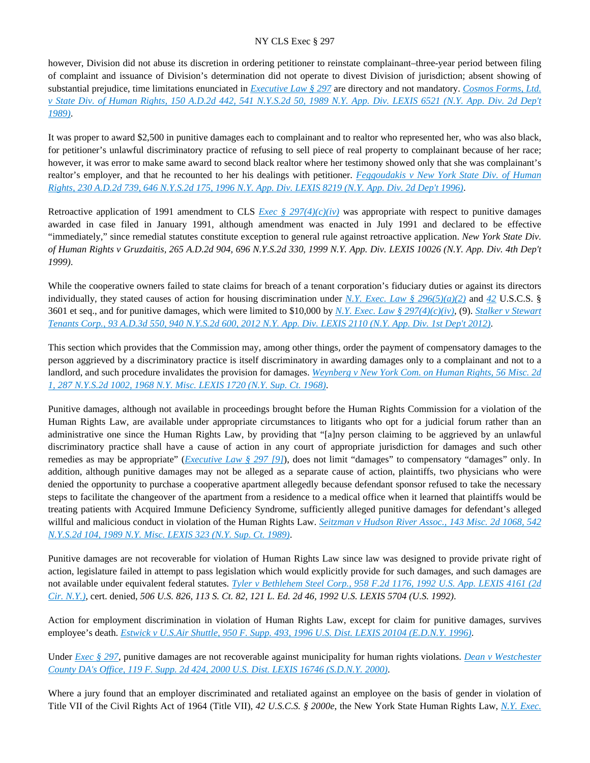however, Division did not abuse its discretion in ordering petitioner to reinstate complainant–three-year period between filing of complaint and issuance of Division's determination did not operate to divest Division of jurisdiction; absent showing of substantial prejudice, time limitations enunciated in *[Executive Law § 297](https://advance.lexis.com/api/document?collection=statutes-legislation&id=urn:contentItem:5H6N-1CT1-DXC8-036V-00000-00&context=)* are directory and not mandatory. *[Cosmos Forms, Ltd.](https://advance.lexis.com/api/document?collection=cases&id=urn:contentItem:3S2R-B7T0-003V-B011-00000-00&context=)  [v State Div. of Human Rights, 150 A.D.2d 442, 541 N.Y.S.2d 50, 1989 N.Y. App. Div. LEXIS 6521 \(N.Y. App. Div. 2d Dep't](https://advance.lexis.com/api/document?collection=cases&id=urn:contentItem:3S2R-B7T0-003V-B011-00000-00&context=)  [1989\)](https://advance.lexis.com/api/document?collection=cases&id=urn:contentItem:3S2R-B7T0-003V-B011-00000-00&context=)*.

It was proper to award \$2,500 in punitive damages each to complainant and to realtor who represented her, who was also black, for petitioner's unlawful discriminatory practice of refusing to sell piece of real property to complainant because of her race; however, it was error to make same award to second black realtor where her testimony showed only that she was complainant's realtor's employer, and that he recounted to her his dealings with petitioner. *[Feggoudakis v New York State Div. of Human](https://advance.lexis.com/api/document?collection=cases&id=urn:contentItem:3S2K-JC10-003V-B3K7-00000-00&context=)  [Rights, 230 A.D.2d 739, 646 N.Y.S.2d 175, 1996 N.Y. App. Div. LEXIS 8219 \(N.Y. App. Div. 2d Dep't 1996\)](https://advance.lexis.com/api/document?collection=cases&id=urn:contentItem:3S2K-JC10-003V-B3K7-00000-00&context=)*.

Retroactive application of 1991 amendment to CLS *[Exec § 297\(4\)\(c\)\(iv\)](https://advance.lexis.com/api/document?collection=statutes-legislation&id=urn:contentItem:5H6N-1CT1-DXC8-036V-00000-00&context=)* was appropriate with respect to punitive damages awarded in case filed in January 1991, although amendment was enacted in July 1991 and declared to be effective "immediately," since remedial statutes constitute exception to general rule against retroactive application. *New York State Div. of Human Rights v Gruzdaitis, 265 A.D.2d 904, 696 N.Y.S.2d 330, 1999 N.Y. App. Div. LEXIS 10026 (N.Y. App. Div. 4th Dep't 1999)*.

While the cooperative owners failed to state claims for breach of a tenant corporation's fiduciary duties or against its directors individually, they stated causes of action for housing discrimination under *[N.Y. Exec. Law § 296\(5\)\(a\)\(2\)](https://advance.lexis.com/api/document?collection=statutes-legislation&id=urn:contentItem:8TP5-PCS2-8T6X-74HS-00000-00&context=)* and *[42](https://advance.lexis.com/api/document?collection=statutes-legislation&id=urn:contentItem:5CT3-0SF1-6RDJ-853J-00000-00&context=)* U.S.C.S. § 3601 et seq., and for punitive damages, which were limited to \$10,000 by *[N.Y. Exec. Law § 297\(4\)\(c\)\(iv\)](https://advance.lexis.com/api/document?collection=statutes-legislation&id=urn:contentItem:5H6N-1CT1-DXC8-036V-00000-00&context=)*, (9). *[Stalker v Stewart](https://advance.lexis.com/api/document?collection=cases&id=urn:contentItem:557G-JM01-F04J-72WF-00000-00&context=)  [Tenants Corp., 93 A.D.3d 550, 940 N.Y.S.2d 600, 2012 N.Y. App. Div. LEXIS 2110 \(N.Y. App. Div. 1st Dep't 2012\)](https://advance.lexis.com/api/document?collection=cases&id=urn:contentItem:557G-JM01-F04J-72WF-00000-00&context=)*.

This section which provides that the Commission may, among other things, order the payment of compensatory damages to the person aggrieved by a discriminatory practice is itself discriminatory in awarding damages only to a complainant and not to a landlord, and such procedure invalidates the provision for damages. *[Weynberg v New York Com. on Human Rights, 56 Misc. 2d](https://advance.lexis.com/api/document?collection=cases&id=urn:contentItem:3RRS-BDX0-003C-D40F-00000-00&context=)  [1, 287 N.Y.S.2d 1002, 1968 N.Y. Misc. LEXIS 1720 \(N.Y. Sup. Ct. 1968\)](https://advance.lexis.com/api/document?collection=cases&id=urn:contentItem:3RRS-BDX0-003C-D40F-00000-00&context=)*.

Punitive damages, although not available in proceedings brought before the Human Rights Commission for a violation of the Human Rights Law, are available under appropriate circumstances to litigants who opt for a judicial forum rather than an administrative one since the Human Rights Law, by providing that "[a]ny person claiming to be aggrieved by an unlawful discriminatory practice shall have a cause of action in any court of appropriate jurisdiction for damages and such other remedies as may be appropriate" (*[Executive Law § 297 \[9\]](https://advance.lexis.com/api/document?collection=statutes-legislation&id=urn:contentItem:5H6N-1CT1-DXC8-036V-00000-00&context=)*), does not limit "damages" to compensatory "damages" only. In addition, although punitive damages may not be alleged as a separate cause of action, plaintiffs, two physicians who were denied the opportunity to purchase a cooperative apartment allegedly because defendant sponsor refused to take the necessary steps to facilitate the changeover of the apartment from a residence to a medical office when it learned that plaintiffs would be treating patients with Acquired Immune Deficiency Syndrome, sufficiently alleged punitive damages for defendant's alleged willful and malicious conduct in violation of the Human Rights Law. *[Seitzman v Hudson River Assoc., 143 Misc. 2d 1068, 542](https://advance.lexis.com/api/document?collection=cases&id=urn:contentItem:3S2R-B8N0-003V-B0X9-00000-00&context=)  [N.Y.S.2d 104, 1989 N.Y. Misc. LEXIS 323 \(N.Y. Sup. Ct. 1989\)](https://advance.lexis.com/api/document?collection=cases&id=urn:contentItem:3S2R-B8N0-003V-B0X9-00000-00&context=)*.

Punitive damages are not recoverable for violation of Human Rights Law since law was designed to provide private right of action, legislature failed in attempt to pass legislation which would explicitly provide for such damages, and such damages are not available under equivalent federal statutes. *[Tyler v Bethlehem Steel Corp., 958 F.2d 1176, 1992 U.S. App. LEXIS 4161 \(2d](https://advance.lexis.com/api/document?collection=cases&id=urn:contentItem:3S4X-56M0-008H-V437-00000-00&context=)  [Cir. N.Y.\)](https://advance.lexis.com/api/document?collection=cases&id=urn:contentItem:3S4X-56M0-008H-V437-00000-00&context=)*, cert. denied, *506 U.S. 826, 113 S. Ct. 82, 121 L. Ed. 2d 46, 1992 U.S. LEXIS 5704 (U.S. 1992)*.

Action for employment discrimination in violation of Human Rights Law, except for claim for punitive damages, survives employee's death. *[Estwick v U.S.Air Shuttle, 950 F. Supp. 493, 1996 U.S. Dist. LEXIS 20104 \(E.D.N.Y. 1996\)](https://advance.lexis.com/api/document?collection=cases&id=urn:contentItem:3S4N-6R50-006F-P2PH-00000-00&context=)*.

Under *[Exec § 297](https://advance.lexis.com/api/document?collection=statutes-legislation&id=urn:contentItem:5H6N-1CT1-DXC8-036V-00000-00&context=)*, punitive damages are not recoverable against municipality for human rights violations. *[Dean v Westchester](https://advance.lexis.com/api/document?collection=cases&id=urn:contentItem:41R2-H8Y0-0038-Y37K-00000-00&context=)  [County DA's Office, 119 F. Supp. 2d 424, 2000 U.S. Dist. LEXIS 16746 \(S.D.N.Y. 2000\)](https://advance.lexis.com/api/document?collection=cases&id=urn:contentItem:41R2-H8Y0-0038-Y37K-00000-00&context=)*.

Where a jury found that an employer discriminated and retaliated against an employee on the basis of gender in violation of Title VII of the Civil Rights Act of 1964 (Title VII), *42 U.S.C.S. § 2000e*, the New York State Human Rights Law, *[N.Y. Exec.](https://advance.lexis.com/api/document?collection=statutes-legislation&id=urn:contentItem:8TP5-PCS2-8T6X-74HS-00000-00&context=)*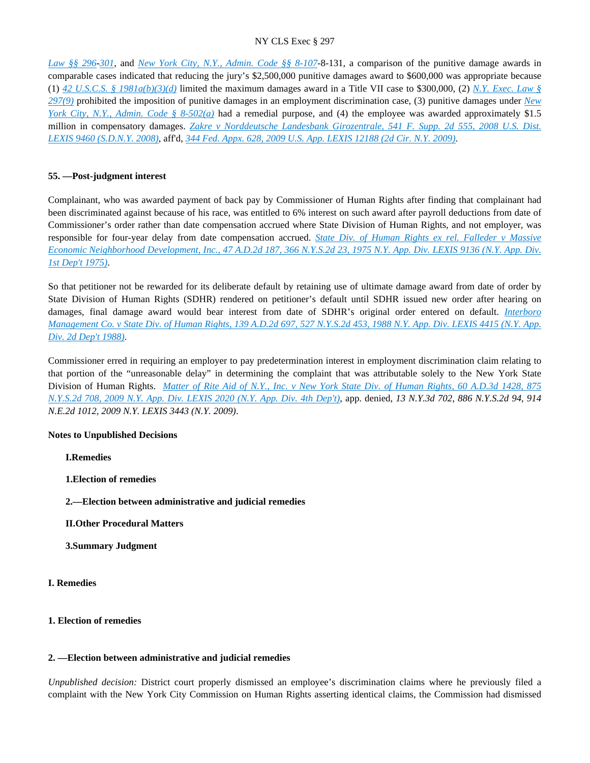*[Law §§ 296](https://advance.lexis.com/api/document?collection=statutes-legislation&id=urn:contentItem:8TP5-PCS2-8T6X-74HS-00000-00&context=)*-*[301](https://advance.lexis.com/api/document?collection=statutes-legislation&id=urn:contentItem:5CT3-0SG1-6RDJ-848F-00000-00&context=)*, and *[New York City, N.Y., Admin. Code §§ 8-107](https://advance.lexis.com/api/document?collection=statutes-legislation&id=urn:contentItem:5VXB-F9N1-F17G-F0PX-00000-00&context=)*-8-131, a comparison of the punitive damage awards in comparable cases indicated that reducing the jury's \$2,500,000 punitive damages award to \$600,000 was appropriate because (1) *[42 U.S.C.S. § 1981a\(b\)\(3\)\(d\)](https://advance.lexis.com/api/document?collection=statutes-legislation&id=urn:contentItem:4YF7-GNM1-NRF4-40HS-00000-00&context=)* limited the maximum damages award in a Title VII case to \$300,000, (2) *[N.Y. Exec. Law §](https://advance.lexis.com/api/document?collection=statutes-legislation&id=urn:contentItem:5H6N-1CT1-DXC8-036V-00000-00&context=)  [297\(9\)](https://advance.lexis.com/api/document?collection=statutes-legislation&id=urn:contentItem:5H6N-1CT1-DXC8-036V-00000-00&context=)* prohibited the imposition of punitive damages in an employment discrimination case, (3) punitive damages under *[New](https://advance.lexis.com/api/document?collection=statutes-legislation&id=urn:contentItem:5VXB-F9N1-F17G-F0SB-00000-00&context=)  [York City, N.Y., Admin. Code § 8-502\(a\)](https://advance.lexis.com/api/document?collection=statutes-legislation&id=urn:contentItem:5VXB-F9N1-F17G-F0SB-00000-00&context=)* had a remedial purpose, and (4) the employee was awarded approximately \$1.5 million in compensatory damages. *[Zakre v Norddeutsche Landesbank Girozentrale, 541 F. Supp. 2d 555, 2008 U.S. Dist.](https://advance.lexis.com/api/document?collection=cases&id=urn:contentItem:4RTD-1VV0-TXFR-J1RB-00000-00&context=)  [LEXIS 9460 \(S.D.N.Y. 2008\)](https://advance.lexis.com/api/document?collection=cases&id=urn:contentItem:4RTD-1VV0-TXFR-J1RB-00000-00&context=)*, aff'd, *[344 Fed. Appx. 628, 2009 U.S. App. LEXIS 12188 \(2d Cir. N.Y. 2009\)](https://advance.lexis.com/api/document?collection=cases&id=urn:contentItem:4WGF-3KY0-TXFX-41X2-00000-00&context=)*.

## **55. —Post-judgment interest**

Complainant, who was awarded payment of back pay by Commissioner of Human Rights after finding that complainant had been discriminated against because of his race, was entitled to 6% interest on such award after payroll deductions from date of Commissioner's order rather than date compensation accrued where State Division of Human Rights, and not employer, was responsible for four-year delay from date compensation accrued. *[State Div. of Human Rights ex rel. Falleder v Massive](https://advance.lexis.com/api/document?collection=cases&id=urn:contentItem:3RRS-G170-003C-F3XS-00000-00&context=)  [Economic Neighborhood Development, Inc., 47 A.D.2d 187, 366 N.Y.S.2d 23, 1975 N.Y. App. Div. LEXIS 9136 \(N.Y. App. Div.](https://advance.lexis.com/api/document?collection=cases&id=urn:contentItem:3RRS-G170-003C-F3XS-00000-00&context=)  [1st Dep't 1975\)](https://advance.lexis.com/api/document?collection=cases&id=urn:contentItem:3RRS-G170-003C-F3XS-00000-00&context=)*.

So that petitioner not be rewarded for its deliberate default by retaining use of ultimate damage award from date of order by State Division of Human Rights (SDHR) rendered on petitioner's default until SDHR issued new order after hearing on damages, final damage award would bear interest from date of SDHR's original order entered on default. *[Interboro](https://advance.lexis.com/api/document?collection=cases&id=urn:contentItem:3S3J-YYW0-003D-G4XR-00000-00&context=)  [Management Co. v State Div. of Human Rights, 139 A.D.2d 697, 527 N.Y.S.2d 453, 1988 N.Y. App. Div. LEXIS 4415 \(N.Y. App.](https://advance.lexis.com/api/document?collection=cases&id=urn:contentItem:3S3J-YYW0-003D-G4XR-00000-00&context=)  [Div. 2d Dep't 1988\)](https://advance.lexis.com/api/document?collection=cases&id=urn:contentItem:3S3J-YYW0-003D-G4XR-00000-00&context=)*.

Commissioner erred in requiring an employer to pay predetermination interest in employment discrimination claim relating to that portion of the "unreasonable delay" in determining the complaint that was attributable solely to the New York State Division of Human Rights. *[Matter of Rite Aid of N.Y., Inc. v New York State Div. of Human Rights, 60 A.D.3d 1428, 875](https://advance.lexis.com/api/document?collection=cases&id=urn:contentItem:4VWX-CC30-TXFV-T2F7-00000-00&context=)  [N.Y.S.2d 708, 2009 N.Y. App. Div. LEXIS 2020 \(N.Y. App. Div. 4th Dep't\)](https://advance.lexis.com/api/document?collection=cases&id=urn:contentItem:4VWX-CC30-TXFV-T2F7-00000-00&context=)*, app. denied, *13 N.Y.3d 702, 886 N.Y.S.2d 94, 914 N.E.2d 1012, 2009 N.Y. LEXIS 3443 (N.Y. 2009)*.

# **Notes to Unpublished Decisions**

**I.Remedies**

**1.Election of remedies**

**2.—Election between administrative and judicial remedies**

**II.Other Procedural Matters**

**3.Summary Judgment**

# **I. Remedies**

# **1. Election of remedies**

## **2. —Election between administrative and judicial remedies**

*Unpublished decision:* District court properly dismissed an employee's discrimination claims where he previously filed a complaint with the New York City Commission on Human Rights asserting identical claims, the Commission had dismissed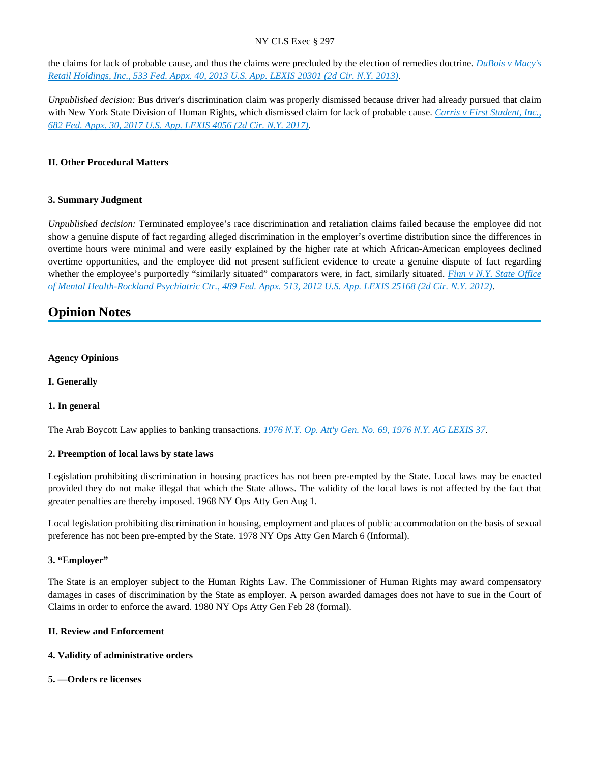the claims for lack of probable cause, and thus the claims were precluded by the election of remedies doctrine. *[DuBois v Macy's](https://advance.lexis.com/api/document?collection=cases&id=urn:contentItem:59H3-XD61-F04K-J0D7-00000-00&context=)  [Retail Holdings, Inc., 533 Fed. Appx. 40, 2013 U.S. App. LEXIS 20301 \(2d Cir. N.Y. 2013\)](https://advance.lexis.com/api/document?collection=cases&id=urn:contentItem:59H3-XD61-F04K-J0D7-00000-00&context=)*.

*Unpublished decision:* Bus driver's discrimination claim was properly dismissed because driver had already pursued that claim with New York State Division of Human Rights, which dismissed claim for lack of probable cause. *[Carris v First Student, Inc.,](https://advance.lexis.com/api/document?collection=cases&id=urn:contentItem:5N1W-JK91-F04K-J018-00000-00&context=)  [682 Fed. Appx. 30, 2017 U.S. App. LEXIS 4056 \(2d Cir. N.Y. 2017\)](https://advance.lexis.com/api/document?collection=cases&id=urn:contentItem:5N1W-JK91-F04K-J018-00000-00&context=)*.

# **II. Other Procedural Matters**

## **3. Summary Judgment**

*Unpublished decision:* Terminated employee's race discrimination and retaliation claims failed because the employee did not show a genuine dispute of fact regarding alleged discrimination in the employer's overtime distribution since the differences in overtime hours were minimal and were easily explained by the higher rate at which African-American employees declined overtime opportunities, and the employee did not present sufficient evidence to create a genuine dispute of fact regarding whether the employee's purportedly "similarly situated" comparators were, in fact, similarly situated. *[Finn v N.Y. State Office](https://advance.lexis.com/api/document?collection=cases&id=urn:contentItem:577J-SN51-F04K-J2HG-00000-00&context=)  [of Mental Health-Rockland Psychiatric Ctr., 489 Fed. Appx. 513, 2012 U.S. App. LEXIS 25168 \(2d Cir. N.Y. 2012\)](https://advance.lexis.com/api/document?collection=cases&id=urn:contentItem:577J-SN51-F04K-J2HG-00000-00&context=)*.

# **Opinion Notes**

## **Agency Opinions**

**I. Generally**

# **1. In general**

The Arab Boycott Law applies to banking transactions. *[1976 N.Y. Op. Att'y Gen. No. 69, 1976 N.Y. AG LEXIS 37](https://advance.lexis.com/api/document?collection=administrative-materials&id=urn:contentItem:4HXB-2S30-003Y-Y11G-00000-00&context=)*.

## **2. Preemption of local laws by state laws**

Legislation prohibiting discrimination in housing practices has not been pre-empted by the State. Local laws may be enacted provided they do not make illegal that which the State allows. The validity of the local laws is not affected by the fact that greater penalties are thereby imposed. 1968 NY Ops Atty Gen Aug 1.

Local legislation prohibiting discrimination in housing, employment and places of public accommodation on the basis of sexual preference has not been pre-empted by the State. 1978 NY Ops Atty Gen March 6 (Informal).

## **3. "Employer"**

The State is an employer subject to the Human Rights Law. The Commissioner of Human Rights may award compensatory damages in cases of discrimination by the State as employer. A person awarded damages does not have to sue in the Court of Claims in order to enforce the award. 1980 NY Ops Atty Gen Feb 28 (formal).

## **II. Review and Enforcement**

## **4. Validity of administrative orders**

## **5. —Orders re licenses**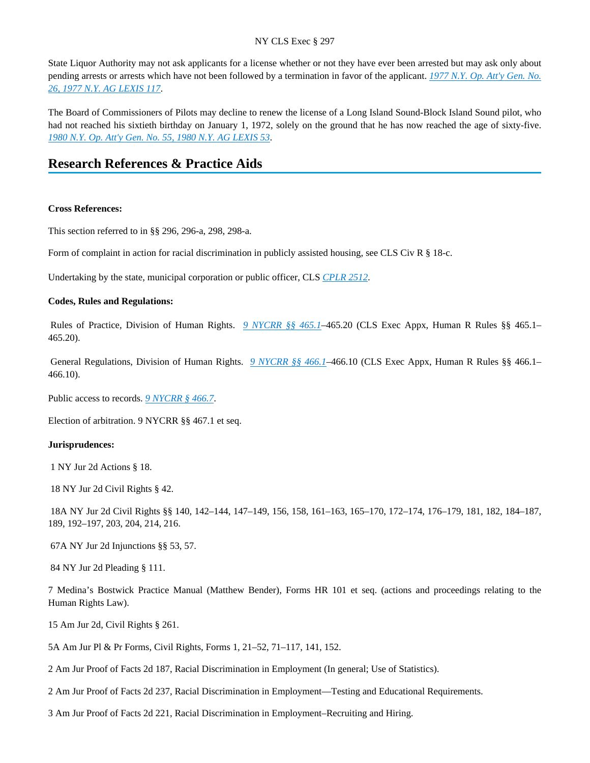State Liquor Authority may not ask applicants for a license whether or not they have ever been arrested but may ask only about pending arrests or arrests which have not been followed by a termination in favor of the applicant. *[1977 N.Y. Op. Att'y Gen. No.](https://advance.lexis.com/api/document?collection=administrative-materials&id=urn:contentItem:3SGR-J6N0-003Y-Y0W5-00000-00&context=)  [26, 1977 N.Y. AG LEXIS 117](https://advance.lexis.com/api/document?collection=administrative-materials&id=urn:contentItem:3SGR-J6N0-003Y-Y0W5-00000-00&context=)*.

The Board of Commissioners of Pilots may decline to renew the license of a Long Island Sound-Block Island Sound pilot, who had not reached his sixtieth birthday on January 1, 1972, solely on the ground that he has now reached the age of sixty-five. *[1980 N.Y. Op. Att'y Gen. No. 55, 1980 N.Y. AG LEXIS 53](https://advance.lexis.com/api/document?collection=administrative-materials&id=urn:contentItem:3SGR-J670-003Y-Y03X-00000-00&context=)*.

# **Research References & Practice Aids**

#### **Cross References:**

This section referred to in §§ 296, 296-a, 298, 298-a.

Form of complaint in action for racial discrimination in publicly assisted housing, see CLS Civ R § 18-c.

Undertaking by the state, municipal corporation or public officer, CLS *[CPLR 2512](https://advance.lexis.com/api/document?collection=statutes-legislation&id=urn:contentItem:5CT3-08C1-6RDJ-84GV-00000-00&context=)*.

#### **Codes, Rules and Regulations:**

 Rules of Practice, Division of Human Rights. *[9 NYCRR §§ 465.1](https://advance.lexis.com/api/document?collection=administrative-codes&id=urn:contentItem:5VXH-YX20-00XK-W10N-00000-00&context=)*–465.20 (CLS Exec Appx, Human R Rules §§ 465.1– 465.20).

 General Regulations, Division of Human Rights. *[9 NYCRR §§ 466.1](https://advance.lexis.com/api/document?collection=administrative-codes&id=urn:contentItem:5VXH-YX20-00XK-W11G-00000-00&context=)*–466.10 (CLS Exec Appx, Human R Rules §§ 466.1– 466.10).

Public access to records. *[9 NYCRR § 466.7](https://advance.lexis.com/api/document?collection=administrative-codes&id=urn:contentItem:5VXH-YX20-00XK-W11P-00000-00&context=)*.

Election of arbitration. 9 NYCRR §§ 467.1 et seq.

#### **Jurisprudences:**

1 NY Jur 2d Actions § 18.

18 NY Jur 2d Civil Rights § 42.

 18A NY Jur 2d Civil Rights §§ 140, 142–144, 147–149, 156, 158, 161–163, 165–170, 172–174, 176–179, 181, 182, 184–187, 189, 192–197, 203, 204, 214, 216.

67A NY Jur 2d Injunctions §§ 53, 57.

84 NY Jur 2d Pleading § 111.

7 Medina's Bostwick Practice Manual (Matthew Bender), Forms HR 101 et seq. (actions and proceedings relating to the Human Rights Law).

15 Am Jur 2d, Civil Rights § 261.

5A Am Jur Pl & Pr Forms, Civil Rights, Forms 1, 21–52, 71–117, 141, 152.

2 Am Jur Proof of Facts 2d 187, Racial Discrimination in Employment (In general; Use of Statistics).

2 Am Jur Proof of Facts 2d 237, Racial Discrimination in Employment—Testing and Educational Requirements.

3 Am Jur Proof of Facts 2d 221, Racial Discrimination in Employment–Recruiting and Hiring.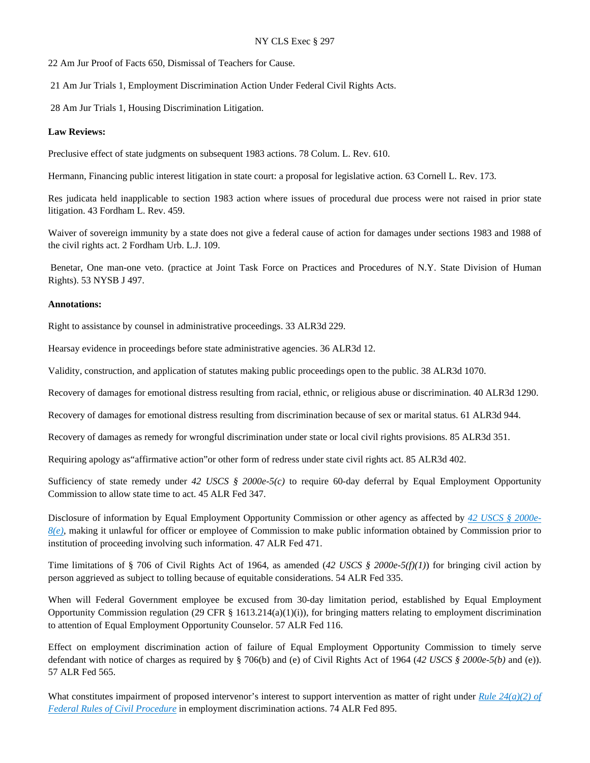22 Am Jur Proof of Facts 650, Dismissal of Teachers for Cause.

21 Am Jur Trials 1, Employment Discrimination Action Under Federal Civil Rights Acts.

28 Am Jur Trials 1, Housing Discrimination Litigation.

#### **Law Reviews:**

Preclusive effect of state judgments on subsequent 1983 actions. 78 Colum. L. Rev. 610.

Hermann, Financing public interest litigation in state court: a proposal for legislative action. 63 Cornell L. Rev. 173.

Res judicata held inapplicable to section 1983 action where issues of procedural due process were not raised in prior state litigation. 43 Fordham L. Rev. 459.

Waiver of sovereign immunity by a state does not give a federal cause of action for damages under sections 1983 and 1988 of the civil rights act. 2 Fordham Urb. L.J. 109.

 Benetar, One man-one veto. (practice at Joint Task Force on Practices and Procedures of N.Y. State Division of Human Rights). 53 NYSB J 497.

#### **Annotations:**

Right to assistance by counsel in administrative proceedings. 33 ALR3d 229.

Hearsay evidence in proceedings before state administrative agencies. 36 ALR3d 12.

Validity, construction, and application of statutes making public proceedings open to the public. 38 ALR3d 1070.

Recovery of damages for emotional distress resulting from racial, ethnic, or religious abuse or discrimination. 40 ALR3d 1290.

Recovery of damages for emotional distress resulting from discrimination because of sex or marital status. 61 ALR3d 944.

Recovery of damages as remedy for wrongful discrimination under state or local civil rights provisions. 85 ALR3d 351.

Requiring apology as"affirmative action"or other form of redress under state civil rights act. 85 ALR3d 402.

Sufficiency of state remedy under *42 USCS § 2000e-5(c)* to require 60-day deferral by Equal Employment Opportunity Commission to allow state time to act. 45 ALR Fed 347.

Disclosure of information by Equal Employment Opportunity Commission or other agency as affected by *[42 USCS § 2000e-](https://advance.lexis.com/api/document?collection=statutes-legislation&id=urn:contentItem:4YF7-GSK1-NRF4-442M-00000-00&context=)[8\(e\)](https://advance.lexis.com/api/document?collection=statutes-legislation&id=urn:contentItem:4YF7-GSK1-NRF4-442M-00000-00&context=)*, making it unlawful for officer or employee of Commission to make public information obtained by Commission prior to institution of proceeding involving such information. 47 ALR Fed 471.

Time limitations of § 706 of Civil Rights Act of 1964, as amended (*42 USCS § 2000e-5(f)(1)*) for bringing civil action by person aggrieved as subject to tolling because of equitable considerations. 54 ALR Fed 335.

When will Federal Government employee be excused from 30-day limitation period, established by Equal Employment Opportunity Commission regulation (29 CFR  $\S$  1613.214(a)(1)(i)), for bringing matters relating to employment discrimination to attention of Equal Employment Opportunity Counselor. 57 ALR Fed 116.

Effect on employment discrimination action of failure of Equal Employment Opportunity Commission to timely serve defendant with notice of charges as required by § 706(b) and (e) of Civil Rights Act of 1964 (*42 USCS § 2000e-5(b)* and (e)). 57 ALR Fed 565.

What constitutes impairment of proposed intervenor's interest to support intervention as matter of right under *[Rule 24\(a\)\(2\) of](https://advance.lexis.com/api/document?collection=statutes-legislation&id=urn:contentItem:5GYC-2101-FG36-137X-00000-00&context=)  [Federal Rules of Civil Procedure](https://advance.lexis.com/api/document?collection=statutes-legislation&id=urn:contentItem:5GYC-2101-FG36-137X-00000-00&context=)* in employment discrimination actions. 74 ALR Fed 895.